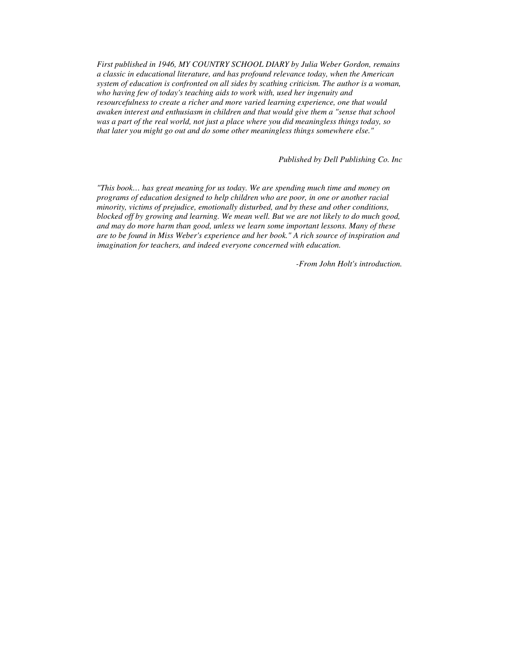*First published in 1946, MY COUNTRY SCHOOL DIARY by Julia Weber Gordon, remains a classic in educational literature, and has profound relevance today, when the American system of education is confronted on all sides by scathing criticism. The author is a woman, who having few of today's teaching aids to work with, used her ingenuity and resourcefulness to create a richer and more varied learning experience, one that would awaken interest and enthusiasm in children and that would give them a "sense that school was a part of the real world, not just a place where you did meaningless things today, so that later you might go out and do some other meaningless things somewhere else."* 

*Published by Dell Publishing Co. Inc* 

*"This book… has great meaning for us today. We are spending much time and money on programs of education designed to help children who are poor, in one or another racial minority, victims of prejudice, emotionally disturbed, and by these and other conditions, blocked off by growing and learning. We mean well. But we are not likely to do much good, and may do more harm than good, unless we learn some important lessons. Many of these are to be found in Miss Weber's experience and her book." A rich source of inspiration and imagination for teachers, and indeed everyone concerned with education.* 

*-From John Holt's introduction.*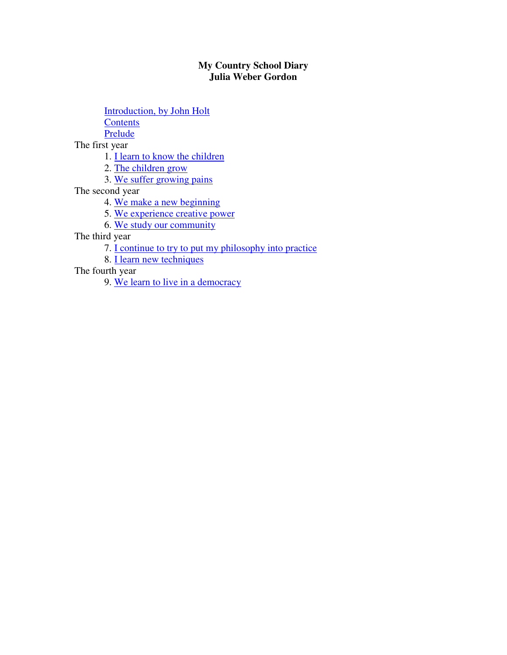# **My Country School Diary Julia Weber Gordon**

Introduction, by John Holt **Contents** 

Prelude

The first year

1. **I learn to know the children** 

2. The children grow

3. We suffer growing pains

The second year

4. We make a new beginning

5. We experience creative power

6. We study our community

The third year

7. I continue to try to put my philosophy into practice

8. I learn new techniques

The fourth year

9. We learn to live in a democracy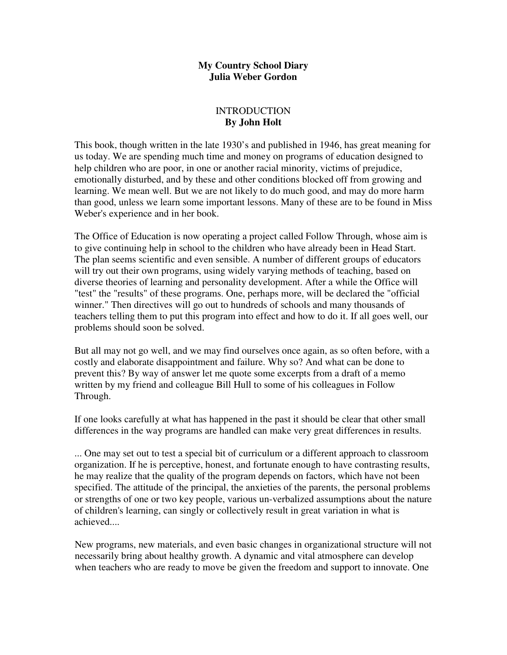## **My Country School Diary Julia Weber Gordon**

# INTRODUCTION **By John Holt**

This book, though written in the late 1930's and published in 1946, has great meaning for us today. We are spending much time and money on programs of education designed to help children who are poor, in one or another racial minority, victims of prejudice, emotionally disturbed, and by these and other conditions blocked off from growing and learning. We mean well. But we are not likely to do much good, and may do more harm than good, unless we learn some important lessons. Many of these are to be found in Miss Weber's experience and in her book.

The Office of Education is now operating a project called Follow Through, whose aim is to give continuing help in school to the children who have already been in Head Start. The plan seems scientific and even sensible. A number of different groups of educators will try out their own programs, using widely varying methods of teaching, based on diverse theories of learning and personality development. After a while the Office will "test" the "results" of these programs. One, perhaps more, will be declared the "official winner." Then directives will go out to hundreds of schools and many thousands of teachers telling them to put this program into effect and how to do it. If all goes well, our problems should soon be solved.

But all may not go well, and we may find ourselves once again, as so often before, with a costly and elaborate disappointment and failure. Why so? And what can be done to prevent this? By way of answer let me quote some excerpts from a draft of a memo written by my friend and colleague Bill Hull to some of his colleagues in Follow Through.

If one looks carefully at what has happened in the past it should be clear that other small differences in the way programs are handled can make very great differences in results.

... One may set out to test a special bit of curriculum or a different approach to classroom organization. If he is perceptive, honest, and fortunate enough to have contrasting results, he may realize that the quality of the program depends on factors, which have not been specified. The attitude of the principal, the anxieties of the parents, the personal problems or strengths of one or two key people, various un-verbalized assumptions about the nature of children's learning, can singly or collectively result in great variation in what is achieved....

New programs, new materials, and even basic changes in organizational structure will not necessarily bring about healthy growth. A dynamic and vital atmosphere can develop when teachers who are ready to move be given the freedom and support to innovate. One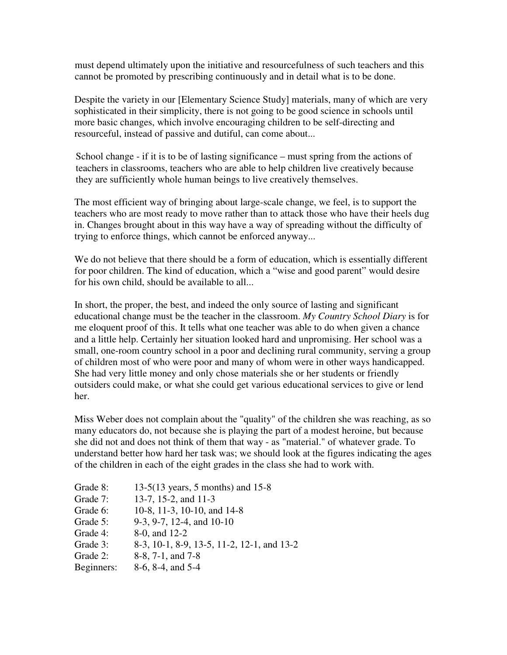must depend ultimately upon the initiative and resourcefulness of such teachers and this cannot be promoted by prescribing continuously and in detail what is to be done.

Despite the variety in our [Elementary Science Study] materials, many of which are very sophisticated in their simplicity, there is not going to be good science in schools until more basic changes, which involve encouraging children to be self-directing and resourceful, instead of passive and dutiful, can come about...

School change - if it is to be of lasting significance – must spring from the actions of teachers in classrooms, teachers who are able to help children live creatively because they are sufficiently whole human beings to live creatively themselves.

The most efficient way of bringing about large-scale change, we feel, is to support the teachers who are most ready to move rather than to attack those who have their heels dug in. Changes brought about in this way have a way of spreading without the difficulty of trying to enforce things, which cannot be enforced anyway...

We do not believe that there should be a form of education, which is essentially different for poor children. The kind of education, which a "wise and good parent" would desire for his own child, should be available to all...

In short, the proper, the best, and indeed the only source of lasting and significant educational change must be the teacher in the classroom. *My Country School Diary* is for me eloquent proof of this. It tells what one teacher was able to do when given a chance and a little help. Certainly her situation looked hard and unpromising. Her school was a small, one-room country school in a poor and declining rural community, serving a group of children most of who were poor and many of whom were in other ways handicapped. She had very little money and only chose materials she or her students or friendly outsiders could make, or what she could get various educational services to give or lend her.

Miss Weber does not complain about the "quality" of the children she was reaching, as so many educators do, not because she is playing the part of a modest heroine, but because she did not and does not think of them that way - as "material." of whatever grade. To understand better how hard her task was; we should look at the figures indicating the ages of the children in each of the eight grades in the class she had to work with.

| Grade 8:   | 13-5(13 years, 5 months) and $15-8$        |
|------------|--------------------------------------------|
| Grade 7:   | 13-7, 15-2, and 11-3                       |
| Grade 6:   | 10-8, 11-3, 10-10, and 14-8                |
| Grade 5:   | $9-3$ , $9-7$ , 12-4, and 10-10            |
| Grade 4:   | 8-0, and 12-2                              |
| Grade 3:   | 8-3, 10-1, 8-9, 13-5, 11-2, 12-1, and 13-2 |
| Grade 2:   | 8-8, 7-1, and 7-8                          |
| Beginners: | 8-6, 8-4, and 5-4                          |
|            |                                            |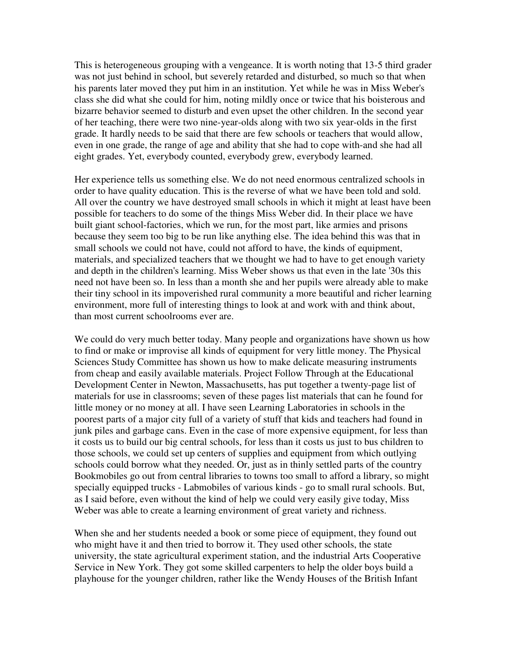This is heterogeneous grouping with a vengeance. It is worth noting that 13-5 third grader was not just behind in school, but severely retarded and disturbed, so much so that when his parents later moved they put him in an institution. Yet while he was in Miss Weber's class she did what she could for him, noting mildly once or twice that his boisterous and bizarre behavior seemed to disturb and even upset the other children. In the second year of her teaching, there were two nine-year-olds along with two six year-olds in the first grade. It hardly needs to be said that there are few schools or teachers that would allow, even in one grade, the range of age and ability that she had to cope with-and she had all eight grades. Yet, everybody counted, everybody grew, everybody learned.

Her experience tells us something else. We do not need enormous centralized schools in order to have quality education. This is the reverse of what we have been told and sold. All over the country we have destroyed small schools in which it might at least have been possible for teachers to do some of the things Miss Weber did. In their place we have built giant school-factories, which we run, for the most part, like armies and prisons because they seem too big to be run like anything else. The idea behind this was that in small schools we could not have, could not afford to have, the kinds of equipment, materials, and specialized teachers that we thought we had to have to get enough variety and depth in the children's learning. Miss Weber shows us that even in the late '30s this need not have been so. In less than a month she and her pupils were already able to make their tiny school in its impoverished rural community a more beautiful and richer learning environment, more full of interesting things to look at and work with and think about, than most current schoolrooms ever are.

We could do very much better today. Many people and organizations have shown us how to find or make or improvise all kinds of equipment for very little money. The Physical Sciences Study Committee has shown us how to make delicate measuring instruments from cheap and easily available materials. Project Follow Through at the Educational Development Center in Newton, Massachusetts, has put together a twenty-page list of materials for use in classrooms; seven of these pages list materials that can he found for little money or no money at all. I have seen Learning Laboratories in schools in the poorest parts of a major city full of a variety of stuff that kids and teachers had found in junk piles and garbage cans. Even in the case of more expensive equipment, for less than it costs us to build our big central schools, for less than it costs us just to bus children to those schools, we could set up centers of supplies and equipment from which outlying schools could borrow what they needed. Or, just as in thinly settled parts of the country Bookmobiles go out from central libraries to towns too small to afford a library, so might specially equipped trucks - Labmobiles of various kinds - go to small rural schools. But, as I said before, even without the kind of help we could very easily give today, Miss Weber was able to create a learning environment of great variety and richness.

When she and her students needed a book or some piece of equipment, they found out who might have it and then tried to borrow it. They used other schools, the state university, the state agricultural experiment station, and the industrial Arts Cooperative Service in New York. They got some skilled carpenters to help the older boys build a playhouse for the younger children, rather like the Wendy Houses of the British Infant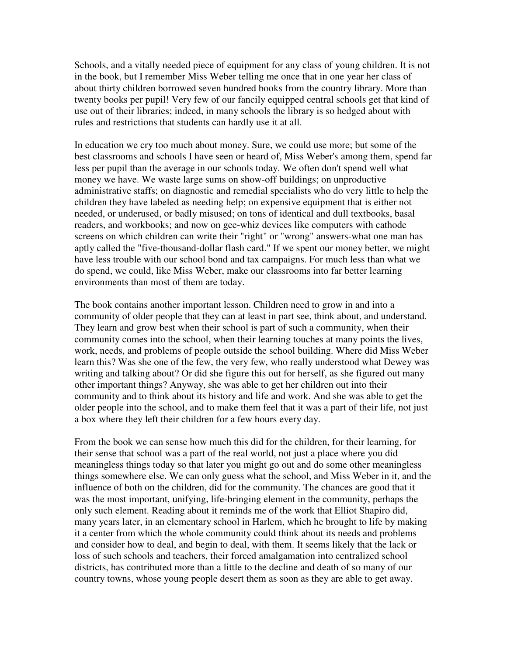Schools, and a vitally needed piece of equipment for any class of young children. It is not in the book, but I remember Miss Weber telling me once that in one year her class of about thirty children borrowed seven hundred books from the country library. More than twenty books per pupil! Very few of our fancily equipped central schools get that kind of use out of their libraries; indeed, in many schools the library is so hedged about with rules and restrictions that students can hardly use it at all.

In education we cry too much about money. Sure, we could use more; but some of the best classrooms and schools I have seen or heard of, Miss Weber's among them, spend far less per pupil than the average in our schools today. We often don't spend well what money we have. We waste large sums on show-off buildings; on unproductive administrative staffs; on diagnostic and remedial specialists who do very little to help the children they have labeled as needing help; on expensive equipment that is either not needed, or underused, or badly misused; on tons of identical and dull textbooks, basal readers, and workbooks; and now on gee-whiz devices like computers with cathode screens on which children can write their "right" or "wrong" answers-what one man has aptly called the "five-thousand-dollar flash card." If we spent our money better, we might have less trouble with our school bond and tax campaigns. For much less than what we do spend, we could, like Miss Weber, make our classrooms into far better learning environments than most of them are today.

The book contains another important lesson. Children need to grow in and into a community of older people that they can at least in part see, think about, and understand. They learn and grow best when their school is part of such a community, when their community comes into the school, when their learning touches at many points the lives, work, needs, and problems of people outside the school building. Where did Miss Weber learn this? Was she one of the few, the very few, who really understood what Dewey was writing and talking about? Or did she figure this out for herself, as she figured out many other important things? Anyway, she was able to get her children out into their community and to think about its history and life and work. And she was able to get the older people into the school, and to make them feel that it was a part of their life, not just a box where they left their children for a few hours every day.

From the book we can sense how much this did for the children, for their learning, for their sense that school was a part of the real world, not just a place where you did meaningless things today so that later you might go out and do some other meaningless things somewhere else. We can only guess what the school, and Miss Weber in it, and the influence of both on the children, did for the community. The chances are good that it was the most important, unifying, life-bringing element in the community, perhaps the only such element. Reading about it reminds me of the work that Elliot Shapiro did, many years later, in an elementary school in Harlem, which he brought to life by making it a center from which the whole community could think about its needs and problems and consider how to deal, and begin to deal, with them. It seems likely that the lack or loss of such schools and teachers, their forced amalgamation into centralized school districts, has contributed more than a little to the decline and death of so many of our country towns, whose young people desert them as soon as they are able to get away.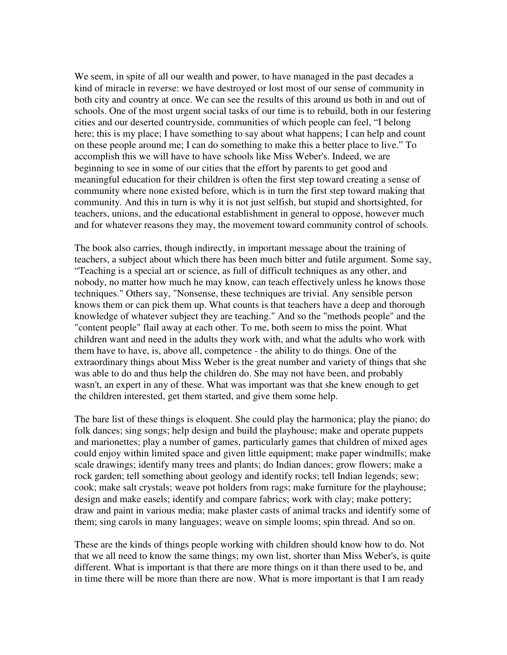We seem, in spite of all our wealth and power, to have managed in the past decades a kind of miracle in reverse: we have destroyed or lost most of our sense of community in both city and country at once. We can see the results of this around us both in and out of schools. One of the most urgent social tasks of our time is to rebuild, both in our festering cities and our deserted countryside, communities of which people can feel, "I belong here; this is my place; I have something to say about what happens; I can help and count on these people around me; I can do something to make this a better place to live." To accomplish this we will have to have schools like Miss Weber's. Indeed, we are beginning to see in some of our cities that the effort by parents to get good and meaningful education for their children is often the first step toward creating a sense of community where none existed before, which is in turn the first step toward making that community. And this in turn is why it is not just selfish, but stupid and shortsighted, for teachers, unions, and the educational establishment in general to oppose, however much and for whatever reasons they may, the movement toward community control of schools.

The book also carries, though indirectly, in important message about the training of teachers, a subject about which there has been much bitter and futile argument. Some say, "Teaching is a special art or science, as full of difficult techniques as any other, and nobody, no matter how much he may know, can teach effectively unless he knows those techniques." Others say, "Nonsense, these techniques are trivial. Any sensible person knows them or can pick them up. What counts is that teachers have a deep and thorough knowledge of whatever subject they are teaching." And so the "methods people" and the "content people" flail away at each other. To me, both seem to miss the point. What children want and need in the adults they work with, and what the adults who work with them have to have, is, above all, competence - the ability to do things. One of the extraordinary things about Miss Weber is the great number and variety of things that she was able to do and thus help the children do. She may not have been, and probably wasn't, an expert in any of these. What was important was that she knew enough to get the children interested, get them started, and give them some help.

The bare list of these things is eloquent. She could play the harmonica; play the piano; do folk dances; sing songs; help design and build the playhouse; make and operate puppets and marionettes; play a number of games, particularly games that children of mixed ages could enjoy within limited space and given little equipment; make paper windmills; make scale drawings; identify many trees and plants; do Indian dances; grow flowers; make a rock garden; tell something about geology and identify rocks; tell Indian legends; sew; cook; make salt crystals; weave pot holders from rags; make furniture for the playhouse; design and make easels; identify and compare fabrics; work with clay; make pottery; draw and paint in various media; make plaster casts of animal tracks and identify some of them; sing carols in many languages; weave on simple looms; spin thread. And so on.

These are the kinds of things people working with children should know how to do. Not that we all need to know the same things; my own list, shorter than Miss Weber's, is quite different. What is important is that there are more things on it than there used to be, and in time there will be more than there are now. What is more important is that I am ready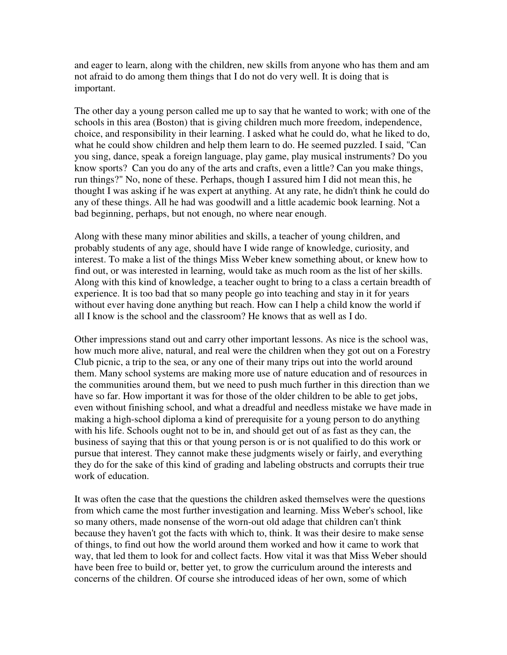and eager to learn, along with the children, new skills from anyone who has them and am not afraid to do among them things that I do not do very well. It is doing that is important.

The other day a young person called me up to say that he wanted to work; with one of the schools in this area (Boston) that is giving children much more freedom, independence, choice, and responsibility in their learning. I asked what he could do, what he liked to do, what he could show children and help them learn to do. He seemed puzzled. I said, "Can you sing, dance, speak a foreign language, play game, play musical instruments? Do you know sports? Can you do any of the arts and crafts, even a little? Can you make things, run things?" No, none of these. Perhaps, though I assured him I did not mean this, he thought I was asking if he was expert at anything. At any rate, he didn't think he could do any of these things. All he had was goodwill and a little academic book learning. Not a bad beginning, perhaps, but not enough, no where near enough.

Along with these many minor abilities and skills, a teacher of young children, and probably students of any age, should have I wide range of knowledge, curiosity, and interest. To make a list of the things Miss Weber knew something about, or knew how to find out, or was interested in learning, would take as much room as the list of her skills. Along with this kind of knowledge, a teacher ought to bring to a class a certain breadth of experience. It is too bad that so many people go into teaching and stay in it for years without ever having done anything but reach. How can I help a child know the world if all I know is the school and the classroom? He knows that as well as I do.

Other impressions stand out and carry other important lessons. As nice is the school was, how much more alive, natural, and real were the children when they got out on a Forestry Club picnic, a trip to the sea, or any one of their many trips out into the world around them. Many school systems are making more use of nature education and of resources in the communities around them, but we need to push much further in this direction than we have so far. How important it was for those of the older children to be able to get jobs, even without finishing school, and what a dreadful and needless mistake we have made in making a high-school diploma a kind of prerequisite for a young person to do anything with his life. Schools ought not to be in, and should get out of as fast as they can, the business of saying that this or that young person is or is not qualified to do this work or pursue that interest. They cannot make these judgments wisely or fairly, and everything they do for the sake of this kind of grading and labeling obstructs and corrupts their true work of education.

It was often the case that the questions the children asked themselves were the questions from which came the most further investigation and learning. Miss Weber's school, like so many others, made nonsense of the worn-out old adage that children can't think because they haven't got the facts with which to, think. It was their desire to make sense of things, to find out how the world around them worked and how it came to work that way, that led them to look for and collect facts. How vital it was that Miss Weber should have been free to build or, better yet, to grow the curriculum around the interests and concerns of the children. Of course she introduced ideas of her own, some of which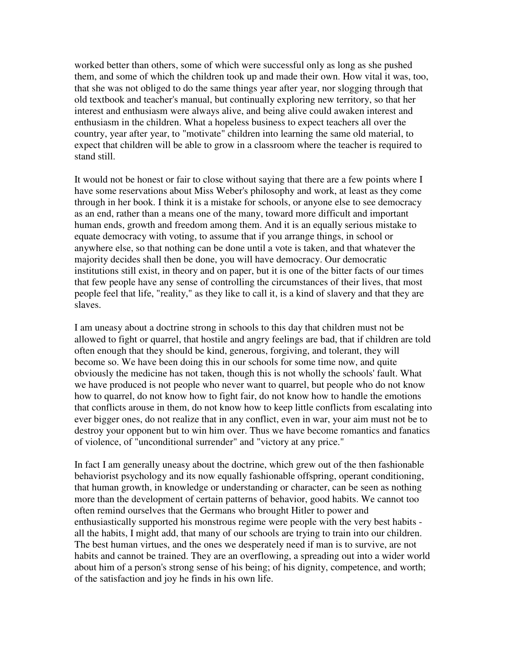worked better than others, some of which were successful only as long as she pushed them, and some of which the children took up and made their own. How vital it was, too, that she was not obliged to do the same things year after year, nor slogging through that old textbook and teacher's manual, but continually exploring new territory, so that her interest and enthusiasm were always alive, and being alive could awaken interest and enthusiasm in the children. What a hopeless business to expect teachers all over the country, year after year, to "motivate" children into learning the same old material, to expect that children will be able to grow in a classroom where the teacher is required to stand still.

It would not be honest or fair to close without saying that there are a few points where I have some reservations about Miss Weber's philosophy and work, at least as they come through in her book. I think it is a mistake for schools, or anyone else to see democracy as an end, rather than a means one of the many, toward more difficult and important human ends, growth and freedom among them. And it is an equally serious mistake to equate democracy with voting, to assume that if you arrange things, in school or anywhere else, so that nothing can be done until a vote is taken, and that whatever the majority decides shall then be done, you will have democracy. Our democratic institutions still exist, in theory and on paper, but it is one of the bitter facts of our times that few people have any sense of controlling the circumstances of their lives, that most people feel that life, "reality," as they like to call it, is a kind of slavery and that they are slaves.

I am uneasy about a doctrine strong in schools to this day that children must not be allowed to fight or quarrel, that hostile and angry feelings are bad, that if children are told often enough that they should be kind, generous, forgiving, and tolerant, they will become so. We have been doing this in our schools for some time now, and quite obviously the medicine has not taken, though this is not wholly the schools' fault. What we have produced is not people who never want to quarrel, but people who do not know how to quarrel, do not know how to fight fair, do not know how to handle the emotions that conflicts arouse in them, do not know how to keep little conflicts from escalating into ever bigger ones, do not realize that in any conflict, even in war, your aim must not be to destroy your opponent but to win him over. Thus we have become romantics and fanatics of violence, of "unconditional surrender" and "victory at any price."

In fact I am generally uneasy about the doctrine, which grew out of the then fashionable behaviorist psychology and its now equally fashionable offspring, operant conditioning, that human growth, in knowledge or understanding or character, can be seen as nothing more than the development of certain patterns of behavior, good habits. We cannot too often remind ourselves that the Germans who brought Hitler to power and enthusiastically supported his monstrous regime were people with the very best habits all the habits, I might add, that many of our schools are trying to train into our children. The best human virtues, and the ones we desperately need if man is to survive, are not habits and cannot be trained. They are an overflowing, a spreading out into a wider world about him of a person's strong sense of his being; of his dignity, competence, and worth; of the satisfaction and joy he finds in his own life.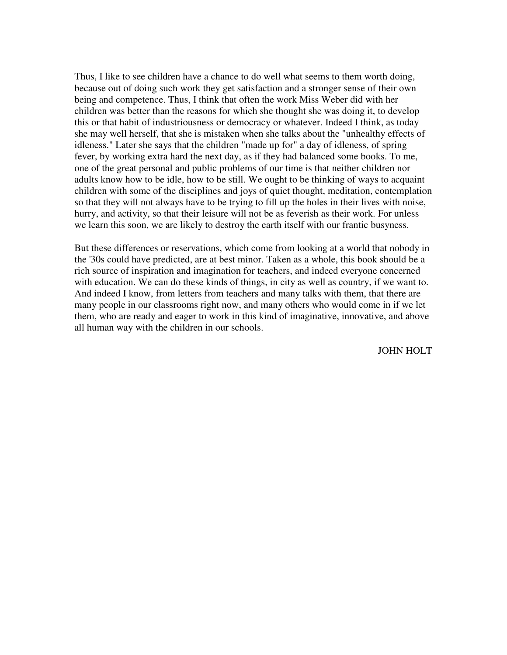Thus, I like to see children have a chance to do well what seems to them worth doing, because out of doing such work they get satisfaction and a stronger sense of their own being and competence. Thus, I think that often the work Miss Weber did with her children was better than the reasons for which she thought she was doing it, to develop this or that habit of industriousness or democracy or whatever. Indeed I think, as today she may well herself, that she is mistaken when she talks about the "unhealthy effects of idleness." Later she says that the children "made up for" a day of idleness, of spring fever, by working extra hard the next day, as if they had balanced some books. To me, one of the great personal and public problems of our time is that neither children nor adults know how to be idle, how to be still. We ought to be thinking of ways to acquaint children with some of the disciplines and joys of quiet thought, meditation, contemplation so that they will not always have to be trying to fill up the holes in their lives with noise, hurry, and activity, so that their leisure will not be as feverish as their work. For unless we learn this soon, we are likely to destroy the earth itself with our frantic busyness.

But these differences or reservations, which come from looking at a world that nobody in the '30s could have predicted, are at best minor. Taken as a whole, this book should be a rich source of inspiration and imagination for teachers, and indeed everyone concerned with education. We can do these kinds of things, in city as well as country, if we want to. And indeed I know, from letters from teachers and many talks with them, that there are many people in our classrooms right now, and many others who would come in if we let them, who are ready and eager to work in this kind of imaginative, innovative, and above all human way with the children in our schools.

JOHN HOLT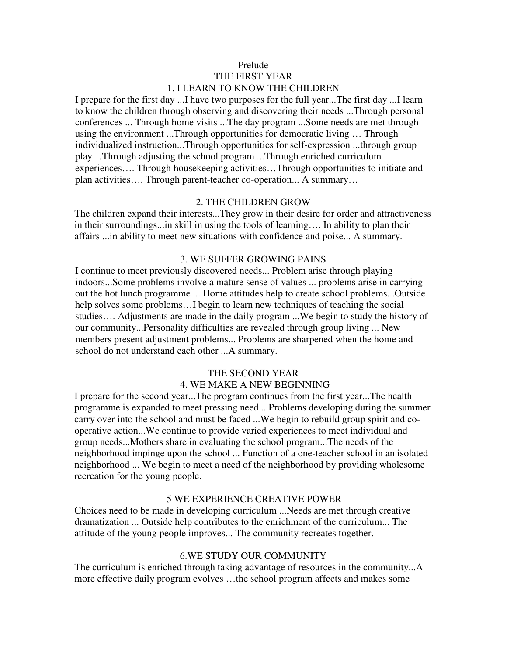## Prelude THE FIRST YEAR 1. I LEARN TO KNOW THE CHILDREN

I prepare for the first day ...I have two purposes for the full year...The first day ...I learn to know the children through observing and discovering their needs ...Through personal conferences ... Through home visits ...The day program ...Some needs are met through using the environment ...Through opportunities for democratic living … Through individualized instruction...Through opportunities for self-expression ...through group play…Through adjusting the school program ...Through enriched curriculum experiences…. Through housekeeping activities…Through opportunities to initiate and plan activities…. Through parent-teacher co-operation... A summary…

#### 2. THE CHILDREN GROW

The children expand their interests...They grow in their desire for order and attractiveness in their surroundings...in skill in using the tools of learning…. In ability to plan their affairs ...in ability to meet new situations with confidence and poise... A summary.

## 3. WE SUFFER GROWING PAINS

I continue to meet previously discovered needs... Problem arise through playing indoors...Some problems involve a mature sense of values ... problems arise in carrying out the hot lunch programme ... Home attitudes help to create school problems...Outside help solves some problems…I begin to learn new techniques of teaching the social studies…. Adjustments are made in the daily program ...We begin to study the history of our community...Personality difficulties are revealed through group living ... New members present adjustment problems... Problems are sharpened when the home and school do not understand each other ...A summary.

#### THE SECOND YEAR 4. WE MAKE A NEW BEGINNING

I prepare for the second year...The program continues from the first year...The health programme is expanded to meet pressing need... Problems developing during the summer carry over into the school and must be faced ...We begin to rebuild group spirit and cooperative action...We continue to provide varied experiences to meet individual and group needs...Mothers share in evaluating the school program...The needs of the neighborhood impinge upon the school ... Function of a one-teacher school in an isolated neighborhood ... We begin to meet a need of the neighborhood by providing wholesome recreation for the young people.

#### 5 WE EXPERIENCE CREATIVE POWER

Choices need to be made in developing curriculum ...Needs are met through creative dramatization ... Outside help contributes to the enrichment of the curriculum... The attitude of the young people improves... The community recreates together.

## 6.WE STUDY OUR COMMUNITY

The curriculum is enriched through taking advantage of resources in the community...A more effective daily program evolves …the school program affects and makes some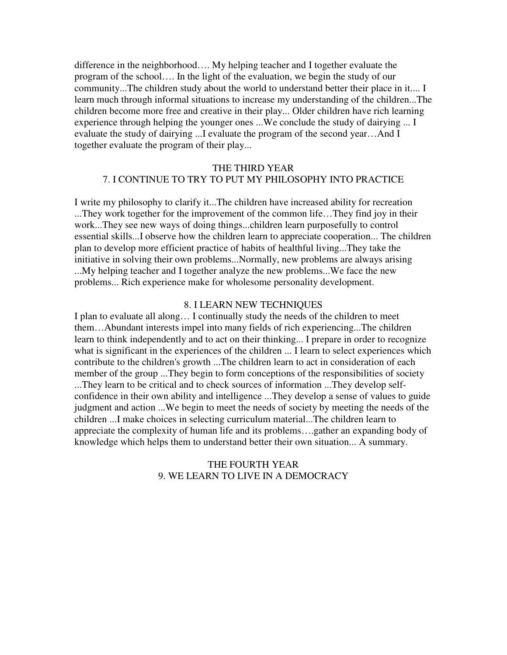difference in the neighborhood…. My helping teacher and I together evaluate the program of the school…. In the light of the evaluation, we begin the study of our community...The children study about the world to understand better their place in it.... I learn much through informal situations to increase my understanding of the children...The children become more free and creative in their play... Older children have rich learning experience through helping the younger ones ...We conclude the study of dairying ... I evaluate the study of dairying ...I evaluate the program of the second year…And I together evaluate the program of their play...

# THE THIRD YEAR 7. I CONTINUE TO TRY TO PUT MY PHILOSOPHY INTO PRACTICE

I write my philosophy to clarify it...The children have increased ability for recreation ...They work together for the improvement of the common life…They find joy in their work...They see new ways of doing things...children learn purposefully to control essential skills...I observe how the children learn to appreciate cooperation... The children plan to develop more efficient practice of habits of healthful living...They take the initiative in solving their own problems...Normally, new problems are always arising ...My helping teacher and I together analyze the new problems...We face the new problems... Rich experience make for wholesome personality development.

### 8. I LEARN NEW TECHNIQUES

I plan to evaluate all along… I continually study the needs of the children to meet them…Abundant interests impel into many fields of rich experiencing...The children learn to think independently and to act on their thinking... I prepare in order to recognize what is significant in the experiences of the children ... I learn to select experiences which contribute to the children's growth ...The children learn to act in consideration of each member of the group ...They begin to form conceptions of the responsibilities of society ...They learn to be critical and to check sources of information ...They develop selfconfidence in their own ability and intelligence ...They develop a sense of values to guide judgment and action ...We begin to meet the needs of society by meeting the needs of the children ...I make choices in selecting curriculum material...The children learn to appreciate the complexity of human life and its problems….gather an expanding body of knowledge which helps them to understand better their own situation... A summary.

# THE FOURTH YEAR 9. WE LEARN TO LIVE IN A DEMOCRACY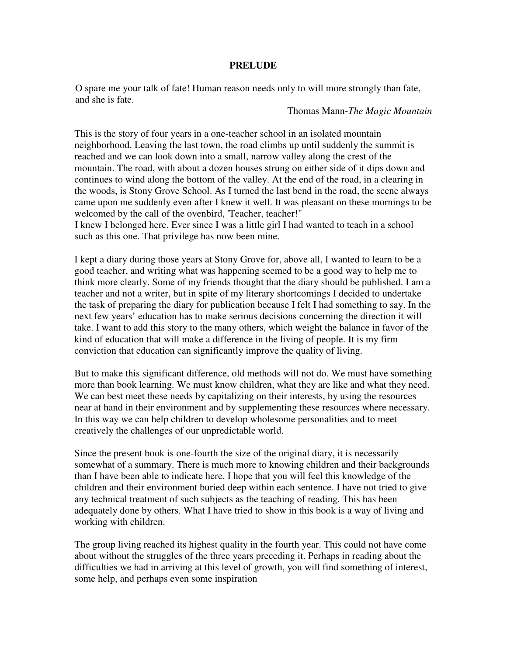### **PRELUDE**

O spare me your talk of fate! Human reason needs only to will more strongly than fate, and she is fate.

### Thomas Mann-*The Magic Mountain*

This is the story of four years in a one-teacher school in an isolated mountain neighborhood. Leaving the last town, the road climbs up until suddenly the summit is reached and we can look down into a small, narrow valley along the crest of the mountain. The road, with about a dozen houses strung on either side of it dips down and continues to wind along the bottom of the valley. At the end of the road, in a clearing in the woods, is Stony Grove School. As I turned the last bend in the road, the scene always came upon me suddenly even after I knew it well. It was pleasant on these mornings to be welcomed by the call of the ovenbird, 'Teacher, teacher!"

I knew I belonged here. Ever since I was a little girl I had wanted to teach in a school such as this one. That privilege has now been mine.

I kept a diary during those years at Stony Grove for, above all, I wanted to learn to be a good teacher, and writing what was happening seemed to be a good way to help me to think more clearly. Some of my friends thought that the diary should be published. I am a teacher and not a writer, but in spite of my literary shortcomings I decided to undertake the task of preparing the diary for publication because I felt I had something to say. In the next few years' education has to make serious decisions concerning the direction it will take. I want to add this story to the many others, which weight the balance in favor of the kind of education that will make a difference in the living of people. It is my firm conviction that education can significantly improve the quality of living.

But to make this significant difference, old methods will not do. We must have something more than book learning. We must know children, what they are like and what they need. We can best meet these needs by capitalizing on their interests, by using the resources near at hand in their environment and by supplementing these resources where necessary. In this way we can help children to develop wholesome personalities and to meet creatively the challenges of our unpredictable world.

Since the present book is one-fourth the size of the original diary, it is necessarily somewhat of a summary. There is much more to knowing children and their backgrounds than I have been able to indicate here. I hope that you will feel this knowledge of the children and their environment buried deep within each sentence. I have not tried to give any technical treatment of such subjects as the teaching of reading. This has been adequately done by others. What I have tried to show in this book is a way of living and working with children.

The group living reached its highest quality in the fourth year. This could not have come about without the struggles of the three years preceding it. Perhaps in reading about the difficulties we had in arriving at this level of growth, you will find something of interest, some help, and perhaps even some inspiration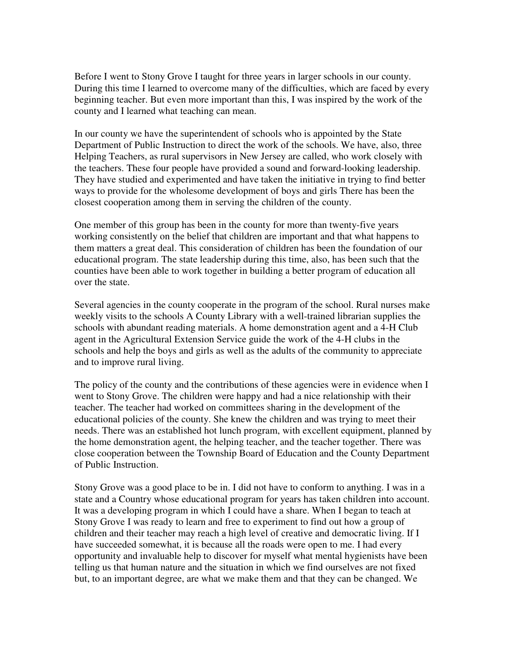Before I went to Stony Grove I taught for three years in larger schools in our county. During this time I learned to overcome many of the difficulties, which are faced by every beginning teacher. But even more important than this, I was inspired by the work of the county and I learned what teaching can mean.

In our county we have the superintendent of schools who is appointed by the State Department of Public Instruction to direct the work of the schools. We have, also, three Helping Teachers, as rural supervisors in New Jersey are called, who work closely with the teachers. These four people have provided a sound and forward-looking leadership. They have studied and experimented and have taken the initiative in trying to find better ways to provide for the wholesome development of boys and girls There has been the closest cooperation among them in serving the children of the county.

One member of this group has been in the county for more than twenty-five years working consistently on the belief that children are important and that what happens to them matters a great deal. This consideration of children has been the foundation of our educational program. The state leadership during this time, also, has been such that the counties have been able to work together in building a better program of education all over the state.

Several agencies in the county cooperate in the program of the school. Rural nurses make weekly visits to the schools A County Library with a well-trained librarian supplies the schools with abundant reading materials. A home demonstration agent and a 4-H Club agent in the Agricultural Extension Service guide the work of the 4-H clubs in the schools and help the boys and girls as well as the adults of the community to appreciate and to improve rural living.

The policy of the county and the contributions of these agencies were in evidence when I went to Stony Grove. The children were happy and had a nice relationship with their teacher. The teacher had worked on committees sharing in the development of the educational policies of the county. She knew the children and was trying to meet their needs. There was an established hot lunch program, with excellent equipment, planned by the home demonstration agent, the helping teacher, and the teacher together. There was close cooperation between the Township Board of Education and the County Department of Public Instruction.

Stony Grove was a good place to be in. I did not have to conform to anything. I was in a state and a Country whose educational program for years has taken children into account. It was a developing program in which I could have a share. When I began to teach at Stony Grove I was ready to learn and free to experiment to find out how a group of children and their teacher may reach a high level of creative and democratic living. If I have succeeded somewhat, it is because all the roads were open to me. I had every opportunity and invaluable help to discover for myself what mental hygienists have been telling us that human nature and the situation in which we find ourselves are not fixed but, to an important degree, are what we make them and that they can be changed. We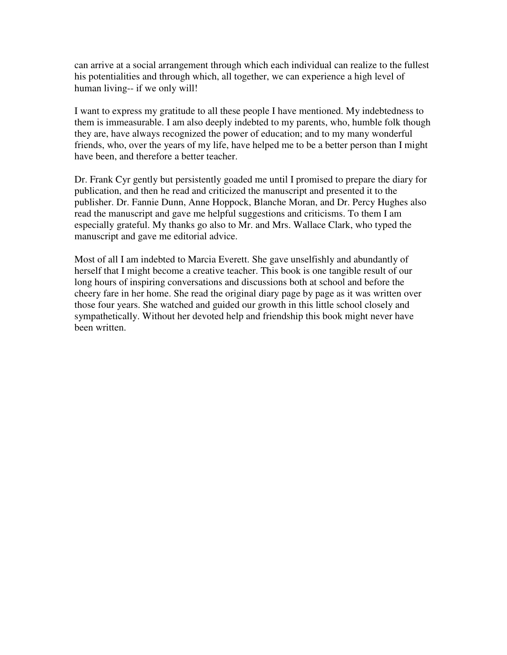can arrive at a social arrangement through which each individual can realize to the fullest his potentialities and through which, all together, we can experience a high level of human living-- if we only will!

I want to express my gratitude to all these people I have mentioned. My indebtedness to them is immeasurable. I am also deeply indebted to my parents, who, humble folk though they are, have always recognized the power of education; and to my many wonderful friends, who, over the years of my life, have helped me to be a better person than I might have been, and therefore a better teacher.

Dr. Frank Cyr gently but persistently goaded me until I promised to prepare the diary for publication, and then he read and criticized the manuscript and presented it to the publisher. Dr. Fannie Dunn, Anne Hoppock, Blanche Moran, and Dr. Percy Hughes also read the manuscript and gave me helpful suggestions and criticisms. To them I am especially grateful. My thanks go also to Mr. and Mrs. Wallace Clark, who typed the manuscript and gave me editorial advice.

Most of all I am indebted to Marcia Everett. She gave unselfishly and abundantly of herself that I might become a creative teacher. This book is one tangible result of our long hours of inspiring conversations and discussions both at school and before the cheery fare in her home. She read the original diary page by page as it was written over those four years. She watched and guided our growth in this little school closely and sympathetically. Without her devoted help and friendship this book might never have been written.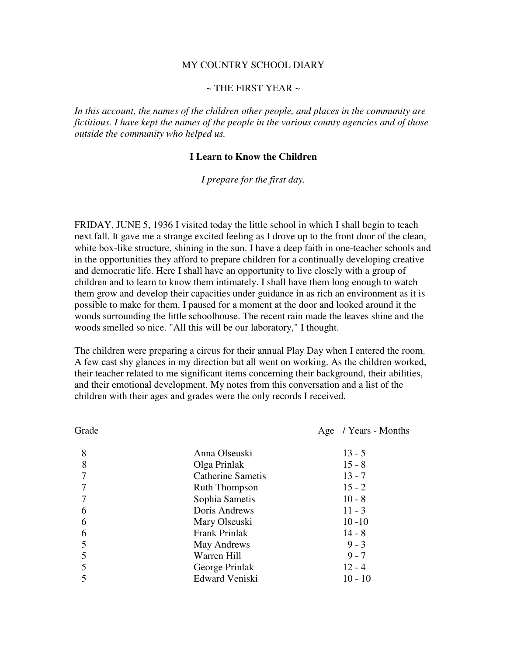#### MY COUNTRY SCHOOL DIARY

### $\sim$  THE FIRST YEAR  $\sim$

*In this account, the names of the children other people, and places in the community are fictitious. I have kept the names of the people in the various county agencies and of those outside the community who helped us.*

### **I Learn to Know the Children**

*I prepare for the first day.* 

FRIDAY, JUNE 5, 1936 I visited today the little school in which I shall begin to teach next fall. It gave me a strange excited feeling as I drove up to the front door of the clean, white box-like structure, shining in the sun. I have a deep faith in one-teacher schools and in the opportunities they afford to prepare children for a continually developing creative and democratic life. Here I shall have an opportunity to live closely with a group of children and to learn to know them intimately. I shall have them long enough to watch them grow and develop their capacities under guidance in as rich an environment as it is possible to make for them. I paused for a moment at the door and looked around it the woods surrounding the little schoolhouse. The recent rain made the leaves shine and the woods smelled so nice. "All this will be our laboratory," I thought.

The children were preparing a circus for their annual Play Day when I entered the room. A few cast shy glances in my direction but all went on working. As the children worked, their teacher related to me significant items concerning their background, their abilities, and their emotional development. My notes from this conversation and a list of the children with their ages and grades were the only records I received.

| Grade |                          | Age / Years - Months |
|-------|--------------------------|----------------------|
| 8     | Anna Olseuski            | $13 - 5$             |
| 8     | Olga Prinlak             | $15 - 8$             |
|       | <b>Catherine Sametis</b> | $13 - 7$             |
|       | <b>Ruth Thompson</b>     | $15 - 2$             |
|       | Sophia Sametis           | $10 - 8$             |
| 6     | Doris Andrews            | $11 - 3$             |
| 6     | Mary Olseuski            | $10 - 10$            |
| 6     | <b>Frank Prinlak</b>     | $14 - 8$             |
| 5     | May Andrews              | $9 - 3$              |
| 5     | Warren Hill              | $9 - 7$              |
| 5     | George Prinlak           | $12 - 4$             |
|       | <b>Edward Veniski</b>    | $10 - 10$            |
|       |                          |                      |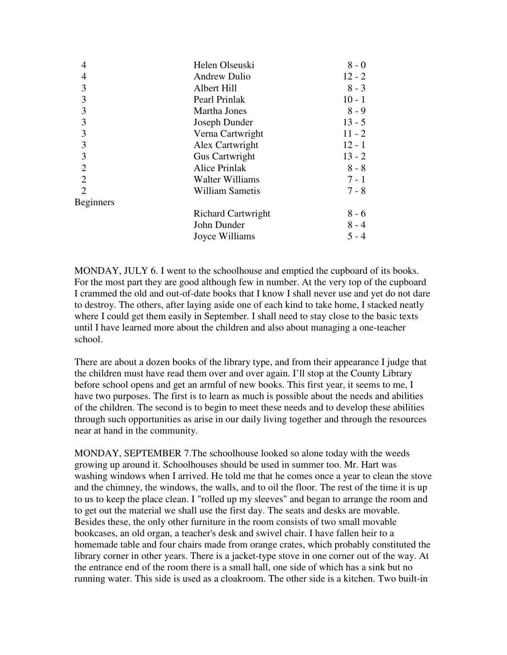| 4              | Helen Olseuski            | $8 - 0$  |
|----------------|---------------------------|----------|
| $\overline{4}$ | <b>Andrew Dulio</b>       | $12 - 2$ |
| 3              | Albert Hill               | $8 - 3$  |
| $\overline{3}$ | Pearl Prinlak             | $10 - 1$ |
| 3              | Martha Jones              | $8 - 9$  |
| $\overline{3}$ | Joseph Dunder             | $13 - 5$ |
| $\overline{3}$ | Verna Cartwright          | $11 - 2$ |
| $\overline{3}$ | Alex Cartwright           | $12 - 1$ |
| 3              | <b>Gus Cartwright</b>     | $13 - 2$ |
| $\overline{2}$ | <b>Alice Prinlak</b>      | $8 - 8$  |
| $\overline{2}$ | Walter Williams           | $7 - 1$  |
| $\overline{2}$ | <b>William Sametis</b>    | $7 - 8$  |
| Beginners      |                           |          |
|                | <b>Richard Cartwright</b> | $8 - 6$  |
|                | John Dunder               | $8 - 4$  |
|                | Joyce Williams            | $5 - 4$  |
|                |                           |          |

MONDAY, JULY 6. I went to the schoolhouse and emptied the cupboard of its books. For the most part they are good although few in number. At the very top of the cupboard I crammed the old and out-of-date books that I know I shall never use and yet do not dare to destroy. The others, after laying aside one of each kind to take home, I stacked neatly where I could get them easily in September. I shall need to stay close to the basic texts until I have learned more about the children and also about managing a one-teacher school.

There are about a dozen books of the library type, and from their appearance I judge that the children must have read them over and over again. I'll stop at the County Library before school opens and get an armful of new books. This first year, it seems to me, I have two purposes. The first is to learn as much is possible about the needs and abilities of the children. The second is to begin to meet these needs and to develop these abilities through such opportunities as arise in our daily living together and through the resources near at hand in the community.

MONDAY, SEPTEMBER 7.The schoolhouse looked so alone today with the weeds growing up around it. Schoolhouses should be used in summer too. Mr. Hart was washing windows when I arrived. He told me that he comes once a year to clean the stove and the chimney, the windows, the walls, and to oil the floor. The rest of the time it is up to us to keep the place clean. I "rolled up my sleeves" and began to arrange the room and to get out the material we shall use the first day. The seats and desks are movable. Besides these, the only other furniture in the room consists of two small movable bookcases, an old organ, a teacher's desk and swivel chair. I have fallen heir to a homemade table and four chairs made from orange crates, which probably constituted the library corner in other years. There is a jacket-type stove in one corner out of the way. At the entrance end of the room there is a small hall, one side of which has a sink but no running water. This side is used as a cloakroom. The other side is a kitchen. Two built-in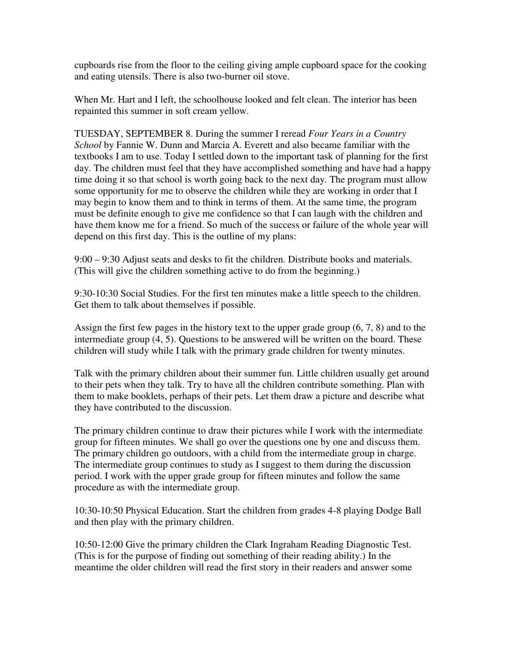cupboards rise from the floor to the ceiling giving ample cupboard space for the cooking and eating utensils. There is also two-burner oil stove.

When Mr. Hart and I left, the schoolhouse looked and felt clean. The interior has been repainted this summer in soft cream yellow.

TUESDAY, SEPTEMBER 8. During the summer I reread *Four Years in a Country School* by Fannie W. Dunn and Marcia A. Everett and also became familiar with the textbooks I am to use. Today I settled down to the important task of planning for the first day. The children must feel that they have accomplished something and have had a happy time doing it so that school is worth going back to the next day. The program must allow some opportunity for me to observe the children while they are working in order that I may begin to know them and to think in terms of them. At the same time, the program must be definite enough to give me confidence so that I can laugh with the children and have them know me for a friend. So much of the success or failure of the whole year will depend on this first day. This is the outline of my plans:

9:00 – 9:30 Adjust seats and desks to fit the children. Distribute books and materials. (This will give the children something active to do from the beginning.)

9:30-10:30 Social Studies. For the first ten minutes make a little speech to the children. Get them to talk about themselves if possible.

Assign the first few pages in the history text to the upper grade group (6, 7, 8) and to the intermediate group (4, 5). Questions to be answered will be written on the board. These children will study while I talk with the primary grade children for twenty minutes.

Talk with the primary children about their summer fun. Little children usually get around to their pets when they talk. Try to have all the children contribute something. Plan with them to make booklets, perhaps of their pets. Let them draw a picture and describe what they have contributed to the discussion.

The primary children continue to draw their pictures while I work with the intermediate group for fifteen minutes. We shall go over the questions one by one and discuss them. The primary children go outdoors, with a child from the intermediate group in charge. The intermediate group continues to study as I suggest to them during the discussion period. I work with the upper grade group for fifteen minutes and follow the same procedure as with the intermediate group.

10:30-10:50 Physical Education. Start the children from grades 4-8 playing Dodge Ball and then play with the primary children.

10:50-12:00 Give the primary children the Clark Ingraham Reading Diagnostic Test. (This is for the purpose of finding out something of their reading ability.) In the meantime the older children will read the first story in their readers and answer some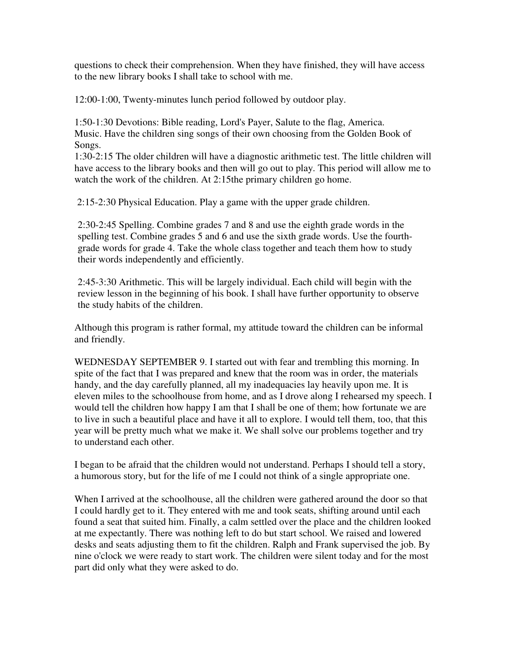questions to check their comprehension. When they have finished, they will have access to the new library books I shall take to school with me.

12:00-1:00, Twenty-minutes lunch period followed by outdoor play.

1:50-1:30 Devotions: Bible reading, Lord's Payer, Salute to the flag, America. Music. Have the children sing songs of their own choosing from the Golden Book of Songs.

1:30-2:15 The older children will have a diagnostic arithmetic test. The little children will have access to the library books and then will go out to play. This period will allow me to watch the work of the children. At 2:15the primary children go home.

2:15-2:30 Physical Education. Play a game with the upper grade children.

2:30-2:45 Spelling. Combine grades 7 and 8 and use the eighth grade words in the spelling test. Combine grades 5 and 6 and use the sixth grade words. Use the fourthgrade words for grade 4. Take the whole class together and teach them how to study their words independently and efficiently.

2:45-3:30 Arithmetic. This will be largely individual. Each child will begin with the review lesson in the beginning of his book. I shall have further opportunity to observe the study habits of the children.

Although this program is rather formal, my attitude toward the children can be informal and friendly.

WEDNESDAY SEPTEMBER 9. I started out with fear and trembling this morning. In spite of the fact that I was prepared and knew that the room was in order, the materials handy, and the day carefully planned, all my inadequacies lay heavily upon me. It is eleven miles to the schoolhouse from home, and as I drove along I rehearsed my speech. I would tell the children how happy I am that I shall be one of them; how fortunate we are to live in such a beautiful place and have it all to explore. I would tell them, too, that this year will be pretty much what we make it. We shall solve our problems together and try to understand each other.

I began to be afraid that the children would not understand. Perhaps I should tell a story, a humorous story, but for the life of me I could not think of a single appropriate one.

When I arrived at the schoolhouse, all the children were gathered around the door so that I could hardly get to it. They entered with me and took seats, shifting around until each found a seat that suited him. Finally, a calm settled over the place and the children looked at me expectantly. There was nothing left to do but start school. We raised and lowered desks and seats adjusting them to fit the children. Ralph and Frank supervised the job. By nine o'clock we were ready to start work. The children were silent today and for the most part did only what they were asked to do.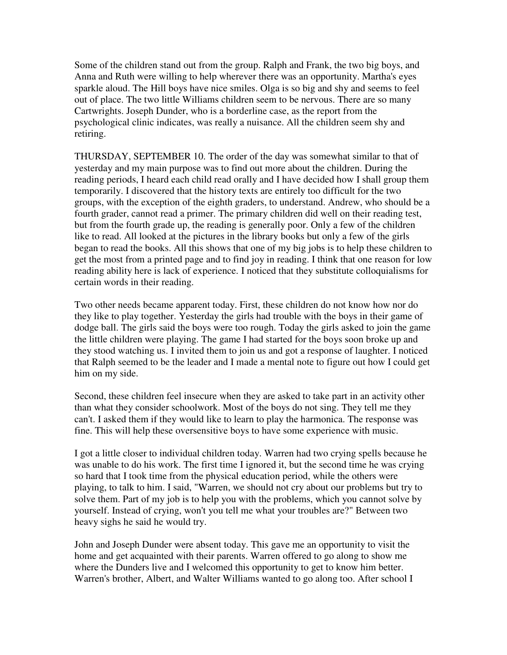Some of the children stand out from the group. Ralph and Frank, the two big boys, and Anna and Ruth were willing to help wherever there was an opportunity. Martha's eyes sparkle aloud. The Hill boys have nice smiles. Olga is so big and shy and seems to feel out of place. The two little Williams children seem to be nervous. There are so many Cartwrights. Joseph Dunder, who is a borderline case, as the report from the psychological clinic indicates, was really a nuisance. All the children seem shy and retiring.

THURSDAY, SEPTEMBER 10. The order of the day was somewhat similar to that of yesterday and my main purpose was to find out more about the children. During the reading periods, I heard each child read orally and I have decided how I shall group them temporarily. I discovered that the history texts are entirely too difficult for the two groups, with the exception of the eighth graders, to understand. Andrew, who should be a fourth grader, cannot read a primer. The primary children did well on their reading test, but from the fourth grade up, the reading is generally poor. Only a few of the children like to read. All looked at the pictures in the library books but only a few of the girls began to read the books. All this shows that one of my big jobs is to help these children to get the most from a printed page and to find joy in reading. I think that one reason for low reading ability here is lack of experience. I noticed that they substitute colloquialisms for certain words in their reading.

Two other needs became apparent today. First, these children do not know how nor do they like to play together. Yesterday the girls had trouble with the boys in their game of dodge ball. The girls said the boys were too rough. Today the girls asked to join the game the little children were playing. The game I had started for the boys soon broke up and they stood watching us. I invited them to join us and got a response of laughter. I noticed that Ralph seemed to be the leader and I made a mental note to figure out how I could get him on my side.

Second, these children feel insecure when they are asked to take part in an activity other than what they consider schoolwork. Most of the boys do not sing. They tell me they can't. I asked them if they would like to learn to play the harmonica. The response was fine. This will help these oversensitive boys to have some experience with music.

I got a little closer to individual children today. Warren had two crying spells because he was unable to do his work. The first time I ignored it, but the second time he was crying so hard that I took time from the physical education period, while the others were playing, to talk to him. I said, "Warren, we should not cry about our problems but try to solve them. Part of my job is to help you with the problems, which you cannot solve by yourself. Instead of crying, won't you tell me what your troubles are?" Between two heavy sighs he said he would try.

John and Joseph Dunder were absent today. This gave me an opportunity to visit the home and get acquainted with their parents. Warren offered to go along to show me where the Dunders live and I welcomed this opportunity to get to know him better. Warren's brother, Albert, and Walter Williams wanted to go along too. After school I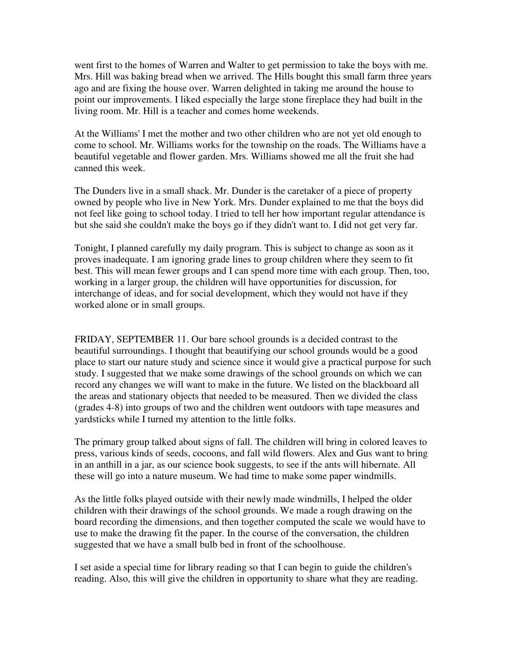went first to the homes of Warren and Walter to get permission to take the boys with me. Mrs. Hill was baking bread when we arrived. The Hills bought this small farm three years ago and are fixing the house over. Warren delighted in taking me around the house to point our improvements. I liked especially the large stone fireplace they had built in the living room. Mr. Hill is a teacher and comes home weekends.

At the Williams' I met the mother and two other children who are not yet old enough to come to school. Mr. Williams works for the township on the roads. The Williams have a beautiful vegetable and flower garden. Mrs. Williams showed me all the fruit she had canned this week.

The Dunders live in a small shack. Mr. Dunder is the caretaker of a piece of property owned by people who live in New York. Mrs. Dunder explained to me that the boys did not feel like going to school today. I tried to tell her how important regular attendance is but she said she couldn't make the boys go if they didn't want to. I did not get very far.

Tonight, I planned carefully my daily program. This is subject to change as soon as it proves inadequate. I am ignoring grade lines to group children where they seem to fit best. This will mean fewer groups and I can spend more time with each group. Then, too, working in a larger group, the children will have opportunities for discussion, for interchange of ideas, and for social development, which they would not have if they worked alone or in small groups.

FRIDAY, SEPTEMBER 11. Our bare school grounds is a decided contrast to the beautiful surroundings. I thought that beautifying our school grounds would be a good place to start our nature study and science since it would give a practical purpose for such study. I suggested that we make some drawings of the school grounds on which we can record any changes we will want to make in the future. We listed on the blackboard all the areas and stationary objects that needed to be measured. Then we divided the class (grades 4-8) into groups of two and the children went outdoors with tape measures and yardsticks while I turned my attention to the little folks.

The primary group talked about signs of fall. The children will bring in colored leaves to press, various kinds of seeds, cocoons, and fall wild flowers. Alex and Gus want to bring in an anthill in a jar, as our science book suggests, to see if the ants will hibernate. All these will go into a nature museum. We had time to make some paper windmills.

As the little folks played outside with their newly made windmills, I helped the older children with their drawings of the school grounds. We made a rough drawing on the board recording the dimensions, and then together computed the scale we would have to use to make the drawing fit the paper. In the course of the conversation, the children suggested that we have a small bulb bed in front of the schoolhouse.

I set aside a special time for library reading so that I can begin to guide the children's reading. Also, this will give the children in opportunity to share what they are reading.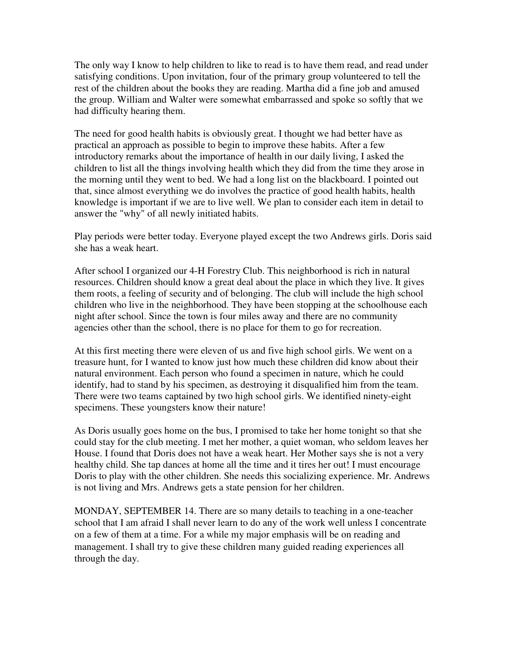The only way I know to help children to like to read is to have them read, and read under satisfying conditions. Upon invitation, four of the primary group volunteered to tell the rest of the children about the books they are reading. Martha did a fine job and amused the group. William and Walter were somewhat embarrassed and spoke so softly that we had difficulty hearing them.

The need for good health habits is obviously great. I thought we had better have as practical an approach as possible to begin to improve these habits. After a few introductory remarks about the importance of health in our daily living, I asked the children to list all the things involving health which they did from the time they arose in the morning until they went to bed. We had a long list on the blackboard. I pointed out that, since almost everything we do involves the practice of good health habits, health knowledge is important if we are to live well. We plan to consider each item in detail to answer the "why" of all newly initiated habits.

Play periods were better today. Everyone played except the two Andrews girls. Doris said she has a weak heart.

After school I organized our 4-H Forestry Club. This neighborhood is rich in natural resources. Children should know a great deal about the place in which they live. It gives them roots, a feeling of security and of belonging. The club will include the high school children who live in the neighborhood. They have been stopping at the schoolhouse each night after school. Since the town is four miles away and there are no community agencies other than the school, there is no place for them to go for recreation.

At this first meeting there were eleven of us and five high school girls. We went on a treasure hunt, for I wanted to know just how much these children did know about their natural environment. Each person who found a specimen in nature, which he could identify, had to stand by his specimen, as destroying it disqualified him from the team. There were two teams captained by two high school girls. We identified ninety-eight specimens. These youngsters know their nature!

As Doris usually goes home on the bus, I promised to take her home tonight so that she could stay for the club meeting. I met her mother, a quiet woman, who seldom leaves her House. I found that Doris does not have a weak heart. Her Mother says she is not a very healthy child. She tap dances at home all the time and it tires her out! I must encourage Doris to play with the other children. She needs this socializing experience. Mr. Andrews is not living and Mrs. Andrews gets a state pension for her children.

MONDAY, SEPTEMBER 14. There are so many details to teaching in a one-teacher school that I am afraid I shall never learn to do any of the work well unless I concentrate on a few of them at a time. For a while my major emphasis will be on reading and management. I shall try to give these children many guided reading experiences all through the day.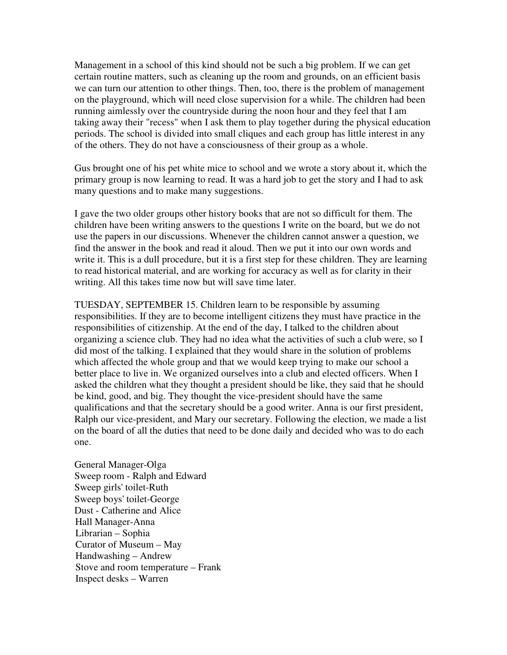Management in a school of this kind should not be such a big problem. If we can get certain routine matters, such as cleaning up the room and grounds, on an efficient basis we can turn our attention to other things. Then, too, there is the problem of management on the playground, which will need close supervision for a while. The children had been running aimlessly over the countryside during the noon hour and they feel that I am taking away their "recess" when I ask them to play together during the physical education periods. The school is divided into small cliques and each group has little interest in any of the others. They do not have a consciousness of their group as a whole.

Gus brought one of his pet white mice to school and we wrote a story about it, which the primary group is now learning to read. It was a hard job to get the story and I had to ask many questions and to make many suggestions.

I gave the two older groups other history books that are not so difficult for them. The children have been writing answers to the questions I write on the board, but we do not use the papers in our discussions. Whenever the children cannot answer a question, we find the answer in the book and read it aloud. Then we put it into our own words and write it. This is a dull procedure, but it is a first step for these children. They are learning to read historical material, and are working for accuracy as well as for clarity in their writing. All this takes time now but will save time later.

TUESDAY, SEPTEMBER 15. Children learn to be responsible by assuming responsibilities. If they are to become intelligent citizens they must have practice in the responsibilities of citizenship. At the end of the day, I talked to the children about organizing a science club. They had no idea what the activities of such a club were, so I did most of the talking. I explained that they would share in the solution of problems which affected the whole group and that we would keep trying to make our school a better place to live in. We organized ourselves into a club and elected officers. When I asked the children what they thought a president should be like, they said that he should be kind, good, and big. They thought the vice-president should have the same qualifications and that the secretary should be a good writer. Anna is our first president, Ralph our vice-president, and Mary our secretary. Following the election, we made a list on the board of all the duties that need to be done daily and decided who was to do each one.

General Manager-Olga Sweep room - Ralph and Edward Sweep girls' toilet-Ruth Sweep boys' toilet-George Dust - Catherine and Alice Hall Manager-Anna Librarian – Sophia Curator of Museum – May Handwashing – Andrew Stove and room temperature – Frank Inspect desks – Warren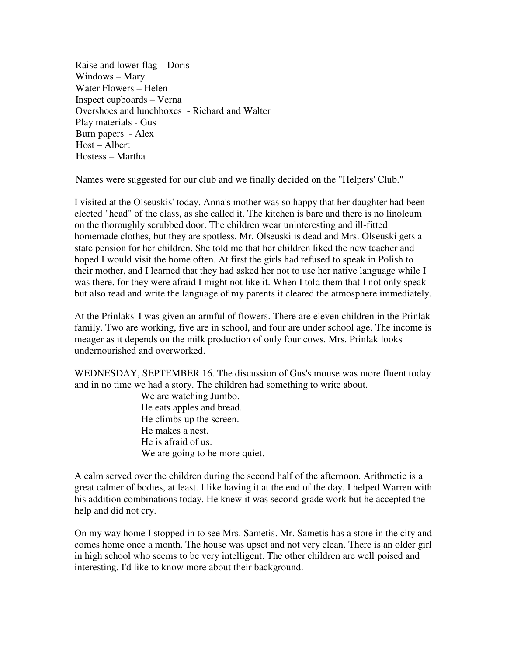Raise and lower flag – Doris Windows – Mary Water Flowers – Helen Inspect cupboards – Verna Overshoes and lunchboxes - Richard and Walter Play materials - Gus Burn papers - Alex Host – Albert Hostess – Martha

Names were suggested for our club and we finally decided on the "Helpers' Club."

I visited at the Olseuskis' today. Anna's mother was so happy that her daughter had been elected "head" of the class, as she called it. The kitchen is bare and there is no linoleum on the thoroughly scrubbed door. The children wear uninteresting and ill-fitted homemade clothes, but they are spotless. Mr. Olseuski is dead and Mrs. Olseuski gets a state pension for her children. She told me that her children liked the new teacher and hoped I would visit the home often. At first the girls had refused to speak in Polish to their mother, and I learned that they had asked her not to use her native language while I was there, for they were afraid I might not like it. When I told them that I not only speak but also read and write the language of my parents it cleared the atmosphere immediately.

At the Prinlaks' I was given an armful of flowers. There are eleven children in the Prinlak family. Two are working, five are in school, and four are under school age. The income is meager as it depends on the milk production of only four cows. Mrs. Prinlak looks undernourished and overworked.

WEDNESDAY, SEPTEMBER 16. The discussion of Gus's mouse was more fluent today and in no time we had a story. The children had something to write about.

> We are watching Jumbo. He eats apples and bread. He climbs up the screen. He makes a nest. He is afraid of us. We are going to be more quiet.

A calm served over the children during the second half of the afternoon. Arithmetic is a great calmer of bodies, at least. I like having it at the end of the day. I helped Warren with his addition combinations today. He knew it was second-grade work but he accepted the help and did not cry.

On my way home I stopped in to see Mrs. Sametis. Mr. Sametis has a store in the city and comes home once a month. The house was upset and not very clean. There is an older girl in high school who seems to be very intelligent. The other children are well poised and interesting. I'd like to know more about their background.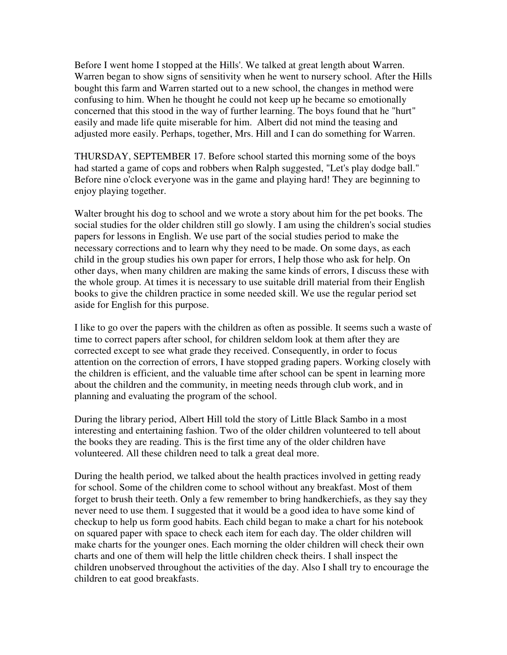Before I went home I stopped at the Hills'. We talked at great length about Warren. Warren began to show signs of sensitivity when he went to nursery school. After the Hills bought this farm and Warren started out to a new school, the changes in method were confusing to him. When he thought he could not keep up he became so emotionally concerned that this stood in the way of further learning. The boys found that he "hurt" easily and made life quite miserable for him. Albert did not mind the teasing and adjusted more easily. Perhaps, together, Mrs. Hill and I can do something for Warren.

THURSDAY, SEPTEMBER 17. Before school started this morning some of the boys had started a game of cops and robbers when Ralph suggested, "Let's play dodge ball." Before nine o'clock everyone was in the game and playing hard! They are beginning to enjoy playing together.

Walter brought his dog to school and we wrote a story about him for the pet books. The social studies for the older children still go slowly. I am using the children's social studies papers for lessons in English. We use part of the social studies period to make the necessary corrections and to learn why they need to be made. On some days, as each child in the group studies his own paper for errors, I help those who ask for help. On other days, when many children are making the same kinds of errors, I discuss these with the whole group. At times it is necessary to use suitable drill material from their English books to give the children practice in some needed skill. We use the regular period set aside for English for this purpose.

I like to go over the papers with the children as often as possible. It seems such a waste of time to correct papers after school, for children seldom look at them after they are corrected except to see what grade they received. Consequently, in order to focus attention on the correction of errors, I have stopped grading papers. Working closely with the children is efficient, and the valuable time after school can be spent in learning more about the children and the community, in meeting needs through club work, and in planning and evaluating the program of the school.

During the library period, Albert Hill told the story of Little Black Sambo in a most interesting and entertaining fashion. Two of the older children volunteered to tell about the books they are reading. This is the first time any of the older children have volunteered. All these children need to talk a great deal more.

During the health period, we talked about the health practices involved in getting ready for school. Some of the children come to school without any breakfast. Most of them forget to brush their teeth. Only a few remember to bring handkerchiefs, as they say they never need to use them. I suggested that it would be a good idea to have some kind of checkup to help us form good habits. Each child began to make a chart for his notebook on squared paper with space to check each item for each day. The older children will make charts for the younger ones. Each morning the older children will check their own charts and one of them will help the little children check theirs. I shall inspect the children unobserved throughout the activities of the day. Also I shall try to encourage the children to eat good breakfasts.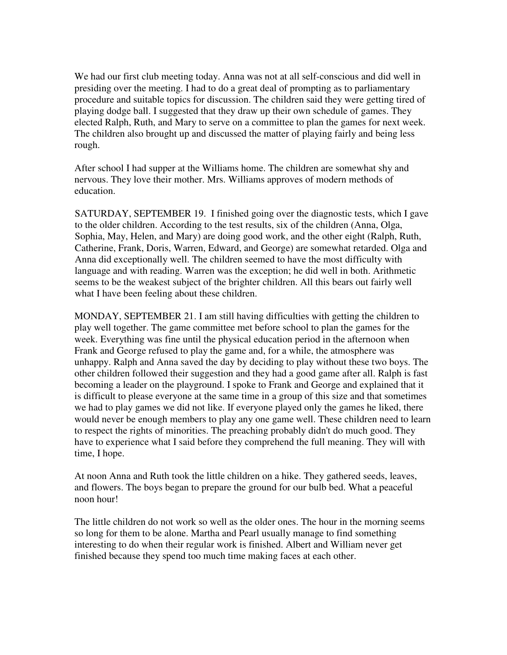We had our first club meeting today. Anna was not at all self-conscious and did well in presiding over the meeting. I had to do a great deal of prompting as to parliamentary procedure and suitable topics for discussion. The children said they were getting tired of playing dodge ball. I suggested that they draw up their own schedule of games. They elected Ralph, Ruth, and Mary to serve on a committee to plan the games for next week. The children also brought up and discussed the matter of playing fairly and being less rough.

After school I had supper at the Williams home. The children are somewhat shy and nervous. They love their mother. Mrs. Williams approves of modern methods of education.

SATURDAY, SEPTEMBER 19. I finished going over the diagnostic tests, which I gave to the older children. According to the test results, six of the children (Anna, Olga, Sophia, May, Helen, and Mary) are doing good work, and the other eight (Ralph, Ruth, Catherine, Frank, Doris, Warren, Edward, and George) are somewhat retarded. Olga and Anna did exceptionally well. The children seemed to have the most difficulty with language and with reading. Warren was the exception; he did well in both. Arithmetic seems to be the weakest subject of the brighter children. All this bears out fairly well what I have been feeling about these children.

MONDAY, SEPTEMBER 21. I am still having difficulties with getting the children to play well together. The game committee met before school to plan the games for the week. Everything was fine until the physical education period in the afternoon when Frank and George refused to play the game and, for a while, the atmosphere was unhappy. Ralph and Anna saved the day by deciding to play without these two boys. The other children followed their suggestion and they had a good game after all. Ralph is fast becoming a leader on the playground. I spoke to Frank and George and explained that it is difficult to please everyone at the same time in a group of this size and that sometimes we had to play games we did not like. If everyone played only the games he liked, there would never be enough members to play any one game well. These children need to learn to respect the rights of minorities. The preaching probably didn't do much good. They have to experience what I said before they comprehend the full meaning. They will with time, I hope.

At noon Anna and Ruth took the little children on a hike. They gathered seeds, leaves, and flowers. The boys began to prepare the ground for our bulb bed. What a peaceful noon hour!

The little children do not work so well as the older ones. The hour in the morning seems so long for them to be alone. Martha and Pearl usually manage to find something interesting to do when their regular work is finished. Albert and William never get finished because they spend too much time making faces at each other.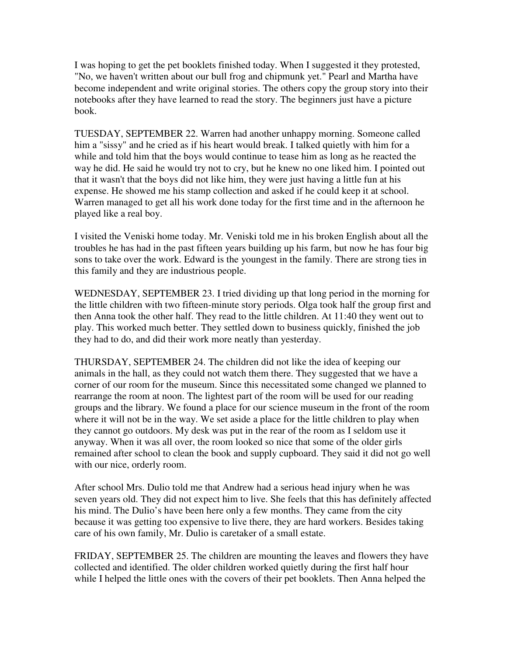I was hoping to get the pet booklets finished today. When I suggested it they protested, "No, we haven't written about our bull frog and chipmunk yet." Pearl and Martha have become independent and write original stories. The others copy the group story into their notebooks after they have learned to read the story. The beginners just have a picture book.

TUESDAY, SEPTEMBER 22. Warren had another unhappy morning. Someone called him a "sissy" and he cried as if his heart would break. I talked quietly with him for a while and told him that the boys would continue to tease him as long as he reacted the way he did. He said he would try not to cry, but he knew no one liked him. I pointed out that it wasn't that the boys did not like him, they were just having a little fun at his expense. He showed me his stamp collection and asked if he could keep it at school. Warren managed to get all his work done today for the first time and in the afternoon he played like a real boy.

I visited the Veniski home today. Mr. Veniski told me in his broken English about all the troubles he has had in the past fifteen years building up his farm, but now he has four big sons to take over the work. Edward is the youngest in the family. There are strong ties in this family and they are industrious people.

WEDNESDAY, SEPTEMBER 23. I tried dividing up that long period in the morning for the little children with two fifteen-minute story periods. Olga took half the group first and then Anna took the other half. They read to the little children. At 11:40 they went out to play. This worked much better. They settled down to business quickly, finished the job they had to do, and did their work more neatly than yesterday.

THURSDAY, SEPTEMBER 24. The children did not like the idea of keeping our animals in the hall, as they could not watch them there. They suggested that we have a corner of our room for the museum. Since this necessitated some changed we planned to rearrange the room at noon. The lightest part of the room will be used for our reading groups and the library. We found a place for our science museum in the front of the room where it will not be in the way. We set aside a place for the little children to play when they cannot go outdoors. My desk was put in the rear of the room as I seldom use it anyway. When it was all over, the room looked so nice that some of the older girls remained after school to clean the book and supply cupboard. They said it did not go well with our nice, orderly room.

After school Mrs. Dulio told me that Andrew had a serious head injury when he was seven years old. They did not expect him to live. She feels that this has definitely affected his mind. The Dulio's have been here only a few months. They came from the city because it was getting too expensive to live there, they are hard workers. Besides taking care of his own family, Mr. Dulio is caretaker of a small estate.

FRIDAY, SEPTEMBER 25. The children are mounting the leaves and flowers they have collected and identified. The older children worked quietly during the first half hour while I helped the little ones with the covers of their pet booklets. Then Anna helped the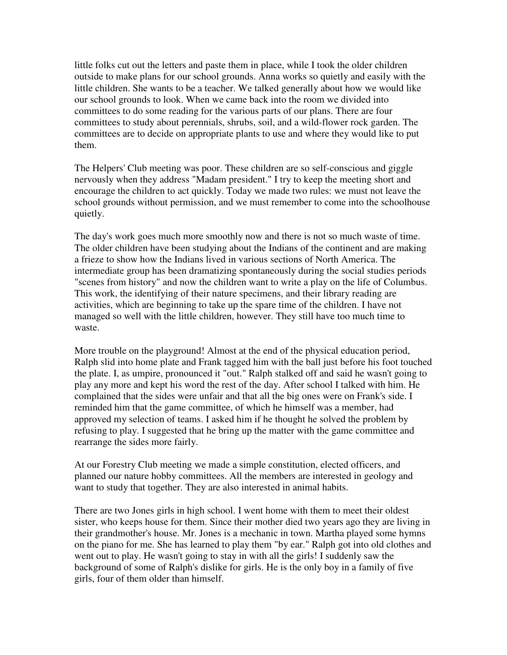little folks cut out the letters and paste them in place, while I took the older children outside to make plans for our school grounds. Anna works so quietly and easily with the little children. She wants to be a teacher. We talked generally about how we would like our school grounds to look. When we came back into the room we divided into committees to do some reading for the various parts of our plans. There are four committees to study about perennials, shrubs, soil, and a wild-flower rock garden. The committees are to decide on appropriate plants to use and where they would like to put them.

The Helpers' Club meeting was poor. These children are so self-conscious and giggle nervously when they address "Madam president." I try to keep the meeting short and encourage the children to act quickly. Today we made two rules: we must not leave the school grounds without permission, and we must remember to come into the schoolhouse quietly.

The day's work goes much more smoothly now and there is not so much waste of time. The older children have been studying about the Indians of the continent and are making a frieze to show how the Indians lived in various sections of North America. The intermediate group has been dramatizing spontaneously during the social studies periods "scenes from history" and now the children want to write a play on the life of Columbus. This work, the identifying of their nature specimens, and their library reading are activities, which are beginning to take up the spare time of the children. I have not managed so well with the little children, however. They still have too much time to waste.

More trouble on the playground! Almost at the end of the physical education period, Ralph slid into home plate and Frank tagged him with the ball just before his foot touched the plate. I, as umpire, pronounced it "out." Ralph stalked off and said he wasn't going to play any more and kept his word the rest of the day. After school I talked with him. He complained that the sides were unfair and that all the big ones were on Frank's side. I reminded him that the game committee, of which he himself was a member, had approved my selection of teams. I asked him if he thought he solved the problem by refusing to play. I suggested that he bring up the matter with the game committee and rearrange the sides more fairly.

At our Forestry Club meeting we made a simple constitution, elected officers, and planned our nature hobby committees. All the members are interested in geology and want to study that together. They are also interested in animal habits.

There are two Jones girls in high school. I went home with them to meet their oldest sister, who keeps house for them. Since their mother died two years ago they are living in their grandmother's house. Mr. Jones is a mechanic in town. Martha played some hymns on the piano for me. She has learned to play them "by ear." Ralph got into old clothes and went out to play. He wasn't going to stay in with all the girls! I suddenly saw the background of some of Ralph's dislike for girls. He is the only boy in a family of five girls, four of them older than himself.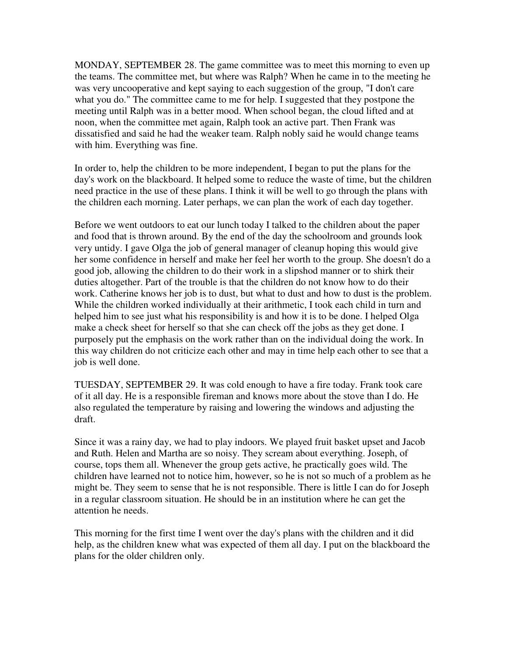MONDAY, SEPTEMBER 28. The game committee was to meet this morning to even up the teams. The committee met, but where was Ralph? When he came in to the meeting he was very uncooperative and kept saying to each suggestion of the group, "I don't care what you do." The committee came to me for help. I suggested that they postpone the meeting until Ralph was in a better mood. When school began, the cloud lifted and at noon, when the committee met again, Ralph took an active part. Then Frank was dissatisfied and said he had the weaker team. Ralph nobly said he would change teams with him. Everything was fine.

In order to, help the children to be more independent, I began to put the plans for the day's work on the blackboard. It helped some to reduce the waste of time, but the children need practice in the use of these plans. I think it will be well to go through the plans with the children each morning. Later perhaps, we can plan the work of each day together.

Before we went outdoors to eat our lunch today I talked to the children about the paper and food that is thrown around. By the end of the day the schoolroom and grounds look very untidy. I gave Olga the job of general manager of cleanup hoping this would give her some confidence in herself and make her feel her worth to the group. She doesn't do a good job, allowing the children to do their work in a slipshod manner or to shirk their duties altogether. Part of the trouble is that the children do not know how to do their work. Catherine knows her job is to dust, but what to dust and how to dust is the problem. While the children worked individually at their arithmetic, I took each child in turn and helped him to see just what his responsibility is and how it is to be done. I helped Olga make a check sheet for herself so that she can check off the jobs as they get done. I purposely put the emphasis on the work rather than on the individual doing the work. In this way children do not criticize each other and may in time help each other to see that a job is well done.

TUESDAY, SEPTEMBER 29. It was cold enough to have a fire today. Frank took care of it all day. He is a responsible fireman and knows more about the stove than I do. He also regulated the temperature by raising and lowering the windows and adjusting the draft.

Since it was a rainy day, we had to play indoors. We played fruit basket upset and Jacob and Ruth. Helen and Martha are so noisy. They scream about everything. Joseph, of course, tops them all. Whenever the group gets active, he practically goes wild. The children have learned not to notice him, however, so he is not so much of a problem as he might be. They seem to sense that he is not responsible. There is little I can do for Joseph in a regular classroom situation. He should be in an institution where he can get the attention he needs.

This morning for the first time I went over the day's plans with the children and it did help, as the children knew what was expected of them all day. I put on the blackboard the plans for the older children only.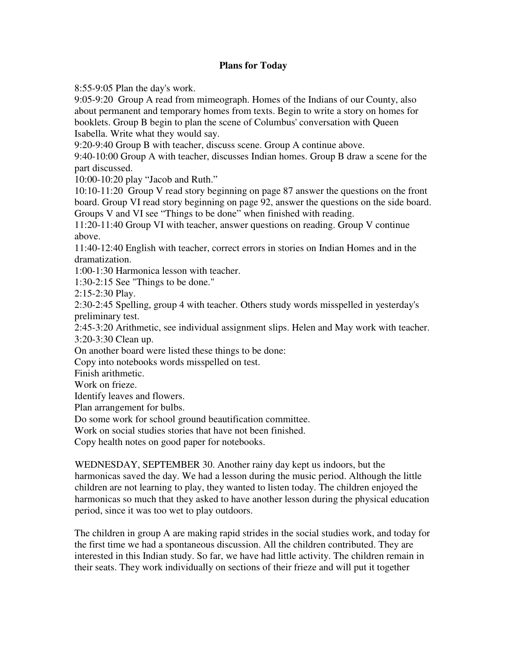# **Plans for Today**

8:55-9:05 Plan the day's work.

9:05-9:20 Group A read from mimeograph. Homes of the Indians of our County, also about permanent and temporary homes from texts. Begin to write a story on homes for booklets. Group B begin to plan the scene of Columbus' conversation with Queen Isabella. Write what they would say.

9:20-9:40 Group B with teacher, discuss scene. Group A continue above.

9:40-10:00 Group A with teacher, discusses Indian homes. Group B draw a scene for the part discussed.

10:00-10:20 play "Jacob and Ruth."

10:10-11:20 Group V read story beginning on page 87 answer the questions on the front board. Group VI read story beginning on page 92, answer the questions on the side board. Groups V and VI see "Things to be done" when finished with reading.

11:20-11:40 Group VI with teacher, answer questions on reading. Group V continue above.

11:40-12:40 English with teacher, correct errors in stories on Indian Homes and in the dramatization.

1:00-1:30 Harmonica lesson with teacher.

1:30-2:15 See "Things to be done."

2:15-2:30 Play.

2:30-2:45 Spelling, group 4 with teacher. Others study words misspelled in yesterday's preliminary test.

2:45-3:20 Arithmetic, see individual assignment slips. Helen and May work with teacher. 3:20-3:30 Clean up.

On another board were listed these things to be done:

Copy into notebooks words misspelled on test.

Finish arithmetic.

Work on frieze.

Identify leaves and flowers.

Plan arrangement for bulbs.

Do some work for school ground beautification committee.

Work on social studies stories that have not been finished.

Copy health notes on good paper for notebooks.

WEDNESDAY, SEPTEMBER 30. Another rainy day kept us indoors, but the harmonicas saved the day. We had a lesson during the music period. Although the little children are not learning to play, they wanted to listen today. The children enjoyed the harmonicas so much that they asked to have another lesson during the physical education period, since it was too wet to play outdoors.

The children in group A are making rapid strides in the social studies work, and today for the first time we had a spontaneous discussion. All the children contributed. They are interested in this Indian study. So far, we have had little activity. The children remain in their seats. They work individually on sections of their frieze and will put it together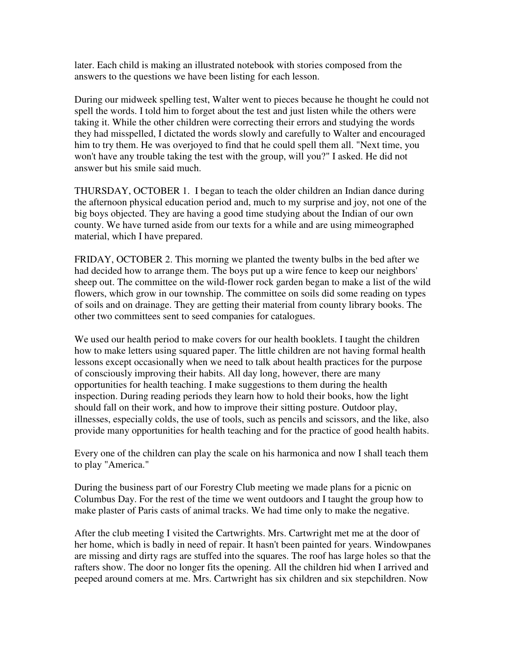later. Each child is making an illustrated notebook with stories composed from the answers to the questions we have been listing for each lesson.

During our midweek spelling test, Walter went to pieces because he thought he could not spell the words. I told him to forget about the test and just listen while the others were taking it. While the other children were correcting their errors and studying the words they had misspelled, I dictated the words slowly and carefully to Walter and encouraged him to try them. He was overjoyed to find that he could spell them all. "Next time, you won't have any trouble taking the test with the group, will you?" I asked. He did not answer but his smile said much.

THURSDAY, OCTOBER 1. I began to teach the older children an Indian dance during the afternoon physical education period and, much to my surprise and joy, not one of the big boys objected. They are having a good time studying about the Indian of our own county. We have turned aside from our texts for a while and are using mimeographed material, which I have prepared.

FRIDAY, OCTOBER 2. This morning we planted the twenty bulbs in the bed after we had decided how to arrange them. The boys put up a wire fence to keep our neighbors' sheep out. The committee on the wild-flower rock garden began to make a list of the wild flowers, which grow in our township. The committee on soils did some reading on types of soils and on drainage. They are getting their material from county library books. The other two committees sent to seed companies for catalogues.

We used our health period to make covers for our health booklets. I taught the children how to make letters using squared paper. The little children are not having formal health lessons except occasionally when we need to talk about health practices for the purpose of consciously improving their habits. All day long, however, there are many opportunities for health teaching. I make suggestions to them during the health inspection. During reading periods they learn how to hold their books, how the light should fall on their work, and how to improve their sitting posture. Outdoor play, illnesses, especially colds, the use of tools, such as pencils and scissors, and the like, also provide many opportunities for health teaching and for the practice of good health habits.

Every one of the children can play the scale on his harmonica and now I shall teach them to play "America."

During the business part of our Forestry Club meeting we made plans for a picnic on Columbus Day. For the rest of the time we went outdoors and I taught the group how to make plaster of Paris casts of animal tracks. We had time only to make the negative.

After the club meeting I visited the Cartwrights. Mrs. Cartwright met me at the door of her home, which is badly in need of repair. It hasn't been painted for years. Windowpanes are missing and dirty rags are stuffed into the squares. The roof has large holes so that the rafters show. The door no longer fits the opening. All the children hid when I arrived and peeped around comers at me. Mrs. Cartwright has six children and six stepchildren. Now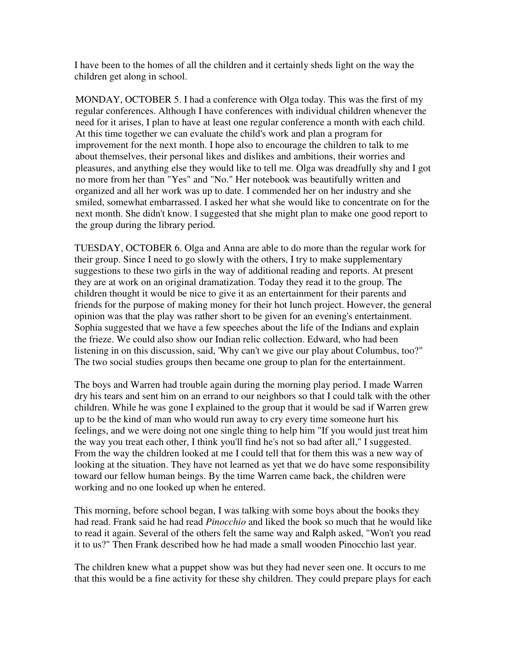I have been to the homes of all the children and it certainly sheds light on the way the children get along in school.

MONDAY, OCTOBER 5. I had a conference with Olga today. This was the first of my regular conferences. Although I have conferences with individual children whenever the need for it arises, I plan to have at least one regular conference a month with each child. At this time together we can evaluate the child's work and plan a program for improvement for the next month. I hope also to encourage the children to talk to me about themselves, their personal likes and dislikes and ambitions, their worries and pleasures, and anything else they would like to tell me. Olga was dreadfully shy and I got no more from her than "Yes" and "No." Her notebook was beautifully written and organized and all her work was up to date. I commended her on her industry and she smiled, somewhat embarrassed. I asked her what she would like to concentrate on for the next month. She didn't know. I suggested that she might plan to make one good report to the group during the library period.

TUESDAY, OCTOBER 6. Olga and Anna are able to do more than the regular work for their group. Since I need to go slowly with the others, I try to make supplementary suggestions to these two girls in the way of additional reading and reports. At present they are at work on an original dramatization. Today they read it to the group. The children thought it would be nice to give it as an entertainment for their parents and friends for the purpose of making money for their hot lunch project. However, the general opinion was that the play was rather short to be given for an evening's entertainment. Sophia suggested that we have a few speeches about the life of the Indians and explain the frieze. We could also show our Indian relic collection. Edward, who had been listening in on this discussion, said, 'Why can't we give our play about Columbus, too?" The two social studies groups then became one group to plan for the entertainment.

The boys and Warren had trouble again during the morning play period. I made Warren dry his tears and sent him on an errand to our neighbors so that I could talk with the other children. While he was gone I explained to the group that it would be sad if Warren grew up to be the kind of man who would run away to cry every time someone hurt his feelings, and we were doing not one single thing to help him "If you would just treat him the way you treat each other, I think you'll find he's not so bad after all," I suggested. From the way the children looked at me I could tell that for them this was a new way of looking at the situation. They have not learned as yet that we do have some responsibility toward our fellow human beings. By the time Warren came back, the children were working and no one looked up when he entered.

This morning, before school began, I was talking with some boys about the books they had read. Frank said he had read *Pinocchio* and liked the book so much that he would like to read it again. Several of the others felt the same way and Ralph asked, "Won't you read it to us?" Then Frank described how he had made a small wooden Pinocchio last year.

The children knew what a puppet show was but they had never seen one. It occurs to me that this would be a fine activity for these shy children. They could prepare plays for each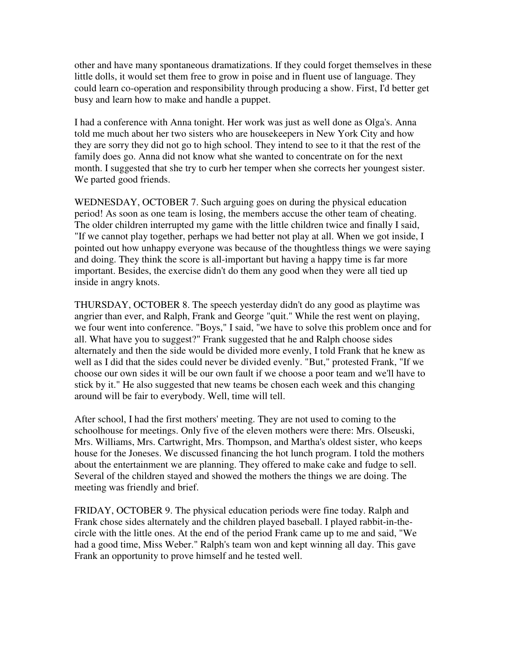other and have many spontaneous dramatizations. If they could forget themselves in these little dolls, it would set them free to grow in poise and in fluent use of language. They could learn co-operation and responsibility through producing a show. First, I'd better get busy and learn how to make and handle a puppet.

I had a conference with Anna tonight. Her work was just as well done as Olga's. Anna told me much about her two sisters who are housekeepers in New York City and how they are sorry they did not go to high school. They intend to see to it that the rest of the family does go. Anna did not know what she wanted to concentrate on for the next month. I suggested that she try to curb her temper when she corrects her youngest sister. We parted good friends.

WEDNESDAY, OCTOBER 7. Such arguing goes on during the physical education period! As soon as one team is losing, the members accuse the other team of cheating. The older children interrupted my game with the little children twice and finally I said, "If we cannot play together, perhaps we had better not play at all. When we got inside, I pointed out how unhappy everyone was because of the thoughtless things we were saying and doing. They think the score is all-important but having a happy time is far more important. Besides, the exercise didn't do them any good when they were all tied up inside in angry knots.

THURSDAY, OCTOBER 8. The speech yesterday didn't do any good as playtime was angrier than ever, and Ralph, Frank and George "quit." While the rest went on playing, we four went into conference. "Boys," I said, "we have to solve this problem once and for all. What have you to suggest?" Frank suggested that he and Ralph choose sides alternately and then the side would be divided more evenly, I told Frank that he knew as well as I did that the sides could never be divided evenly. "But," protested Frank, "If we choose our own sides it will be our own fault if we choose a poor team and we'll have to stick by it." He also suggested that new teams be chosen each week and this changing around will be fair to everybody. Well, time will tell.

After school, I had the first mothers' meeting. They are not used to coming to the schoolhouse for meetings. Only five of the eleven mothers were there: Mrs. Olseuski, Mrs. Williams, Mrs. Cartwright, Mrs. Thompson, and Martha's oldest sister, who keeps house for the Joneses. We discussed financing the hot lunch program. I told the mothers about the entertainment we are planning. They offered to make cake and fudge to sell. Several of the children stayed and showed the mothers the things we are doing. The meeting was friendly and brief.

FRIDAY, OCTOBER 9. The physical education periods were fine today. Ralph and Frank chose sides alternately and the children played baseball. I played rabbit-in-thecircle with the little ones. At the end of the period Frank came up to me and said, "We had a good time, Miss Weber." Ralph's team won and kept winning all day. This gave Frank an opportunity to prove himself and he tested well.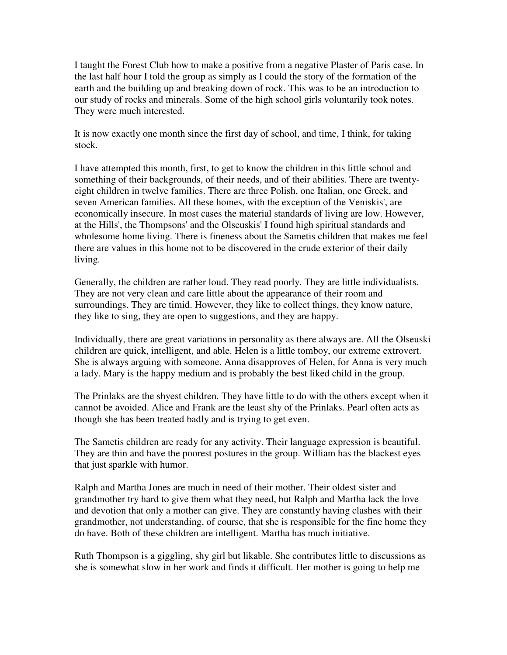I taught the Forest Club how to make a positive from a negative Plaster of Paris case. In the last half hour I told the group as simply as I could the story of the formation of the earth and the building up and breaking down of rock. This was to be an introduction to our study of rocks and minerals. Some of the high school girls voluntarily took notes. They were much interested.

It is now exactly one month since the first day of school, and time, I think, for taking stock.

I have attempted this month, first, to get to know the children in this little school and something of their backgrounds, of their needs, and of their abilities. There are twentyeight children in twelve families. There are three Polish, one Italian, one Greek, and seven American families. All these homes, with the exception of the Veniskis', are economically insecure. In most cases the material standards of living are low. However, at the Hills', the Thompsons' and the Olseuskis' I found high spiritual standards and wholesome home living. There is fineness about the Sametis children that makes me feel there are values in this home not to be discovered in the crude exterior of their daily living.

Generally, the children are rather loud. They read poorly. They are little individualists. They are not very clean and care little about the appearance of their room and surroundings. They are timid. However, they like to collect things, they know nature, they like to sing, they are open to suggestions, and they are happy.

Individually, there are great variations in personality as there always are. All the Olseuski children are quick, intelligent, and able. Helen is a little tomboy, our extreme extrovert. She is always arguing with someone. Anna disapproves of Helen, for Anna is very much a lady. Mary is the happy medium and is probably the best liked child in the group.

The Prinlaks are the shyest children. They have little to do with the others except when it cannot be avoided. Alice and Frank are the least shy of the Prinlaks. Pearl often acts as though she has been treated badly and is trying to get even.

The Sametis children are ready for any activity. Their language expression is beautiful. They are thin and have the poorest postures in the group. William has the blackest eyes that just sparkle with humor.

Ralph and Martha Jones are much in need of their mother. Their oldest sister and grandmother try hard to give them what they need, but Ralph and Martha lack the love and devotion that only a mother can give. They are constantly having clashes with their grandmother, not understanding, of course, that she is responsible for the fine home they do have. Both of these children are intelligent. Martha has much initiative.

Ruth Thompson is a giggling, shy girl but likable. She contributes little to discussions as she is somewhat slow in her work and finds it difficult. Her mother is going to help me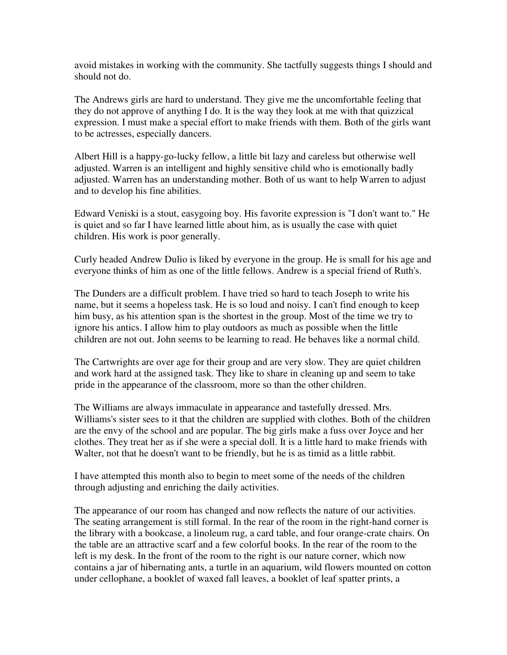avoid mistakes in working with the community. She tactfully suggests things I should and should not do.

The Andrews girls are hard to understand. They give me the uncomfortable feeling that they do not approve of anything I do. It is the way they look at me with that quizzical expression. I must make a special effort to make friends with them. Both of the girls want to be actresses, especially dancers.

Albert Hill is a happy-go-lucky fellow, a little bit lazy and careless but otherwise well adjusted. Warren is an intelligent and highly sensitive child who is emotionally badly adjusted. Warren has an understanding mother. Both of us want to help Warren to adjust and to develop his fine abilities.

Edward Veniski is a stout, easygoing boy. His favorite expression is "I don't want to." He is quiet and so far I have learned little about him, as is usually the case with quiet children. His work is poor generally.

Curly headed Andrew Dulio is liked by everyone in the group. He is small for his age and everyone thinks of him as one of the little fellows. Andrew is a special friend of Ruth's.

The Dunders are a difficult problem. I have tried so hard to teach Joseph to write his name, but it seems a hopeless task. He is so loud and noisy. I can't find enough to keep him busy, as his attention span is the shortest in the group. Most of the time we try to ignore his antics. I allow him to play outdoors as much as possible when the little children are not out. John seems to be learning to read. He behaves like a normal child.

The Cartwrights are over age for their group and are very slow. They are quiet children and work hard at the assigned task. They like to share in cleaning up and seem to take pride in the appearance of the classroom, more so than the other children.

The Williams are always immaculate in appearance and tastefully dressed. Mrs. Williams's sister sees to it that the children are supplied with clothes. Both of the children are the envy of the school and are popular. The big girls make a fuss over Joyce and her clothes. They treat her as if she were a special doll. It is a little hard to make friends with Walter, not that he doesn't want to be friendly, but he is as timid as a little rabbit.

I have attempted this month also to begin to meet some of the needs of the children through adjusting and enriching the daily activities.

The appearance of our room has changed and now reflects the nature of our activities. The seating arrangement is still formal. In the rear of the room in the right-hand corner is the library with a bookcase, a linoleum rug, a card table, and four orange-crate chairs. On the table are an attractive scarf and a few colorful books. In the rear of the room to the left is my desk. In the front of the room to the right is our nature corner, which now contains a jar of hibernating ants, a turtle in an aquarium, wild flowers mounted on cotton under cellophane, a booklet of waxed fall leaves, a booklet of leaf spatter prints, a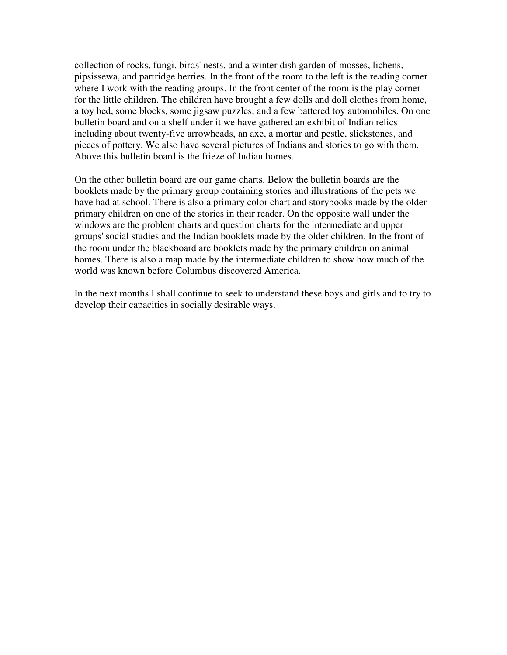collection of rocks, fungi, birds' nests, and a winter dish garden of mosses, lichens, pipsissewa, and partridge berries. In the front of the room to the left is the reading corner where I work with the reading groups. In the front center of the room is the play corner for the little children. The children have brought a few dolls and doll clothes from home, a toy bed, some blocks, some jigsaw puzzles, and a few battered toy automobiles. On one bulletin board and on a shelf under it we have gathered an exhibit of Indian relics including about twenty-five arrowheads, an axe, a mortar and pestle, slickstones, and pieces of pottery. We also have several pictures of Indians and stories to go with them. Above this bulletin board is the frieze of Indian homes.

On the other bulletin board are our game charts. Below the bulletin boards are the booklets made by the primary group containing stories and illustrations of the pets we have had at school. There is also a primary color chart and storybooks made by the older primary children on one of the stories in their reader. On the opposite wall under the windows are the problem charts and question charts for the intermediate and upper groups' social studies and the Indian booklets made by the older children. In the front of the room under the blackboard are booklets made by the primary children on animal homes. There is also a map made by the intermediate children to show how much of the world was known before Columbus discovered America.

In the next months I shall continue to seek to understand these boys and girls and to try to develop their capacities in socially desirable ways.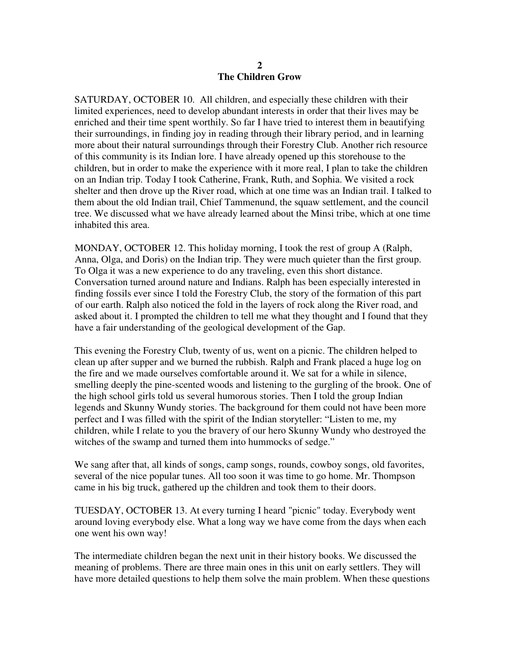## **2 The Children Grow**

SATURDAY, OCTOBER 10. All children, and especially these children with their limited experiences, need to develop abundant interests in order that their lives may be enriched and their time spent worthily. So far I have tried to interest them in beautifying their surroundings, in finding joy in reading through their library period, and in learning more about their natural surroundings through their Forestry Club. Another rich resource of this community is its Indian lore. I have already opened up this storehouse to the children, but in order to make the experience with it more real, I plan to take the children on an Indian trip. Today I took Catherine, Frank, Ruth, and Sophia. We visited a rock shelter and then drove up the River road, which at one time was an Indian trail. I talked to them about the old Indian trail, Chief Tammenund, the squaw settlement, and the council tree. We discussed what we have already learned about the Minsi tribe, which at one time inhabited this area.

MONDAY, OCTOBER 12. This holiday morning, I took the rest of group A (Ralph, Anna, Olga, and Doris) on the Indian trip. They were much quieter than the first group. To Olga it was a new experience to do any traveling, even this short distance. Conversation turned around nature and Indians. Ralph has been especially interested in finding fossils ever since I told the Forestry Club, the story of the formation of this part of our earth. Ralph also noticed the fold in the layers of rock along the River road, and asked about it. I prompted the children to tell me what they thought and I found that they have a fair understanding of the geological development of the Gap.

This evening the Forestry Club, twenty of us, went on a picnic. The children helped to clean up after supper and we burned the rubbish. Ralph and Frank placed a huge log on the fire and we made ourselves comfortable around it. We sat for a while in silence, smelling deeply the pine-scented woods and listening to the gurgling of the brook. One of the high school girls told us several humorous stories. Then I told the group Indian legends and Skunny Wundy stories. The background for them could not have been more perfect and I was filled with the spirit of the Indian storyteller: "Listen to me, my children, while I relate to you the bravery of our hero Skunny Wundy who destroyed the witches of the swamp and turned them into hummocks of sedge."

We sang after that, all kinds of songs, camp songs, rounds, cowboy songs, old favorites, several of the nice popular tunes. All too soon it was time to go home. Mr. Thompson came in his big truck, gathered up the children and took them to their doors.

TUESDAY, OCTOBER 13. At every turning I heard "picnic" today. Everybody went around loving everybody else. What a long way we have come from the days when each one went his own way!

The intermediate children began the next unit in their history books. We discussed the meaning of problems. There are three main ones in this unit on early settlers. They will have more detailed questions to help them solve the main problem. When these questions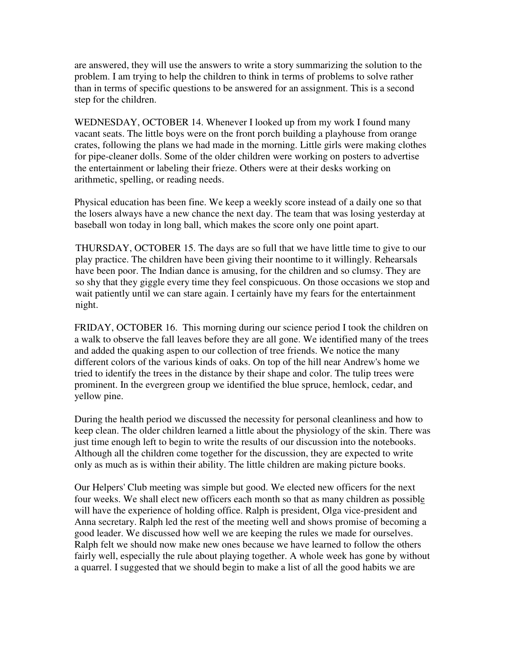are answered, they will use the answers to write a story summarizing the solution to the problem. I am trying to help the children to think in terms of problems to solve rather than in terms of specific questions to be answered for an assignment. This is a second step for the children.

WEDNESDAY, OCTOBER 14. Whenever I looked up from my work I found many vacant seats. The little boys were on the front porch building a playhouse from orange crates, following the plans we had made in the morning. Little girls were making clothes for pipe-cleaner dolls. Some of the older children were working on posters to advertise the entertainment or labeling their frieze. Others were at their desks working on arithmetic, spelling, or reading needs.

Physical education has been fine. We keep a weekly score instead of a daily one so that the losers always have a new chance the next day. The team that was losing yesterday at baseball won today in long ball, which makes the score only one point apart.

THURSDAY, OCTOBER 15. The days are so full that we have little time to give to our play practice. The children have been giving their noontime to it willingly. Rehearsals have been poor. The Indian dance is amusing, for the children and so clumsy. They are so shy that they giggle every time they feel conspicuous. On those occasions we stop and wait patiently until we can stare again. I certainly have my fears for the entertainment night.

FRIDAY, OCTOBER 16. This morning during our science period I took the children on a walk to observe the fall leaves before they are all gone. We identified many of the trees and added the quaking aspen to our collection of tree friends. We notice the many different colors of the various kinds of oaks. On top of the hill near Andrew's home we tried to identify the trees in the distance by their shape and color. The tulip trees were prominent. In the evergreen group we identified the blue spruce, hemlock, cedar, and yellow pine.

During the health period we discussed the necessity for personal cleanliness and how to keep clean. The older children learned a little about the physiology of the skin. There was just time enough left to begin to write the results of our discussion into the notebooks. Although all the children come together for the discussion, they are expected to write only as much as is within their ability. The little children are making picture books.

Our Helpers' Club meeting was simple but good. We elected new officers for the next four weeks. We shall elect new officers each month so that as many children as possible will have the experience of holding office. Ralph is president, Olga vice-president and Anna secretary. Ralph led the rest of the meeting well and shows promise of becoming a good leader. We discussed how well we are keeping the rules we made for ourselves. Ralph felt we should now make new ones because we have learned to follow the others fairly well, especially the rule about playing together. A whole week has gone by without a quarrel. I suggested that we should begin to make a list of all the good habits we are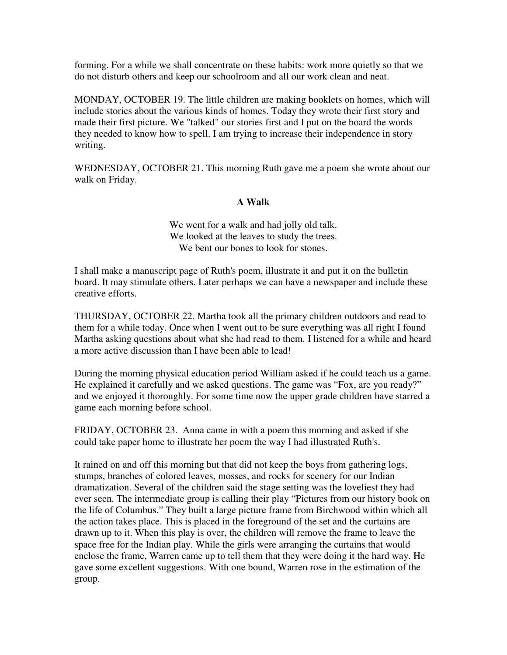forming. For a while we shall concentrate on these habits: work more quietly so that we do not disturb others and keep our schoolroom and all our work clean and neat.

MONDAY, OCTOBER 19. The little children are making booklets on homes, which will include stories about the various kinds of homes. Today they wrote their first story and made their first picture. We "talked" our stories first and I put on the board the words they needed to know how to spell. I am trying to increase their independence in story writing.

WEDNESDAY, OCTOBER 21. This morning Ruth gave me a poem she wrote about our walk on Friday.

# **A Walk**

We went for a walk and had jolly old talk. We looked at the leaves to study the trees. We bent our bones to look for stones.

I shall make a manuscript page of Ruth's poem, illustrate it and put it on the bulletin board. It may stimulate others. Later perhaps we can have a newspaper and include these creative efforts.

THURSDAY, OCTOBER 22. Martha took all the primary children outdoors and read to them for a while today. Once when I went out to be sure everything was all right I found Martha asking questions about what she had read to them. I listened for a while and heard a more active discussion than I have been able to lead!

During the morning physical education period William asked if he could teach us a game. He explained it carefully and we asked questions. The game was "Fox, are you ready?" and we enjoyed it thoroughly. For some time now the upper grade children have starred a game each morning before school.

FRIDAY, OCTOBER 23. Anna came in with a poem this morning and asked if she could take paper home to illustrate her poem the way I had illustrated Ruth's.

It rained on and off this morning but that did not keep the boys from gathering logs, stumps, branches of colored leaves, mosses, and rocks for scenery for our Indian dramatization. Several of the children said the stage setting was the loveliest they had ever seen. The intermediate group is calling their play "Pictures from our history book on the life of Columbus." They built a large picture frame from Birchwood within which all the action takes place. This is placed in the foreground of the set and the curtains are drawn up to it. When this play is over, the children will remove the frame to leave the space free for the Indian play. While the girls were arranging the curtains that would enclose the frame, Warren came up to tell them that they were doing it the hard way. He gave some excellent suggestions. With one bound, Warren rose in the estimation of the group.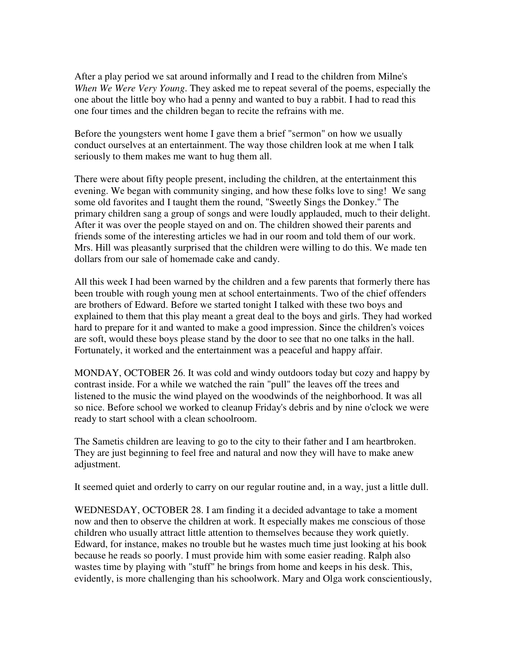After a play period we sat around informally and I read to the children from Milne's *When We Were Very Young*. They asked me to repeat several of the poems, especially the one about the little boy who had a penny and wanted to buy a rabbit. I had to read this one four times and the children began to recite the refrains with me.

Before the youngsters went home I gave them a brief "sermon" on how we usually conduct ourselves at an entertainment. The way those children look at me when I talk seriously to them makes me want to hug them all.

There were about fifty people present, including the children, at the entertainment this evening. We began with community singing, and how these folks love to sing! We sang some old favorites and I taught them the round, "Sweetly Sings the Donkey." The primary children sang a group of songs and were loudly applauded, much to their delight. After it was over the people stayed on and on. The children showed their parents and friends some of the interesting articles we had in our room and told them of our work. Mrs. Hill was pleasantly surprised that the children were willing to do this. We made ten dollars from our sale of homemade cake and candy.

All this week I had been warned by the children and a few parents that formerly there has been trouble with rough young men at school entertainments. Two of the chief offenders are brothers of Edward. Before we started tonight I talked with these two boys and explained to them that this play meant a great deal to the boys and girls. They had worked hard to prepare for it and wanted to make a good impression. Since the children's voices are soft, would these boys please stand by the door to see that no one talks in the hall. Fortunately, it worked and the entertainment was a peaceful and happy affair.

MONDAY, OCTOBER 26. It was cold and windy outdoors today but cozy and happy by contrast inside. For a while we watched the rain "pull" the leaves off the trees and listened to the music the wind played on the woodwinds of the neighborhood. It was all so nice. Before school we worked to cleanup Friday's debris and by nine o'clock we were ready to start school with a clean schoolroom.

The Sametis children are leaving to go to the city to their father and I am heartbroken. They are just beginning to feel free and natural and now they will have to make anew adjustment.

It seemed quiet and orderly to carry on our regular routine and, in a way, just a little dull.

WEDNESDAY, OCTOBER 28. I am finding it a decided advantage to take a moment now and then to observe the children at work. It especially makes me conscious of those children who usually attract little attention to themselves because they work quietly. Edward, for instance, makes no trouble but he wastes much time just looking at his book because he reads so poorly. I must provide him with some easier reading. Ralph also wastes time by playing with "stuff" he brings from home and keeps in his desk. This, evidently, is more challenging than his schoolwork. Mary and Olga work conscientiously,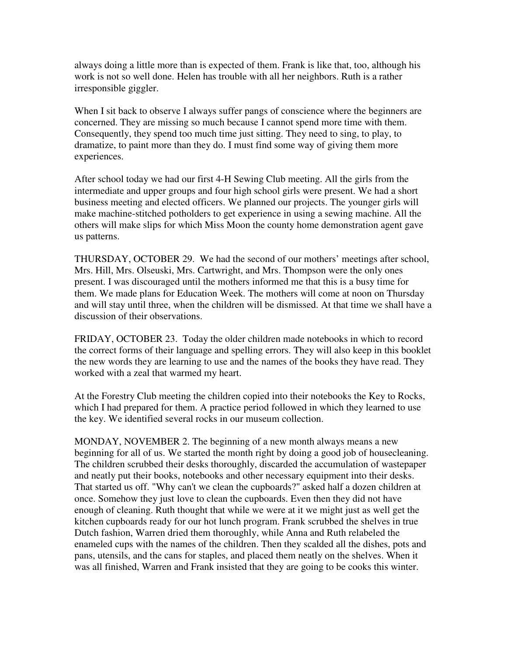always doing a little more than is expected of them. Frank is like that, too, although his work is not so well done. Helen has trouble with all her neighbors. Ruth is a rather irresponsible giggler.

When I sit back to observe I always suffer pangs of conscience where the beginners are concerned. They are missing so much because I cannot spend more time with them. Consequently, they spend too much time just sitting. They need to sing, to play, to dramatize, to paint more than they do. I must find some way of giving them more experiences.

After school today we had our first 4-H Sewing Club meeting. All the girls from the intermediate and upper groups and four high school girls were present. We had a short business meeting and elected officers. We planned our projects. The younger girls will make machine-stitched potholders to get experience in using a sewing machine. All the others will make slips for which Miss Moon the county home demonstration agent gave us patterns.

THURSDAY, OCTOBER 29. We had the second of our mothers' meetings after school, Mrs. Hill, Mrs. Olseuski, Mrs. Cartwright, and Mrs. Thompson were the only ones present. I was discouraged until the mothers informed me that this is a busy time for them. We made plans for Education Week. The mothers will come at noon on Thursday and will stay until three, when the children will be dismissed. At that time we shall have a discussion of their observations.

FRIDAY, OCTOBER 23. Today the older children made notebooks in which to record the correct forms of their language and spelling errors. They will also keep in this booklet the new words they are learning to use and the names of the books they have read. They worked with a zeal that warmed my heart.

At the Forestry Club meeting the children copied into their notebooks the Key to Rocks, which I had prepared for them. A practice period followed in which they learned to use the key. We identified several rocks in our museum collection.

MONDAY, NOVEMBER 2. The beginning of a new month always means a new beginning for all of us. We started the month right by doing a good job of housecleaning. The children scrubbed their desks thoroughly, discarded the accumulation of wastepaper and neatly put their books, notebooks and other necessary equipment into their desks. That started us off. "Why can't we clean the cupboards?" asked half a dozen children at once. Somehow they just love to clean the cupboards. Even then they did not have enough of cleaning. Ruth thought that while we were at it we might just as well get the kitchen cupboards ready for our hot lunch program. Frank scrubbed the shelves in true Dutch fashion, Warren dried them thoroughly, while Anna and Ruth relabeled the enameled cups with the names of the children. Then they scalded all the dishes, pots and pans, utensils, and the cans for staples, and placed them neatly on the shelves. When it was all finished, Warren and Frank insisted that they are going to be cooks this winter.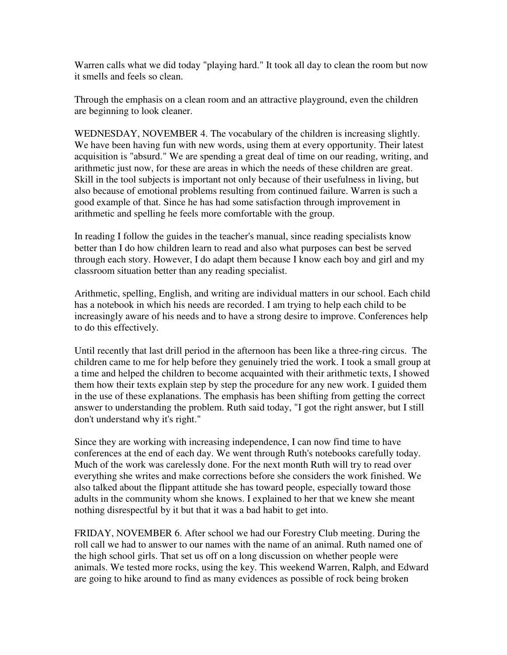Warren calls what we did today "playing hard." It took all day to clean the room but now it smells and feels so clean.

Through the emphasis on a clean room and an attractive playground, even the children are beginning to look cleaner.

WEDNESDAY, NOVEMBER 4. The vocabulary of the children is increasing slightly. We have been having fun with new words, using them at every opportunity. Their latest acquisition is "absurd." We are spending a great deal of time on our reading, writing, and arithmetic just now, for these are areas in which the needs of these children are great. Skill in the tool subjects is important not only because of their usefulness in living, but also because of emotional problems resulting from continued failure. Warren is such a good example of that. Since he has had some satisfaction through improvement in arithmetic and spelling he feels more comfortable with the group.

In reading I follow the guides in the teacher's manual, since reading specialists know better than I do how children learn to read and also what purposes can best be served through each story. However, I do adapt them because I know each boy and girl and my classroom situation better than any reading specialist.

Arithmetic, spelling, English, and writing are individual matters in our school. Each child has a notebook in which his needs are recorded. I am trying to help each child to be increasingly aware of his needs and to have a strong desire to improve. Conferences help to do this effectively.

Until recently that last drill period in the afternoon has been like a three-ring circus. The children came to me for help before they genuinely tried the work. I took a small group at a time and helped the children to become acquainted with their arithmetic texts, I showed them how their texts explain step by step the procedure for any new work. I guided them in the use of these explanations. The emphasis has been shifting from getting the correct answer to understanding the problem. Ruth said today, "I got the right answer, but I still don't understand why it's right."

Since they are working with increasing independence, I can now find time to have conferences at the end of each day. We went through Ruth's notebooks carefully today. Much of the work was carelessly done. For the next month Ruth will try to read over everything she writes and make corrections before she considers the work finished. We also talked about the flippant attitude she has toward people, especially toward those adults in the community whom she knows. I explained to her that we knew she meant nothing disrespectful by it but that it was a bad habit to get into.

FRIDAY, NOVEMBER 6. After school we had our Forestry Club meeting. During the roll call we had to answer to our names with the name of an animal. Ruth named one of the high school girls. That set us off on a long discussion on whether people were animals. We tested more rocks, using the key. This weekend Warren, Ralph, and Edward are going to hike around to find as many evidences as possible of rock being broken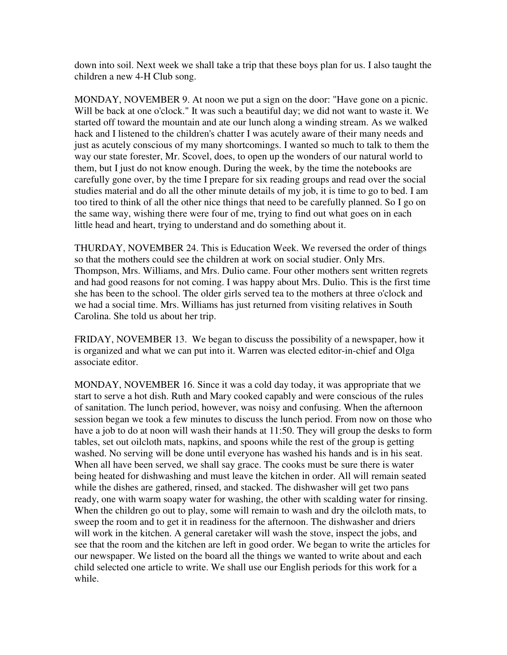down into soil. Next week we shall take a trip that these boys plan for us. I also taught the children a new 4-H Club song.

MONDAY, NOVEMBER 9. At noon we put a sign on the door: "Have gone on a picnic. Will be back at one o'clock." It was such a beautiful day; we did not want to waste it. We started off toward the mountain and ate our lunch along a winding stream. As we walked hack and I listened to the children's chatter I was acutely aware of their many needs and just as acutely conscious of my many shortcomings. I wanted so much to talk to them the way our state forester, Mr. Scovel, does, to open up the wonders of our natural world to them, but I just do not know enough. During the week, by the time the notebooks are carefully gone over, by the time I prepare for six reading groups and read over the social studies material and do all the other minute details of my job, it is time to go to bed. I am too tired to think of all the other nice things that need to be carefully planned. So I go on the same way, wishing there were four of me, trying to find out what goes on in each little head and heart, trying to understand and do something about it.

THURDAY, NOVEMBER 24. This is Education Week. We reversed the order of things so that the mothers could see the children at work on social studier. Only Mrs. Thompson, Mrs. Williams, and Mrs. Dulio came. Four other mothers sent written regrets and had good reasons for not coming. I was happy about Mrs. Dulio. This is the first time she has been to the school. The older girls served tea to the mothers at three o'clock and we had a social time. Mrs. Williams has just returned from visiting relatives in South Carolina. She told us about her trip.

FRIDAY, NOVEMBER 13. We began to discuss the possibility of a newspaper, how it is organized and what we can put into it. Warren was elected editor-in-chief and Olga associate editor.

MONDAY, NOVEMBER 16. Since it was a cold day today, it was appropriate that we start to serve a hot dish. Ruth and Mary cooked capably and were conscious of the rules of sanitation. The lunch period, however, was noisy and confusing. When the afternoon session began we took a few minutes to discuss the lunch period. From now on those who have a job to do at noon will wash their hands at 11:50. They will group the desks to form tables, set out oilcloth mats, napkins, and spoons while the rest of the group is getting washed. No serving will be done until everyone has washed his hands and is in his seat. When all have been served, we shall say grace. The cooks must be sure there is water being heated for dishwashing and must leave the kitchen in order. All will remain seated while the dishes are gathered, rinsed, and stacked. The dishwasher will get two pans ready, one with warm soapy water for washing, the other with scalding water for rinsing. When the children go out to play, some will remain to wash and dry the oilcloth mats, to sweep the room and to get it in readiness for the afternoon. The dishwasher and driers will work in the kitchen. A general caretaker will wash the stove, inspect the jobs, and see that the room and the kitchen are left in good order. We began to write the articles for our newspaper. We listed on the board all the things we wanted to write about and each child selected one article to write. We shall use our English periods for this work for a while.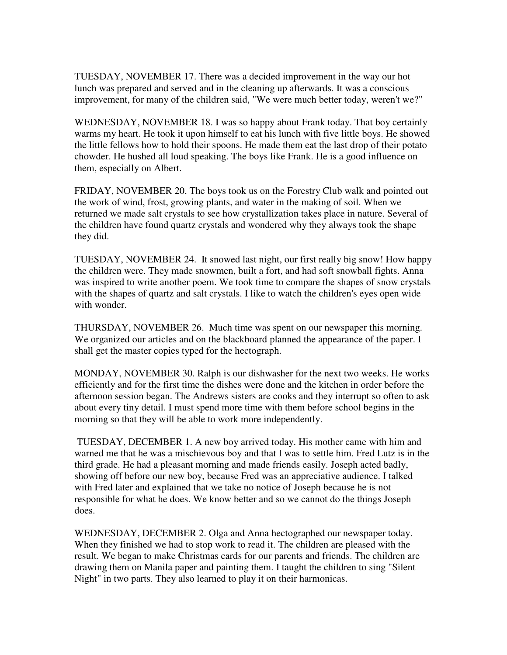TUESDAY, NOVEMBER 17. There was a decided improvement in the way our hot lunch was prepared and served and in the cleaning up afterwards. It was a conscious improvement, for many of the children said, "We were much better today, weren't we?"

WEDNESDAY, NOVEMBER 18. I was so happy about Frank today. That boy certainly warms my heart. He took it upon himself to eat his lunch with five little boys. He showed the little fellows how to hold their spoons. He made them eat the last drop of their potato chowder. He hushed all loud speaking. The boys like Frank. He is a good influence on them, especially on Albert.

FRIDAY, NOVEMBER 20. The boys took us on the Forestry Club walk and pointed out the work of wind, frost, growing plants, and water in the making of soil. When we returned we made salt crystals to see how crystallization takes place in nature. Several of the children have found quartz crystals and wondered why they always took the shape they did.

TUESDAY, NOVEMBER 24. It snowed last night, our first really big snow! How happy the children were. They made snowmen, built a fort, and had soft snowball fights. Anna was inspired to write another poem. We took time to compare the shapes of snow crystals with the shapes of quartz and salt crystals. I like to watch the children's eyes open wide with wonder.

THURSDAY, NOVEMBER 26. Much time was spent on our newspaper this morning. We organized our articles and on the blackboard planned the appearance of the paper. I shall get the master copies typed for the hectograph.

MONDAY, NOVEMBER 30. Ralph is our dishwasher for the next two weeks. He works efficiently and for the first time the dishes were done and the kitchen in order before the afternoon session began. The Andrews sisters are cooks and they interrupt so often to ask about every tiny detail. I must spend more time with them before school begins in the morning so that they will be able to work more independently.

 TUESDAY, DECEMBER 1. A new boy arrived today. His mother came with him and warned me that he was a mischievous boy and that I was to settle him. Fred Lutz is in the third grade. He had a pleasant morning and made friends easily. Joseph acted badly, showing off before our new boy, because Fred was an appreciative audience. I talked with Fred later and explained that we take no notice of Joseph because he is not responsible for what he does. We know better and so we cannot do the things Joseph does.

WEDNESDAY, DECEMBER 2. Olga and Anna hectographed our newspaper today. When they finished we had to stop work to read it. The children are pleased with the result. We began to make Christmas cards for our parents and friends. The children are drawing them on Manila paper and painting them. I taught the children to sing "Silent Night" in two parts. They also learned to play it on their harmonicas.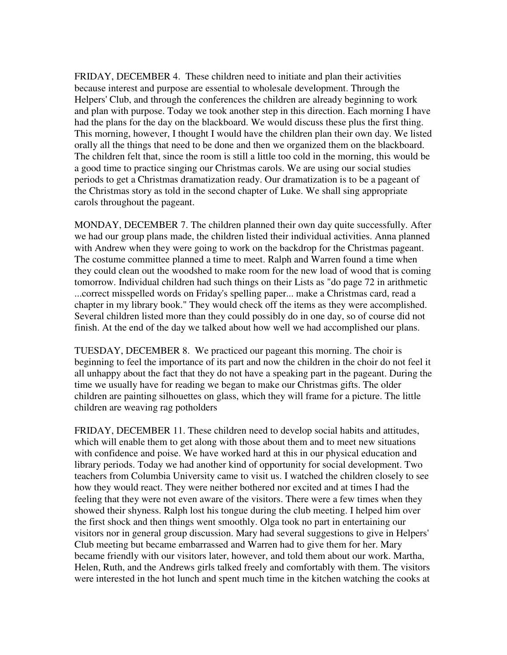FRIDAY, DECEMBER 4. These children need to initiate and plan their activities because interest and purpose are essential to wholesale development. Through the Helpers' Club, and through the conferences the children are already beginning to work and plan with purpose. Today we took another step in this direction. Each morning I have had the plans for the day on the blackboard. We would discuss these plus the first thing. This morning, however, I thought I would have the children plan their own day. We listed orally all the things that need to be done and then we organized them on the blackboard. The children felt that, since the room is still a little too cold in the morning, this would be a good time to practice singing our Christmas carols. We are using our social studies periods to get a Christmas dramatization ready. Our dramatization is to be a pageant of the Christmas story as told in the second chapter of Luke. We shall sing appropriate carols throughout the pageant.

MONDAY, DECEMBER 7. The children planned their own day quite successfully. After we had our group plans made, the children listed their individual activities. Anna planned with Andrew when they were going to work on the backdrop for the Christmas pageant. The costume committee planned a time to meet. Ralph and Warren found a time when they could clean out the woodshed to make room for the new load of wood that is coming tomorrow. Individual children had such things on their Lists as "do page 72 in arithmetic ...correct misspelled words on Friday's spelling paper... make a Christmas card, read a chapter in my library book." They would check off the items as they were accomplished. Several children listed more than they could possibly do in one day, so of course did not finish. At the end of the day we talked about how well we had accomplished our plans.

TUESDAY, DECEMBER 8. We practiced our pageant this morning. The choir is beginning to feel the importance of its part and now the children in the choir do not feel it all unhappy about the fact that they do not have a speaking part in the pageant. During the time we usually have for reading we began to make our Christmas gifts. The older children are painting silhouettes on glass, which they will frame for a picture. The little children are weaving rag potholders

FRIDAY, DECEMBER 11. These children need to develop social habits and attitudes, which will enable them to get along with those about them and to meet new situations with confidence and poise. We have worked hard at this in our physical education and library periods. Today we had another kind of opportunity for social development. Two teachers from Columbia University came to visit us. I watched the children closely to see how they would react. They were neither bothered nor excited and at times I had the feeling that they were not even aware of the visitors. There were a few times when they showed their shyness. Ralph lost his tongue during the club meeting. I helped him over the first shock and then things went smoothly. Olga took no part in entertaining our visitors nor in general group discussion. Mary had several suggestions to give in Helpers' Club meeting but became embarrassed and Warren had to give them for her. Mary became friendly with our visitors later, however, and told them about our work. Martha, Helen, Ruth, and the Andrews girls talked freely and comfortably with them. The visitors were interested in the hot lunch and spent much time in the kitchen watching the cooks at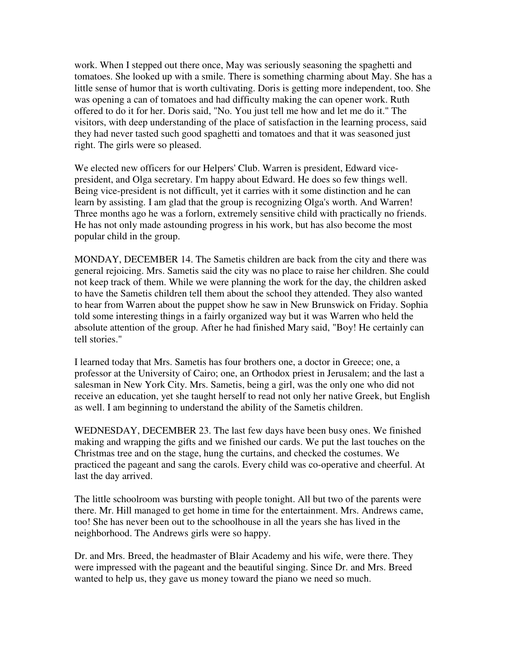work. When I stepped out there once, May was seriously seasoning the spaghetti and tomatoes. She looked up with a smile. There is something charming about May. She has a little sense of humor that is worth cultivating. Doris is getting more independent, too. She was opening a can of tomatoes and had difficulty making the can opener work. Ruth offered to do it for her. Doris said, "No. You just tell me how and let me do it." The visitors, with deep understanding of the place of satisfaction in the learning process, said they had never tasted such good spaghetti and tomatoes and that it was seasoned just right. The girls were so pleased.

We elected new officers for our Helpers' Club. Warren is president, Edward vicepresident, and Olga secretary. I'm happy about Edward. He does so few things well. Being vice-president is not difficult, yet it carries with it some distinction and he can learn by assisting. I am glad that the group is recognizing Olga's worth. And Warren! Three months ago he was a forlorn, extremely sensitive child with practically no friends. He has not only made astounding progress in his work, but has also become the most popular child in the group.

MONDAY, DECEMBER 14. The Sametis children are back from the city and there was general rejoicing. Mrs. Sametis said the city was no place to raise her children. She could not keep track of them. While we were planning the work for the day, the children asked to have the Sametis children tell them about the school they attended. They also wanted to hear from Warren about the puppet show he saw in New Brunswick on Friday. Sophia told some interesting things in a fairly organized way but it was Warren who held the absolute attention of the group. After he had finished Mary said, "Boy! He certainly can tell stories."

I learned today that Mrs. Sametis has four brothers one, a doctor in Greece; one, a professor at the University of Cairo; one, an Orthodox priest in Jerusalem; and the last a salesman in New York City. Mrs. Sametis, being a girl, was the only one who did not receive an education, yet she taught herself to read not only her native Greek, but English as well. I am beginning to understand the ability of the Sametis children.

WEDNESDAY, DECEMBER 23. The last few days have been busy ones. We finished making and wrapping the gifts and we finished our cards. We put the last touches on the Christmas tree and on the stage, hung the curtains, and checked the costumes. We practiced the pageant and sang the carols. Every child was co-operative and cheerful. At last the day arrived.

The little schoolroom was bursting with people tonight. All but two of the parents were there. Mr. Hill managed to get home in time for the entertainment. Mrs. Andrews came, too! She has never been out to the schoolhouse in all the years she has lived in the neighborhood. The Andrews girls were so happy.

Dr. and Mrs. Breed, the headmaster of Blair Academy and his wife, were there. They were impressed with the pageant and the beautiful singing. Since Dr. and Mrs. Breed wanted to help us, they gave us money toward the piano we need so much.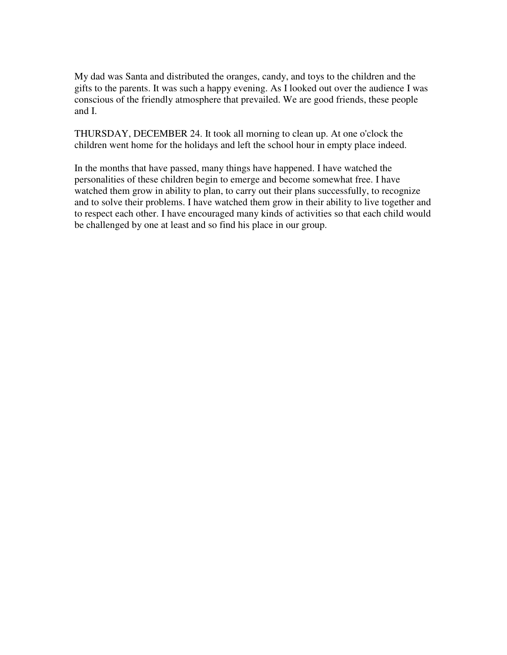My dad was Santa and distributed the oranges, candy, and toys to the children and the gifts to the parents. It was such a happy evening. As I looked out over the audience I was conscious of the friendly atmosphere that prevailed. We are good friends, these people and I.

THURSDAY, DECEMBER 24. It took all morning to clean up. At one o'clock the children went home for the holidays and left the school hour in empty place indeed.

In the months that have passed, many things have happened. I have watched the personalities of these children begin to emerge and become somewhat free. I have watched them grow in ability to plan, to carry out their plans successfully, to recognize and to solve their problems. I have watched them grow in their ability to live together and to respect each other. I have encouraged many kinds of activities so that each child would be challenged by one at least and so find his place in our group.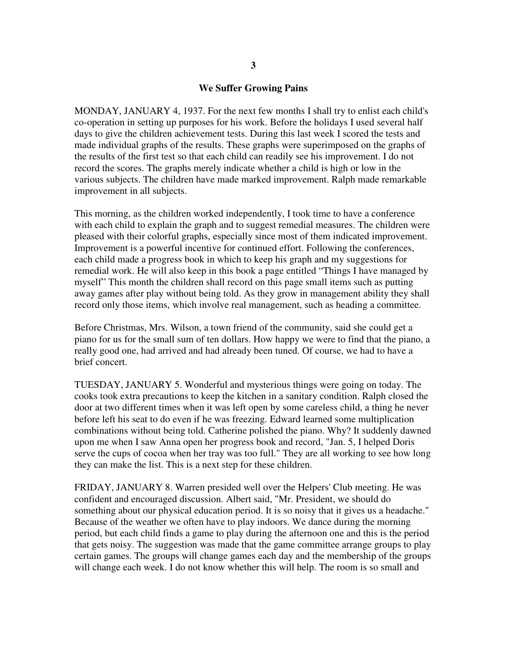#### **We Suffer Growing Pains**

MONDAY, JANUARY 4, 1937. For the next few months I shall try to enlist each child's co-operation in setting up purposes for his work. Before the holidays I used several half days to give the children achievement tests. During this last week I scored the tests and made individual graphs of the results. These graphs were superimposed on the graphs of the results of the first test so that each child can readily see his improvement. I do not record the scores. The graphs merely indicate whether a child is high or low in the various subjects. The children have made marked improvement. Ralph made remarkable improvement in all subjects.

This morning, as the children worked independently, I took time to have a conference with each child to explain the graph and to suggest remedial measures. The children were pleased with their colorful graphs, especially since most of them indicated improvement. Improvement is a powerful incentive for continued effort. Following the conferences, each child made a progress book in which to keep his graph and my suggestions for remedial work. He will also keep in this book a page entitled "Things I have managed by myself" This month the children shall record on this page small items such as putting away games after play without being told. As they grow in management ability they shall record only those items, which involve real management, such as heading a committee.

Before Christmas, Mrs. Wilson, a town friend of the community, said she could get a piano for us for the small sum of ten dollars. How happy we were to find that the piano, a really good one, had arrived and had already been tuned. Of course, we had to have a brief concert.

TUESDAY, JANUARY 5. Wonderful and mysterious things were going on today. The cooks took extra precautions to keep the kitchen in a sanitary condition. Ralph closed the door at two different times when it was left open by some careless child, a thing he never before left his seat to do even if he was freezing. Edward learned some multiplication combinations without being told. Catherine polished the piano. Why? It suddenly dawned upon me when I saw Anna open her progress book and record, "Jan. 5, I helped Doris serve the cups of cocoa when her tray was too full." They are all working to see how long they can make the list. This is a next step for these children.

FRIDAY, JANUARY 8. Warren presided well over the Helpers' Club meeting. He was confident and encouraged discussion. Albert said, "Mr. President, we should do something about our physical education period. It is so noisy that it gives us a headache." Because of the weather we often have to play indoors. We dance during the morning period, but each child finds a game to play during the afternoon one and this is the period that gets noisy. The suggestion was made that the game committee arrange groups to play certain games. The groups will change games each day and the membership of the groups will change each week. I do not know whether this will help. The room is so small and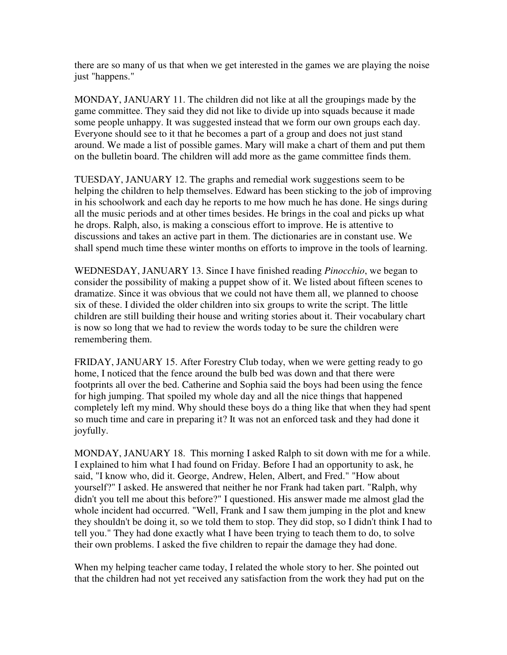there are so many of us that when we get interested in the games we are playing the noise just "happens."

MONDAY, JANUARY 11. The children did not like at all the groupings made by the game committee. They said they did not like to divide up into squads because it made some people unhappy. It was suggested instead that we form our own groups each day. Everyone should see to it that he becomes a part of a group and does not just stand around. We made a list of possible games. Mary will make a chart of them and put them on the bulletin board. The children will add more as the game committee finds them.

TUESDAY, JANUARY 12. The graphs and remedial work suggestions seem to be helping the children to help themselves. Edward has been sticking to the job of improving in his schoolwork and each day he reports to me how much he has done. He sings during all the music periods and at other times besides. He brings in the coal and picks up what he drops. Ralph, also, is making a conscious effort to improve. He is attentive to discussions and takes an active part in them. The dictionaries are in constant use. We shall spend much time these winter months on efforts to improve in the tools of learning.

WEDNESDAY, JANUARY 13. Since I have finished reading *Pinocchio*, we began to consider the possibility of making a puppet show of it. We listed about fifteen scenes to dramatize. Since it was obvious that we could not have them all, we planned to choose six of these. I divided the older children into six groups to write the script. The little children are still building their house and writing stories about it. Their vocabulary chart is now so long that we had to review the words today to be sure the children were remembering them.

FRIDAY, JANUARY 15. After Forestry Club today, when we were getting ready to go home, I noticed that the fence around the bulb bed was down and that there were footprints all over the bed. Catherine and Sophia said the boys had been using the fence for high jumping. That spoiled my whole day and all the nice things that happened completely left my mind. Why should these boys do a thing like that when they had spent so much time and care in preparing it? It was not an enforced task and they had done it joyfully.

MONDAY, JANUARY 18. This morning I asked Ralph to sit down with me for a while. I explained to him what I had found on Friday. Before I had an opportunity to ask, he said, "I know who, did it. George, Andrew, Helen, Albert, and Fred." "How about yourself?" I asked. He answered that neither he nor Frank had taken part. "Ralph, why didn't you tell me about this before?" I questioned. His answer made me almost glad the whole incident had occurred. "Well, Frank and I saw them jumping in the plot and knew they shouldn't be doing it, so we told them to stop. They did stop, so I didn't think I had to tell you." They had done exactly what I have been trying to teach them to do, to solve their own problems. I asked the five children to repair the damage they had done.

When my helping teacher came today, I related the whole story to her. She pointed out that the children had not yet received any satisfaction from the work they had put on the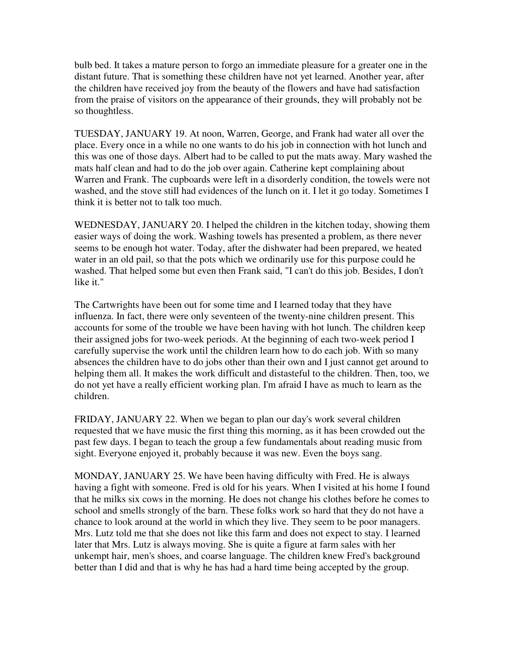bulb bed. It takes a mature person to forgo an immediate pleasure for a greater one in the distant future. That is something these children have not yet learned. Another year, after the children have received joy from the beauty of the flowers and have had satisfaction from the praise of visitors on the appearance of their grounds, they will probably not be so thoughtless.

TUESDAY, JANUARY 19. At noon, Warren, George, and Frank had water all over the place. Every once in a while no one wants to do his job in connection with hot lunch and this was one of those days. Albert had to be called to put the mats away. Mary washed the mats half clean and had to do the job over again. Catherine kept complaining about Warren and Frank. The cupboards were left in a disorderly condition, the towels were not washed, and the stove still had evidences of the lunch on it. I let it go today. Sometimes I think it is better not to talk too much.

WEDNESDAY, JANUARY 20. I helped the children in the kitchen today, showing them easier ways of doing the work. Washing towels has presented a problem, as there never seems to be enough hot water. Today, after the dishwater had been prepared, we heated water in an old pail, so that the pots which we ordinarily use for this purpose could he washed. That helped some but even then Frank said, "I can't do this job. Besides, I don't like it."

The Cartwrights have been out for some time and I learned today that they have influenza. In fact, there were only seventeen of the twenty-nine children present. This accounts for some of the trouble we have been having with hot lunch. The children keep their assigned jobs for two-week periods. At the beginning of each two-week period I carefully supervise the work until the children learn how to do each job. With so many absences the children have to do jobs other than their own and I just cannot get around to helping them all. It makes the work difficult and distasteful to the children. Then, too, we do not yet have a really efficient working plan. I'm afraid I have as much to learn as the children.

FRIDAY, JANUARY 22. When we began to plan our day's work several children requested that we have music the first thing this morning, as it has been crowded out the past few days. I began to teach the group a few fundamentals about reading music from sight. Everyone enjoyed it, probably because it was new. Even the boys sang.

MONDAY, JANUARY 25. We have been having difficulty with Fred. He is always having a fight with someone. Fred is old for his years. When I visited at his home I found that he milks six cows in the morning. He does not change his clothes before he comes to school and smells strongly of the barn. These folks work so hard that they do not have a chance to look around at the world in which they live. They seem to be poor managers. Mrs. Lutz told me that she does not like this farm and does not expect to stay. I learned later that Mrs. Lutz is always moving. She is quite a figure at farm sales with her unkempt hair, men's shoes, and coarse language. The children knew Fred's background better than I did and that is why he has had a hard time being accepted by the group.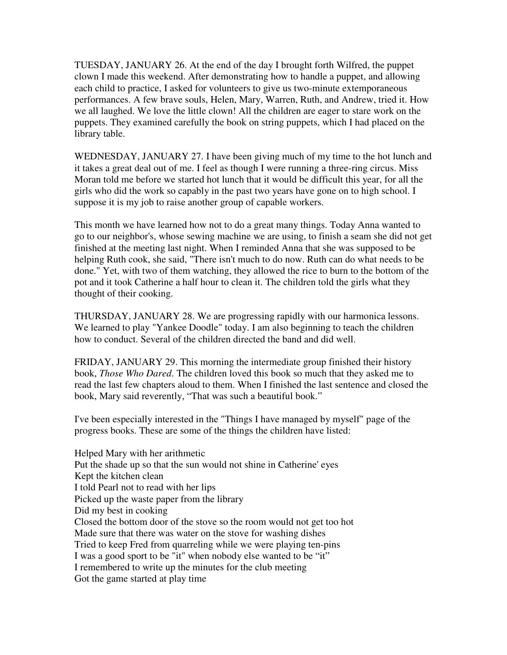TUESDAY, JANUARY 26. At the end of the day I brought forth Wilfred, the puppet clown I made this weekend. After demonstrating how to handle a puppet, and allowing each child to practice, I asked for volunteers to give us two-minute extemporaneous performances. A few brave souls, Helen, Mary, Warren, Ruth, and Andrew, tried it. How we all laughed. We love the little clown! All the children are eager to stare work on the puppets. They examined carefully the book on string puppets, which I had placed on the library table.

WEDNESDAY, JANUARY 27. I have been giving much of my time to the hot lunch and it takes a great deal out of me. I feel as though I were running a three-ring circus. Miss Moran told me before we started hot lunch that it would be difficult this year, for all the girls who did the work so capably in the past two years have gone on to high school. I suppose it is my job to raise another group of capable workers.

This month we have learned how not to do a great many things. Today Anna wanted to go to our neighbor's, whose sewing machine we are using, to finish a seam she did not get finished at the meeting last night. When I reminded Anna that she was supposed to be helping Ruth cook, she said, "There isn't much to do now. Ruth can do what needs to be done." Yet, with two of them watching, they allowed the rice to burn to the bottom of the pot and it took Catherine a half hour to clean it. The children told the girls what they thought of their cooking.

THURSDAY, JANUARY 28. We are progressing rapidly with our harmonica lessons. We learned to play "Yankee Doodle" today. I am also beginning to teach the children how to conduct. Several of the children directed the band and did well.

FRIDAY, JANUARY 29. This morning the intermediate group finished their history book, *Those Who Dared*. The children loved this book so much that they asked me to read the last few chapters aloud to them. When I finished the last sentence and closed the book, Mary said reverently, "That was such a beautiful book."

I've been especially interested in the "Things I have managed by myself" page of the progress books. These are some of the things the children have listed:

Helped Mary with her arithmetic Put the shade up so that the sun would not shine in Catherine' eyes Kept the kitchen clean I told Pearl not to read with her lips Picked up the waste paper from the library Did my best in cooking Closed the bottom door of the stove so the room would not get too hot Made sure that there was water on the stove for washing dishes Tried to keep Fred from quarreling while we were playing ten-pins I was a good sport to be "it" when nobody else wanted to be "it" I remembered to write up the minutes for the club meeting Got the game started at play time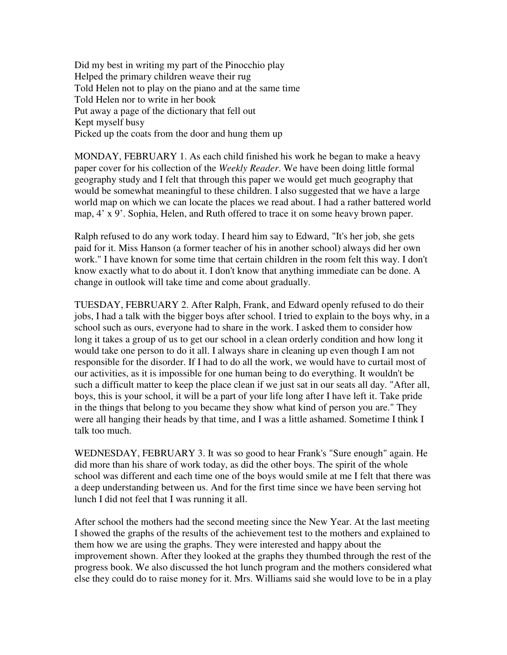Did my best in writing my part of the Pinocchio play Helped the primary children weave their rug Told Helen not to play on the piano and at the same time Told Helen nor to write in her book Put away a page of the dictionary that fell out Kept myself busy Picked up the coats from the door and hung them up

MONDAY, FEBRUARY 1. As each child finished his work he began to make a heavy paper cover for his collection of the *Weekly Reader*. We have been doing little formal geography study and I felt that through this paper we would get much geography that would be somewhat meaningful to these children. I also suggested that we have a large world map on which we can locate the places we read about. I had a rather battered world map, 4' x 9'. Sophia, Helen, and Ruth offered to trace it on some heavy brown paper.

Ralph refused to do any work today. I heard him say to Edward, "It's her job, she gets paid for it. Miss Hanson (a former teacher of his in another school) always did her own work." I have known for some time that certain children in the room felt this way. I don't know exactly what to do about it. I don't know that anything immediate can be done. A change in outlook will take time and come about gradually.

TUESDAY, FEBRUARY 2. After Ralph, Frank, and Edward openly refused to do their jobs, I had a talk with the bigger boys after school. I tried to explain to the boys why, in a school such as ours, everyone had to share in the work. I asked them to consider how long it takes a group of us to get our school in a clean orderly condition and how long it would take one person to do it all. I always share in cleaning up even though I am not responsible for the disorder. If I had to do all the work, we would have to curtail most of our activities, as it is impossible for one human being to do everything. It wouldn't be such a difficult matter to keep the place clean if we just sat in our seats all day. "After all, boys, this is your school, it will be a part of your life long after I have left it. Take pride in the things that belong to you became they show what kind of person you are." They were all hanging their heads by that time, and I was a little ashamed. Sometime I think I talk too much.

WEDNESDAY, FEBRUARY 3. It was so good to hear Frank's "Sure enough" again. He did more than his share of work today, as did the other boys. The spirit of the whole school was different and each time one of the boys would smile at me I felt that there was a deep understanding between us. And for the first time since we have been serving hot lunch I did not feel that I was running it all.

After school the mothers had the second meeting since the New Year. At the last meeting I showed the graphs of the results of the achievement test to the mothers and explained to them how we are using the graphs. They were interested and happy about the improvement shown. After they looked at the graphs they thumbed through the rest of the progress book. We also discussed the hot lunch program and the mothers considered what else they could do to raise money for it. Mrs. Williams said she would love to be in a play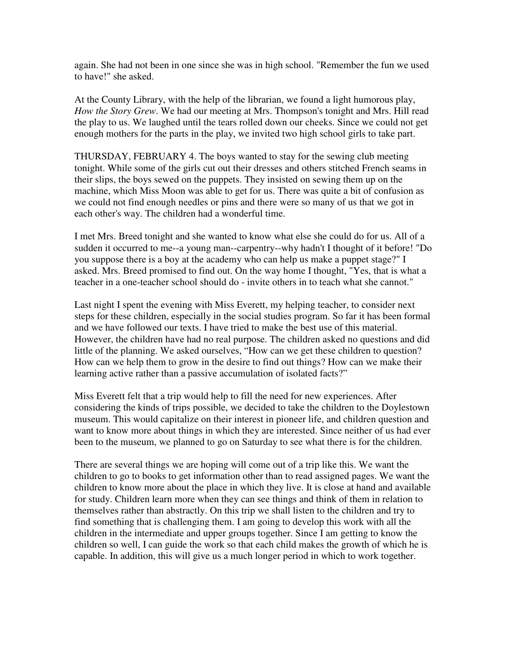again. She had not been in one since she was in high school. "Remember the fun we used to have!" she asked.

At the County Library, with the help of the librarian, we found a light humorous play, *How the Story Grew*. We had our meeting at Mrs. Thompson's tonight and Mrs. Hill read the play to us. We laughed until the tears rolled down our cheeks. Since we could not get enough mothers for the parts in the play, we invited two high school girls to take part.

THURSDAY, FEBRUARY 4. The boys wanted to stay for the sewing club meeting tonight. While some of the girls cut out their dresses and others stitched French seams in their slips, the boys sewed on the puppets. They insisted on sewing them up on the machine, which Miss Moon was able to get for us. There was quite a bit of confusion as we could not find enough needles or pins and there were so many of us that we got in each other's way. The children had a wonderful time.

I met Mrs. Breed tonight and she wanted to know what else she could do for us. All of a sudden it occurred to me--a young man--carpentry--why hadn't I thought of it before! "Do you suppose there is a boy at the academy who can help us make a puppet stage?" I asked. Mrs. Breed promised to find out. On the way home I thought, "Yes, that is what a teacher in a one-teacher school should do - invite others in to teach what she cannot."

Last night I spent the evening with Miss Everett, my helping teacher, to consider next steps for these children, especially in the social studies program. So far it has been formal and we have followed our texts. I have tried to make the best use of this material. However, the children have had no real purpose. The children asked no questions and did little of the planning. We asked ourselves, "How can we get these children to question? How can we help them to grow in the desire to find out things? How can we make their learning active rather than a passive accumulation of isolated facts?"

Miss Everett felt that a trip would help to fill the need for new experiences. After considering the kinds of trips possible, we decided to take the children to the Doylestown museum. This would capitalize on their interest in pioneer life, and children question and want to know more about things in which they are interested. Since neither of us had ever been to the museum, we planned to go on Saturday to see what there is for the children.

There are several things we are hoping will come out of a trip like this. We want the children to go to books to get information other than to read assigned pages. We want the children to know more about the place in which they live. It is close at hand and available for study. Children learn more when they can see things and think of them in relation to themselves rather than abstractly. On this trip we shall listen to the children and try to find something that is challenging them. I am going to develop this work with all the children in the intermediate and upper groups together. Since I am getting to know the children so well, I can guide the work so that each child makes the growth of which he is capable. In addition, this will give us a much longer period in which to work together.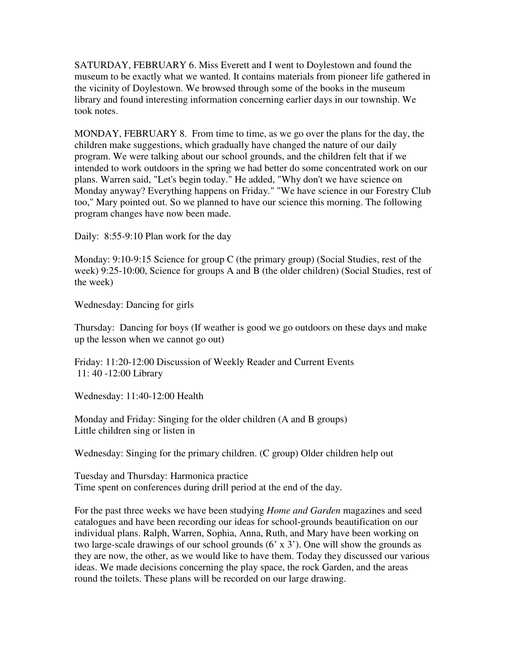SATURDAY, FEBRUARY 6. Miss Everett and I went to Doylestown and found the museum to be exactly what we wanted. It contains materials from pioneer life gathered in the vicinity of Doylestown. We browsed through some of the books in the museum library and found interesting information concerning earlier days in our township. We took notes.

MONDAY, FEBRUARY 8. From time to time, as we go over the plans for the day, the children make suggestions, which gradually have changed the nature of our daily program. We were talking about our school grounds, and the children felt that if we intended to work outdoors in the spring we had better do some concentrated work on our plans. Warren said, "Let's begin today." He added, "Why don't we have science on Monday anyway? Everything happens on Friday." "We have science in our Forestry Club too," Mary pointed out. So we planned to have our science this morning. The following program changes have now been made.

Daily: 8:55-9:10 Plan work for the day

Monday: 9:10-9:15 Science for group C (the primary group) (Social Studies, rest of the week) 9:25-10:00, Science for groups A and B (the older children) (Social Studies, rest of the week)

Wednesday: Dancing for girls

Thursday: Dancing for boys (If weather is good we go outdoors on these days and make up the lesson when we cannot go out)

Friday: 11:20-12:00 Discussion of Weekly Reader and Current Events 11: 40 -12:00 Library

Wednesday: 11:40-12:00 Health

Monday and Friday: Singing for the older children (A and B groups) Little children sing or listen in

Wednesday: Singing for the primary children. (C group) Older children help out

Tuesday and Thursday: Harmonica practice Time spent on conferences during drill period at the end of the day.

For the past three weeks we have been studying *Home and Garden* magazines and seed catalogues and have been recording our ideas for school-grounds beautification on our individual plans. Ralph, Warren, Sophia, Anna, Ruth, and Mary have been working on two large-scale drawings of our school grounds (6' x 3'). One will show the grounds as they are now, the other, as we would like to have them. Today they discussed our various ideas. We made decisions concerning the play space, the rock Garden, and the areas round the toilets. These plans will be recorded on our large drawing.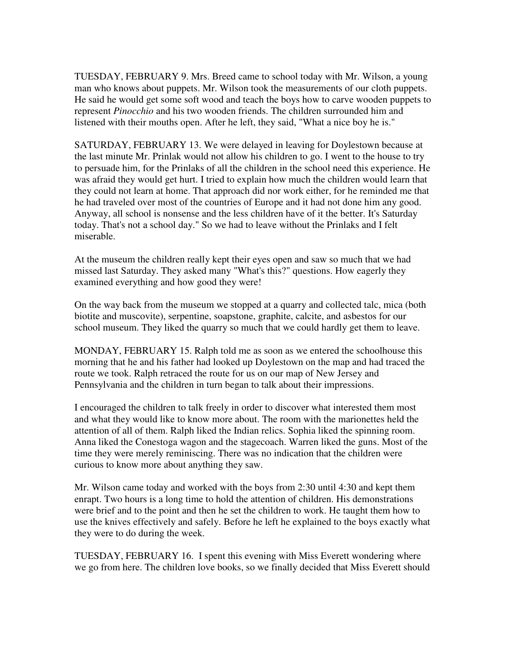TUESDAY, FEBRUARY 9. Mrs. Breed came to school today with Mr. Wilson, a young man who knows about puppets. Mr. Wilson took the measurements of our cloth puppets. He said he would get some soft wood and teach the boys how to carve wooden puppets to represent *Pinocchio* and his two wooden friends. The children surrounded him and listened with their mouths open. After he left, they said, "What a nice boy he is."

SATURDAY, FEBRUARY 13. We were delayed in leaving for Doylestown because at the last minute Mr. Prinlak would not allow his children to go. I went to the house to try to persuade him, for the Prinlaks of all the children in the school need this experience. He was afraid they would get hurt. I tried to explain how much the children would learn that they could not learn at home. That approach did nor work either, for he reminded me that he had traveled over most of the countries of Europe and it had not done him any good. Anyway, all school is nonsense and the less children have of it the better. It's Saturday today. That's not a school day." So we had to leave without the Prinlaks and I felt miserable.

At the museum the children really kept their eyes open and saw so much that we had missed last Saturday. They asked many "What's this?" questions. How eagerly they examined everything and how good they were!

On the way back from the museum we stopped at a quarry and collected talc, mica (both biotite and muscovite), serpentine, soapstone, graphite, calcite, and asbestos for our school museum. They liked the quarry so much that we could hardly get them to leave.

MONDAY, FEBRUARY 15. Ralph told me as soon as we entered the schoolhouse this morning that he and his father had looked up Doylestown on the map and had traced the route we took. Ralph retraced the route for us on our map of New Jersey and Pennsylvania and the children in turn began to talk about their impressions.

I encouraged the children to talk freely in order to discover what interested them most and what they would like to know more about. The room with the marionettes held the attention of all of them. Ralph liked the Indian relics. Sophia liked the spinning room. Anna liked the Conestoga wagon and the stagecoach. Warren liked the guns. Most of the time they were merely reminiscing. There was no indication that the children were curious to know more about anything they saw.

Mr. Wilson came today and worked with the boys from 2:30 until 4:30 and kept them enrapt. Two hours is a long time to hold the attention of children. His demonstrations were brief and to the point and then he set the children to work. He taught them how to use the knives effectively and safely. Before he left he explained to the boys exactly what they were to do during the week.

TUESDAY, FEBRUARY 16. I spent this evening with Miss Everett wondering where we go from here. The children love books, so we finally decided that Miss Everett should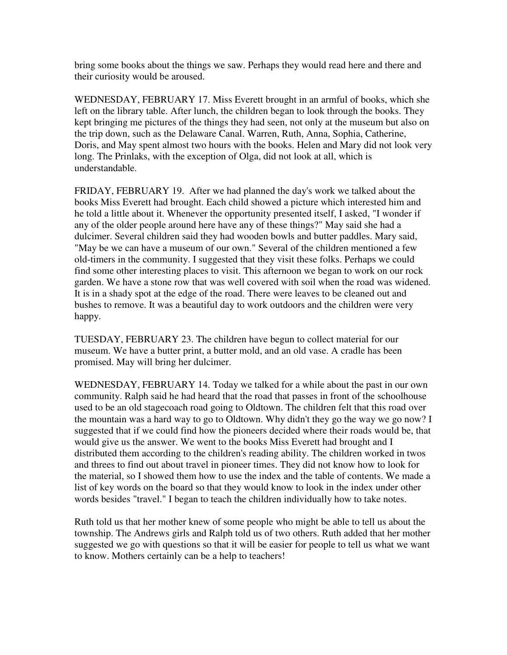bring some books about the things we saw. Perhaps they would read here and there and their curiosity would be aroused.

WEDNESDAY, FEBRUARY 17. Miss Everett brought in an armful of books, which she left on the library table. After lunch, the children began to look through the books. They kept bringing me pictures of the things they had seen, not only at the museum but also on the trip down, such as the Delaware Canal. Warren, Ruth, Anna, Sophia, Catherine, Doris, and May spent almost two hours with the books. Helen and Mary did not look very long. The Prinlaks, with the exception of Olga, did not look at all, which is understandable.

FRIDAY, FEBRUARY 19. After we had planned the day's work we talked about the books Miss Everett had brought. Each child showed a picture which interested him and he told a little about it. Whenever the opportunity presented itself, I asked, "I wonder if any of the older people around here have any of these things?" May said she had a dulcimer. Several children said they had wooden bowls and butter paddles. Mary said, "May be we can have a museum of our own." Several of the children mentioned a few old-timers in the community. I suggested that they visit these folks. Perhaps we could find some other interesting places to visit. This afternoon we began to work on our rock garden. We have a stone row that was well covered with soil when the road was widened. It is in a shady spot at the edge of the road. There were leaves to be cleaned out and bushes to remove. It was a beautiful day to work outdoors and the children were very happy.

TUESDAY, FEBRUARY 23. The children have begun to collect material for our museum. We have a butter print, a butter mold, and an old vase. A cradle has been promised. May will bring her dulcimer.

WEDNESDAY, FEBRUARY 14. Today we talked for a while about the past in our own community. Ralph said he had heard that the road that passes in front of the schoolhouse used to be an old stagecoach road going to Oldtown. The children felt that this road over the mountain was a hard way to go to Oldtown. Why didn't they go the way we go now? I suggested that if we could find how the pioneers decided where their roads would be, that would give us the answer. We went to the books Miss Everett had brought and I distributed them according to the children's reading ability. The children worked in twos and threes to find out about travel in pioneer times. They did not know how to look for the material, so I showed them how to use the index and the table of contents. We made a list of key words on the board so that they would know to look in the index under other words besides "travel." I began to teach the children individually how to take notes.

Ruth told us that her mother knew of some people who might be able to tell us about the township. The Andrews girls and Ralph told us of two others. Ruth added that her mother suggested we go with questions so that it will be easier for people to tell us what we want to know. Mothers certainly can be a help to teachers!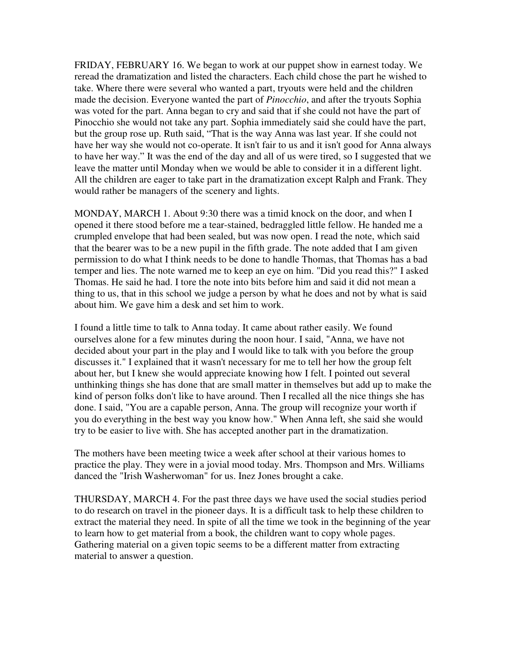FRIDAY, FEBRUARY 16. We began to work at our puppet show in earnest today. We reread the dramatization and listed the characters. Each child chose the part he wished to take. Where there were several who wanted a part, tryouts were held and the children made the decision. Everyone wanted the part of *Pinocchio*, and after the tryouts Sophia was voted for the part. Anna began to cry and said that if she could not have the part of Pinocchio she would not take any part. Sophia immediately said she could have the part, but the group rose up. Ruth said, "That is the way Anna was last year. If she could not have her way she would not co-operate. It isn't fair to us and it isn't good for Anna always to have her way." It was the end of the day and all of us were tired, so I suggested that we leave the matter until Monday when we would be able to consider it in a different light. All the children are eager to take part in the dramatization except Ralph and Frank. They would rather be managers of the scenery and lights.

MONDAY, MARCH 1. About 9:30 there was a timid knock on the door, and when I opened it there stood before me a tear-stained, bedraggled little fellow. He handed me a crumpled envelope that had been sealed, but was now open. I read the note, which said that the bearer was to be a new pupil in the fifth grade. The note added that I am given permission to do what I think needs to be done to handle Thomas, that Thomas has a bad temper and lies. The note warned me to keep an eye on him. "Did you read this?" I asked Thomas. He said he had. I tore the note into bits before him and said it did not mean a thing to us, that in this school we judge a person by what he does and not by what is said about him. We gave him a desk and set him to work.

I found a little time to talk to Anna today. It came about rather easily. We found ourselves alone for a few minutes during the noon hour. I said, "Anna, we have not decided about your part in the play and I would like to talk with you before the group discusses it." I explained that it wasn't necessary for me to tell her how the group felt about her, but I knew she would appreciate knowing how I felt. I pointed out several unthinking things she has done that are small matter in themselves but add up to make the kind of person folks don't like to have around. Then I recalled all the nice things she has done. I said, "You are a capable person, Anna. The group will recognize your worth if you do everything in the best way you know how." When Anna left, she said she would try to be easier to live with. She has accepted another part in the dramatization.

The mothers have been meeting twice a week after school at their various homes to practice the play. They were in a jovial mood today. Mrs. Thompson and Mrs. Williams danced the "Irish Washerwoman" for us. Inez Jones brought a cake.

THURSDAY, MARCH 4. For the past three days we have used the social studies period to do research on travel in the pioneer days. It is a difficult task to help these children to extract the material they need. In spite of all the time we took in the beginning of the year to learn how to get material from a book, the children want to copy whole pages. Gathering material on a given topic seems to be a different matter from extracting material to answer a question.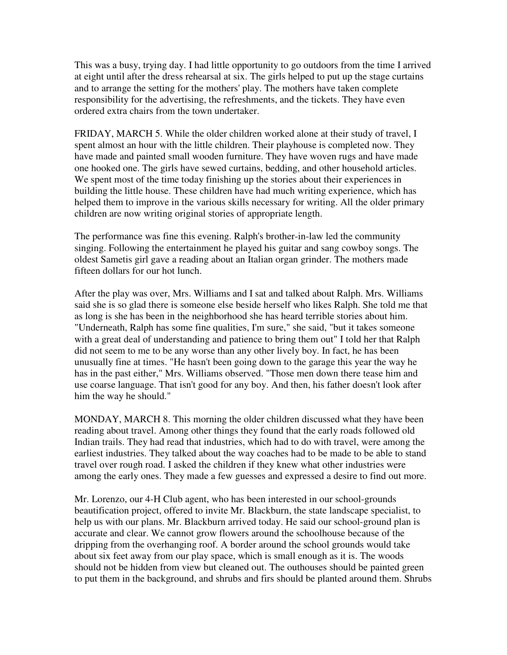This was a busy, trying day. I had little opportunity to go outdoors from the time I arrived at eight until after the dress rehearsal at six. The girls helped to put up the stage curtains and to arrange the setting for the mothers' play. The mothers have taken complete responsibility for the advertising, the refreshments, and the tickets. They have even ordered extra chairs from the town undertaker.

FRIDAY, MARCH 5. While the older children worked alone at their study of travel, I spent almost an hour with the little children. Their playhouse is completed now. They have made and painted small wooden furniture. They have woven rugs and have made one hooked one. The girls have sewed curtains, bedding, and other household articles. We spent most of the time today finishing up the stories about their experiences in building the little house. These children have had much writing experience, which has helped them to improve in the various skills necessary for writing. All the older primary children are now writing original stories of appropriate length.

The performance was fine this evening. Ralph's brother-in-law led the community singing. Following the entertainment he played his guitar and sang cowboy songs. The oldest Sametis girl gave a reading about an Italian organ grinder. The mothers made fifteen dollars for our hot lunch.

After the play was over, Mrs. Williams and I sat and talked about Ralph. Mrs. Williams said she is so glad there is someone else beside herself who likes Ralph. She told me that as long is she has been in the neighborhood she has heard terrible stories about him. "Underneath, Ralph has some fine qualities, I'm sure," she said, "but it takes someone with a great deal of understanding and patience to bring them out" I told her that Ralph did not seem to me to be any worse than any other lively boy. In fact, he has been unusually fine at times. "He hasn't been going down to the garage this year the way he has in the past either," Mrs. Williams observed. "Those men down there tease him and use coarse language. That isn't good for any boy. And then, his father doesn't look after him the way he should."

MONDAY, MARCH 8. This morning the older children discussed what they have been reading about travel. Among other things they found that the early roads followed old Indian trails. They had read that industries, which had to do with travel, were among the earliest industries. They talked about the way coaches had to be made to be able to stand travel over rough road. I asked the children if they knew what other industries were among the early ones. They made a few guesses and expressed a desire to find out more.

Mr. Lorenzo, our 4-H Club agent, who has been interested in our school-grounds beautification project, offered to invite Mr. Blackburn, the state landscape specialist, to help us with our plans. Mr. Blackburn arrived today. He said our school-ground plan is accurate and clear. We cannot grow flowers around the schoolhouse because of the dripping from the overhanging roof. A border around the school grounds would take about six feet away from our play space, which is small enough as it is. The woods should not be hidden from view but cleaned out. The outhouses should be painted green to put them in the background, and shrubs and firs should be planted around them. Shrubs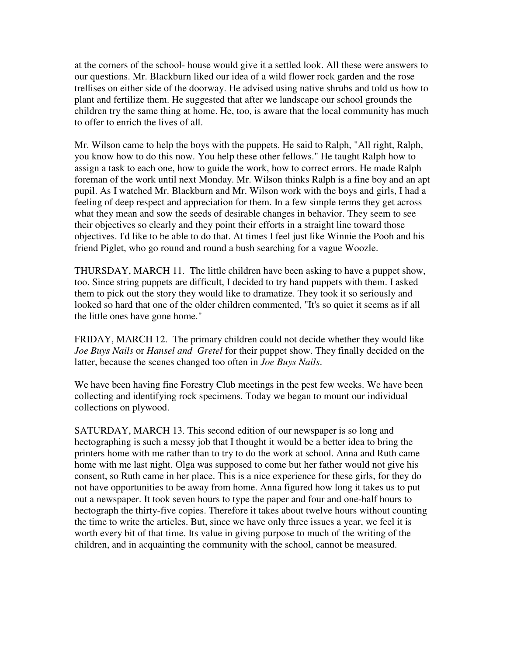at the corners of the school- house would give it a settled look. All these were answers to our questions. Mr. Blackburn liked our idea of a wild flower rock garden and the rose trellises on either side of the doorway. He advised using native shrubs and told us how to plant and fertilize them. He suggested that after we landscape our school grounds the children try the same thing at home. He, too, is aware that the local community has much to offer to enrich the lives of all.

Mr. Wilson came to help the boys with the puppets. He said to Ralph, "All right, Ralph, you know how to do this now. You help these other fellows." He taught Ralph how to assign a task to each one, how to guide the work, how to correct errors. He made Ralph foreman of the work until next Monday. Mr. Wilson thinks Ralph is a fine boy and an apt pupil. As I watched Mr. Blackburn and Mr. Wilson work with the boys and girls, I had a feeling of deep respect and appreciation for them. In a few simple terms they get across what they mean and sow the seeds of desirable changes in behavior. They seem to see their objectives so clearly and they point their efforts in a straight line toward those objectives. I'd like to be able to do that. At times I feel just like Winnie the Pooh and his friend Piglet, who go round and round a bush searching for a vague Woozle.

THURSDAY, MARCH 11. The little children have been asking to have a puppet show, too. Since string puppets are difficult, I decided to try hand puppets with them. I asked them to pick out the story they would like to dramatize. They took it so seriously and looked so hard that one of the older children commented, "It's so quiet it seems as if all the little ones have gone home."

FRIDAY, MARCH 12. The primary children could not decide whether they would like *Joe Buys Nails* or *Hansel and Gretel* for their puppet show. They finally decided on the latter, because the scenes changed too often in *Joe Buys Nails*.

We have been having fine Forestry Club meetings in the pest few weeks. We have been collecting and identifying rock specimens. Today we began to mount our individual collections on plywood.

SATURDAY, MARCH 13. This second edition of our newspaper is so long and hectographing is such a messy job that I thought it would be a better idea to bring the printers home with me rather than to try to do the work at school. Anna and Ruth came home with me last night. Olga was supposed to come but her father would not give his consent, so Ruth came in her place. This is a nice experience for these girls, for they do not have opportunities to be away from home. Anna figured how long it takes us to put out a newspaper. It took seven hours to type the paper and four and one-half hours to hectograph the thirty-five copies. Therefore it takes about twelve hours without counting the time to write the articles. But, since we have only three issues a year, we feel it is worth every bit of that time. Its value in giving purpose to much of the writing of the children, and in acquainting the community with the school, cannot be measured.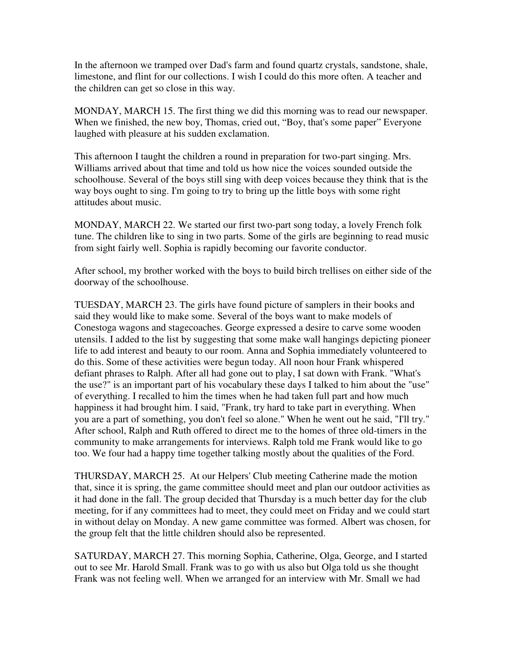In the afternoon we tramped over Dad's farm and found quartz crystals, sandstone, shale, limestone, and flint for our collections. I wish I could do this more often. A teacher and the children can get so close in this way.

MONDAY, MARCH 15. The first thing we did this morning was to read our newspaper. When we finished, the new boy, Thomas, cried out, "Boy, that's some paper" Everyone laughed with pleasure at his sudden exclamation.

This afternoon I taught the children a round in preparation for two-part singing. Mrs. Williams arrived about that time and told us how nice the voices sounded outside the schoolhouse. Several of the boys still sing with deep voices because they think that is the way boys ought to sing. I'm going to try to bring up the little boys with some right attitudes about music.

MONDAY, MARCH 22. We started our first two-part song today, a lovely French folk tune. The children like to sing in two parts. Some of the girls are beginning to read music from sight fairly well. Sophia is rapidly becoming our favorite conductor.

After school, my brother worked with the boys to build birch trellises on either side of the doorway of the schoolhouse.

TUESDAY, MARCH 23. The girls have found picture of samplers in their books and said they would like to make some. Several of the boys want to make models of Conestoga wagons and stagecoaches. George expressed a desire to carve some wooden utensils. I added to the list by suggesting that some make wall hangings depicting pioneer life to add interest and beauty to our room. Anna and Sophia immediately volunteered to do this. Some of these activities were begun today. All noon hour Frank whispered defiant phrases to Ralph. After all had gone out to play, I sat down with Frank. "What's the use?" is an important part of his vocabulary these days I talked to him about the "use" of everything. I recalled to him the times when he had taken full part and how much happiness it had brought him. I said, "Frank, try hard to take part in everything. When you are a part of something, you don't feel so alone." When he went out he said, "I'll try." After school, Ralph and Ruth offered to direct me to the homes of three old-timers in the community to make arrangements for interviews. Ralph told me Frank would like to go too. We four had a happy time together talking mostly about the qualities of the Ford.

THURSDAY, MARCH 25. At our Helpers' Club meeting Catherine made the motion that, since it is spring, the game committee should meet and plan our outdoor activities as it had done in the fall. The group decided that Thursday is a much better day for the club meeting, for if any committees had to meet, they could meet on Friday and we could start in without delay on Monday. A new game committee was formed. Albert was chosen, for the group felt that the little children should also be represented.

SATURDAY, MARCH 27. This morning Sophia, Catherine, Olga, George, and I started out to see Mr. Harold Small. Frank was to go with us also but Olga told us she thought Frank was not feeling well. When we arranged for an interview with Mr. Small we had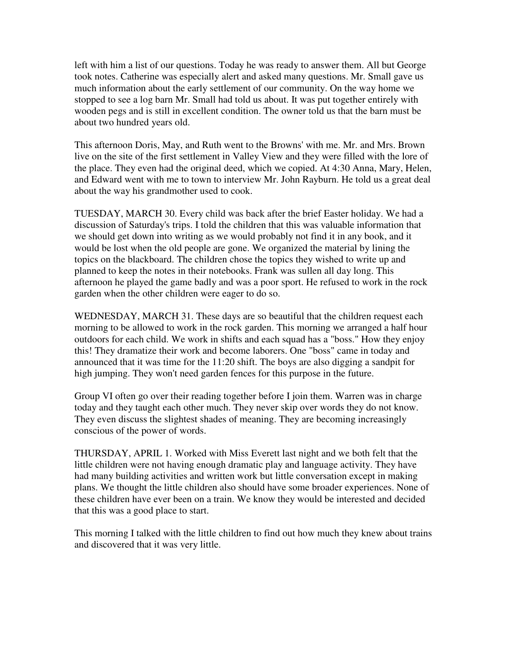left with him a list of our questions. Today he was ready to answer them. All but George took notes. Catherine was especially alert and asked many questions. Mr. Small gave us much information about the early settlement of our community. On the way home we stopped to see a log barn Mr. Small had told us about. It was put together entirely with wooden pegs and is still in excellent condition. The owner told us that the barn must be about two hundred years old.

This afternoon Doris, May, and Ruth went to the Browns' with me. Mr. and Mrs. Brown live on the site of the first settlement in Valley View and they were filled with the lore of the place. They even had the original deed, which we copied. At 4:30 Anna, Mary, Helen, and Edward went with me to town to interview Mr. John Rayburn. He told us a great deal about the way his grandmother used to cook.

TUESDAY, MARCH 30. Every child was back after the brief Easter holiday. We had a discussion of Saturday's trips. I told the children that this was valuable information that we should get down into writing as we would probably not find it in any book, and it would be lost when the old people are gone. We organized the material by lining the topics on the blackboard. The children chose the topics they wished to write up and planned to keep the notes in their notebooks. Frank was sullen all day long. This afternoon he played the game badly and was a poor sport. He refused to work in the rock garden when the other children were eager to do so.

WEDNESDAY, MARCH 31. These days are so beautiful that the children request each morning to be allowed to work in the rock garden. This morning we arranged a half hour outdoors for each child. We work in shifts and each squad has a "boss." How they enjoy this! They dramatize their work and become laborers. One "boss" came in today and announced that it was time for the 11:20 shift. The boys are also digging a sandpit for high jumping. They won't need garden fences for this purpose in the future.

Group VI often go over their reading together before I join them. Warren was in charge today and they taught each other much. They never skip over words they do not know. They even discuss the slightest shades of meaning. They are becoming increasingly conscious of the power of words.

THURSDAY, APRIL 1. Worked with Miss Everett last night and we both felt that the little children were not having enough dramatic play and language activity. They have had many building activities and written work but little conversation except in making plans. We thought the little children also should have some broader experiences. None of these children have ever been on a train. We know they would be interested and decided that this was a good place to start.

This morning I talked with the little children to find out how much they knew about trains and discovered that it was very little.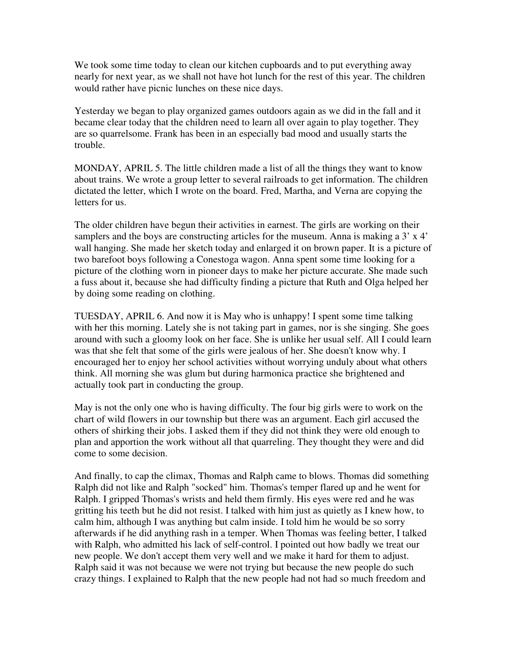We took some time today to clean our kitchen cupboards and to put everything away nearly for next year, as we shall not have hot lunch for the rest of this year. The children would rather have picnic lunches on these nice days.

Yesterday we began to play organized games outdoors again as we did in the fall and it became clear today that the children need to learn all over again to play together. They are so quarrelsome. Frank has been in an especially bad mood and usually starts the trouble.

MONDAY, APRIL 5. The little children made a list of all the things they want to know about trains. We wrote a group letter to several railroads to get information. The children dictated the letter, which I wrote on the board. Fred, Martha, and Verna are copying the letters for us.

The older children have begun their activities in earnest. The girls are working on their samplers and the boys are constructing articles for the museum. Anna is making a 3' x 4' wall hanging. She made her sketch today and enlarged it on brown paper. It is a picture of two barefoot boys following a Conestoga wagon. Anna spent some time looking for a picture of the clothing worn in pioneer days to make her picture accurate. She made such a fuss about it, because she had difficulty finding a picture that Ruth and Olga helped her by doing some reading on clothing.

TUESDAY, APRIL 6. And now it is May who is unhappy! I spent some time talking with her this morning. Lately she is not taking part in games, nor is she singing. She goes around with such a gloomy look on her face. She is unlike her usual self. All I could learn was that she felt that some of the girls were jealous of her. She doesn't know why. I encouraged her to enjoy her school activities without worrying unduly about what others think. All morning she was glum but during harmonica practice she brightened and actually took part in conducting the group.

May is not the only one who is having difficulty. The four big girls were to work on the chart of wild flowers in our township but there was an argument. Each girl accused the others of shirking their jobs. I asked them if they did not think they were old enough to plan and apportion the work without all that quarreling. They thought they were and did come to some decision.

And finally, to cap the climax, Thomas and Ralph came to blows. Thomas did something Ralph did not like and Ralph "socked" him. Thomas's temper flared up and he went for Ralph. I gripped Thomas's wrists and held them firmly. His eyes were red and he was gritting his teeth but he did not resist. I talked with him just as quietly as I knew how, to calm him, although I was anything but calm inside. I told him he would be so sorry afterwards if he did anything rash in a temper. When Thomas was feeling better, I talked with Ralph, who admitted his lack of self-control. I pointed out how badly we treat our new people. We don't accept them very well and we make it hard for them to adjust. Ralph said it was not because we were not trying but because the new people do such crazy things. I explained to Ralph that the new people had not had so much freedom and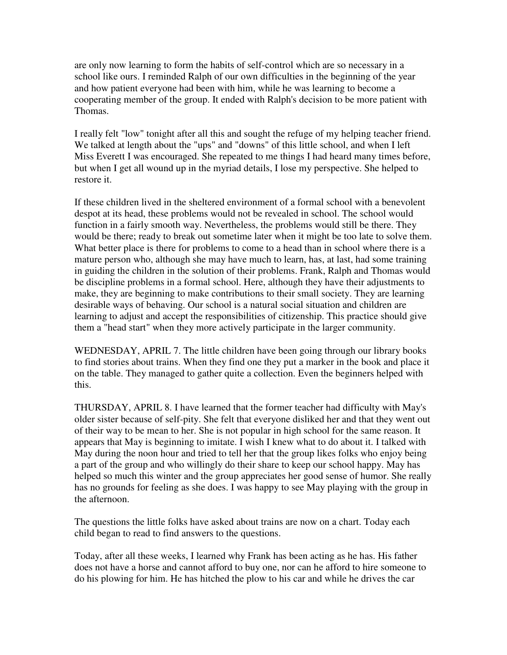are only now learning to form the habits of self-control which are so necessary in a school like ours. I reminded Ralph of our own difficulties in the beginning of the year and how patient everyone had been with him, while he was learning to become a cooperating member of the group. It ended with Ralph's decision to be more patient with Thomas.

I really felt "low" tonight after all this and sought the refuge of my helping teacher friend. We talked at length about the "ups" and "downs" of this little school, and when I left Miss Everett I was encouraged. She repeated to me things I had heard many times before, but when I get all wound up in the myriad details, I lose my perspective. She helped to restore it.

If these children lived in the sheltered environment of a formal school with a benevolent despot at its head, these problems would not be revealed in school. The school would function in a fairly smooth way. Nevertheless, the problems would still be there. They would be there; ready to break out sometime later when it might be too late to solve them. What better place is there for problems to come to a head than in school where there is a mature person who, although she may have much to learn, has, at last, had some training in guiding the children in the solution of their problems. Frank, Ralph and Thomas would be discipline problems in a formal school. Here, although they have their adjustments to make, they are beginning to make contributions to their small society. They are learning desirable ways of behaving. Our school is a natural social situation and children are learning to adjust and accept the responsibilities of citizenship. This practice should give them a "head start" when they more actively participate in the larger community.

WEDNESDAY, APRIL 7. The little children have been going through our library books to find stories about trains. When they find one they put a marker in the book and place it on the table. They managed to gather quite a collection. Even the beginners helped with this.

THURSDAY, APRIL 8. I have learned that the former teacher had difficulty with May's older sister because of self-pity. She felt that everyone disliked her and that they went out of their way to be mean to her. She is not popular in high school for the same reason. It appears that May is beginning to imitate. I wish I knew what to do about it. I talked with May during the noon hour and tried to tell her that the group likes folks who enjoy being a part of the group and who willingly do their share to keep our school happy. May has helped so much this winter and the group appreciates her good sense of humor. She really has no grounds for feeling as she does. I was happy to see May playing with the group in the afternoon.

The questions the little folks have asked about trains are now on a chart. Today each child began to read to find answers to the questions.

Today, after all these weeks, I learned why Frank has been acting as he has. His father does not have a horse and cannot afford to buy one, nor can he afford to hire someone to do his plowing for him. He has hitched the plow to his car and while he drives the car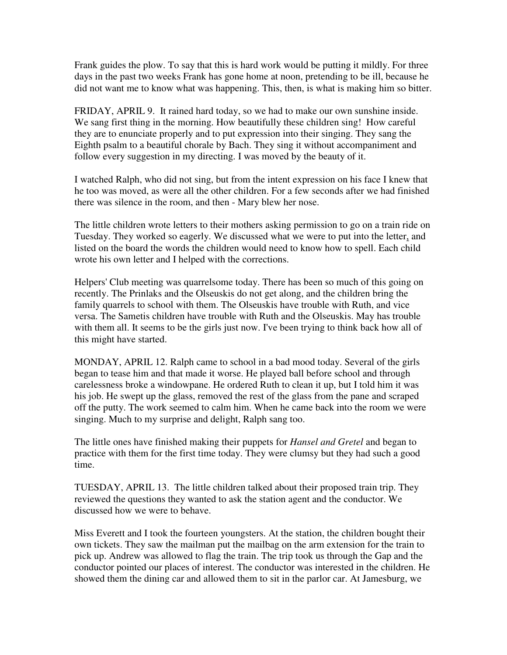Frank guides the plow. To say that this is hard work would be putting it mildly. For three days in the past two weeks Frank has gone home at noon, pretending to be ill, because he did not want me to know what was happening. This, then, is what is making him so bitter.

FRIDAY, APRIL 9. It rained hard today, so we had to make our own sunshine inside. We sang first thing in the morning. How beautifully these children sing! How careful they are to enunciate properly and to put expression into their singing. They sang the Eighth psalm to a beautiful chorale by Bach. They sing it without accompaniment and follow every suggestion in my directing. I was moved by the beauty of it.

I watched Ralph, who did not sing, but from the intent expression on his face I knew that he too was moved, as were all the other children. For a few seconds after we had finished there was silence in the room, and then - Mary blew her nose.

The little children wrote letters to their mothers asking permission to go on a train ride on Tuesday. They worked so eagerly. We discussed what we were to put into the letter, and listed on the board the words the children would need to know how to spell. Each child wrote his own letter and I helped with the corrections.

Helpers' Club meeting was quarrelsome today. There has been so much of this going on recently. The Prinlaks and the Olseuskis do not get along, and the children bring the family quarrels to school with them. The Olseuskis have trouble with Ruth, and vice versa. The Sametis children have trouble with Ruth and the Olseuskis. May has trouble with them all. It seems to be the girls just now. I've been trying to think back how all of this might have started.

MONDAY, APRIL 12. Ralph came to school in a bad mood today. Several of the girls began to tease him and that made it worse. He played ball before school and through carelessness broke a windowpane. He ordered Ruth to clean it up, but I told him it was his job. He swept up the glass, removed the rest of the glass from the pane and scraped off the putty. The work seemed to calm him. When he came back into the room we were singing. Much to my surprise and delight, Ralph sang too.

The little ones have finished making their puppets for *Hansel and Gretel* and began to practice with them for the first time today. They were clumsy but they had such a good time.

TUESDAY, APRIL 13. The little children talked about their proposed train trip. They reviewed the questions they wanted to ask the station agent and the conductor. We discussed how we were to behave.

Miss Everett and I took the fourteen youngsters. At the station, the children bought their own tickets. They saw the mailman put the mailbag on the arm extension for the train to pick up. Andrew was allowed to flag the train. The trip took us through the Gap and the conductor pointed our places of interest. The conductor was interested in the children. He showed them the dining car and allowed them to sit in the parlor car. At Jamesburg, we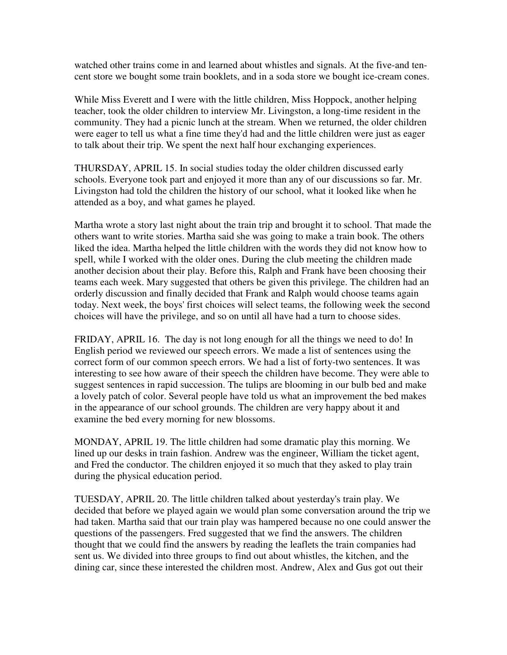watched other trains come in and learned about whistles and signals. At the five-and tencent store we bought some train booklets, and in a soda store we bought ice-cream cones.

While Miss Everett and I were with the little children, Miss Hoppock, another helping teacher, took the older children to interview Mr. Livingston, a long-time resident in the community. They had a picnic lunch at the stream. When we returned, the older children were eager to tell us what a fine time they'd had and the little children were just as eager to talk about their trip. We spent the next half hour exchanging experiences.

THURSDAY, APRIL 15. In social studies today the older children discussed early schools. Everyone took part and enjoyed it more than any of our discussions so far. Mr. Livingston had told the children the history of our school, what it looked like when he attended as a boy, and what games he played.

Martha wrote a story last night about the train trip and brought it to school. That made the others want to write stories. Martha said she was going to make a train book. The others liked the idea. Martha helped the little children with the words they did not know how to spell, while I worked with the older ones. During the club meeting the children made another decision about their play. Before this, Ralph and Frank have been choosing their teams each week. Mary suggested that others be given this privilege. The children had an orderly discussion and finally decided that Frank and Ralph would choose teams again today. Next week, the boys' first choices will select teams, the following week the second choices will have the privilege, and so on until all have had a turn to choose sides.

FRIDAY, APRIL 16. The day is not long enough for all the things we need to do! In English period we reviewed our speech errors. We made a list of sentences using the correct form of our common speech errors. We had a list of forty-two sentences. It was interesting to see how aware of their speech the children have become. They were able to suggest sentences in rapid succession. The tulips are blooming in our bulb bed and make a lovely patch of color. Several people have told us what an improvement the bed makes in the appearance of our school grounds. The children are very happy about it and examine the bed every morning for new blossoms.

MONDAY, APRIL 19. The little children had some dramatic play this morning. We lined up our desks in train fashion. Andrew was the engineer, William the ticket agent, and Fred the conductor. The children enjoyed it so much that they asked to play train during the physical education period.

TUESDAY, APRIL 20. The little children talked about yesterday's train play. We decided that before we played again we would plan some conversation around the trip we had taken. Martha said that our train play was hampered because no one could answer the questions of the passengers. Fred suggested that we find the answers. The children thought that we could find the answers by reading the leaflets the train companies had sent us. We divided into three groups to find out about whistles, the kitchen, and the dining car, since these interested the children most. Andrew, Alex and Gus got out their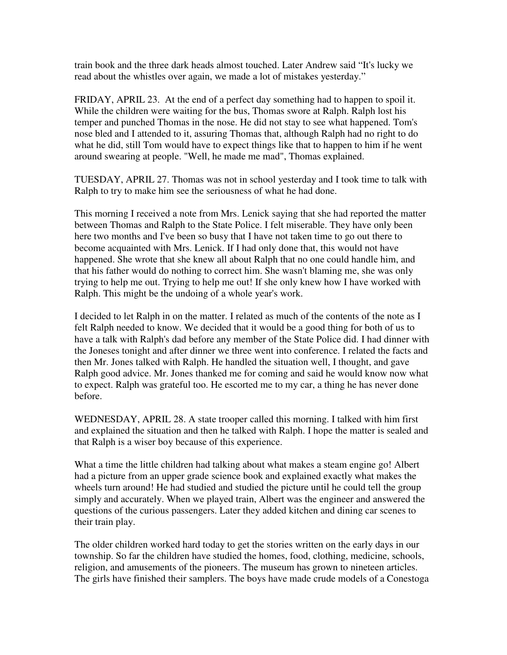train book and the three dark heads almost touched. Later Andrew said "It's lucky we read about the whistles over again, we made a lot of mistakes yesterday."

FRIDAY, APRIL 23. At the end of a perfect day something had to happen to spoil it. While the children were waiting for the bus, Thomas swore at Ralph. Ralph lost his temper and punched Thomas in the nose. He did not stay to see what happened. Tom's nose bled and I attended to it, assuring Thomas that, although Ralph had no right to do what he did, still Tom would have to expect things like that to happen to him if he went around swearing at people. "Well, he made me mad", Thomas explained.

TUESDAY, APRIL 27. Thomas was not in school yesterday and I took time to talk with Ralph to try to make him see the seriousness of what he had done.

This morning I received a note from Mrs. Lenick saying that she had reported the matter between Thomas and Ralph to the State Police. I felt miserable. They have only been here two months and I've been so busy that I have not taken time to go out there to become acquainted with Mrs. Lenick. If I had only done that, this would not have happened. She wrote that she knew all about Ralph that no one could handle him, and that his father would do nothing to correct him. She wasn't blaming me, she was only trying to help me out. Trying to help me out! If she only knew how I have worked with Ralph. This might be the undoing of a whole year's work.

I decided to let Ralph in on the matter. I related as much of the contents of the note as I felt Ralph needed to know. We decided that it would be a good thing for both of us to have a talk with Ralph's dad before any member of the State Police did. I had dinner with the Joneses tonight and after dinner we three went into conference. I related the facts and then Mr. Jones talked with Ralph. He handled the situation well, I thought, and gave Ralph good advice. Mr. Jones thanked me for coming and said he would know now what to expect. Ralph was grateful too. He escorted me to my car, a thing he has never done before.

WEDNESDAY, APRIL 28. A state trooper called this morning. I talked with him first and explained the situation and then he talked with Ralph. I hope the matter is sealed and that Ralph is a wiser boy because of this experience.

What a time the little children had talking about what makes a steam engine go! Albert had a picture from an upper grade science book and explained exactly what makes the wheels turn around! He had studied and studied the picture until he could tell the group simply and accurately. When we played train, Albert was the engineer and answered the questions of the curious passengers. Later they added kitchen and dining car scenes to their train play.

The older children worked hard today to get the stories written on the early days in our township. So far the children have studied the homes, food, clothing, medicine, schools, religion, and amusements of the pioneers. The museum has grown to nineteen articles. The girls have finished their samplers. The boys have made crude models of a Conestoga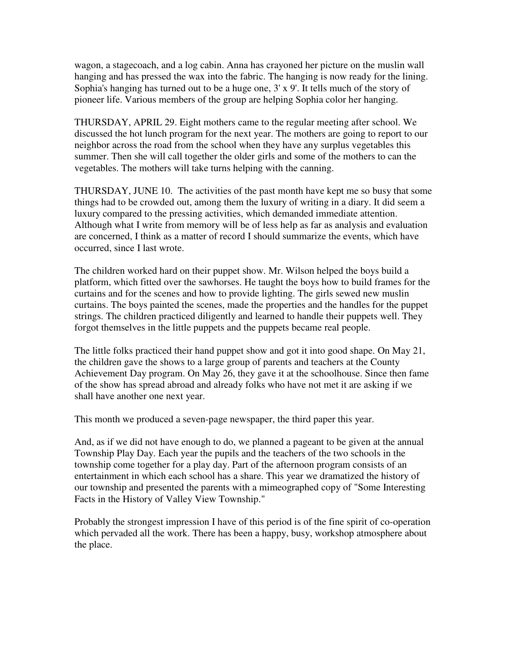wagon, a stagecoach, and a log cabin. Anna has crayoned her picture on the muslin wall hanging and has pressed the wax into the fabric. The hanging is now ready for the lining. Sophia's hanging has turned out to be a huge one, 3' x 9'. It tells much of the story of pioneer life. Various members of the group are helping Sophia color her hanging.

THURSDAY, APRIL 29. Eight mothers came to the regular meeting after school. We discussed the hot lunch program for the next year. The mothers are going to report to our neighbor across the road from the school when they have any surplus vegetables this summer. Then she will call together the older girls and some of the mothers to can the vegetables. The mothers will take turns helping with the canning.

THURSDAY, JUNE 10. The activities of the past month have kept me so busy that some things had to be crowded out, among them the luxury of writing in a diary. It did seem a luxury compared to the pressing activities, which demanded immediate attention. Although what I write from memory will be of less help as far as analysis and evaluation are concerned, I think as a matter of record I should summarize the events, which have occurred, since I last wrote.

The children worked hard on their puppet show. Mr. Wilson helped the boys build a platform, which fitted over the sawhorses. He taught the boys how to build frames for the curtains and for the scenes and how to provide lighting. The girls sewed new muslin curtains. The boys painted the scenes, made the properties and the handles for the puppet strings. The children practiced diligently and learned to handle their puppets well. They forgot themselves in the little puppets and the puppets became real people.

The little folks practiced their hand puppet show and got it into good shape. On May 21, the children gave the shows to a large group of parents and teachers at the County Achievement Day program. On May 26, they gave it at the schoolhouse. Since then fame of the show has spread abroad and already folks who have not met it are asking if we shall have another one next year.

This month we produced a seven-page newspaper, the third paper this year.

And, as if we did not have enough to do, we planned a pageant to be given at the annual Township Play Day. Each year the pupils and the teachers of the two schools in the township come together for a play day. Part of the afternoon program consists of an entertainment in which each school has a share. This year we dramatized the history of our township and presented the parents with a mimeographed copy of "Some Interesting Facts in the History of Valley View Township."

Probably the strongest impression I have of this period is of the fine spirit of co-operation which pervaded all the work. There has been a happy, busy, workshop atmosphere about the place.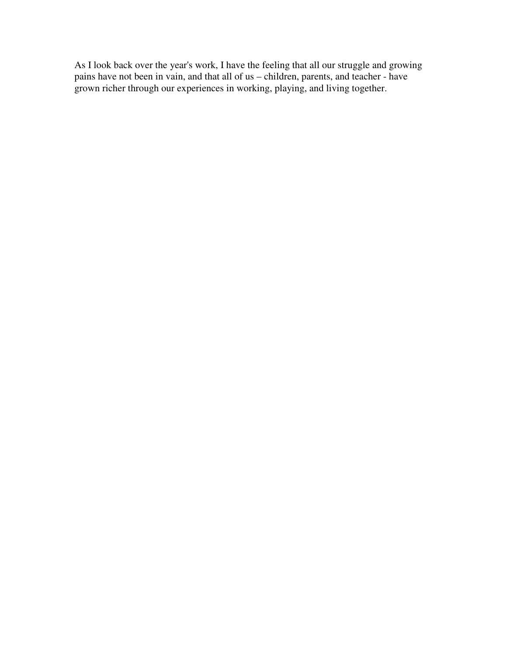As I look back over the year's work, I have the feeling that all our struggle and growing pains have not been in vain, and that all of us – children, parents, and teacher - have grown richer through our experiences in working, playing, and living together.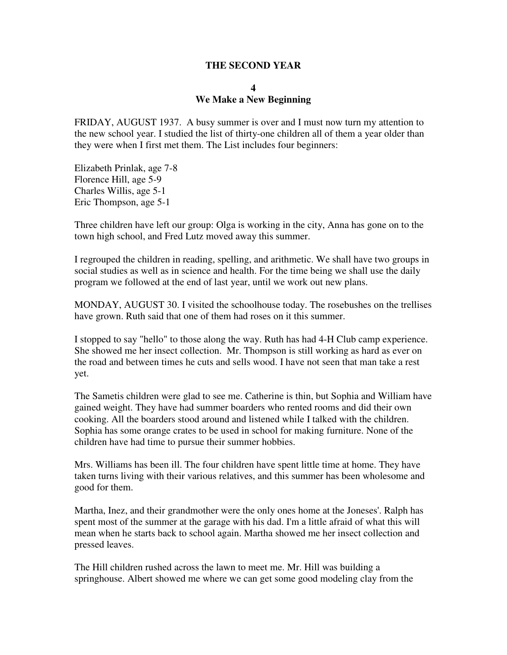## **THE SECOND YEAR**

### **4 We Make a New Beginning**

FRIDAY, AUGUST 1937. A busy summer is over and I must now turn my attention to the new school year. I studied the list of thirty-one children all of them a year older than they were when I first met them. The List includes four beginners:

Elizabeth Prinlak, age 7-8 Florence Hill, age 5-9 Charles Willis, age 5-1 Eric Thompson, age 5-1

Three children have left our group: Olga is working in the city, Anna has gone on to the town high school, and Fred Lutz moved away this summer.

I regrouped the children in reading, spelling, and arithmetic. We shall have two groups in social studies as well as in science and health. For the time being we shall use the daily program we followed at the end of last year, until we work out new plans.

MONDAY, AUGUST 30. I visited the schoolhouse today. The rosebushes on the trellises have grown. Ruth said that one of them had roses on it this summer.

I stopped to say "hello" to those along the way. Ruth has had 4-H Club camp experience. She showed me her insect collection. Mr. Thompson is still working as hard as ever on the road and between times he cuts and sells wood. I have not seen that man take a rest yet.

The Sametis children were glad to see me. Catherine is thin, but Sophia and William have gained weight. They have had summer boarders who rented rooms and did their own cooking. All the boarders stood around and listened while I talked with the children. Sophia has some orange crates to be used in school for making furniture. None of the children have had time to pursue their summer hobbies.

Mrs. Williams has been ill. The four children have spent little time at home. They have taken turns living with their various relatives, and this summer has been wholesome and good for them.

Martha, Inez, and their grandmother were the only ones home at the Joneses'. Ralph has spent most of the summer at the garage with his dad. I'm a little afraid of what this will mean when he starts back to school again. Martha showed me her insect collection and pressed leaves.

The Hill children rushed across the lawn to meet me. Mr. Hill was building a springhouse. Albert showed me where we can get some good modeling clay from the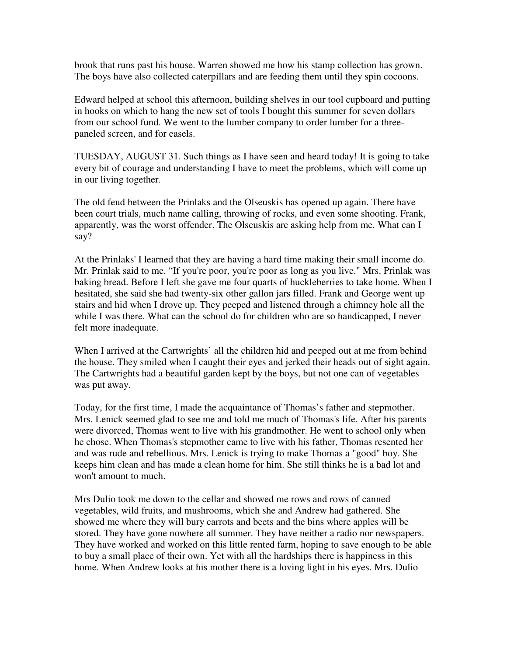brook that runs past his house. Warren showed me how his stamp collection has grown. The boys have also collected caterpillars and are feeding them until they spin cocoons.

Edward helped at school this afternoon, building shelves in our tool cupboard and putting in hooks on which to hang the new set of tools I bought this summer for seven dollars from our school fund. We went to the lumber company to order lumber for a threepaneled screen, and for easels.

TUESDAY, AUGUST 31. Such things as I have seen and heard today! It is going to take every bit of courage and understanding I have to meet the problems, which will come up in our living together.

The old feud between the Prinlaks and the Olseuskis has opened up again. There have been court trials, much name calling, throwing of rocks, and even some shooting. Frank, apparently, was the worst offender. The Olseuskis are asking help from me. What can I say?

At the Prinlaks' I learned that they are having a hard time making their small income do. Mr. Prinlak said to me. "If you're poor, you're poor as long as you live." Mrs. Prinlak was baking bread. Before I left she gave me four quarts of huckleberries to take home. When I hesitated, she said she had twenty-six other gallon jars filled. Frank and George went up stairs and hid when I drove up. They peeped and listened through a chimney hole all the while I was there. What can the school do for children who are so handicapped, I never felt more inadequate.

When I arrived at the Cartwrights' all the children hid and peeped out at me from behind the house. They smiled when I caught their eyes and jerked their heads out of sight again. The Cartwrights had a beautiful garden kept by the boys, but not one can of vegetables was put away.

Today, for the first time, I made the acquaintance of Thomas's father and stepmother. Mrs. Lenick seemed glad to see me and told me much of Thomas's life. After his parents were divorced, Thomas went to live with his grandmother. He went to school only when he chose. When Thomas's stepmother came to live with his father, Thomas resented her and was rude and rebellious. Mrs. Lenick is trying to make Thomas a "good" boy. She keeps him clean and has made a clean home for him. She still thinks he is a bad lot and won't amount to much.

Mrs Dulio took me down to the cellar and showed me rows and rows of canned vegetables, wild fruits, and mushrooms, which she and Andrew had gathered. She showed me where they will bury carrots and beets and the bins where apples will be stored. They have gone nowhere all summer. They have neither a radio nor newspapers. They have worked and worked on this little rented farm, hoping to save enough to be able to buy a small place of their own. Yet with all the hardships there is happiness in this home. When Andrew looks at his mother there is a loving light in his eyes. Mrs. Dulio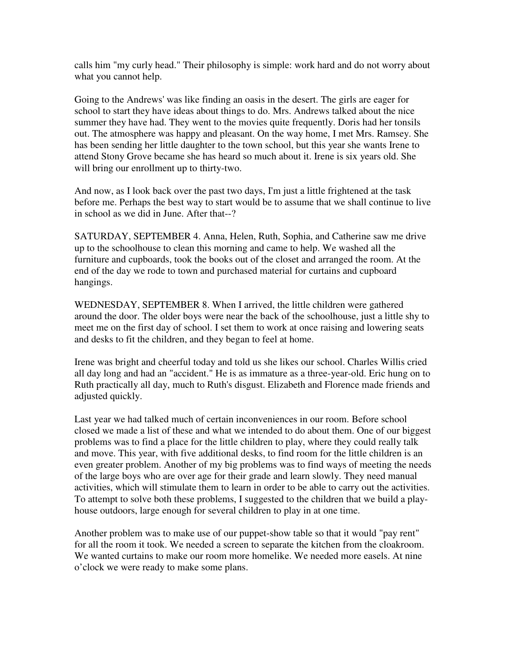calls him "my curly head." Their philosophy is simple: work hard and do not worry about what you cannot help.

Going to the Andrews' was like finding an oasis in the desert. The girls are eager for school to start they have ideas about things to do. Mrs. Andrews talked about the nice summer they have had. They went to the movies quite frequently. Doris had her tonsils out. The atmosphere was happy and pleasant. On the way home, I met Mrs. Ramsey. She has been sending her little daughter to the town school, but this year she wants Irene to attend Stony Grove became she has heard so much about it. Irene is six years old. She will bring our enrollment up to thirty-two.

And now, as I look back over the past two days, I'm just a little frightened at the task before me. Perhaps the best way to start would be to assume that we shall continue to live in school as we did in June. After that--?

SATURDAY, SEPTEMBER 4. Anna, Helen, Ruth, Sophia, and Catherine saw me drive up to the schoolhouse to clean this morning and came to help. We washed all the furniture and cupboards, took the books out of the closet and arranged the room. At the end of the day we rode to town and purchased material for curtains and cupboard hangings.

WEDNESDAY, SEPTEMBER 8. When I arrived, the little children were gathered around the door. The older boys were near the back of the schoolhouse, just a little shy to meet me on the first day of school. I set them to work at once raising and lowering seats and desks to fit the children, and they began to feel at home.

Irene was bright and cheerful today and told us she likes our school. Charles Willis cried all day long and had an "accident." He is as immature as a three-year-old. Eric hung on to Ruth practically all day, much to Ruth's disgust. Elizabeth and Florence made friends and adjusted quickly.

Last year we had talked much of certain inconveniences in our room. Before school closed we made a list of these and what we intended to do about them. One of our biggest problems was to find a place for the little children to play, where they could really talk and move. This year, with five additional desks, to find room for the little children is an even greater problem. Another of my big problems was to find ways of meeting the needs of the large boys who are over age for their grade and learn slowly. They need manual activities, which will stimulate them to learn in order to be able to carry out the activities. To attempt to solve both these problems, I suggested to the children that we build a playhouse outdoors, large enough for several children to play in at one time.

Another problem was to make use of our puppet-show table so that it would "pay rent" for all the room it took. We needed a screen to separate the kitchen from the cloakroom. We wanted curtains to make our room more homelike. We needed more easels. At nine o'clock we were ready to make some plans.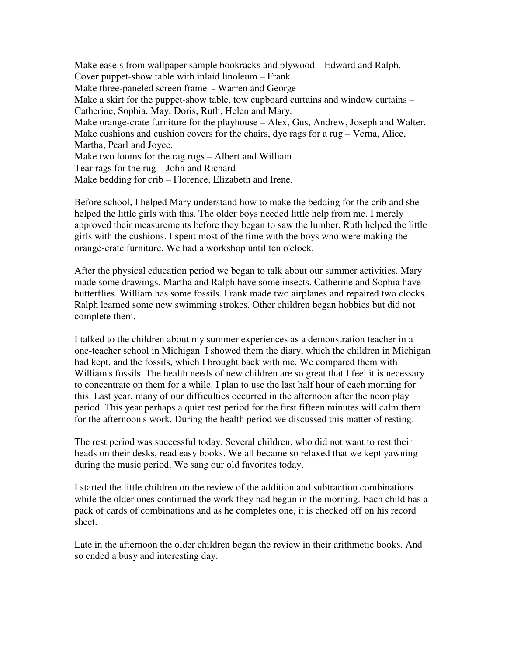Make easels from wallpaper sample bookracks and plywood – Edward and Ralph. Cover puppet-show table with inlaid linoleum – Frank Make three-paneled screen frame - Warren and George Make a skirt for the puppet-show table, tow cupboard curtains and window curtains – Catherine, Sophia, May, Doris, Ruth, Helen and Mary. Make orange-crate furniture for the playhouse – Alex, Gus, Andrew, Joseph and Walter. Make cushions and cushion covers for the chairs, dye rags for a rug – Verna, Alice, Martha, Pearl and Joyce. Make two looms for the rag rugs – Albert and William Tear rags for the rug – John and Richard Make bedding for crib – Florence, Elizabeth and Irene.

Before school, I helped Mary understand how to make the bedding for the crib and she helped the little girls with this. The older boys needed little help from me. I merely approved their measurements before they began to saw the lumber. Ruth helped the little girls with the cushions. I spent most of the time with the boys who were making the orange-crate furniture. We had a workshop until ten o'clock.

After the physical education period we began to talk about our summer activities. Mary made some drawings. Martha and Ralph have some insects. Catherine and Sophia have butterflies. William has some fossils. Frank made two airplanes and repaired two clocks. Ralph learned some new swimming strokes. Other children began hobbies but did not complete them.

I talked to the children about my summer experiences as a demonstration teacher in a one-teacher school in Michigan. I showed them the diary, which the children in Michigan had kept, and the fossils, which I brought back with me. We compared them with William's fossils. The health needs of new children are so great that I feel it is necessary to concentrate on them for a while. I plan to use the last half hour of each morning for this. Last year, many of our difficulties occurred in the afternoon after the noon play period. This year perhaps a quiet rest period for the first fifteen minutes will calm them for the afternoon's work. During the health period we discussed this matter of resting.

The rest period was successful today. Several children, who did not want to rest their heads on their desks, read easy books. We all became so relaxed that we kept yawning during the music period. We sang our old favorites today.

I started the little children on the review of the addition and subtraction combinations while the older ones continued the work they had begun in the morning. Each child has a pack of cards of combinations and as he completes one, it is checked off on his record sheet.

Late in the afternoon the older children began the review in their arithmetic books. And so ended a busy and interesting day.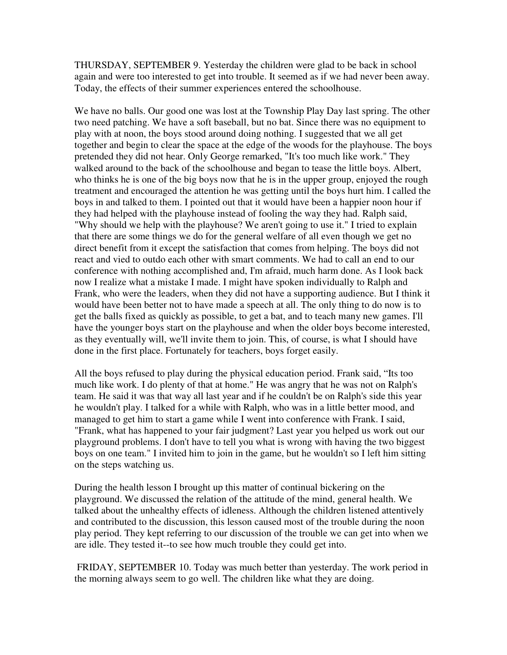THURSDAY, SEPTEMBER 9. Yesterday the children were glad to be back in school again and were too interested to get into trouble. It seemed as if we had never been away. Today, the effects of their summer experiences entered the schoolhouse.

We have no balls. Our good one was lost at the Township Play Day last spring. The other two need patching. We have a soft baseball, but no bat. Since there was no equipment to play with at noon, the boys stood around doing nothing. I suggested that we all get together and begin to clear the space at the edge of the woods for the playhouse. The boys pretended they did not hear. Only George remarked, "It's too much like work." They walked around to the back of the schoolhouse and began to tease the little boys. Albert, who thinks he is one of the big boys now that he is in the upper group, enjoyed the rough treatment and encouraged the attention he was getting until the boys hurt him. I called the boys in and talked to them. I pointed out that it would have been a happier noon hour if they had helped with the playhouse instead of fooling the way they had. Ralph said, "Why should we help with the playhouse? We aren't going to use it." I tried to explain that there are some things we do for the general welfare of all even though we get no direct benefit from it except the satisfaction that comes from helping. The boys did not react and vied to outdo each other with smart comments. We had to call an end to our conference with nothing accomplished and, I'm afraid, much harm done. As I look back now I realize what a mistake I made. I might have spoken individually to Ralph and Frank, who were the leaders, when they did not have a supporting audience. But I think it would have been better not to have made a speech at all. The only thing to do now is to get the balls fixed as quickly as possible, to get a bat, and to teach many new games. I'll have the younger boys start on the playhouse and when the older boys become interested, as they eventually will, we'll invite them to join. This, of course, is what I should have done in the first place. Fortunately for teachers, boys forget easily.

All the boys refused to play during the physical education period. Frank said, "Its too much like work. I do plenty of that at home." He was angry that he was not on Ralph's team. He said it was that way all last year and if he couldn't be on Ralph's side this year he wouldn't play. I talked for a while with Ralph, who was in a little better mood, and managed to get him to start a game while I went into conference with Frank. I said, "Frank, what has happened to your fair judgment? Last year you helped us work out our playground problems. I don't have to tell you what is wrong with having the two biggest boys on one team." I invited him to join in the game, but he wouldn't so I left him sitting on the steps watching us.

During the health lesson I brought up this matter of continual bickering on the playground. We discussed the relation of the attitude of the mind, general health. We talked about the unhealthy effects of idleness. Although the children listened attentively and contributed to the discussion, this lesson caused most of the trouble during the noon play period. They kept referring to our discussion of the trouble we can get into when we are idle. They tested it--to see how much trouble they could get into.

 FRIDAY, SEPTEMBER 10. Today was much better than yesterday. The work period in the morning always seem to go well. The children like what they are doing.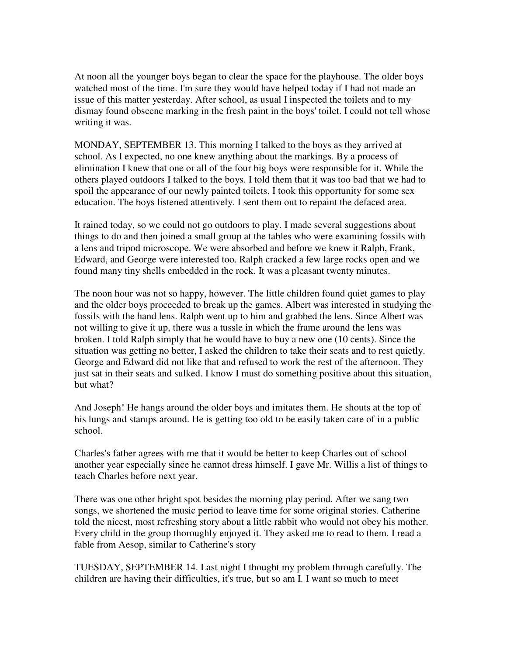At noon all the younger boys began to clear the space for the playhouse. The older boys watched most of the time. I'm sure they would have helped today if I had not made an issue of this matter yesterday. After school, as usual I inspected the toilets and to my dismay found obscene marking in the fresh paint in the boys' toilet. I could not tell whose writing it was.

MONDAY, SEPTEMBER 13. This morning I talked to the boys as they arrived at school. As I expected, no one knew anything about the markings. By a process of elimination I knew that one or all of the four big boys were responsible for it. While the others played outdoors I talked to the boys. I told them that it was too bad that we had to spoil the appearance of our newly painted toilets. I took this opportunity for some sex education. The boys listened attentively. I sent them out to repaint the defaced area.

It rained today, so we could not go outdoors to play. I made several suggestions about things to do and then joined a small group at the tables who were examining fossils with a lens and tripod microscope. We were absorbed and before we knew it Ralph, Frank, Edward, and George were interested too. Ralph cracked a few large rocks open and we found many tiny shells embedded in the rock. It was a pleasant twenty minutes.

The noon hour was not so happy, however. The little children found quiet games to play and the older boys proceeded to break up the games. Albert was interested in studying the fossils with the hand lens. Ralph went up to him and grabbed the lens. Since Albert was not willing to give it up, there was a tussle in which the frame around the lens was broken. I told Ralph simply that he would have to buy a new one (10 cents). Since the situation was getting no better, I asked the children to take their seats and to rest quietly. George and Edward did not like that and refused to work the rest of the afternoon. They just sat in their seats and sulked. I know I must do something positive about this situation, but what?

And Joseph! He hangs around the older boys and imitates them. He shouts at the top of his lungs and stamps around. He is getting too old to be easily taken care of in a public school.

Charles's father agrees with me that it would be better to keep Charles out of school another year especially since he cannot dress himself. I gave Mr. Willis a list of things to teach Charles before next year.

There was one other bright spot besides the morning play period. After we sang two songs, we shortened the music period to leave time for some original stories. Catherine told the nicest, most refreshing story about a little rabbit who would not obey his mother. Every child in the group thoroughly enjoyed it. They asked me to read to them. I read a fable from Aesop, similar to Catherine's story

TUESDAY, SEPTEMBER 14. Last night I thought my problem through carefully. The children are having their difficulties, it's true, but so am I. I want so much to meet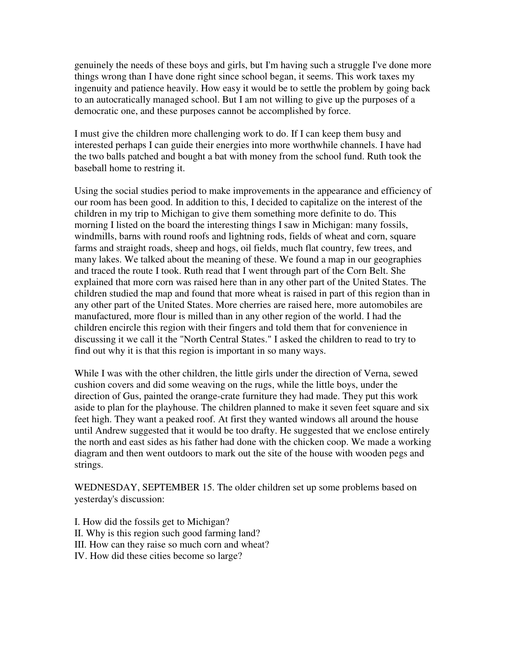genuinely the needs of these boys and girls, but I'm having such a struggle I've done more things wrong than I have done right since school began, it seems. This work taxes my ingenuity and patience heavily. How easy it would be to settle the problem by going back to an autocratically managed school. But I am not willing to give up the purposes of a democratic one, and these purposes cannot be accomplished by force.

I must give the children more challenging work to do. If I can keep them busy and interested perhaps I can guide their energies into more worthwhile channels. I have had the two balls patched and bought a bat with money from the school fund. Ruth took the baseball home to restring it.

Using the social studies period to make improvements in the appearance and efficiency of our room has been good. In addition to this, I decided to capitalize on the interest of the children in my trip to Michigan to give them something more definite to do. This morning I listed on the board the interesting things I saw in Michigan: many fossils, windmills, barns with round roofs and lightning rods, fields of wheat and corn, square farms and straight roads, sheep and hogs, oil fields, much flat country, few trees, and many lakes. We talked about the meaning of these. We found a map in our geographies and traced the route I took. Ruth read that I went through part of the Corn Belt. She explained that more corn was raised here than in any other part of the United States. The children studied the map and found that more wheat is raised in part of this region than in any other part of the United States. More cherries are raised here, more automobiles are manufactured, more flour is milled than in any other region of the world. I had the children encircle this region with their fingers and told them that for convenience in discussing it we call it the "North Central States." I asked the children to read to try to find out why it is that this region is important in so many ways.

While I was with the other children, the little girls under the direction of Verna, sewed cushion covers and did some weaving on the rugs, while the little boys, under the direction of Gus, painted the orange-crate furniture they had made. They put this work aside to plan for the playhouse. The children planned to make it seven feet square and six feet high. They want a peaked roof. At first they wanted windows all around the house until Andrew suggested that it would be too drafty. He suggested that we enclose entirely the north and east sides as his father had done with the chicken coop. We made a working diagram and then went outdoors to mark out the site of the house with wooden pegs and strings.

WEDNESDAY, SEPTEMBER 15. The older children set up some problems based on yesterday's discussion:

I. How did the fossils get to Michigan? II. Why is this region such good farming land? III. How can they raise so much corn and wheat? IV. How did these cities become so large?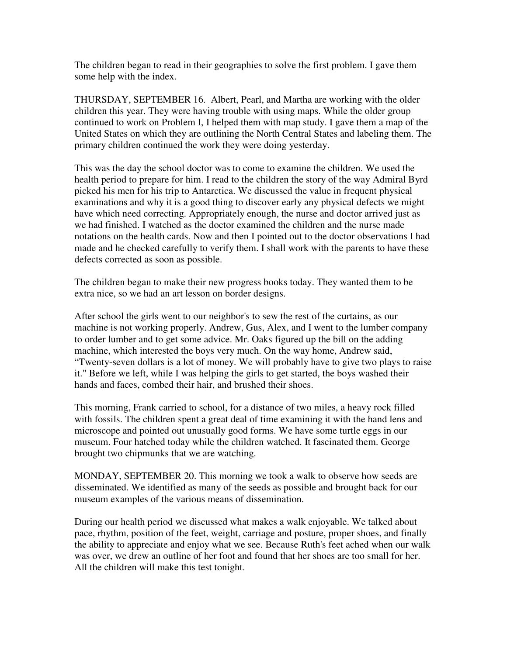The children began to read in their geographies to solve the first problem. I gave them some help with the index.

THURSDAY, SEPTEMBER 16. Albert, Pearl, and Martha are working with the older children this year. They were having trouble with using maps. While the older group continued to work on Problem I, I helped them with map study. I gave them a map of the United States on which they are outlining the North Central States and labeling them. The primary children continued the work they were doing yesterday.

This was the day the school doctor was to come to examine the children. We used the health period to prepare for him. I read to the children the story of the way Admiral Byrd picked his men for his trip to Antarctica. We discussed the value in frequent physical examinations and why it is a good thing to discover early any physical defects we might have which need correcting. Appropriately enough, the nurse and doctor arrived just as we had finished. I watched as the doctor examined the children and the nurse made notations on the health cards. Now and then I pointed out to the doctor observations I had made and he checked carefully to verify them. I shall work with the parents to have these defects corrected as soon as possible.

The children began to make their new progress books today. They wanted them to be extra nice, so we had an art lesson on border designs.

After school the girls went to our neighbor's to sew the rest of the curtains, as our machine is not working properly. Andrew, Gus, Alex, and I went to the lumber company to order lumber and to get some advice. Mr. Oaks figured up the bill on the adding machine, which interested the boys very much. On the way home, Andrew said, "Twenty-seven dollars is a lot of money. We will probably have to give two plays to raise it." Before we left, while I was helping the girls to get started, the boys washed their hands and faces, combed their hair, and brushed their shoes.

This morning, Frank carried to school, for a distance of two miles, a heavy rock filled with fossils. The children spent a great deal of time examining it with the hand lens and microscope and pointed out unusually good forms. We have some turtle eggs in our museum. Four hatched today while the children watched. It fascinated them. George brought two chipmunks that we are watching.

MONDAY, SEPTEMBER 20. This morning we took a walk to observe how seeds are disseminated. We identified as many of the seeds as possible and brought back for our museum examples of the various means of dissemination.

During our health period we discussed what makes a walk enjoyable. We talked about pace, rhythm, position of the feet, weight, carriage and posture, proper shoes, and finally the ability to appreciate and enjoy what we see. Because Ruth's feet ached when our walk was over, we drew an outline of her foot and found that her shoes are too small for her. All the children will make this test tonight.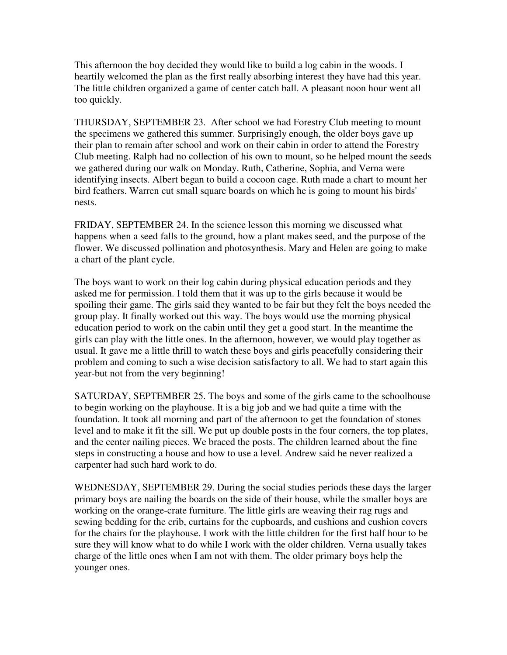This afternoon the boy decided they would like to build a log cabin in the woods. I heartily welcomed the plan as the first really absorbing interest they have had this year. The little children organized a game of center catch ball. A pleasant noon hour went all too quickly.

THURSDAY, SEPTEMBER 23. After school we had Forestry Club meeting to mount the specimens we gathered this summer. Surprisingly enough, the older boys gave up their plan to remain after school and work on their cabin in order to attend the Forestry Club meeting. Ralph had no collection of his own to mount, so he helped mount the seeds we gathered during our walk on Monday. Ruth, Catherine, Sophia, and Verna were identifying insects. Albert began to build a cocoon cage. Ruth made a chart to mount her bird feathers. Warren cut small square boards on which he is going to mount his birds' nests.

FRIDAY, SEPTEMBER 24. In the science lesson this morning we discussed what happens when a seed falls to the ground, how a plant makes seed, and the purpose of the flower. We discussed pollination and photosynthesis. Mary and Helen are going to make a chart of the plant cycle.

The boys want to work on their log cabin during physical education periods and they asked me for permission. I told them that it was up to the girls because it would be spoiling their game. The girls said they wanted to be fair but they felt the boys needed the group play. It finally worked out this way. The boys would use the morning physical education period to work on the cabin until they get a good start. In the meantime the girls can play with the little ones. In the afternoon, however, we would play together as usual. It gave me a little thrill to watch these boys and girls peacefully considering their problem and coming to such a wise decision satisfactory to all. We had to start again this year-but not from the very beginning!

SATURDAY, SEPTEMBER 25. The boys and some of the girls came to the schoolhouse to begin working on the playhouse. It is a big job and we had quite a time with the foundation. It took all morning and part of the afternoon to get the foundation of stones level and to make it fit the sill. We put up double posts in the four corners, the top plates, and the center nailing pieces. We braced the posts. The children learned about the fine steps in constructing a house and how to use a level. Andrew said he never realized a carpenter had such hard work to do.

WEDNESDAY, SEPTEMBER 29. During the social studies periods these days the larger primary boys are nailing the boards on the side of their house, while the smaller boys are working on the orange-crate furniture. The little girls are weaving their rag rugs and sewing bedding for the crib, curtains for the cupboards, and cushions and cushion covers for the chairs for the playhouse. I work with the little children for the first half hour to be sure they will know what to do while I work with the older children. Verna usually takes charge of the little ones when I am not with them. The older primary boys help the younger ones.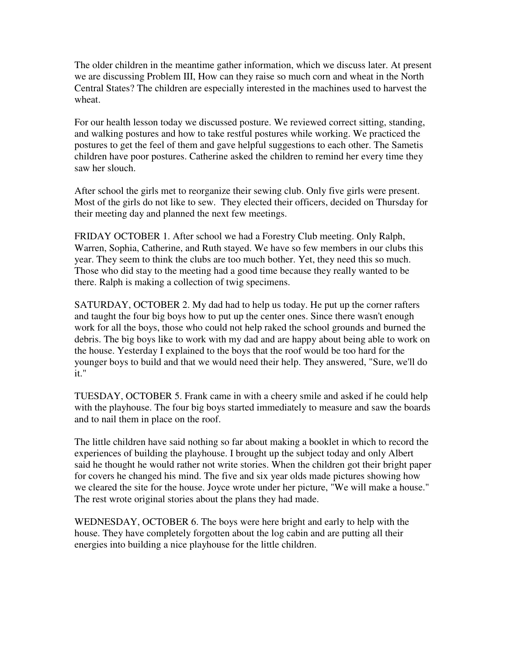The older children in the meantime gather information, which we discuss later. At present we are discussing Problem III, How can they raise so much corn and wheat in the North Central States? The children are especially interested in the machines used to harvest the wheat.

For our health lesson today we discussed posture. We reviewed correct sitting, standing, and walking postures and how to take restful postures while working. We practiced the postures to get the feel of them and gave helpful suggestions to each other. The Sametis children have poor postures. Catherine asked the children to remind her every time they saw her slouch.

After school the girls met to reorganize their sewing club. Only five girls were present. Most of the girls do not like to sew. They elected their officers, decided on Thursday for their meeting day and planned the next few meetings.

FRIDAY OCTOBER 1. After school we had a Forestry Club meeting. Only Ralph, Warren, Sophia, Catherine, and Ruth stayed. We have so few members in our clubs this year. They seem to think the clubs are too much bother. Yet, they need this so much. Those who did stay to the meeting had a good time because they really wanted to be there. Ralph is making a collection of twig specimens.

SATURDAY, OCTOBER 2. My dad had to help us today. He put up the corner rafters and taught the four big boys how to put up the center ones. Since there wasn't enough work for all the boys, those who could not help raked the school grounds and burned the debris. The big boys like to work with my dad and are happy about being able to work on the house. Yesterday I explained to the boys that the roof would be too hard for the younger boys to build and that we would need their help. They answered, "Sure, we'll do it."

TUESDAY, OCTOBER 5. Frank came in with a cheery smile and asked if he could help with the playhouse. The four big boys started immediately to measure and saw the boards and to nail them in place on the roof.

The little children have said nothing so far about making a booklet in which to record the experiences of building the playhouse. I brought up the subject today and only Albert said he thought he would rather not write stories. When the children got their bright paper for covers he changed his mind. The five and six year olds made pictures showing how we cleared the site for the house. Joyce wrote under her picture, "We will make a house." The rest wrote original stories about the plans they had made.

WEDNESDAY, OCTOBER 6. The boys were here bright and early to help with the house. They have completely forgotten about the log cabin and are putting all their energies into building a nice playhouse for the little children.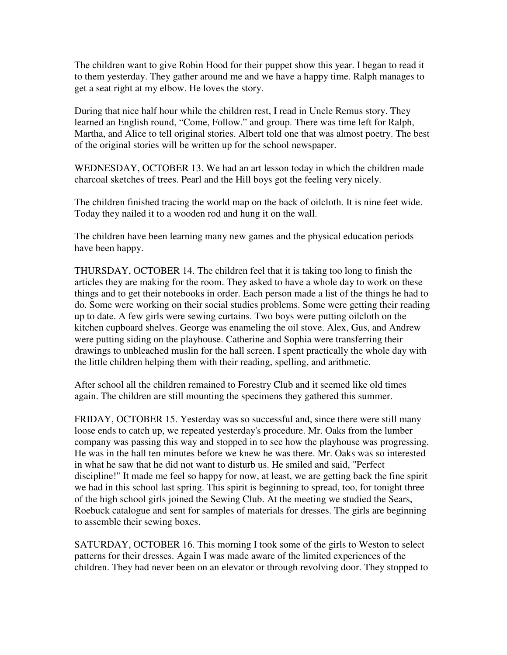The children want to give Robin Hood for their puppet show this year. I began to read it to them yesterday. They gather around me and we have a happy time. Ralph manages to get a seat right at my elbow. He loves the story.

During that nice half hour while the children rest, I read in Uncle Remus story. They learned an English round, "Come, Follow." and group. There was time left for Ralph, Martha, and Alice to tell original stories. Albert told one that was almost poetry. The best of the original stories will be written up for the school newspaper.

WEDNESDAY, OCTOBER 13. We had an art lesson today in which the children made charcoal sketches of trees. Pearl and the Hill boys got the feeling very nicely.

The children finished tracing the world map on the back of oilcloth. It is nine feet wide. Today they nailed it to a wooden rod and hung it on the wall.

The children have been learning many new games and the physical education periods have been happy.

THURSDAY, OCTOBER 14. The children feel that it is taking too long to finish the articles they are making for the room. They asked to have a whole day to work on these things and to get their notebooks in order. Each person made a list of the things he had to do. Some were working on their social studies problems. Some were getting their reading up to date. A few girls were sewing curtains. Two boys were putting oilcloth on the kitchen cupboard shelves. George was enameling the oil stove. Alex, Gus, and Andrew were putting siding on the playhouse. Catherine and Sophia were transferring their drawings to unbleached muslin for the hall screen. I spent practically the whole day with the little children helping them with their reading, spelling, and arithmetic.

After school all the children remained to Forestry Club and it seemed like old times again. The children are still mounting the specimens they gathered this summer.

FRIDAY, OCTOBER 15. Yesterday was so successful and, since there were still many loose ends to catch up, we repeated yesterday's procedure. Mr. Oaks from the lumber company was passing this way and stopped in to see how the playhouse was progressing. He was in the hall ten minutes before we knew he was there. Mr. Oaks was so interested in what he saw that he did not want to disturb us. He smiled and said, "Perfect discipline!" It made me feel so happy for now, at least, we are getting back the fine spirit we had in this school last spring. This spirit is beginning to spread, too, for tonight three of the high school girls joined the Sewing Club. At the meeting we studied the Sears, Roebuck catalogue and sent for samples of materials for dresses. The girls are beginning to assemble their sewing boxes.

SATURDAY, OCTOBER 16. This morning I took some of the girls to Weston to select patterns for their dresses. Again I was made aware of the limited experiences of the children. They had never been on an elevator or through revolving door. They stopped to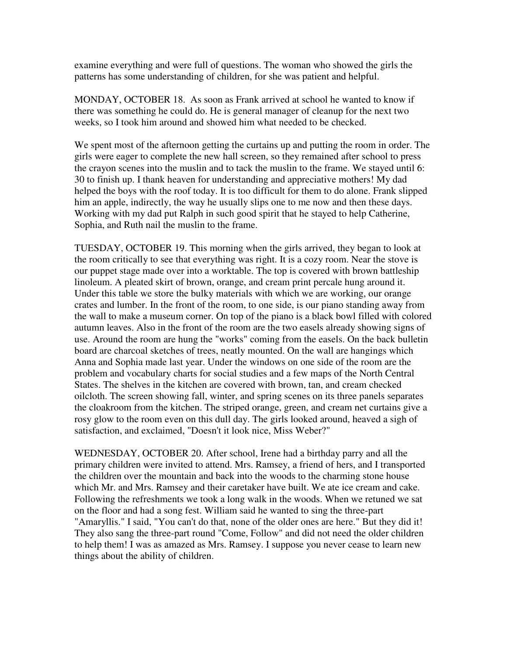examine everything and were full of questions. The woman who showed the girls the patterns has some understanding of children, for she was patient and helpful.

MONDAY, OCTOBER 18. As soon as Frank arrived at school he wanted to know if there was something he could do. He is general manager of cleanup for the next two weeks, so I took him around and showed him what needed to be checked.

We spent most of the afternoon getting the curtains up and putting the room in order. The girls were eager to complete the new hall screen, so they remained after school to press the crayon scenes into the muslin and to tack the muslin to the frame. We stayed until 6: 30 to finish up. I thank heaven for understanding and appreciative mothers! My dad helped the boys with the roof today. It is too difficult for them to do alone. Frank slipped him an apple, indirectly, the way he usually slips one to me now and then these days. Working with my dad put Ralph in such good spirit that he stayed to help Catherine, Sophia, and Ruth nail the muslin to the frame.

TUESDAY, OCTOBER 19. This morning when the girls arrived, they began to look at the room critically to see that everything was right. It is a cozy room. Near the stove is our puppet stage made over into a worktable. The top is covered with brown battleship linoleum. A pleated skirt of brown, orange, and cream print percale hung around it. Under this table we store the bulky materials with which we are working, our orange crates and lumber. In the front of the room, to one side, is our piano standing away from the wall to make a museum corner. On top of the piano is a black bowl filled with colored autumn leaves. Also in the front of the room are the two easels already showing signs of use. Around the room are hung the "works" coming from the easels. On the back bulletin board are charcoal sketches of trees, neatly mounted. On the wall are hangings which Anna and Sophia made last year. Under the windows on one side of the room are the problem and vocabulary charts for social studies and a few maps of the North Central States. The shelves in the kitchen are covered with brown, tan, and cream checked oilcloth. The screen showing fall, winter, and spring scenes on its three panels separates the cloakroom from the kitchen. The striped orange, green, and cream net curtains give a rosy glow to the room even on this dull day. The girls looked around, heaved a sigh of satisfaction, and exclaimed, "Doesn't it look nice, Miss Weber?"

WEDNESDAY, OCTOBER 20. After school, Irene had a birthday parry and all the primary children were invited to attend. Mrs. Ramsey, a friend of hers, and I transported the children over the mountain and back into the woods to the charming stone house which Mr. and Mrs. Ramsey and their caretaker have built. We ate ice cream and cake. Following the refreshments we took a long walk in the woods. When we retuned we sat on the floor and had a song fest. William said he wanted to sing the three-part "Amaryllis." I said, "You can't do that, none of the older ones are here." But they did it! They also sang the three-part round "Come, Follow" and did not need the older children to help them! I was as amazed as Mrs. Ramsey. I suppose you never cease to learn new things about the ability of children.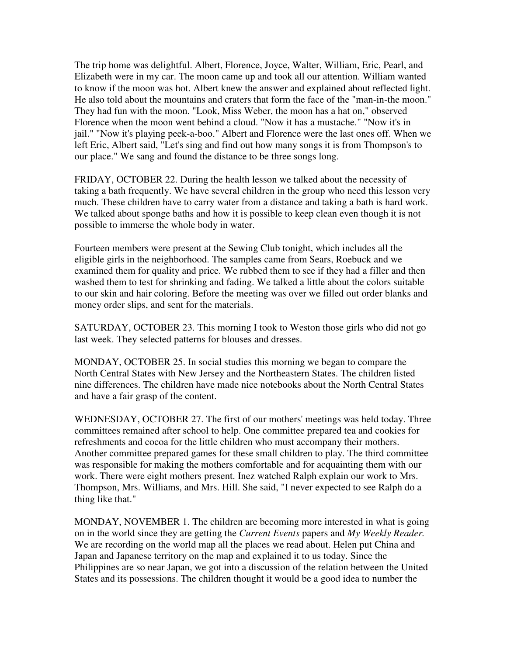The trip home was delightful. Albert, Florence, Joyce, Walter, William, Eric, Pearl, and Elizabeth were in my car. The moon came up and took all our attention. William wanted to know if the moon was hot. Albert knew the answer and explained about reflected light. He also told about the mountains and craters that form the face of the "man-in-the moon." They had fun with the moon. "Look, Miss Weber, the moon has a hat on," observed Florence when the moon went behind a cloud. "Now it has a mustache." "Now it's in jail." "Now it's playing peek-a-boo." Albert and Florence were the last ones off. When we left Eric, Albert said, "Let's sing and find out how many songs it is from Thompson's to our place." We sang and found the distance to be three songs long.

FRIDAY, OCTOBER 22. During the health lesson we talked about the necessity of taking a bath frequently. We have several children in the group who need this lesson very much. These children have to carry water from a distance and taking a bath is hard work. We talked about sponge baths and how it is possible to keep clean even though it is not possible to immerse the whole body in water.

Fourteen members were present at the Sewing Club tonight, which includes all the eligible girls in the neighborhood. The samples came from Sears, Roebuck and we examined them for quality and price. We rubbed them to see if they had a filler and then washed them to test for shrinking and fading. We talked a little about the colors suitable to our skin and hair coloring. Before the meeting was over we filled out order blanks and money order slips, and sent for the materials.

SATURDAY, OCTOBER 23. This morning I took to Weston those girls who did not go last week. They selected patterns for blouses and dresses.

MONDAY, OCTOBER 25. In social studies this morning we began to compare the North Central States with New Jersey and the Northeastern States. The children listed nine differences. The children have made nice notebooks about the North Central States and have a fair grasp of the content.

WEDNESDAY, OCTOBER 27. The first of our mothers' meetings was held today. Three committees remained after school to help. One committee prepared tea and cookies for refreshments and cocoa for the little children who must accompany their mothers. Another committee prepared games for these small children to play. The third committee was responsible for making the mothers comfortable and for acquainting them with our work. There were eight mothers present. Inez watched Ralph explain our work to Mrs. Thompson, Mrs. Williams, and Mrs. Hill. She said, "I never expected to see Ralph do a thing like that."

MONDAY, NOVEMBER 1. The children are becoming more interested in what is going on in the world since they are getting the *Current Events* papers and *My Weekly Reader.*  We are recording on the world map all the places we read about. Helen put China and Japan and Japanese territory on the map and explained it to us today. Since the Philippines are so near Japan, we got into a discussion of the relation between the United States and its possessions. The children thought it would be a good idea to number the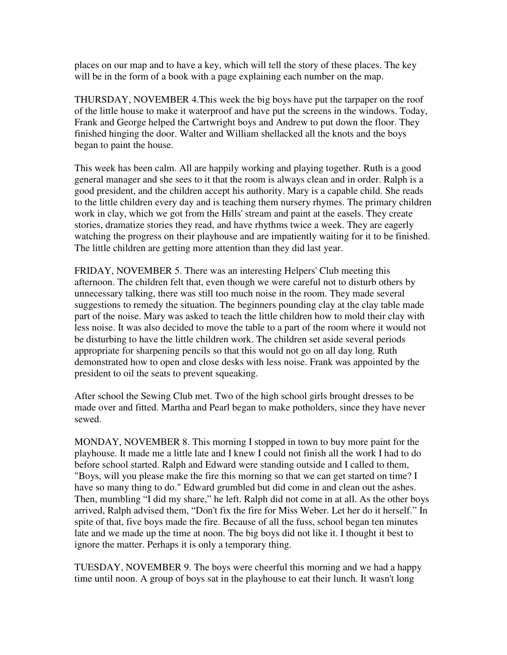places on our map and to have a key, which will tell the story of these places. The key will be in the form of a book with a page explaining each number on the map.

THURSDAY, NOVEMBER 4.This week the big boys have put the tarpaper on the roof of the little house to make it waterproof and have put the screens in the windows. Today, Frank and George helped the Cartwright boys and Andrew to put down the floor. They finished hinging the door. Walter and William shellacked all the knots and the boys began to paint the house.

This week has been calm. All are happily working and playing together. Ruth is a good general manager and she sees to it that the room is always clean and in order. Ralph is a good president, and the children accept his authority. Mary is a capable child. She reads to the little children every day and is teaching them nursery rhymes. The primary children work in clay, which we got from the Hills' stream and paint at the easels. They create stories, dramatize stories they read, and have rhythms twice a week. They are eagerly watching the progress on their playhouse and are impatiently waiting for it to be finished. The little children are getting more attention than they did last year.

FRIDAY, NOVEMBER 5. There was an interesting Helpers' Club meeting this afternoon. The children felt that, even though we were careful not to disturb others by unnecessary talking, there was still too much noise in the room. They made several suggestions to remedy the situation. The beginners pounding clay at the clay table made part of the noise. Mary was asked to teach the little children how to mold their clay with less noise. It was also decided to move the table to a part of the room where it would not be disturbing to have the little children work. The children set aside several periods appropriate for sharpening pencils so that this would not go on all day long. Ruth demonstrated how to open and close desks with less noise. Frank was appointed by the president to oil the seats to prevent squeaking.

After school the Sewing Club met. Two of the high school girls brought dresses to be made over and fitted. Martha and Pearl began to make potholders, since they have never sewed.

MONDAY, NOVEMBER 8. This morning I stopped in town to buy more paint for the playhouse. It made me a little late and I knew I could not finish all the work I had to do before school started. Ralph and Edward were standing outside and I called to them, "Boys, will you please make the fire this morning so that we can get started on time? I have so many thing to do." Edward grumbled but did come in and clean out the ashes. Then, mumbling "I did my share," he left. Ralph did not come in at all. As the other boys arrived, Ralph advised them, "Don't fix the fire for Miss Weber. Let her do it herself." In spite of that, five boys made the fire. Because of all the fuss, school began ten minutes late and we made up the time at noon. The big boys did not like it. I thought it best to ignore the matter. Perhaps it is only a temporary thing.

TUESDAY, NOVEMBER 9. The boys were cheerful this morning and we had a happy time until noon. A group of boys sat in the playhouse to eat their lunch. It wasn't long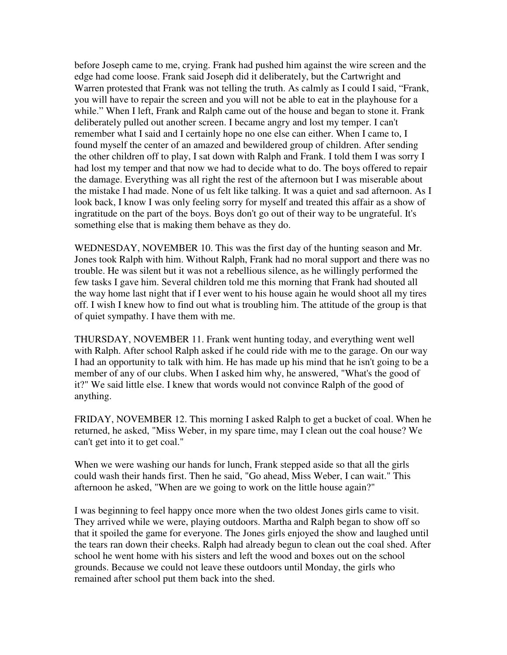before Joseph came to me, crying. Frank had pushed him against the wire screen and the edge had come loose. Frank said Joseph did it deliberately, but the Cartwright and Warren protested that Frank was not telling the truth. As calmly as I could I said, "Frank, you will have to repair the screen and you will not be able to eat in the playhouse for a while." When I left, Frank and Ralph came out of the house and began to stone it. Frank deliberately pulled out another screen. I became angry and lost my temper. I can't remember what I said and I certainly hope no one else can either. When I came to, I found myself the center of an amazed and bewildered group of children. After sending the other children off to play, I sat down with Ralph and Frank. I told them I was sorry I had lost my temper and that now we had to decide what to do. The boys offered to repair the damage. Everything was all right the rest of the afternoon but I was miserable about the mistake I had made. None of us felt like talking. It was a quiet and sad afternoon. As I look back, I know I was only feeling sorry for myself and treated this affair as a show of ingratitude on the part of the boys. Boys don't go out of their way to be ungrateful. It's something else that is making them behave as they do.

WEDNESDAY, NOVEMBER 10. This was the first day of the hunting season and Mr. Jones took Ralph with him. Without Ralph, Frank had no moral support and there was no trouble. He was silent but it was not a rebellious silence, as he willingly performed the few tasks I gave him. Several children told me this morning that Frank had shouted all the way home last night that if I ever went to his house again he would shoot all my tires off. I wish I knew how to find out what is troubling him. The attitude of the group is that of quiet sympathy. I have them with me.

THURSDAY, NOVEMBER 11. Frank went hunting today, and everything went well with Ralph. After school Ralph asked if he could ride with me to the garage. On our way I had an opportunity to talk with him. He has made up his mind that he isn't going to be a member of any of our clubs. When I asked him why, he answered, "What's the good of it?" We said little else. I knew that words would not convince Ralph of the good of anything.

FRIDAY, NOVEMBER 12. This morning I asked Ralph to get a bucket of coal. When he returned, he asked, "Miss Weber, in my spare time, may I clean out the coal house? We can't get into it to get coal."

When we were washing our hands for lunch, Frank stepped aside so that all the girls could wash their hands first. Then he said, "Go ahead, Miss Weber, I can wait." This afternoon he asked, "When are we going to work on the little house again?"

I was beginning to feel happy once more when the two oldest Jones girls came to visit. They arrived while we were, playing outdoors. Martha and Ralph began to show off so that it spoiled the game for everyone. The Jones girls enjoyed the show and laughed until the tears ran down their cheeks. Ralph had already begun to clean out the coal shed. After school he went home with his sisters and left the wood and boxes out on the school grounds. Because we could not leave these outdoors until Monday, the girls who remained after school put them back into the shed.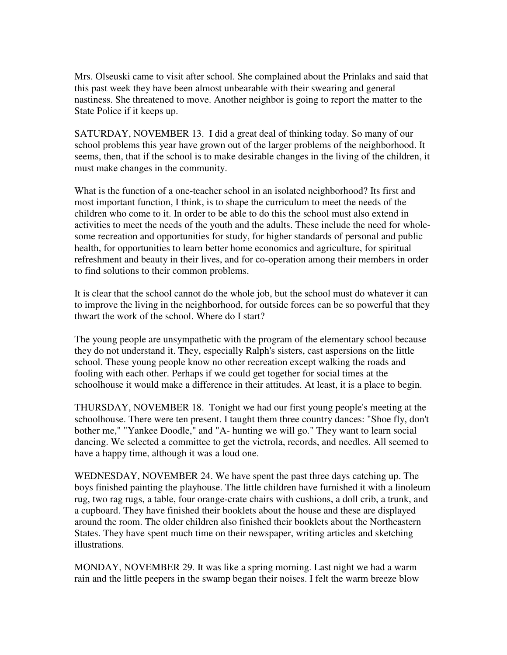Mrs. Olseuski came to visit after school. She complained about the Prinlaks and said that this past week they have been almost unbearable with their swearing and general nastiness. She threatened to move. Another neighbor is going to report the matter to the State Police if it keeps up.

SATURDAY, NOVEMBER 13. I did a great deal of thinking today. So many of our school problems this year have grown out of the larger problems of the neighborhood. It seems, then, that if the school is to make desirable changes in the living of the children, it must make changes in the community.

What is the function of a one-teacher school in an isolated neighborhood? Its first and most important function, I think, is to shape the curriculum to meet the needs of the children who come to it. In order to be able to do this the school must also extend in activities to meet the needs of the youth and the adults. These include the need for wholesome recreation and opportunities for study, for higher standards of personal and public health, for opportunities to learn better home economics and agriculture, for spiritual refreshment and beauty in their lives, and for co-operation among their members in order to find solutions to their common problems.

It is clear that the school cannot do the whole job, but the school must do whatever it can to improve the living in the neighborhood, for outside forces can be so powerful that they thwart the work of the school. Where do I start?

The young people are unsympathetic with the program of the elementary school because they do not understand it. They, especially Ralph's sisters, cast aspersions on the little school. These young people know no other recreation except walking the roads and fooling with each other. Perhaps if we could get together for social times at the schoolhouse it would make a difference in their attitudes. At least, it is a place to begin.

THURSDAY, NOVEMBER 18. Tonight we had our first young people's meeting at the schoolhouse. There were ten present. I taught them three country dances: "Shoe fly, don't bother me," "Yankee Doodle," and "A- hunting we will go." They want to learn social dancing. We selected a committee to get the victrola, records, and needles. All seemed to have a happy time, although it was a loud one.

WEDNESDAY, NOVEMBER 24. We have spent the past three days catching up. The boys finished painting the playhouse. The little children have furnished it with a linoleum rug, two rag rugs, a table, four orange-crate chairs with cushions, a doll crib, a trunk, and a cupboard. They have finished their booklets about the house and these are displayed around the room. The older children also finished their booklets about the Northeastern States. They have spent much time on their newspaper, writing articles and sketching illustrations.

MONDAY, NOVEMBER 29. It was like a spring morning. Last night we had a warm rain and the little peepers in the swamp began their noises. I felt the warm breeze blow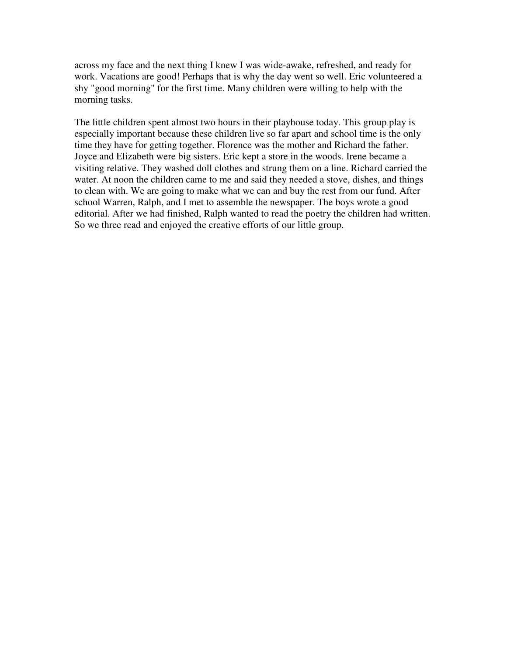across my face and the next thing I knew I was wide-awake, refreshed, and ready for work. Vacations are good! Perhaps that is why the day went so well. Eric volunteered a shy "good morning" for the first time. Many children were willing to help with the morning tasks.

The little children spent almost two hours in their playhouse today. This group play is especially important because these children live so far apart and school time is the only time they have for getting together. Florence was the mother and Richard the father. Joyce and Elizabeth were big sisters. Eric kept a store in the woods. Irene became a visiting relative. They washed doll clothes and strung them on a line. Richard carried the water. At noon the children came to me and said they needed a stove, dishes, and things to clean with. We are going to make what we can and buy the rest from our fund. After school Warren, Ralph, and I met to assemble the newspaper. The boys wrote a good editorial. After we had finished, Ralph wanted to read the poetry the children had written. So we three read and enjoyed the creative efforts of our little group.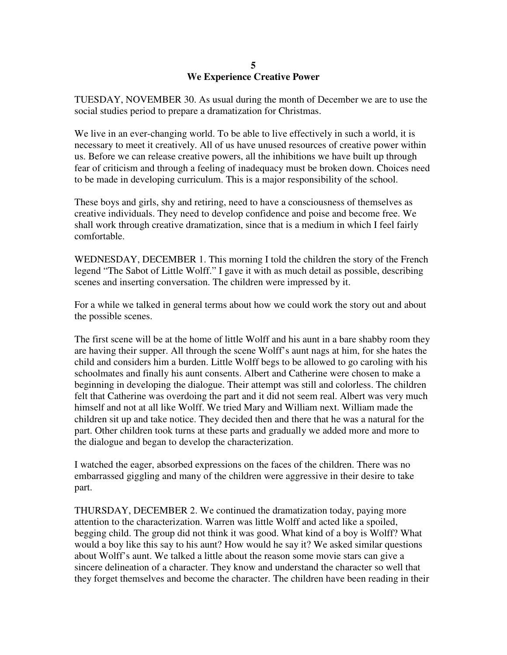## **5 We Experience Creative Power**

TUESDAY, NOVEMBER 30. As usual during the month of December we are to use the social studies period to prepare a dramatization for Christmas.

We live in an ever-changing world. To be able to live effectively in such a world, it is necessary to meet it creatively. All of us have unused resources of creative power within us. Before we can release creative powers, all the inhibitions we have built up through fear of criticism and through a feeling of inadequacy must be broken down. Choices need to be made in developing curriculum. This is a major responsibility of the school.

These boys and girls, shy and retiring, need to have a consciousness of themselves as creative individuals. They need to develop confidence and poise and become free. We shall work through creative dramatization, since that is a medium in which I feel fairly comfortable.

WEDNESDAY, DECEMBER 1. This morning I told the children the story of the French legend "The Sabot of Little Wolff." I gave it with as much detail as possible, describing scenes and inserting conversation. The children were impressed by it.

For a while we talked in general terms about how we could work the story out and about the possible scenes.

The first scene will be at the home of little Wolff and his aunt in a bare shabby room they are having their supper. All through the scene Wolff's aunt nags at him, for she hates the child and considers him a burden. Little Wolff begs to be allowed to go caroling with his schoolmates and finally his aunt consents. Albert and Catherine were chosen to make a beginning in developing the dialogue. Their attempt was still and colorless. The children felt that Catherine was overdoing the part and it did not seem real. Albert was very much himself and not at all like Wolff. We tried Mary and William next. William made the children sit up and take notice. They decided then and there that he was a natural for the part. Other children took turns at these parts and gradually we added more and more to the dialogue and began to develop the characterization.

I watched the eager, absorbed expressions on the faces of the children. There was no embarrassed giggling and many of the children were aggressive in their desire to take part.

THURSDAY, DECEMBER 2. We continued the dramatization today, paying more attention to the characterization. Warren was little Wolff and acted like a spoiled, begging child. The group did not think it was good. What kind of a boy is Wolff? What would a boy like this say to his aunt? How would he say it? We asked similar questions about Wolff's aunt. We talked a little about the reason some movie stars can give a sincere delineation of a character. They know and understand the character so well that they forget themselves and become the character. The children have been reading in their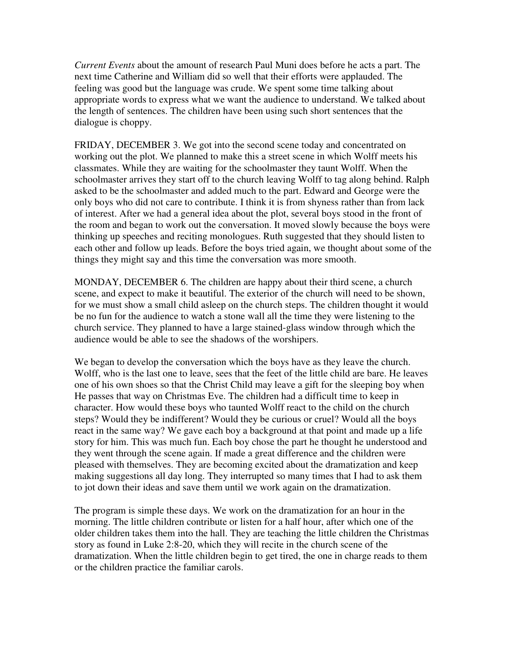*Current Events* about the amount of research Paul Muni does before he acts a part. The next time Catherine and William did so well that their efforts were applauded. The feeling was good but the language was crude. We spent some time talking about appropriate words to express what we want the audience to understand. We talked about the length of sentences. The children have been using such short sentences that the dialogue is choppy.

FRIDAY, DECEMBER 3. We got into the second scene today and concentrated on working out the plot. We planned to make this a street scene in which Wolff meets his classmates. While they are waiting for the schoolmaster they taunt Wolff. When the schoolmaster arrives they start off to the church leaving Wolff to tag along behind. Ralph asked to be the schoolmaster and added much to the part. Edward and George were the only boys who did not care to contribute. I think it is from shyness rather than from lack of interest. After we had a general idea about the plot, several boys stood in the front of the room and began to work out the conversation. It moved slowly because the boys were thinking up speeches and reciting monologues. Ruth suggested that they should listen to each other and follow up leads. Before the boys tried again, we thought about some of the things they might say and this time the conversation was more smooth.

MONDAY, DECEMBER 6. The children are happy about their third scene, a church scene, and expect to make it beautiful. The exterior of the church will need to be shown, for we must show a small child asleep on the church steps. The children thought it would be no fun for the audience to watch a stone wall all the time they were listening to the church service. They planned to have a large stained-glass window through which the audience would be able to see the shadows of the worshipers.

We began to develop the conversation which the boys have as they leave the church. Wolff, who is the last one to leave, sees that the feet of the little child are bare. He leaves one of his own shoes so that the Christ Child may leave a gift for the sleeping boy when He passes that way on Christmas Eve. The children had a difficult time to keep in character. How would these boys who taunted Wolff react to the child on the church steps? Would they be indifferent? Would they be curious or cruel? Would all the boys react in the same way? We gave each boy a background at that point and made up a life story for him. This was much fun. Each boy chose the part he thought he understood and they went through the scene again. If made a great difference and the children were pleased with themselves. They are becoming excited about the dramatization and keep making suggestions all day long. They interrupted so many times that I had to ask them to jot down their ideas and save them until we work again on the dramatization.

The program is simple these days. We work on the dramatization for an hour in the morning. The little children contribute or listen for a half hour, after which one of the older children takes them into the hall. They are teaching the little children the Christmas story as found in Luke 2:8-20, which they will recite in the church scene of the dramatization. When the little children begin to get tired, the one in charge reads to them or the children practice the familiar carols.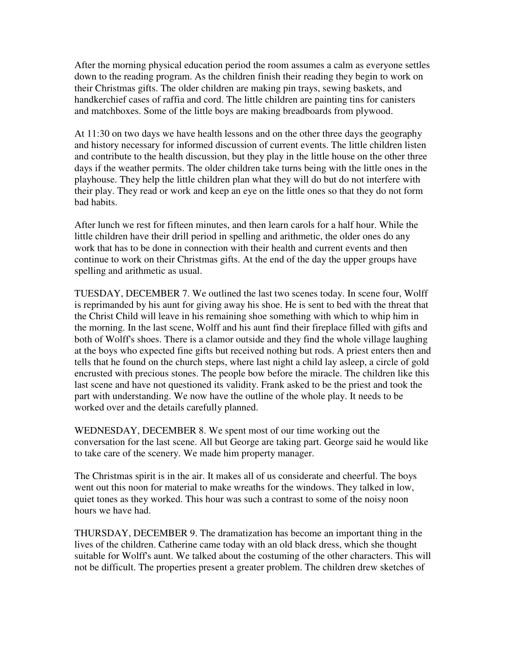After the morning physical education period the room assumes a calm as everyone settles down to the reading program. As the children finish their reading they begin to work on their Christmas gifts. The older children are making pin trays, sewing baskets, and handkerchief cases of raffia and cord. The little children are painting tins for canisters and matchboxes. Some of the little boys are making breadboards from plywood.

At 11:30 on two days we have health lessons and on the other three days the geography and history necessary for informed discussion of current events. The little children listen and contribute to the health discussion, but they play in the little house on the other three days if the weather permits. The older children take turns being with the little ones in the playhouse. They help the little children plan what they will do but do not interfere with their play. They read or work and keep an eye on the little ones so that they do not form bad habits.

After lunch we rest for fifteen minutes, and then learn carols for a half hour. While the little children have their drill period in spelling and arithmetic, the older ones do any work that has to be done in connection with their health and current events and then continue to work on their Christmas gifts. At the end of the day the upper groups have spelling and arithmetic as usual.

TUESDAY, DECEMBER 7. We outlined the last two scenes today. In scene four, Wolff is reprimanded by his aunt for giving away his shoe. He is sent to bed with the threat that the Christ Child will leave in his remaining shoe something with which to whip him in the morning. In the last scene, Wolff and his aunt find their fireplace filled with gifts and both of Wolff's shoes. There is a clamor outside and they find the whole village laughing at the boys who expected fine gifts but received nothing but rods. A priest enters then and tells that he found on the church steps, where last night a child lay asleep, a circle of gold encrusted with precious stones. The people bow before the miracle. The children like this last scene and have not questioned its validity. Frank asked to be the priest and took the part with understanding. We now have the outline of the whole play. It needs to be worked over and the details carefully planned.

WEDNESDAY, DECEMBER 8. We spent most of our time working out the conversation for the last scene. All but George are taking part. George said he would like to take care of the scenery. We made him property manager.

The Christmas spirit is in the air. It makes all of us considerate and cheerful. The boys went out this noon for material to make wreaths for the windows. They talked in low, quiet tones as they worked. This hour was such a contrast to some of the noisy noon hours we have had.

THURSDAY, DECEMBER 9. The dramatization has become an important thing in the lives of the children. Catherine came today with an old black dress, which she thought suitable for Wolff's aunt. We talked about the costuming of the other characters. This will not be difficult. The properties present a greater problem. The children drew sketches of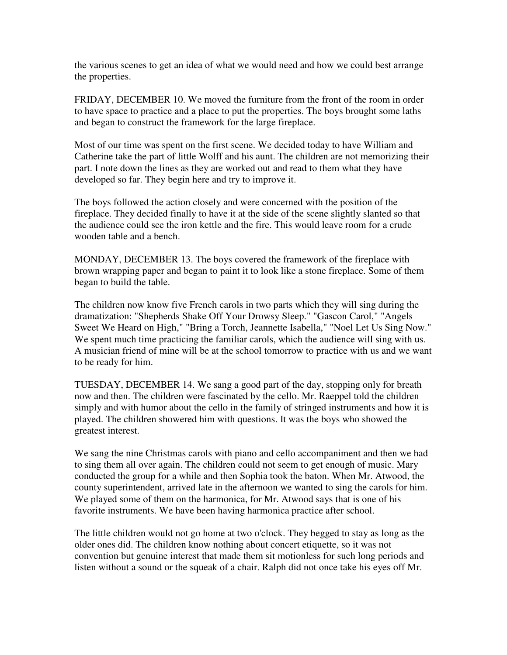the various scenes to get an idea of what we would need and how we could best arrange the properties.

FRIDAY, DECEMBER 10. We moved the furniture from the front of the room in order to have space to practice and a place to put the properties. The boys brought some laths and began to construct the framework for the large fireplace.

Most of our time was spent on the first scene. We decided today to have William and Catherine take the part of little Wolff and his aunt. The children are not memorizing their part. I note down the lines as they are worked out and read to them what they have developed so far. They begin here and try to improve it.

The boys followed the action closely and were concerned with the position of the fireplace. They decided finally to have it at the side of the scene slightly slanted so that the audience could see the iron kettle and the fire. This would leave room for a crude wooden table and a bench.

MONDAY, DECEMBER 13. The boys covered the framework of the fireplace with brown wrapping paper and began to paint it to look like a stone fireplace. Some of them began to build the table.

The children now know five French carols in two parts which they will sing during the dramatization: "Shepherds Shake Off Your Drowsy Sleep." "Gascon Carol," "Angels Sweet We Heard on High," "Bring a Torch, Jeannette Isabella," "Noel Let Us Sing Now." We spent much time practicing the familiar carols, which the audience will sing with us. A musician friend of mine will be at the school tomorrow to practice with us and we want to be ready for him.

TUESDAY, DECEMBER 14. We sang a good part of the day, stopping only for breath now and then. The children were fascinated by the cello. Mr. Raeppel told the children simply and with humor about the cello in the family of stringed instruments and how it is played. The children showered him with questions. It was the boys who showed the greatest interest.

We sang the nine Christmas carols with piano and cello accompaniment and then we had to sing them all over again. The children could not seem to get enough of music. Mary conducted the group for a while and then Sophia took the baton. When Mr. Atwood, the county superintendent, arrived late in the afternoon we wanted to sing the carols for him. We played some of them on the harmonica, for Mr. Atwood says that is one of his favorite instruments. We have been having harmonica practice after school.

The little children would not go home at two o'clock. They begged to stay as long as the older ones did. The children know nothing about concert etiquette, so it was not convention but genuine interest that made them sit motionless for such long periods and listen without a sound or the squeak of a chair. Ralph did not once take his eyes off Mr.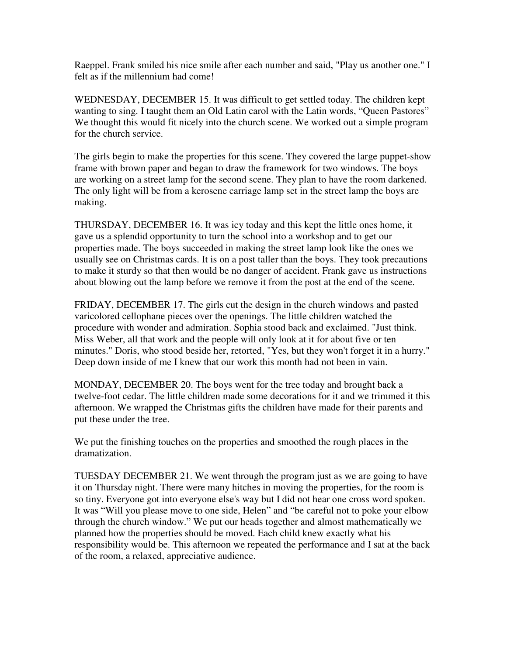Raeppel. Frank smiled his nice smile after each number and said, "Play us another one." I felt as if the millennium had come!

WEDNESDAY, DECEMBER 15. It was difficult to get settled today. The children kept wanting to sing. I taught them an Old Latin carol with the Latin words, "Queen Pastores" We thought this would fit nicely into the church scene. We worked out a simple program for the church service.

The girls begin to make the properties for this scene. They covered the large puppet-show frame with brown paper and began to draw the framework for two windows. The boys are working on a street lamp for the second scene. They plan to have the room darkened. The only light will be from a kerosene carriage lamp set in the street lamp the boys are making.

THURSDAY, DECEMBER 16. It was icy today and this kept the little ones home, it gave us a splendid opportunity to turn the school into a workshop and to get our properties made. The boys succeeded in making the street lamp look like the ones we usually see on Christmas cards. It is on a post taller than the boys. They took precautions to make it sturdy so that then would be no danger of accident. Frank gave us instructions about blowing out the lamp before we remove it from the post at the end of the scene.

FRIDAY, DECEMBER 17. The girls cut the design in the church windows and pasted varicolored cellophane pieces over the openings. The little children watched the procedure with wonder and admiration. Sophia stood back and exclaimed. "Just think. Miss Weber, all that work and the people will only look at it for about five or ten minutes." Doris, who stood beside her, retorted, "Yes, but they won't forget it in a hurry." Deep down inside of me I knew that our work this month had not been in vain.

MONDAY, DECEMBER 20. The boys went for the tree today and brought back a twelve-foot cedar. The little children made some decorations for it and we trimmed it this afternoon. We wrapped the Christmas gifts the children have made for their parents and put these under the tree.

We put the finishing touches on the properties and smoothed the rough places in the dramatization.

TUESDAY DECEMBER 21. We went through the program just as we are going to have it on Thursday night. There were many hitches in moving the properties, for the room is so tiny. Everyone got into everyone else's way but I did not hear one cross word spoken. It was "Will you please move to one side, Helen" and "be careful not to poke your elbow through the church window." We put our heads together and almost mathematically we planned how the properties should be moved. Each child knew exactly what his responsibility would be. This afternoon we repeated the performance and I sat at the back of the room, a relaxed, appreciative audience.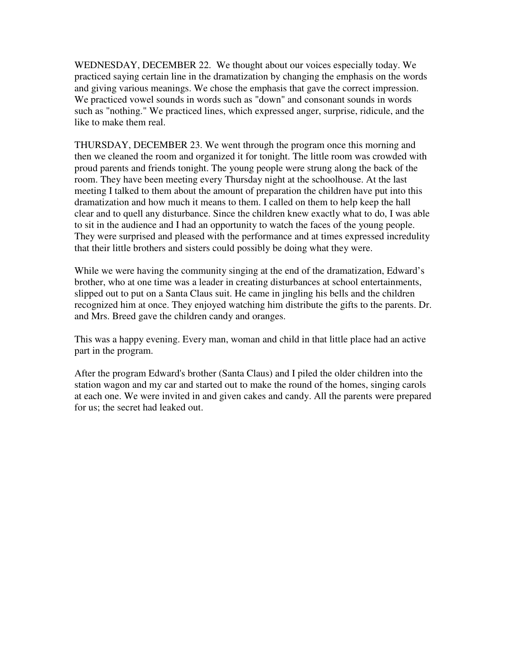WEDNESDAY, DECEMBER 22. We thought about our voices especially today. We practiced saying certain line in the dramatization by changing the emphasis on the words and giving various meanings. We chose the emphasis that gave the correct impression. We practiced vowel sounds in words such as "down" and consonant sounds in words such as "nothing." We practiced lines, which expressed anger, surprise, ridicule, and the like to make them real.

THURSDAY, DECEMBER 23. We went through the program once this morning and then we cleaned the room and organized it for tonight. The little room was crowded with proud parents and friends tonight. The young people were strung along the back of the room. They have been meeting every Thursday night at the schoolhouse. At the last meeting I talked to them about the amount of preparation the children have put into this dramatization and how much it means to them. I called on them to help keep the hall clear and to quell any disturbance. Since the children knew exactly what to do, I was able to sit in the audience and I had an opportunity to watch the faces of the young people. They were surprised and pleased with the performance and at times expressed incredulity that their little brothers and sisters could possibly be doing what they were.

While we were having the community singing at the end of the dramatization, Edward's brother, who at one time was a leader in creating disturbances at school entertainments, slipped out to put on a Santa Claus suit. He came in jingling his bells and the children recognized him at once. They enjoyed watching him distribute the gifts to the parents. Dr. and Mrs. Breed gave the children candy and oranges.

This was a happy evening. Every man, woman and child in that little place had an active part in the program.

After the program Edward's brother (Santa Claus) and I piled the older children into the station wagon and my car and started out to make the round of the homes, singing carols at each one. We were invited in and given cakes and candy. All the parents were prepared for us; the secret had leaked out.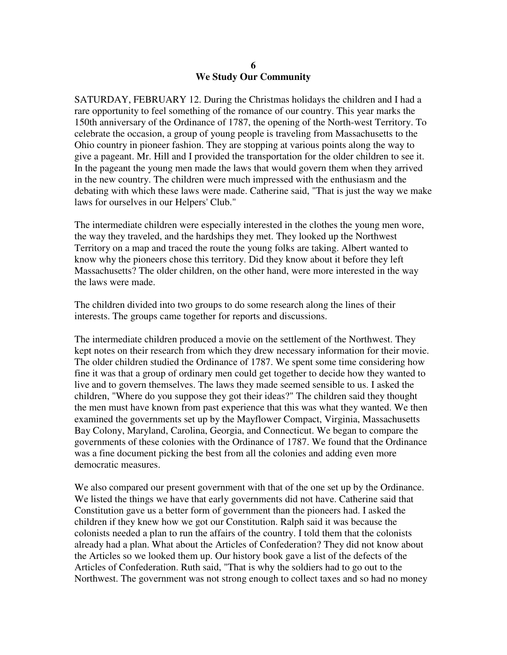## **6 We Study Our Community**

SATURDAY, FEBRUARY 12. During the Christmas holidays the children and I had a rare opportunity to feel something of the romance of our country. This year marks the 150th anniversary of the Ordinance of 1787, the opening of the North-west Territory. To celebrate the occasion, a group of young people is traveling from Massachusetts to the Ohio country in pioneer fashion. They are stopping at various points along the way to give a pageant. Mr. Hill and I provided the transportation for the older children to see it. In the pageant the young men made the laws that would govern them when they arrived in the new country. The children were much impressed with the enthusiasm and the debating with which these laws were made. Catherine said, "That is just the way we make laws for ourselves in our Helpers' Club."

The intermediate children were especially interested in the clothes the young men wore, the way they traveled, and the hardships they met. They looked up the Northwest Territory on a map and traced the route the young folks are taking. Albert wanted to know why the pioneers chose this territory. Did they know about it before they left Massachusetts? The older children, on the other hand, were more interested in the way the laws were made.

The children divided into two groups to do some research along the lines of their interests. The groups came together for reports and discussions.

The intermediate children produced a movie on the settlement of the Northwest. They kept notes on their research from which they drew necessary information for their movie. The older children studied the Ordinance of 1787. We spent some time considering how fine it was that a group of ordinary men could get together to decide how they wanted to live and to govern themselves. The laws they made seemed sensible to us. I asked the children, "Where do you suppose they got their ideas?" The children said they thought the men must have known from past experience that this was what they wanted. We then examined the governments set up by the Mayflower Compact, Virginia, Massachusetts Bay Colony, Maryland, Carolina, Georgia, and Connecticut. We began to compare the governments of these colonies with the Ordinance of 1787. We found that the Ordinance was a fine document picking the best from all the colonies and adding even more democratic measures.

We also compared our present government with that of the one set up by the Ordinance. We listed the things we have that early governments did not have. Catherine said that Constitution gave us a better form of government than the pioneers had. I asked the children if they knew how we got our Constitution. Ralph said it was because the colonists needed a plan to run the affairs of the country. I told them that the colonists already had a plan. What about the Articles of Confederation? They did not know about the Articles so we looked them up. Our history book gave a list of the defects of the Articles of Confederation. Ruth said, "That is why the soldiers had to go out to the Northwest. The government was not strong enough to collect taxes and so had no money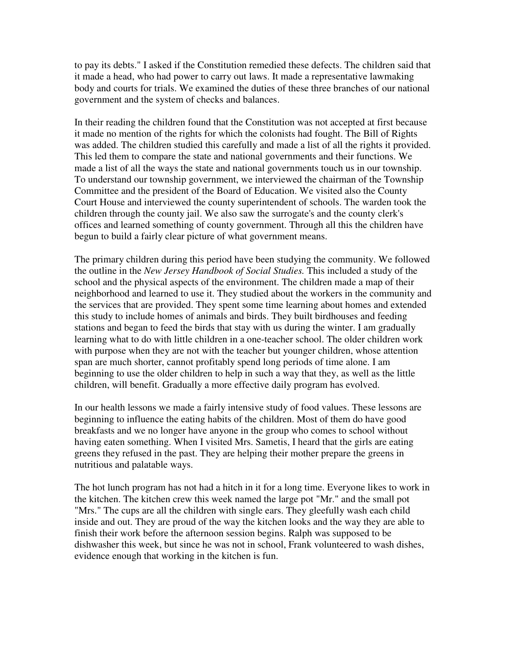to pay its debts." I asked if the Constitution remedied these defects. The children said that it made a head, who had power to carry out laws. It made a representative lawmaking body and courts for trials. We examined the duties of these three branches of our national government and the system of checks and balances.

In their reading the children found that the Constitution was not accepted at first because it made no mention of the rights for which the colonists had fought. The Bill of Rights was added. The children studied this carefully and made a list of all the rights it provided. This led them to compare the state and national governments and their functions. We made a list of all the ways the state and national governments touch us in our township. To understand our township government, we interviewed the chairman of the Township Committee and the president of the Board of Education. We visited also the County Court House and interviewed the county superintendent of schools. The warden took the children through the county jail. We also saw the surrogate's and the county clerk's offices and learned something of county government. Through all this the children have begun to build a fairly clear picture of what government means.

The primary children during this period have been studying the community. We followed the outline in the *New Jersey Handbook of Social Studies.* This included a study of the school and the physical aspects of the environment. The children made a map of their neighborhood and learned to use it. They studied about the workers in the community and the services that are provided. They spent some time learning about homes and extended this study to include homes of animals and birds. They built birdhouses and feeding stations and began to feed the birds that stay with us during the winter. I am gradually learning what to do with little children in a one-teacher school. The older children work with purpose when they are not with the teacher but younger children, whose attention span are much shorter, cannot profitably spend long periods of time alone. I am beginning to use the older children to help in such a way that they, as well as the little children, will benefit. Gradually a more effective daily program has evolved.

In our health lessons we made a fairly intensive study of food values. These lessons are beginning to influence the eating habits of the children. Most of them do have good breakfasts and we no longer have anyone in the group who comes to school without having eaten something. When I visited Mrs. Sametis, I heard that the girls are eating greens they refused in the past. They are helping their mother prepare the greens in nutritious and palatable ways.

The hot lunch program has not had a hitch in it for a long time. Everyone likes to work in the kitchen. The kitchen crew this week named the large pot "Mr." and the small pot "Mrs." The cups are all the children with single ears. They gleefully wash each child inside and out. They are proud of the way the kitchen looks and the way they are able to finish their work before the afternoon session begins. Ralph was supposed to be dishwasher this week, but since he was not in school, Frank volunteered to wash dishes, evidence enough that working in the kitchen is fun.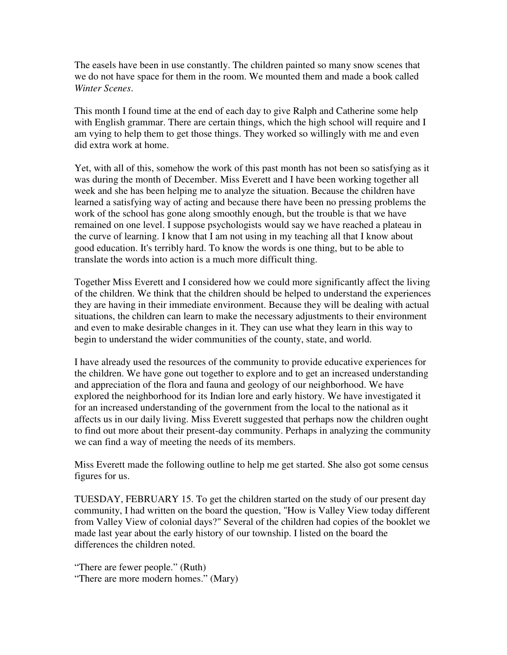The easels have been in use constantly. The children painted so many snow scenes that we do not have space for them in the room. We mounted them and made a book called *Winter Scenes*.

This month I found time at the end of each day to give Ralph and Catherine some help with English grammar. There are certain things, which the high school will require and I am vying to help them to get those things. They worked so willingly with me and even did extra work at home.

Yet, with all of this, somehow the work of this past month has not been so satisfying as it was during the month of December. Miss Everett and I have been working together all week and she has been helping me to analyze the situation. Because the children have learned a satisfying way of acting and because there have been no pressing problems the work of the school has gone along smoothly enough, but the trouble is that we have remained on one level. I suppose psychologists would say we have reached a plateau in the curve of learning. I know that I am not using in my teaching all that I know about good education. It's terribly hard. To know the words is one thing, but to be able to translate the words into action is a much more difficult thing.

Together Miss Everett and I considered how we could more significantly affect the living of the children. We think that the children should be helped to understand the experiences they are having in their immediate environment. Because they will be dealing with actual situations, the children can learn to make the necessary adjustments to their environment and even to make desirable changes in it. They can use what they learn in this way to begin to understand the wider communities of the county, state, and world.

I have already used the resources of the community to provide educative experiences for the children. We have gone out together to explore and to get an increased understanding and appreciation of the flora and fauna and geology of our neighborhood. We have explored the neighborhood for its Indian lore and early history. We have investigated it for an increased understanding of the government from the local to the national as it affects us in our daily living. Miss Everett suggested that perhaps now the children ought to find out more about their present-day community. Perhaps in analyzing the community we can find a way of meeting the needs of its members.

Miss Everett made the following outline to help me get started. She also got some census figures for us.

TUESDAY, FEBRUARY 15. To get the children started on the study of our present day community, I had written on the board the question, "How is Valley View today different from Valley View of colonial days?" Several of the children had copies of the booklet we made last year about the early history of our township. I listed on the board the differences the children noted.

"There are fewer people." (Ruth)

"There are more modern homes." (Mary)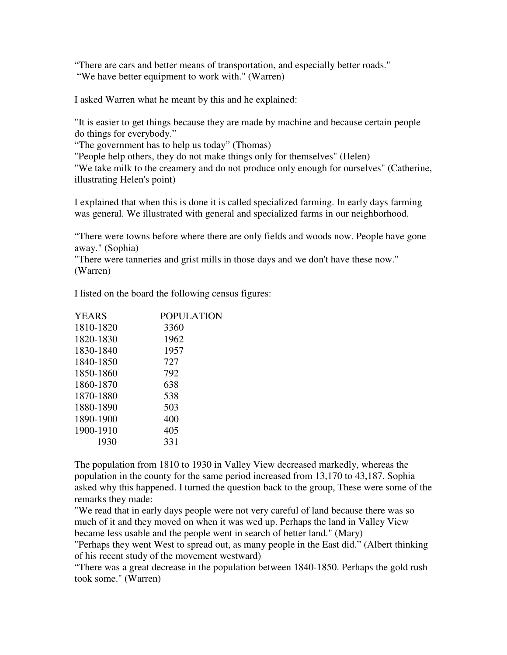"There are cars and better means of transportation, and especially better roads." "We have better equipment to work with." (Warren)

I asked Warren what he meant by this and he explained:

"It is easier to get things because they are made by machine and because certain people do things for everybody."

"The government has to help us today" (Thomas)

"People help others, they do not make things only for themselves" (Helen)

"We take milk to the creamery and do not produce only enough for ourselves" (Catherine, illustrating Helen's point)

I explained that when this is done it is called specialized farming. In early days farming was general. We illustrated with general and specialized farms in our neighborhood.

"There were towns before where there are only fields and woods now. People have gone away." (Sophia)

"There were tanneries and grist mills in those days and we don't have these now." (Warren)

I listed on the board the following census figures:

| <b>YEARS</b> | <b>POPULATION</b> |
|--------------|-------------------|
| 1810-1820    | 3360              |
| 1820-1830    | 1962              |
| 1830-1840    | 1957              |
| 1840-1850    | 727               |
| 1850-1860    | 792               |
| 1860-1870    | 638               |
| 1870-1880    | 538               |
| 1880-1890    | 503               |
| 1890-1900    | 400               |
| 1900-1910    | 405               |
| 1930         | 331               |

The population from 1810 to 1930 in Valley View decreased markedly, whereas the population in the county for the same period increased from 13,170 to 43,187. Sophia asked why this happened. I turned the question back to the group, These were some of the remarks they made:

"We read that in early days people were not very careful of land because there was so much of it and they moved on when it was wed up. Perhaps the land in Valley View became less usable and the people went in search of better land." (Mary)

"Perhaps they went West to spread out, as many people in the East did." (Albert thinking of his recent study of the movement westward)

"There was a great decrease in the population between 1840-1850. Perhaps the gold rush took some." (Warren)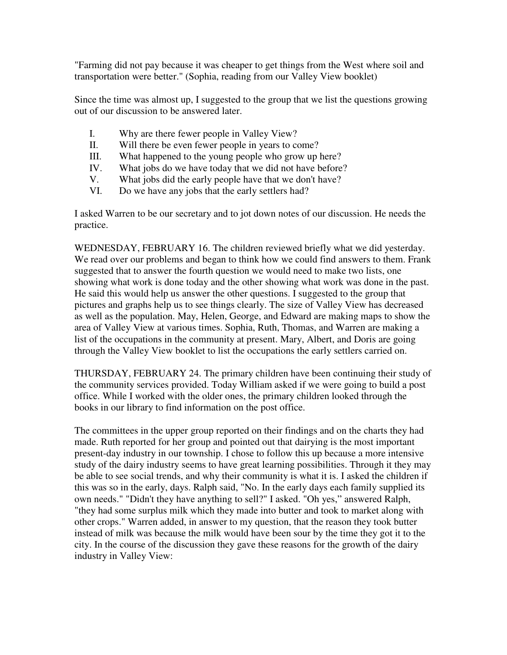"Farming did not pay because it was cheaper to get things from the West where soil and transportation were better." (Sophia, reading from our Valley View booklet)

Since the time was almost up, I suggested to the group that we list the questions growing out of our discussion to be answered later.

- I. Why are there fewer people in Valley View?
- II. Will there be even fewer people in years to come?
- III. What happened to the young people who grow up here?
- IV. What jobs do we have today that we did not have before?
- V. What jobs did the early people have that we don't have?
- VI. Do we have any jobs that the early settlers had?

I asked Warren to be our secretary and to jot down notes of our discussion. He needs the practice.

WEDNESDAY, FEBRUARY 16. The children reviewed briefly what we did yesterday. We read over our problems and began to think how we could find answers to them. Frank suggested that to answer the fourth question we would need to make two lists, one showing what work is done today and the other showing what work was done in the past. He said this would help us answer the other questions. I suggested to the group that pictures and graphs help us to see things clearly. The size of Valley View has decreased as well as the population. May, Helen, George, and Edward are making maps to show the area of Valley View at various times. Sophia, Ruth, Thomas, and Warren are making a list of the occupations in the community at present. Mary, Albert, and Doris are going through the Valley View booklet to list the occupations the early settlers carried on.

THURSDAY, FEBRUARY 24. The primary children have been continuing their study of the community services provided. Today William asked if we were going to build a post office. While I worked with the older ones, the primary children looked through the books in our library to find information on the post office.

The committees in the upper group reported on their findings and on the charts they had made. Ruth reported for her group and pointed out that dairying is the most important present-day industry in our township. I chose to follow this up because a more intensive study of the dairy industry seems to have great learning possibilities. Through it they may be able to see social trends, and why their community is what it is. I asked the children if this was so in the early, days. Ralph said, "No. In the early days each family supplied its own needs." "Didn't they have anything to sell?" I asked. "Oh yes," answered Ralph, "they had some surplus milk which they made into butter and took to market along with other crops." Warren added, in answer to my question, that the reason they took butter instead of milk was because the milk would have been sour by the time they got it to the city. In the course of the discussion they gave these reasons for the growth of the dairy industry in Valley View: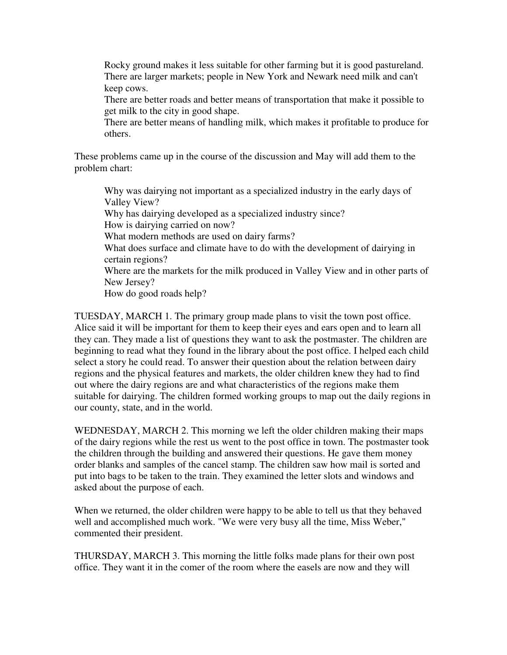Rocky ground makes it less suitable for other farming but it is good pastureland. There are larger markets; people in New York and Newark need milk and can't keep cows.

There are better roads and better means of transportation that make it possible to get milk to the city in good shape.

There are better means of handling milk, which makes it profitable to produce for others.

These problems came up in the course of the discussion and May will add them to the problem chart:

Why was dairying not important as a specialized industry in the early days of Valley View? Why has dairying developed as a specialized industry since? How is dairying carried on now? What modern methods are used on dairy farms? What does surface and climate have to do with the development of dairying in certain regions? Where are the markets for the milk produced in Valley View and in other parts of New Jersey? How do good roads help?

TUESDAY, MARCH 1. The primary group made plans to visit the town post office. Alice said it will be important for them to keep their eyes and ears open and to learn all they can. They made a list of questions they want to ask the postmaster. The children are beginning to read what they found in the library about the post office. I helped each child select a story he could read. To answer their question about the relation between dairy regions and the physical features and markets, the older children knew they had to find out where the dairy regions are and what characteristics of the regions make them suitable for dairying. The children formed working groups to map out the daily regions in our county, state, and in the world.

WEDNESDAY, MARCH 2. This morning we left the older children making their maps of the dairy regions while the rest us went to the post office in town. The postmaster took the children through the building and answered their questions. He gave them money order blanks and samples of the cancel stamp. The children saw how mail is sorted and put into bags to be taken to the train. They examined the letter slots and windows and asked about the purpose of each.

When we returned, the older children were happy to be able to tell us that they behaved well and accomplished much work. "We were very busy all the time, Miss Weber," commented their president.

THURSDAY, MARCH 3. This morning the little folks made plans for their own post office. They want it in the comer of the room where the easels are now and they will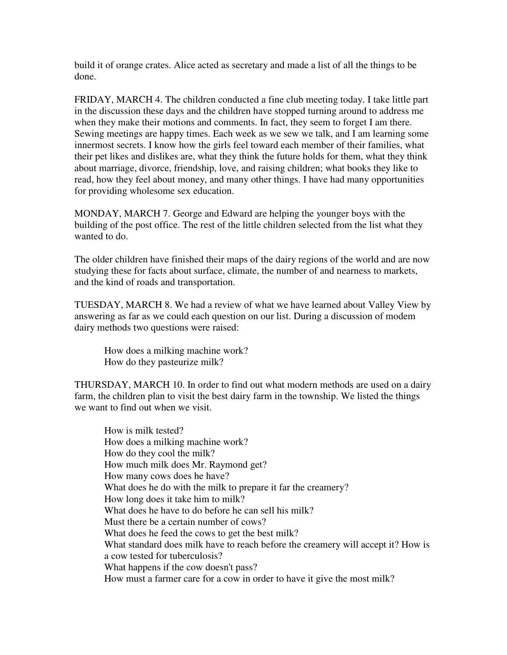build it of orange crates. Alice acted as secretary and made a list of all the things to be done.

FRIDAY, MARCH 4. The children conducted a fine club meeting today. I take little part in the discussion these days and the children have stopped turning around to address me when they make their motions and comments. In fact, they seem to forget I am there. Sewing meetings are happy times. Each week as we sew we talk, and I am learning some innermost secrets. I know how the girls feel toward each member of their families, what their pet likes and dislikes are, what they think the future holds for them, what they think about marriage, divorce, friendship, love, and raising children; what books they like to read, how they feel about money, and many other things. I have had many opportunities for providing wholesome sex education.

MONDAY, MARCH 7. George and Edward are helping the younger boys with the building of the post office. The rest of the little children selected from the list what they wanted to do.

The older children have finished their maps of the dairy regions of the world and are now studying these for facts about surface, climate, the number of and nearness to markets, and the kind of roads and transportation.

TUESDAY, MARCH 8. We had a review of what we have learned about Valley View by answering as far as we could each question on our list. During a discussion of modem dairy methods two questions were raised:

How does a milking machine work? How do they pasteurize milk?

THURSDAY, MARCH 10. In order to find out what modern methods are used on a dairy farm, the children plan to visit the best dairy farm in the township. We listed the things we want to find out when we visit.

How is milk tested? How does a milking machine work? How do they cool the milk? How much milk does Mr. Raymond get? How many cows does he have? What does he do with the milk to prepare it far the creamery? How long does it take him to milk? What does he have to do before he can sell his milk? Must there be a certain number of cows? What does he feed the cows to get the best milk? What standard does milk have to reach before the creamery will accept it? How is a cow tested for tuberculosis? What happens if the cow doesn't pass? How must a farmer care for a cow in order to have it give the most milk?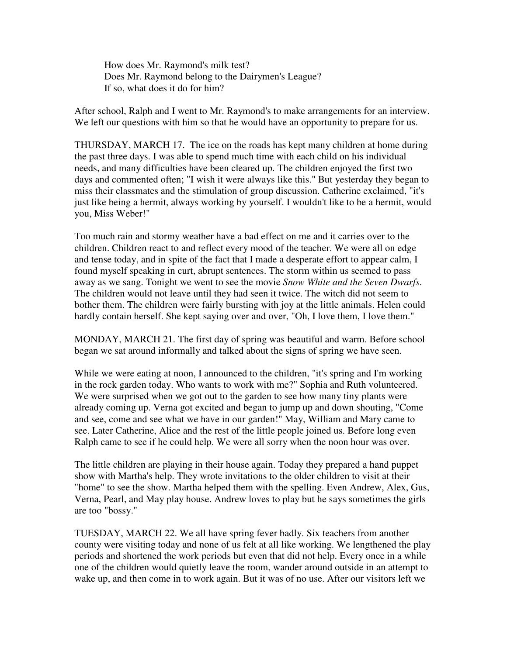How does Mr. Raymond's milk test? Does Mr. Raymond belong to the Dairymen's League? If so, what does it do for him?

After school, Ralph and I went to Mr. Raymond's to make arrangements for an interview. We left our questions with him so that he would have an opportunity to prepare for us.

THURSDAY, MARCH 17. The ice on the roads has kept many children at home during the past three days. I was able to spend much time with each child on his individual needs, and many difficulties have been cleared up. The children enjoyed the first two days and commented often; "I wish it were always like this." But yesterday they began to miss their classmates and the stimulation of group discussion. Catherine exclaimed, "it's just like being a hermit, always working by yourself. I wouldn't like to be a hermit, would you, Miss Weber!"

Too much rain and stormy weather have a bad effect on me and it carries over to the children. Children react to and reflect every mood of the teacher. We were all on edge and tense today, and in spite of the fact that I made a desperate effort to appear calm, I found myself speaking in curt, abrupt sentences. The storm within us seemed to pass away as we sang. Tonight we went to see the movie *Snow White and the Seven Dwarfs*. The children would not leave until they had seen it twice. The witch did not seem to bother them. The children were fairly bursting with joy at the little animals. Helen could hardly contain herself. She kept saying over and over, "Oh, I love them, I love them."

MONDAY, MARCH 21. The first day of spring was beautiful and warm. Before school began we sat around informally and talked about the signs of spring we have seen.

While we were eating at noon, I announced to the children, "it's spring and I'm working in the rock garden today. Who wants to work with me?" Sophia and Ruth volunteered. We were surprised when we got out to the garden to see how many tiny plants were already coming up. Verna got excited and began to jump up and down shouting, "Come and see, come and see what we have in our garden!" May, William and Mary came to see. Later Catherine, Alice and the rest of the little people joined us. Before long even Ralph came to see if he could help. We were all sorry when the noon hour was over.

The little children are playing in their house again. Today they prepared a hand puppet show with Martha's help. They wrote invitations to the older children to visit at their "home" to see the show. Martha helped them with the spelling. Even Andrew, Alex, Gus, Verna, Pearl, and May play house. Andrew loves to play but he says sometimes the girls are too "bossy."

TUESDAY, MARCH 22. We all have spring fever badly. Six teachers from another county were visiting today and none of us felt at all like working. We lengthened the play periods and shortened the work periods but even that did not help. Every once in a while one of the children would quietly leave the room, wander around outside in an attempt to wake up, and then come in to work again. But it was of no use. After our visitors left we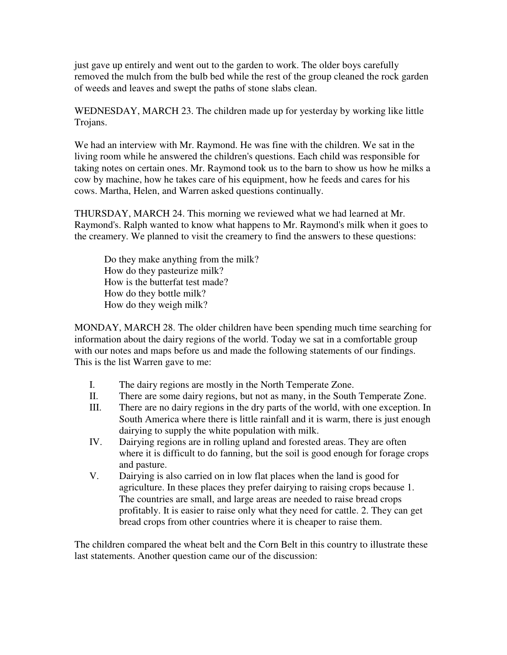just gave up entirely and went out to the garden to work. The older boys carefully removed the mulch from the bulb bed while the rest of the group cleaned the rock garden of weeds and leaves and swept the paths of stone slabs clean.

WEDNESDAY, MARCH 23. The children made up for yesterday by working like little Trojans.

We had an interview with Mr. Raymond. He was fine with the children. We sat in the living room while he answered the children's questions. Each child was responsible for taking notes on certain ones. Mr. Raymond took us to the barn to show us how he milks a cow by machine, how he takes care of his equipment, how he feeds and cares for his cows. Martha, Helen, and Warren asked questions continually.

THURSDAY, MARCH 24. This morning we reviewed what we had learned at Mr. Raymond's. Ralph wanted to know what happens to Mr. Raymond's milk when it goes to the creamery. We planned to visit the creamery to find the answers to these questions:

Do they make anything from the milk? How do they pasteurize milk? How is the butterfat test made? How do they bottle milk? How do they weigh milk?

MONDAY, MARCH 28. The older children have been spending much time searching for information about the dairy regions of the world. Today we sat in a comfortable group with our notes and maps before us and made the following statements of our findings. This is the list Warren gave to me:

- I. The dairy regions are mostly in the North Temperate Zone.
- II. There are some dairy regions, but not as many, in the South Temperate Zone.
- III. There are no dairy regions in the dry parts of the world, with one exception. In South America where there is little rainfall and it is warm, there is just enough dairying to supply the white population with milk.
- IV. Dairying regions are in rolling upland and forested areas. They are often where it is difficult to do fanning, but the soil is good enough for forage crops and pasture.
- V. Dairying is also carried on in low flat places when the land is good for agriculture. In these places they prefer dairying to raising crops because 1. The countries are small, and large areas are needed to raise bread crops profitably. It is easier to raise only what they need for cattle. 2. They can get bread crops from other countries where it is cheaper to raise them.

The children compared the wheat belt and the Corn Belt in this country to illustrate these last statements. Another question came our of the discussion: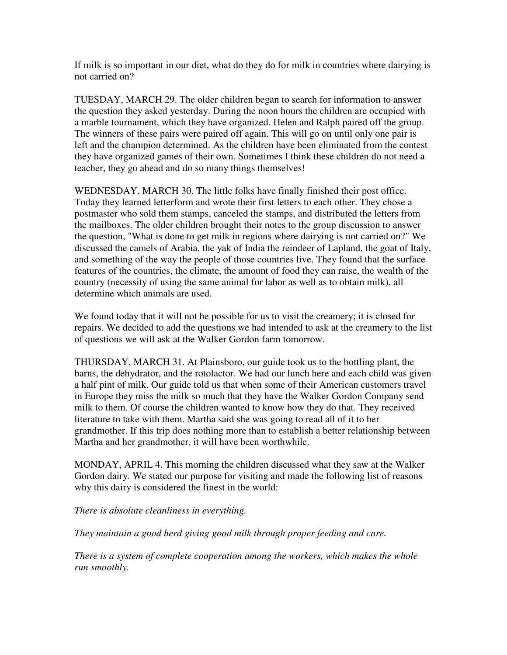If milk is so important in our diet, what do they do for milk in countries where dairying is not carried on?

TUESDAY, MARCH 29. The older children began to search for information to answer the question they asked yesterday. During the noon hours the children are occupied with a marble tournament, which they have organized. Helen and Ralph paired off the group. The winners of these pairs were paired off again. This will go on until only one pair is left and the champion determined. As the children have been eliminated from the contest they have organized games of their own. Sometimes I think these children do not need a teacher, they go ahead and do so many things themselves!

WEDNESDAY, MARCH 30. The little folks have finally finished their post office. Today they learned letterform and wrote their first letters to each other. They chose a postmaster who sold them stamps, canceled the stamps, and distributed the letters from the mailboxes. The older children brought their notes to the group discussion to answer the question, "What is done to get milk in regions where dairying is not carried on?" We discussed the camels of Arabia, the yak of India the reindeer of Lapland, the goat of Italy, and something of the way the people of those countries live. They found that the surface features of the countries, the climate, the amount of food they can raise, the wealth of the country (necessity of using the same animal for labor as well as to obtain milk), all determine which animals are used.

We found today that it will not be possible for us to visit the creamery; it is closed for repairs. We decided to add the questions we had intended to ask at the creamery to the list of questions we will ask at the Walker Gordon farm tomorrow.

THURSDAY, MARCH 31. At Plainsboro, our guide took us to the bottling plant, the barns, the dehydrator, and the rotolactor. We had our lunch here and each child was given a half pint of milk. Our guide told us that when some of their American customers travel in Europe they miss the milk so much that they have the Walker Gordon Company send milk to them. Of course the children wanted to know how they do that. They received literature to take with them. Martha said she was going to read all of it to her grandmother. If this trip does nothing more than to establish a better relationship between Martha and her grandmother, it will have been worthwhile.

MONDAY, APRIL 4. This morning the children discussed what they saw at the Walker Gordon dairy. We stated our purpose for visiting and made the following list of reasons why this dairy is considered the finest in the world:

*There is absolute cleanliness in everything.* 

*They maintain a good herd giving good milk through proper feeding and care.* 

*There is a system of complete cooperation among the workers, which makes the whole run smoothly.*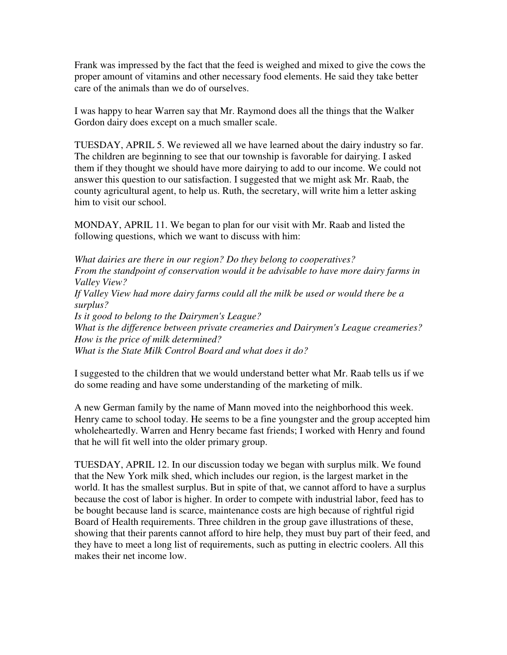Frank was impressed by the fact that the feed is weighed and mixed to give the cows the proper amount of vitamins and other necessary food elements. He said they take better care of the animals than we do of ourselves.

I was happy to hear Warren say that Mr. Raymond does all the things that the Walker Gordon dairy does except on a much smaller scale.

TUESDAY, APRIL 5. We reviewed all we have learned about the dairy industry so far. The children are beginning to see that our township is favorable for dairying. I asked them if they thought we should have more dairying to add to our income. We could not answer this question to our satisfaction. I suggested that we might ask Mr. Raab, the county agricultural agent, to help us. Ruth, the secretary, will write him a letter asking him to visit our school.

MONDAY, APRIL 11. We began to plan for our visit with Mr. Raab and listed the following questions, which we want to discuss with him:

*What dairies are there in our region? Do they belong to cooperatives? From the standpoint of conservation would it be advisable to have more dairy farms in Valley View? If Valley View had more dairy farms could all the milk be used or would there be a surplus? Is it good to belong to the Dairymen's League? What is the difference between private creameries and Dairymen's League creameries? How is the price of milk determined? What is the State Milk Control Board and what does it do?* 

I suggested to the children that we would understand better what Mr. Raab tells us if we do some reading and have some understanding of the marketing of milk.

A new German family by the name of Mann moved into the neighborhood this week. Henry came to school today. He seems to be a fine youngster and the group accepted him wholeheartedly. Warren and Henry became fast friends; I worked with Henry and found that he will fit well into the older primary group.

TUESDAY, APRIL 12. In our discussion today we began with surplus milk. We found that the New York milk shed, which includes our region, is the largest market in the world. It has the smallest surplus. But in spite of that, we cannot afford to have a surplus because the cost of labor is higher. In order to compete with industrial labor, feed has to be bought because land is scarce, maintenance costs are high because of rightful rigid Board of Health requirements. Three children in the group gave illustrations of these, showing that their parents cannot afford to hire help, they must buy part of their feed, and they have to meet a long list of requirements, such as putting in electric coolers. All this makes their net income low.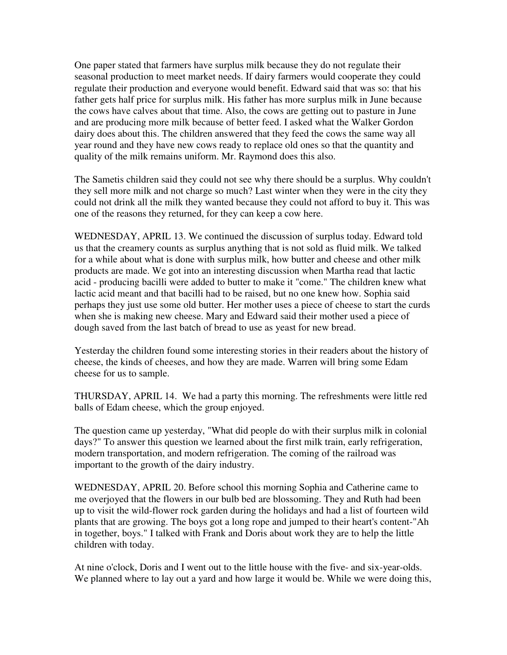One paper stated that farmers have surplus milk because they do not regulate their seasonal production to meet market needs. If dairy farmers would cooperate they could regulate their production and everyone would benefit. Edward said that was so: that his father gets half price for surplus milk. His father has more surplus milk in June because the cows have calves about that time. Also, the cows are getting out to pasture in June and are producing more milk because of better feed. I asked what the Walker Gordon dairy does about this. The children answered that they feed the cows the same way all year round and they have new cows ready to replace old ones so that the quantity and quality of the milk remains uniform. Mr. Raymond does this also.

The Sametis children said they could not see why there should be a surplus. Why couldn't they sell more milk and not charge so much? Last winter when they were in the city they could not drink all the milk they wanted because they could not afford to buy it. This was one of the reasons they returned, for they can keep a cow here.

WEDNESDAY, APRIL 13. We continued the discussion of surplus today. Edward told us that the creamery counts as surplus anything that is not sold as fluid milk. We talked for a while about what is done with surplus milk, how butter and cheese and other milk products are made. We got into an interesting discussion when Martha read that lactic acid - producing bacilli were added to butter to make it "come." The children knew what lactic acid meant and that bacilli had to be raised, but no one knew how. Sophia said perhaps they just use some old butter. Her mother uses a piece of cheese to start the curds when she is making new cheese. Mary and Edward said their mother used a piece of dough saved from the last batch of bread to use as yeast for new bread.

Yesterday the children found some interesting stories in their readers about the history of cheese, the kinds of cheeses, and how they are made. Warren will bring some Edam cheese for us to sample.

THURSDAY, APRIL 14. We had a party this morning. The refreshments were little red balls of Edam cheese, which the group enjoyed.

The question came up yesterday, "What did people do with their surplus milk in colonial days?" To answer this question we learned about the first milk train, early refrigeration, modern transportation, and modern refrigeration. The coming of the railroad was important to the growth of the dairy industry.

WEDNESDAY, APRIL 20. Before school this morning Sophia and Catherine came to me overjoyed that the flowers in our bulb bed are blossoming. They and Ruth had been up to visit the wild-flower rock garden during the holidays and had a list of fourteen wild plants that are growing. The boys got a long rope and jumped to their heart's content-"Ah in together, boys." I talked with Frank and Doris about work they are to help the little children with today.

At nine o'clock, Doris and I went out to the little house with the five- and six-year-olds. We planned where to lay out a yard and how large it would be. While we were doing this,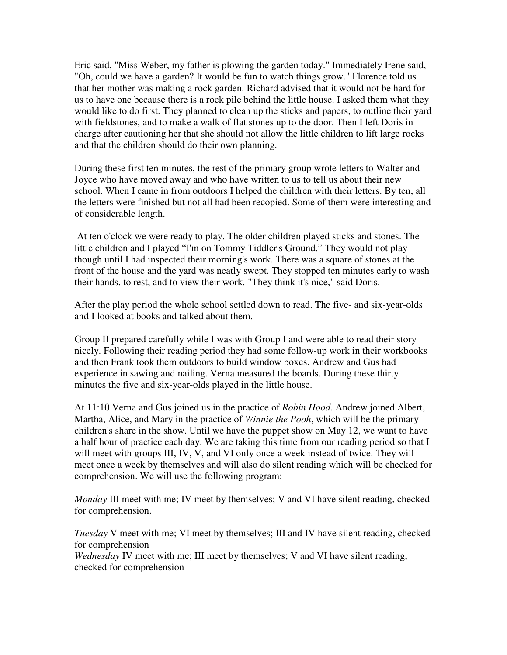Eric said, "Miss Weber, my father is plowing the garden today." Immediately Irene said, "Oh, could we have a garden? It would be fun to watch things grow." Florence told us that her mother was making a rock garden. Richard advised that it would not be hard for us to have one because there is a rock pile behind the little house. I asked them what they would like to do first. They planned to clean up the sticks and papers, to outline their yard with fieldstones, and to make a walk of flat stones up to the door. Then I left Doris in charge after cautioning her that she should not allow the little children to lift large rocks and that the children should do their own planning.

During these first ten minutes, the rest of the primary group wrote letters to Walter and Joyce who have moved away and who have written to us to tell us about their new school. When I came in from outdoors I helped the children with their letters. By ten, all the letters were finished but not all had been recopied. Some of them were interesting and of considerable length.

 At ten o'clock we were ready to play. The older children played sticks and stones. The little children and I played "I'm on Tommy Tiddler's Ground." They would not play though until I had inspected their morning's work. There was a square of stones at the front of the house and the yard was neatly swept. They stopped ten minutes early to wash their hands, to rest, and to view their work. "They think it's nice," said Doris.

After the play period the whole school settled down to read. The five- and six-year-olds and I looked at books and talked about them.

Group II prepared carefully while I was with Group I and were able to read their story nicely. Following their reading period they had some follow-up work in their workbooks and then Frank took them outdoors to build window boxes. Andrew and Gus had experience in sawing and nailing. Verna measured the boards. During these thirty minutes the five and six-year-olds played in the little house.

At 11:10 Verna and Gus joined us in the practice of *Robin Hood*. Andrew joined Albert, Martha, Alice, and Mary in the practice of *Winnie the Pooh*, which will be the primary children's share in the show. Until we have the puppet show on May 12, we want to have a half hour of practice each day. We are taking this time from our reading period so that I will meet with groups III, IV, V, and VI only once a week instead of twice. They will meet once a week by themselves and will also do silent reading which will be checked for comprehension. We will use the following program:

*Monday* III meet with me; IV meet by themselves; V and VI have silent reading, checked for comprehension.

*Tuesday* V meet with me; VI meet by themselves; III and IV have silent reading, checked for comprehension

*Wednesday* IV meet with me; III meet by themselves; V and VI have silent reading, checked for comprehension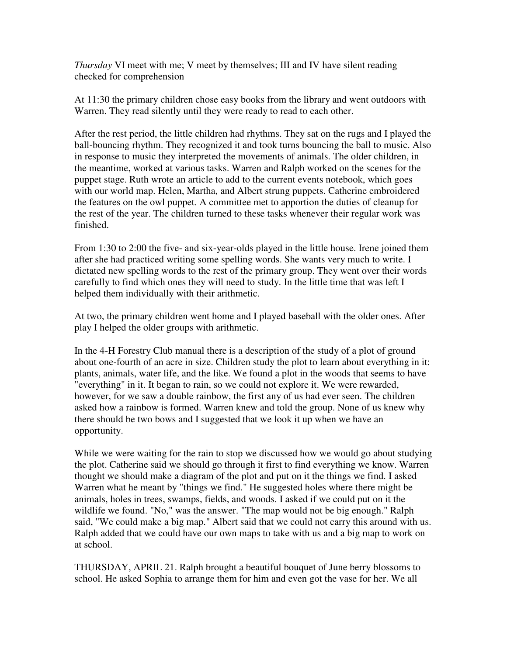*Thursday* VI meet with me; V meet by themselves; III and IV have silent reading checked for comprehension

At 11:30 the primary children chose easy books from the library and went outdoors with Warren. They read silently until they were ready to read to each other.

After the rest period, the little children had rhythms. They sat on the rugs and I played the ball-bouncing rhythm. They recognized it and took turns bouncing the ball to music. Also in response to music they interpreted the movements of animals. The older children, in the meantime, worked at various tasks. Warren and Ralph worked on the scenes for the puppet stage. Ruth wrote an article to add to the current events notebook, which goes with our world map. Helen, Martha, and Albert strung puppets. Catherine embroidered the features on the owl puppet. A committee met to apportion the duties of cleanup for the rest of the year. The children turned to these tasks whenever their regular work was finished.

From 1:30 to 2:00 the five- and six-year-olds played in the little house. Irene joined them after she had practiced writing some spelling words. She wants very much to write. I dictated new spelling words to the rest of the primary group. They went over their words carefully to find which ones they will need to study. In the little time that was left I helped them individually with their arithmetic.

At two, the primary children went home and I played baseball with the older ones. After play I helped the older groups with arithmetic.

In the 4-H Forestry Club manual there is a description of the study of a plot of ground about one-fourth of an acre in size. Children study the plot to learn about everything in it: plants, animals, water life, and the like. We found a plot in the woods that seems to have "everything" in it. It began to rain, so we could not explore it. We were rewarded, however, for we saw a double rainbow, the first any of us had ever seen. The children asked how a rainbow is formed. Warren knew and told the group. None of us knew why there should be two bows and I suggested that we look it up when we have an opportunity.

While we were waiting for the rain to stop we discussed how we would go about studying the plot. Catherine said we should go through it first to find everything we know. Warren thought we should make a diagram of the plot and put on it the things we find. I asked Warren what he meant by "things we find." He suggested holes where there might be animals, holes in trees, swamps, fields, and woods. I asked if we could put on it the wildlife we found. "No," was the answer. "The map would not be big enough." Ralph said, "We could make a big map." Albert said that we could not carry this around with us. Ralph added that we could have our own maps to take with us and a big map to work on at school.

THURSDAY, APRIL 21. Ralph brought a beautiful bouquet of June berry blossoms to school. He asked Sophia to arrange them for him and even got the vase for her. We all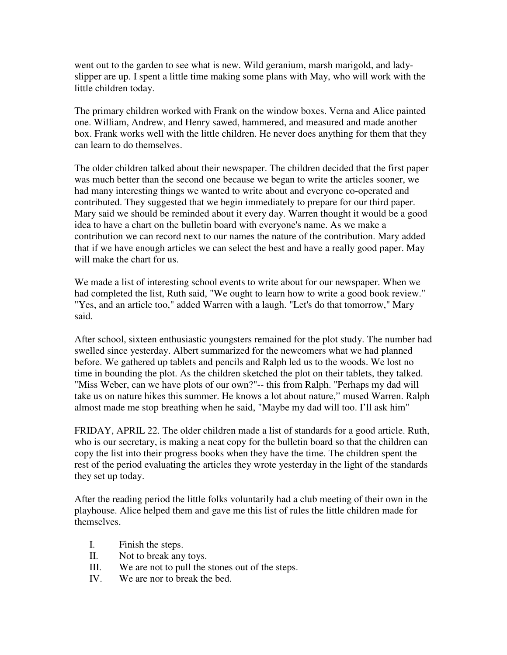went out to the garden to see what is new. Wild geranium, marsh marigold, and ladyslipper are up. I spent a little time making some plans with May, who will work with the little children today.

The primary children worked with Frank on the window boxes. Verna and Alice painted one. William, Andrew, and Henry sawed, hammered, and measured and made another box. Frank works well with the little children. He never does anything for them that they can learn to do themselves.

The older children talked about their newspaper. The children decided that the first paper was much better than the second one because we began to write the articles sooner, we had many interesting things we wanted to write about and everyone co-operated and contributed. They suggested that we begin immediately to prepare for our third paper. Mary said we should be reminded about it every day. Warren thought it would be a good idea to have a chart on the bulletin board with everyone's name. As we make a contribution we can record next to our names the nature of the contribution. Mary added that if we have enough articles we can select the best and have a really good paper. May will make the chart for us.

We made a list of interesting school events to write about for our newspaper. When we had completed the list, Ruth said, "We ought to learn how to write a good book review." "Yes, and an article too," added Warren with a laugh. "Let's do that tomorrow," Mary said.

After school, sixteen enthusiastic youngsters remained for the plot study. The number had swelled since yesterday. Albert summarized for the newcomers what we had planned before. We gathered up tablets and pencils and Ralph led us to the woods. We lost no time in bounding the plot. As the children sketched the plot on their tablets, they talked. "Miss Weber, can we have plots of our own?"-- this from Ralph. "Perhaps my dad will take us on nature hikes this summer. He knows a lot about nature," mused Warren. Ralph almost made me stop breathing when he said, "Maybe my dad will too. I'll ask him"

FRIDAY, APRIL 22. The older children made a list of standards for a good article. Ruth, who is our secretary, is making a neat copy for the bulletin board so that the children can copy the list into their progress books when they have the time. The children spent the rest of the period evaluating the articles they wrote yesterday in the light of the standards they set up today.

After the reading period the little folks voluntarily had a club meeting of their own in the playhouse. Alice helped them and gave me this list of rules the little children made for themselves.

- I. Finish the steps.
- II. Not to break any toys.
- III. We are not to pull the stones out of the steps.
- IV. We are nor to break the bed.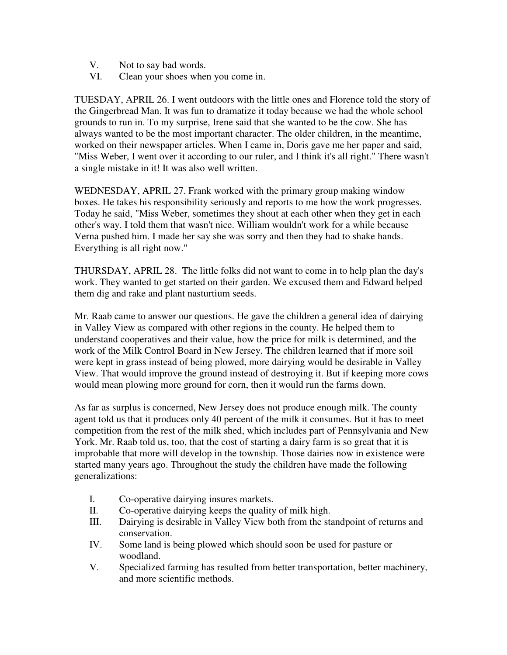- V. Not to say bad words.
- VI. Clean your shoes when you come in.

TUESDAY, APRIL 26. I went outdoors with the little ones and Florence told the story of the Gingerbread Man. It was fun to dramatize it today because we had the whole school grounds to run in. To my surprise, Irene said that she wanted to be the cow. She has always wanted to be the most important character. The older children, in the meantime, worked on their newspaper articles. When I came in, Doris gave me her paper and said, "Miss Weber, I went over it according to our ruler, and I think it's all right." There wasn't a single mistake in it! It was also well written.

WEDNESDAY, APRIL 27. Frank worked with the primary group making window boxes. He takes his responsibility seriously and reports to me how the work progresses. Today he said, "Miss Weber, sometimes they shout at each other when they get in each other's way. I told them that wasn't nice. William wouldn't work for a while because Verna pushed him. I made her say she was sorry and then they had to shake hands. Everything is all right now."

THURSDAY, APRIL 28. The little folks did not want to come in to help plan the day's work. They wanted to get started on their garden. We excused them and Edward helped them dig and rake and plant nasturtium seeds.

Mr. Raab came to answer our questions. He gave the children a general idea of dairying in Valley View as compared with other regions in the county. He helped them to understand cooperatives and their value, how the price for milk is determined, and the work of the Milk Control Board in New Jersey. The children learned that if more soil were kept in grass instead of being plowed, more dairying would be desirable in Valley View. That would improve the ground instead of destroying it. But if keeping more cows would mean plowing more ground for corn, then it would run the farms down.

As far as surplus is concerned, New Jersey does not produce enough milk. The county agent told us that it produces only 40 percent of the milk it consumes. But it has to meet competition from the rest of the milk shed, which includes part of Pennsylvania and New York. Mr. Raab told us, too, that the cost of starting a dairy farm is so great that it is improbable that more will develop in the township. Those dairies now in existence were started many years ago. Throughout the study the children have made the following generalizations:

- I. Co-operative dairying insures markets.
- II. Co-operative dairying keeps the quality of milk high.
- III. Dairying is desirable in Valley View both from the standpoint of returns and conservation.
- IV. Some land is being plowed which should soon be used for pasture or woodland.
- V. Specialized farming has resulted from better transportation, better machinery, and more scientific methods.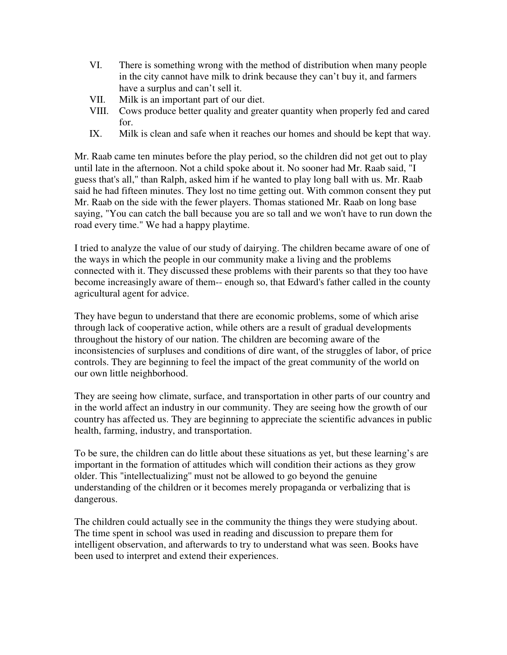- VI. There is something wrong with the method of distribution when many people in the city cannot have milk to drink because they can't buy it, and farmers have a surplus and can't sell it.
- VII. Milk is an important part of our diet.
- VIII. Cows produce better quality and greater quantity when properly fed and cared for.
- IX. Milk is clean and safe when it reaches our homes and should be kept that way.

Mr. Raab came ten minutes before the play period, so the children did not get out to play until late in the afternoon. Not a child spoke about it. No sooner had Mr. Raab said, "I guess that's all," than Ralph, asked him if he wanted to play long ball with us. Mr. Raab said he had fifteen minutes. They lost no time getting out. With common consent they put Mr. Raab on the side with the fewer players. Thomas stationed Mr. Raab on long base saying, "You can catch the ball because you are so tall and we won't have to run down the road every time." We had a happy playtime.

I tried to analyze the value of our study of dairying. The children became aware of one of the ways in which the people in our community make a living and the problems connected with it. They discussed these problems with their parents so that they too have become increasingly aware of them-- enough so, that Edward's father called in the county agricultural agent for advice.

They have begun to understand that there are economic problems, some of which arise through lack of cooperative action, while others are a result of gradual developments throughout the history of our nation. The children are becoming aware of the inconsistencies of surpluses and conditions of dire want, of the struggles of labor, of price controls. They are beginning to feel the impact of the great community of the world on our own little neighborhood.

They are seeing how climate, surface, and transportation in other parts of our country and in the world affect an industry in our community. They are seeing how the growth of our country has affected us. They are beginning to appreciate the scientific advances in public health, farming, industry, and transportation.

To be sure, the children can do little about these situations as yet, but these learning's are important in the formation of attitudes which will condition their actions as they grow older. This "intellectualizing'' must not be allowed to go beyond the genuine understanding of the children or it becomes merely propaganda or verbalizing that is dangerous.

The children could actually see in the community the things they were studying about. The time spent in school was used in reading and discussion to prepare them for intelligent observation, and afterwards to try to understand what was seen. Books have been used to interpret and extend their experiences.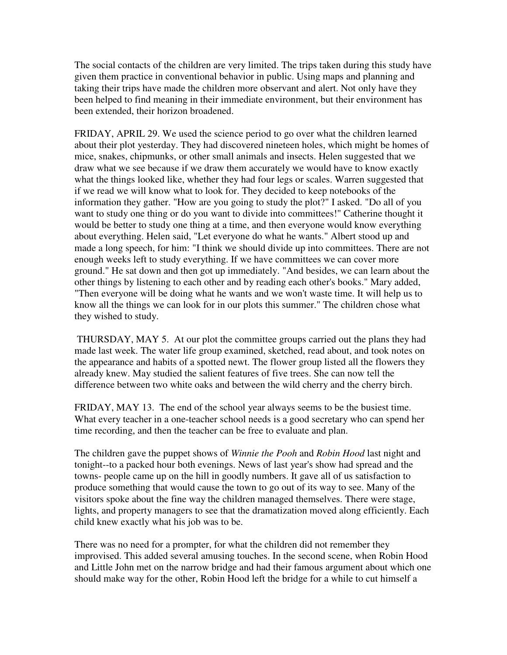The social contacts of the children are very limited. The trips taken during this study have given them practice in conventional behavior in public. Using maps and planning and taking their trips have made the children more observant and alert. Not only have they been helped to find meaning in their immediate environment, but their environment has been extended, their horizon broadened.

FRIDAY, APRIL 29. We used the science period to go over what the children learned about their plot yesterday. They had discovered nineteen holes, which might be homes of mice, snakes, chipmunks, or other small animals and insects. Helen suggested that we draw what we see because if we draw them accurately we would have to know exactly what the things looked like, whether they had four legs or scales. Warren suggested that if we read we will know what to look for. They decided to keep notebooks of the information they gather. "How are you going to study the plot?" I asked. "Do all of you want to study one thing or do you want to divide into committees!" Catherine thought it would be better to study one thing at a time, and then everyone would know everything about everything. Helen said, "Let everyone do what he wants." Albert stood up and made a long speech, for him: "I think we should divide up into committees. There are not enough weeks left to study everything. If we have committees we can cover more ground." He sat down and then got up immediately. "And besides, we can learn about the other things by listening to each other and by reading each other's books." Mary added, "Then everyone will be doing what he wants and we won't waste time. It will help us to know all the things we can look for in our plots this summer." The children chose what they wished to study.

 THURSDAY, MAY 5. At our plot the committee groups carried out the plans they had made last week. The water life group examined, sketched, read about, and took notes on the appearance and habits of a spotted newt. The flower group listed all the flowers they already knew. May studied the salient features of five trees. She can now tell the difference between two white oaks and between the wild cherry and the cherry birch.

FRIDAY, MAY 13. The end of the school year always seems to be the busiest time. What every teacher in a one-teacher school needs is a good secretary who can spend her time recording, and then the teacher can be free to evaluate and plan.

The children gave the puppet shows of *Winnie the Pooh* and *Robin Hood* last night and tonight--to a packed hour both evenings. News of last year's show had spread and the towns- people came up on the hill in goodly numbers. It gave all of us satisfaction to produce something that would cause the town to go out of its way to see. Many of the visitors spoke about the fine way the children managed themselves. There were stage, lights, and property managers to see that the dramatization moved along efficiently. Each child knew exactly what his job was to be.

There was no need for a prompter, for what the children did not remember they improvised. This added several amusing touches. In the second scene, when Robin Hood and Little John met on the narrow bridge and had their famous argument about which one should make way for the other, Robin Hood left the bridge for a while to cut himself a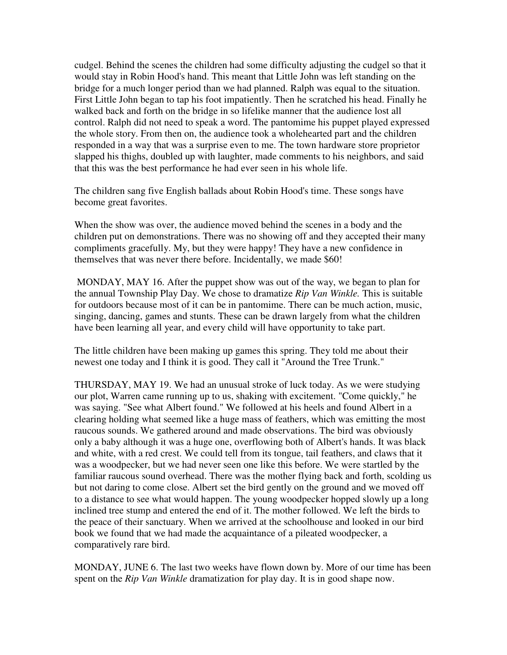cudgel. Behind the scenes the children had some difficulty adjusting the cudgel so that it would stay in Robin Hood's hand. This meant that Little John was left standing on the bridge for a much longer period than we had planned. Ralph was equal to the situation. First Little John began to tap his foot impatiently. Then he scratched his head. Finally he walked back and forth on the bridge in so lifelike manner that the audience lost all control. Ralph did not need to speak a word. The pantomime his puppet played expressed the whole story. From then on, the audience took a wholehearted part and the children responded in a way that was a surprise even to me. The town hardware store proprietor slapped his thighs, doubled up with laughter, made comments to his neighbors, and said that this was the best performance he had ever seen in his whole life.

The children sang five English ballads about Robin Hood's time. These songs have become great favorites.

When the show was over, the audience moved behind the scenes in a body and the children put on demonstrations. There was no showing off and they accepted their many compliments gracefully. My, but they were happy! They have a new confidence in themselves that was never there before. Incidentally, we made \$60!

 MONDAY, MAY 16. After the puppet show was out of the way, we began to plan for the annual Township Play Day. We chose to dramatize *Rip Van Winkle.* This is suitable for outdoors because most of it can be in pantomime. There can be much action, music, singing, dancing, games and stunts. These can be drawn largely from what the children have been learning all year, and every child will have opportunity to take part.

The little children have been making up games this spring. They told me about their newest one today and I think it is good. They call it "Around the Tree Trunk."

THURSDAY, MAY 19. We had an unusual stroke of luck today. As we were studying our plot, Warren came running up to us, shaking with excitement. "Come quickly," he was saying. "See what Albert found." We followed at his heels and found Albert in a clearing holding what seemed like a huge mass of feathers, which was emitting the most raucous sounds. We gathered around and made observations. The bird was obviously only a baby although it was a huge one, overflowing both of Albert's hands. It was black and white, with a red crest. We could tell from its tongue, tail feathers, and claws that it was a woodpecker, but we had never seen one like this before. We were startled by the familiar raucous sound overhead. There was the mother flying back and forth, scolding us but not daring to come close. Albert set the bird gently on the ground and we moved off to a distance to see what would happen. The young woodpecker hopped slowly up a long inclined tree stump and entered the end of it. The mother followed. We left the birds to the peace of their sanctuary. When we arrived at the schoolhouse and looked in our bird book we found that we had made the acquaintance of a pileated woodpecker, a comparatively rare bird.

MONDAY, JUNE 6. The last two weeks have flown down by. More of our time has been spent on the *Rip Van Winkle* dramatization for play day. It is in good shape now.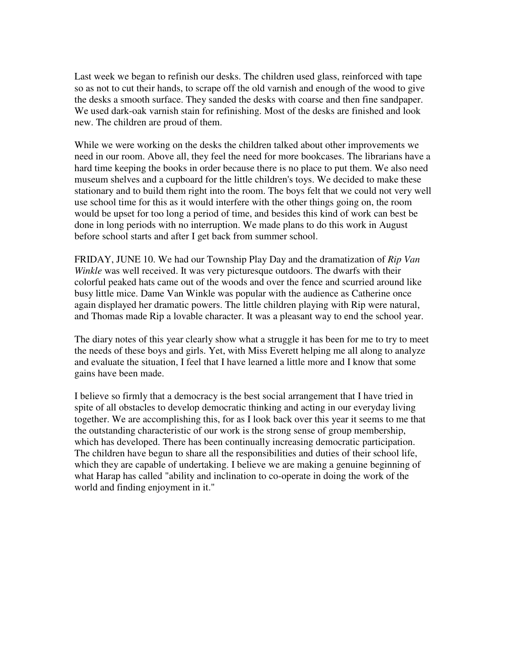Last week we began to refinish our desks. The children used glass, reinforced with tape so as not to cut their hands, to scrape off the old varnish and enough of the wood to give the desks a smooth surface. They sanded the desks with coarse and then fine sandpaper. We used dark-oak varnish stain for refinishing. Most of the desks are finished and look new. The children are proud of them.

While we were working on the desks the children talked about other improvements we need in our room. Above all, they feel the need for more bookcases. The librarians have a hard time keeping the books in order because there is no place to put them. We also need museum shelves and a cupboard for the little children's toys. We decided to make these stationary and to build them right into the room. The boys felt that we could not very well use school time for this as it would interfere with the other things going on, the room would be upset for too long a period of time, and besides this kind of work can best be done in long periods with no interruption. We made plans to do this work in August before school starts and after I get back from summer school.

FRIDAY, JUNE 10. We had our Township Play Day and the dramatization of *Rip Van Winkle* was well received. It was very picturesque outdoors. The dwarfs with their colorful peaked hats came out of the woods and over the fence and scurried around like busy little mice. Dame Van Winkle was popular with the audience as Catherine once again displayed her dramatic powers. The little children playing with Rip were natural, and Thomas made Rip a lovable character. It was a pleasant way to end the school year.

The diary notes of this year clearly show what a struggle it has been for me to try to meet the needs of these boys and girls. Yet, with Miss Everett helping me all along to analyze and evaluate the situation, I feel that I have learned a little more and I know that some gains have been made.

I believe so firmly that a democracy is the best social arrangement that I have tried in spite of all obstacles to develop democratic thinking and acting in our everyday living together. We are accomplishing this, for as I look back over this year it seems to me that the outstanding characteristic of our work is the strong sense of group membership, which has developed. There has been continually increasing democratic participation. The children have begun to share all the responsibilities and duties of their school life, which they are capable of undertaking. I believe we are making a genuine beginning of what Harap has called "ability and inclination to co-operate in doing the work of the world and finding enjoyment in it."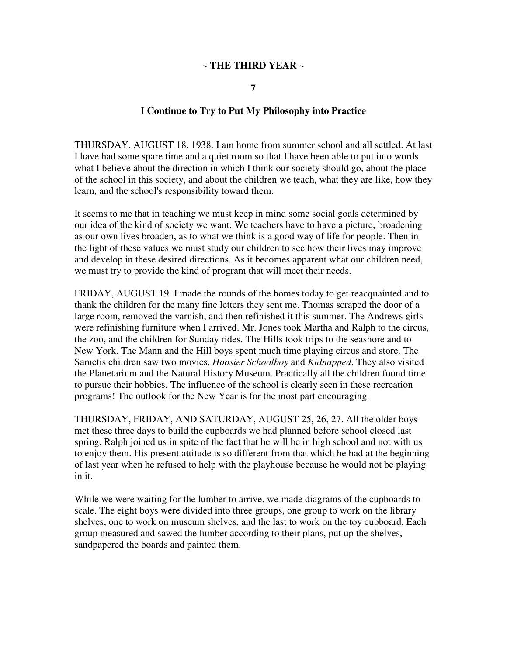## **~ THE THIRD YEAR ~**

## **7**

## **I Continue to Try to Put My Philosophy into Practice**

THURSDAY, AUGUST 18, 1938. I am home from summer school and all settled. At last I have had some spare time and a quiet room so that I have been able to put into words what I believe about the direction in which I think our society should go, about the place of the school in this society, and about the children we teach, what they are like, how they learn, and the school's responsibility toward them.

It seems to me that in teaching we must keep in mind some social goals determined by our idea of the kind of society we want. We teachers have to have a picture, broadening as our own lives broaden, as to what we think is a good way of life for people. Then in the light of these values we must study our children to see how their lives may improve and develop in these desired directions. As it becomes apparent what our children need, we must try to provide the kind of program that will meet their needs.

FRIDAY, AUGUST 19. I made the rounds of the homes today to get reacquainted and to thank the children for the many fine letters they sent me. Thomas scraped the door of a large room, removed the varnish, and then refinished it this summer. The Andrews girls were refinishing furniture when I arrived. Mr. Jones took Martha and Ralph to the circus, the zoo, and the children for Sunday rides. The Hills took trips to the seashore and to New York. The Mann and the Hill boys spent much time playing circus and store. The Sametis children saw two movies, *Hoosier Schoolboy* and *Kidnapped*. They also visited the Planetarium and the Natural History Museum. Practically all the children found time to pursue their hobbies. The influence of the school is clearly seen in these recreation programs! The outlook for the New Year is for the most part encouraging.

THURSDAY, FRIDAY, AND SATURDAY, AUGUST 25, 26, 27. All the older boys met these three days to build the cupboards we had planned before school closed last spring. Ralph joined us in spite of the fact that he will be in high school and not with us to enjoy them. His present attitude is so different from that which he had at the beginning of last year when he refused to help with the playhouse because he would not be playing in it.

While we were waiting for the lumber to arrive, we made diagrams of the cupboards to scale. The eight boys were divided into three groups, one group to work on the library shelves, one to work on museum shelves, and the last to work on the toy cupboard. Each group measured and sawed the lumber according to their plans, put up the shelves, sandpapered the boards and painted them.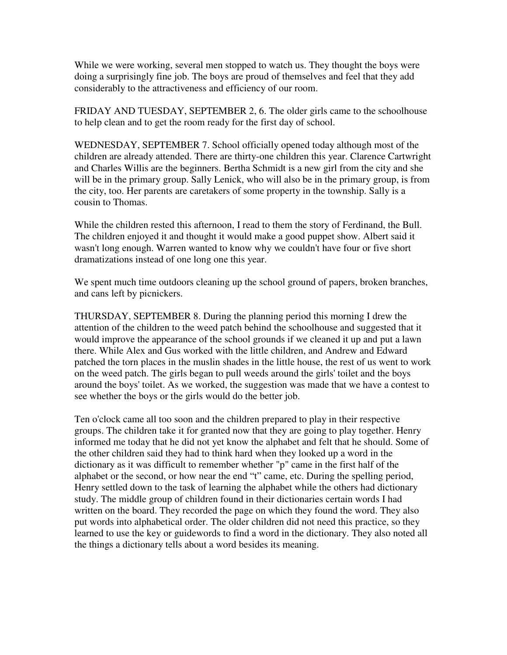While we were working, several men stopped to watch us. They thought the boys were doing a surprisingly fine job. The boys are proud of themselves and feel that they add considerably to the attractiveness and efficiency of our room.

FRIDAY AND TUESDAY, SEPTEMBER 2, 6. The older girls came to the schoolhouse to help clean and to get the room ready for the first day of school.

WEDNESDAY, SEPTEMBER 7. School officially opened today although most of the children are already attended. There are thirty-one children this year. Clarence Cartwright and Charles Willis are the beginners. Bertha Schmidt is a new girl from the city and she will be in the primary group. Sally Lenick, who will also be in the primary group, is from the city, too. Her parents are caretakers of some property in the township. Sally is a cousin to Thomas.

While the children rested this afternoon, I read to them the story of Ferdinand, the Bull. The children enjoyed it and thought it would make a good puppet show. Albert said it wasn't long enough. Warren wanted to know why we couldn't have four or five short dramatizations instead of one long one this year.

We spent much time outdoors cleaning up the school ground of papers, broken branches, and cans left by picnickers.

THURSDAY, SEPTEMBER 8. During the planning period this morning I drew the attention of the children to the weed patch behind the schoolhouse and suggested that it would improve the appearance of the school grounds if we cleaned it up and put a lawn there. While Alex and Gus worked with the little children, and Andrew and Edward patched the torn places in the muslin shades in the little house, the rest of us went to work on the weed patch. The girls began to pull weeds around the girls' toilet and the boys around the boys' toilet. As we worked, the suggestion was made that we have a contest to see whether the boys or the girls would do the better job.

Ten o'clock came all too soon and the children prepared to play in their respective groups. The children take it for granted now that they are going to play together. Henry informed me today that he did not yet know the alphabet and felt that he should. Some of the other children said they had to think hard when they looked up a word in the dictionary as it was difficult to remember whether "p" came in the first half of the alphabet or the second, or how near the end "t" came, etc. During the spelling period, Henry settled down to the task of learning the alphabet while the others had dictionary study. The middle group of children found in their dictionaries certain words I had written on the board. They recorded the page on which they found the word. They also put words into alphabetical order. The older children did not need this practice, so they learned to use the key or guidewords to find a word in the dictionary. They also noted all the things a dictionary tells about a word besides its meaning.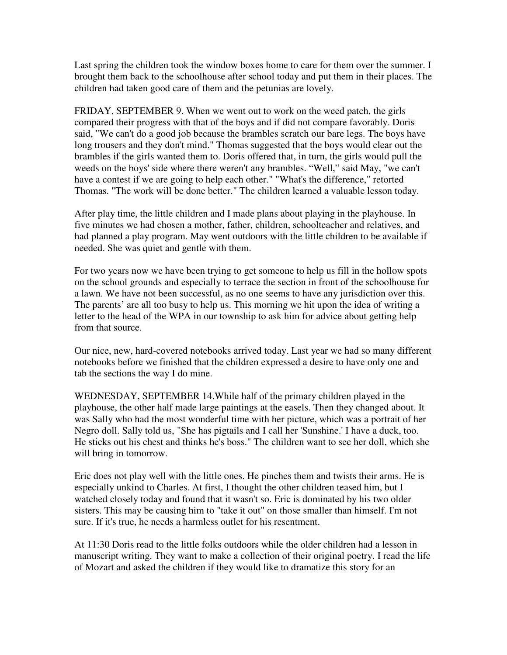Last spring the children took the window boxes home to care for them over the summer. I brought them back to the schoolhouse after school today and put them in their places. The children had taken good care of them and the petunias are lovely.

FRIDAY, SEPTEMBER 9. When we went out to work on the weed patch, the girls compared their progress with that of the boys and if did not compare favorably. Doris said, "We can't do a good job because the brambles scratch our bare legs. The boys have long trousers and they don't mind." Thomas suggested that the boys would clear out the brambles if the girls wanted them to. Doris offered that, in turn, the girls would pull the weeds on the boys' side where there weren't any brambles. "Well," said May, "we can't have a contest if we are going to help each other." "What's the difference," retorted Thomas. "The work will be done better." The children learned a valuable lesson today.

After play time, the little children and I made plans about playing in the playhouse. In five minutes we had chosen a mother, father, children, schoolteacher and relatives, and had planned a play program. May went outdoors with the little children to be available if needed. She was quiet and gentle with them.

For two years now we have been trying to get someone to help us fill in the hollow spots on the school grounds and especially to terrace the section in front of the schoolhouse for a lawn. We have not been successful, as no one seems to have any jurisdiction over this. The parents' are all too busy to help us. This morning we hit upon the idea of writing a letter to the head of the WPA in our township to ask him for advice about getting help from that source.

Our nice, new, hard-covered notebooks arrived today. Last year we had so many different notebooks before we finished that the children expressed a desire to have only one and tab the sections the way I do mine.

WEDNESDAY, SEPTEMBER 14.While half of the primary children played in the playhouse, the other half made large paintings at the easels. Then they changed about. It was Sally who had the most wonderful time with her picture, which was a portrait of her Negro doll. Sally told us, "She has pigtails and I call her 'Sunshine.' I have a duck, too. He sticks out his chest and thinks he's boss." The children want to see her doll, which she will bring in tomorrow.

Eric does not play well with the little ones. He pinches them and twists their arms. He is especially unkind to Charles. At first, I thought the other children teased him, but I watched closely today and found that it wasn't so. Eric is dominated by his two older sisters. This may be causing him to "take it out" on those smaller than himself. I'm not sure. If it's true, he needs a harmless outlet for his resentment.

At 11:30 Doris read to the little folks outdoors while the older children had a lesson in manuscript writing. They want to make a collection of their original poetry. I read the life of Mozart and asked the children if they would like to dramatize this story for an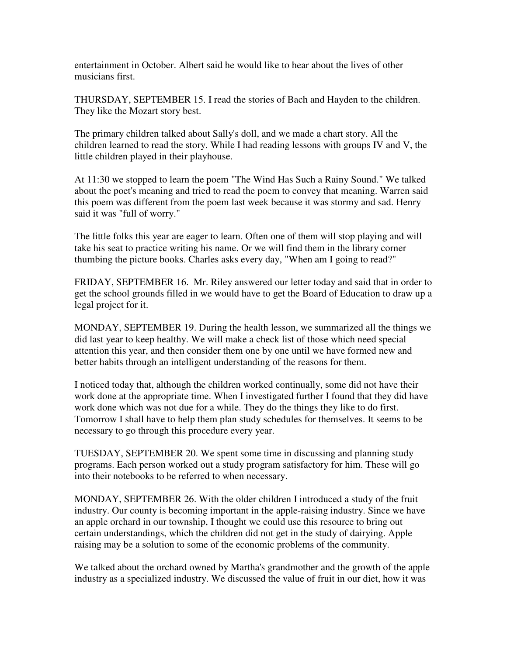entertainment in October. Albert said he would like to hear about the lives of other musicians first.

THURSDAY, SEPTEMBER 15. I read the stories of Bach and Hayden to the children. They like the Mozart story best.

The primary children talked about Sally's doll, and we made a chart story. All the children learned to read the story. While I had reading lessons with groups IV and V, the little children played in their playhouse.

At 11:30 we stopped to learn the poem "The Wind Has Such a Rainy Sound." We talked about the poet's meaning and tried to read the poem to convey that meaning. Warren said this poem was different from the poem last week because it was stormy and sad. Henry said it was "full of worry."

The little folks this year are eager to learn. Often one of them will stop playing and will take his seat to practice writing his name. Or we will find them in the library corner thumbing the picture books. Charles asks every day, "When am I going to read?"

FRIDAY, SEPTEMBER 16. Mr. Riley answered our letter today and said that in order to get the school grounds filled in we would have to get the Board of Education to draw up a legal project for it.

MONDAY, SEPTEMBER 19. During the health lesson, we summarized all the things we did last year to keep healthy. We will make a check list of those which need special attention this year, and then consider them one by one until we have formed new and better habits through an intelligent understanding of the reasons for them.

I noticed today that, although the children worked continually, some did not have their work done at the appropriate time. When I investigated further I found that they did have work done which was not due for a while. They do the things they like to do first. Tomorrow I shall have to help them plan study schedules for themselves. It seems to be necessary to go through this procedure every year.

TUESDAY, SEPTEMBER 20. We spent some time in discussing and planning study programs. Each person worked out a study program satisfactory for him. These will go into their notebooks to be referred to when necessary.

MONDAY, SEPTEMBER 26. With the older children I introduced a study of the fruit industry. Our county is becoming important in the apple-raising industry. Since we have an apple orchard in our township, I thought we could use this resource to bring out certain understandings, which the children did not get in the study of dairying. Apple raising may be a solution to some of the economic problems of the community.

We talked about the orchard owned by Martha's grandmother and the growth of the apple industry as a specialized industry. We discussed the value of fruit in our diet, how it was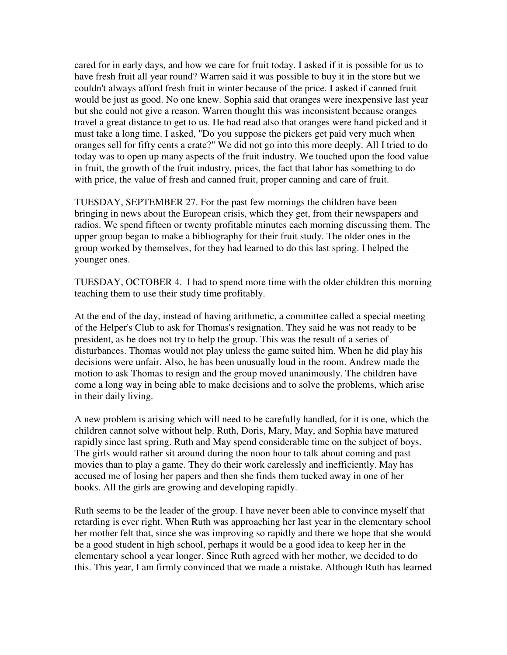cared for in early days, and how we care for fruit today. I asked if it is possible for us to have fresh fruit all year round? Warren said it was possible to buy it in the store but we couldn't always afford fresh fruit in winter because of the price. I asked if canned fruit would be just as good. No one knew. Sophia said that oranges were inexpensive last year but she could not give a reason. Warren thought this was inconsistent because oranges travel a great distance to get to us. He had read also that oranges were hand picked and it must take a long time. I asked, "Do you suppose the pickers get paid very much when oranges sell for fifty cents a crate?" We did not go into this more deeply. All I tried to do today was to open up many aspects of the fruit industry. We touched upon the food value in fruit, the growth of the fruit industry, prices, the fact that labor has something to do with price, the value of fresh and canned fruit, proper canning and care of fruit.

TUESDAY, SEPTEMBER 27. For the past few mornings the children have been bringing in news about the European crisis, which they get, from their newspapers and radios. We spend fifteen or twenty profitable minutes each morning discussing them. The upper group began to make a bibliography for their fruit study. The older ones in the group worked by themselves, for they had learned to do this last spring. I helped the younger ones.

TUESDAY, OCTOBER 4. I had to spend more time with the older children this morning teaching them to use their study time profitably.

At the end of the day, instead of having arithmetic, a committee called a special meeting of the Helper's Club to ask for Thomas's resignation. They said he was not ready to be president, as he does not try to help the group. This was the result of a series of disturbances. Thomas would not play unless the game suited him. When he did play his decisions were unfair. Also, he has been unusually loud in the room. Andrew made the motion to ask Thomas to resign and the group moved unanimously. The children have come a long way in being able to make decisions and to solve the problems, which arise in their daily living.

A new problem is arising which will need to be carefully handled, for it is one, which the children cannot solve without help. Ruth, Doris, Mary, May, and Sophia have matured rapidly since last spring. Ruth and May spend considerable time on the subject of boys. The girls would rather sit around during the noon hour to talk about coming and past movies than to play a game. They do their work carelessly and inefficiently. May has accused me of losing her papers and then she finds them tucked away in one of her books. All the girls are growing and developing rapidly.

Ruth seems to be the leader of the group. I have never been able to convince myself that retarding is ever right. When Ruth was approaching her last year in the elementary school her mother felt that, since she was improving so rapidly and there we hope that she would be a good student in high school, perhaps it would be a good idea to keep her in the elementary school a year longer. Since Ruth agreed with her mother, we decided to do this. This year, I am firmly convinced that we made a mistake. Although Ruth has learned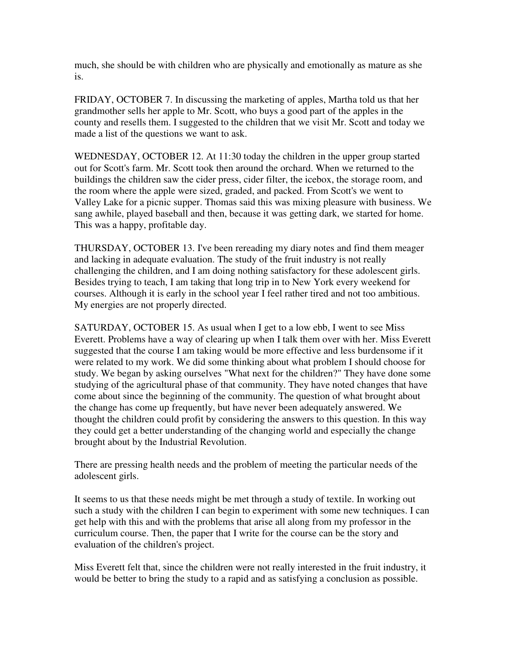much, she should be with children who are physically and emotionally as mature as she is.

FRIDAY, OCTOBER 7. In discussing the marketing of apples, Martha told us that her grandmother sells her apple to Mr. Scott, who buys a good part of the apples in the county and resells them. I suggested to the children that we visit Mr. Scott and today we made a list of the questions we want to ask.

WEDNESDAY, OCTOBER 12. At 11:30 today the children in the upper group started out for Scott's farm. Mr. Scott took then around the orchard. When we returned to the buildings the children saw the cider press, cider filter, the icebox, the storage room, and the room where the apple were sized, graded, and packed. From Scott's we went to Valley Lake for a picnic supper. Thomas said this was mixing pleasure with business. We sang awhile, played baseball and then, because it was getting dark, we started for home. This was a happy, profitable day.

THURSDAY, OCTOBER 13. I've been rereading my diary notes and find them meager and lacking in adequate evaluation. The study of the fruit industry is not really challenging the children, and I am doing nothing satisfactory for these adolescent girls. Besides trying to teach, I am taking that long trip in to New York every weekend for courses. Although it is early in the school year I feel rather tired and not too ambitious. My energies are not properly directed.

SATURDAY, OCTOBER 15. As usual when I get to a low ebb, I went to see Miss Everett. Problems have a way of clearing up when I talk them over with her. Miss Everett suggested that the course I am taking would be more effective and less burdensome if it were related to my work. We did some thinking about what problem I should choose for study. We began by asking ourselves "What next for the children?" They have done some studying of the agricultural phase of that community. They have noted changes that have come about since the beginning of the community. The question of what brought about the change has come up frequently, but have never been adequately answered. We thought the children could profit by considering the answers to this question. In this way they could get a better understanding of the changing world and especially the change brought about by the Industrial Revolution.

There are pressing health needs and the problem of meeting the particular needs of the adolescent girls.

It seems to us that these needs might be met through a study of textile. In working out such a study with the children I can begin to experiment with some new techniques. I can get help with this and with the problems that arise all along from my professor in the curriculum course. Then, the paper that I write for the course can be the story and evaluation of the children's project.

Miss Everett felt that, since the children were not really interested in the fruit industry, it would be better to bring the study to a rapid and as satisfying a conclusion as possible.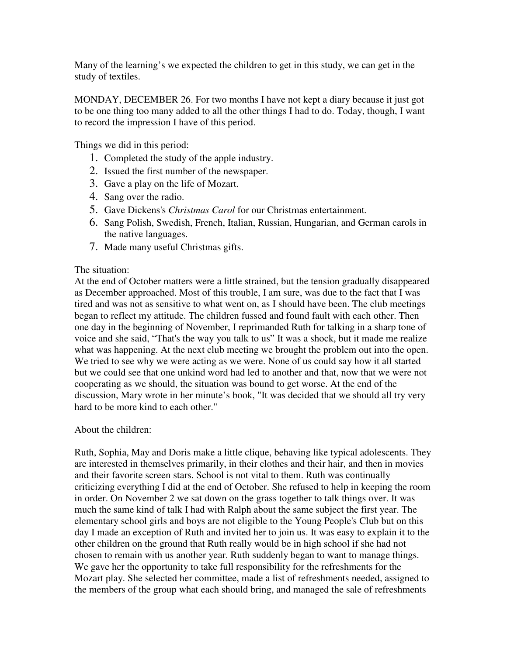Many of the learning's we expected the children to get in this study, we can get in the study of textiles.

MONDAY, DECEMBER 26. For two months I have not kept a diary because it just got to be one thing too many added to all the other things I had to do. Today, though, I want to record the impression I have of this period.

Things we did in this period:

- 1. Completed the study of the apple industry.
- 2. Issued the first number of the newspaper.
- 3. Gave a play on the life of Mozart.
- 4. Sang over the radio.
- 5. Gave Dickens's *Christmas Carol* for our Christmas entertainment.
- 6. Sang Polish, Swedish, French, Italian, Russian, Hungarian, and German carols in the native languages.
- 7. Made many useful Christmas gifts.

# The situation:

At the end of October matters were a little strained, but the tension gradually disappeared as December approached. Most of this trouble, I am sure, was due to the fact that I was tired and was not as sensitive to what went on, as I should have been. The club meetings began to reflect my attitude. The children fussed and found fault with each other. Then one day in the beginning of November, I reprimanded Ruth for talking in a sharp tone of voice and she said, "That's the way you talk to us" It was a shock, but it made me realize what was happening. At the next club meeting we brought the problem out into the open. We tried to see why we were acting as we were. None of us could say how it all started but we could see that one unkind word had led to another and that, now that we were not cooperating as we should, the situation was bound to get worse. At the end of the discussion, Mary wrote in her minute's book, "It was decided that we should all try very hard to be more kind to each other."

# About the children:

Ruth, Sophia, May and Doris make a little clique, behaving like typical adolescents. They are interested in themselves primarily, in their clothes and their hair, and then in movies and their favorite screen stars. School is not vital to them. Ruth was continually criticizing everything I did at the end of October. She refused to help in keeping the room in order. On November 2 we sat down on the grass together to talk things over. It was much the same kind of talk I had with Ralph about the same subject the first year. The elementary school girls and boys are not eligible to the Young People's Club but on this day I made an exception of Ruth and invited her to join us. It was easy to explain it to the other children on the ground that Ruth really would be in high school if she had not chosen to remain with us another year. Ruth suddenly began to want to manage things. We gave her the opportunity to take full responsibility for the refreshments for the Mozart play. She selected her committee, made a list of refreshments needed, assigned to the members of the group what each should bring, and managed the sale of refreshments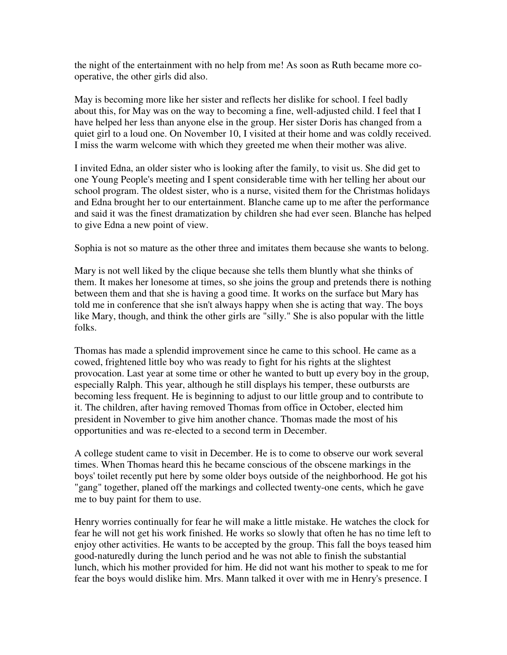the night of the entertainment with no help from me! As soon as Ruth became more cooperative, the other girls did also.

May is becoming more like her sister and reflects her dislike for school. I feel badly about this, for May was on the way to becoming a fine, well-adjusted child. I feel that I have helped her less than anyone else in the group. Her sister Doris has changed from a quiet girl to a loud one. On November 10, I visited at their home and was coldly received. I miss the warm welcome with which they greeted me when their mother was alive.

I invited Edna, an older sister who is looking after the family, to visit us. She did get to one Young People's meeting and I spent considerable time with her telling her about our school program. The oldest sister, who is a nurse, visited them for the Christmas holidays and Edna brought her to our entertainment. Blanche came up to me after the performance and said it was the finest dramatization by children she had ever seen. Blanche has helped to give Edna a new point of view.

Sophia is not so mature as the other three and imitates them because she wants to belong.

Mary is not well liked by the clique because she tells them bluntly what she thinks of them. It makes her lonesome at times, so she joins the group and pretends there is nothing between them and that she is having a good time. It works on the surface but Mary has told me in conference that she isn't always happy when she is acting that way. The boys like Mary, though, and think the other girls are "silly." She is also popular with the little folks.

Thomas has made a splendid improvement since he came to this school. He came as a cowed, frightened little boy who was ready to fight for his rights at the slightest provocation. Last year at some time or other he wanted to butt up every boy in the group, especially Ralph. This year, although he still displays his temper, these outbursts are becoming less frequent. He is beginning to adjust to our little group and to contribute to it. The children, after having removed Thomas from office in October, elected him president in November to give him another chance. Thomas made the most of his opportunities and was re-elected to a second term in December.

A college student came to visit in December. He is to come to observe our work several times. When Thomas heard this he became conscious of the obscene markings in the boys' toilet recently put here by some older boys outside of the neighborhood. He got his "gang" together, planed off the markings and collected twenty-one cents, which he gave me to buy paint for them to use.

Henry worries continually for fear he will make a little mistake. He watches the clock for fear he will not get his work finished. He works so slowly that often he has no time left to enjoy other activities. He wants to be accepted by the group. This fall the boys teased him good-naturedly during the lunch period and he was not able to finish the substantial lunch, which his mother provided for him. He did not want his mother to speak to me for fear the boys would dislike him. Mrs. Mann talked it over with me in Henry's presence. I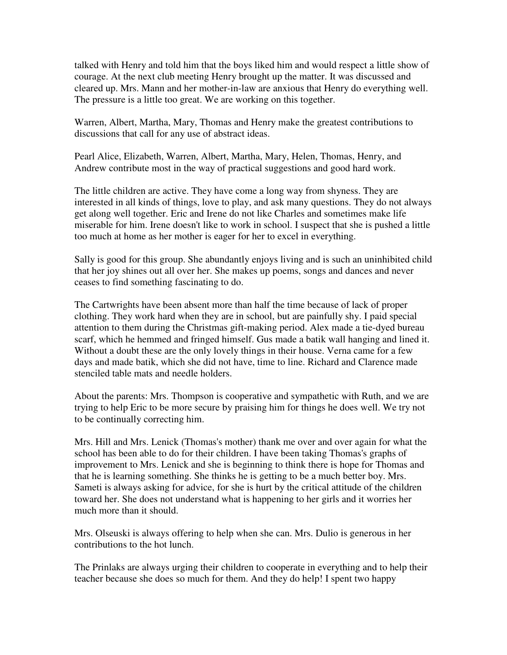talked with Henry and told him that the boys liked him and would respect a little show of courage. At the next club meeting Henry brought up the matter. It was discussed and cleared up. Mrs. Mann and her mother-in-law are anxious that Henry do everything well. The pressure is a little too great. We are working on this together.

Warren, Albert, Martha, Mary, Thomas and Henry make the greatest contributions to discussions that call for any use of abstract ideas.

Pearl Alice, Elizabeth, Warren, Albert, Martha, Mary, Helen, Thomas, Henry, and Andrew contribute most in the way of practical suggestions and good hard work.

The little children are active. They have come a long way from shyness. They are interested in all kinds of things, love to play, and ask many questions. They do not always get along well together. Eric and Irene do not like Charles and sometimes make life miserable for him. Irene doesn't like to work in school. I suspect that she is pushed a little too much at home as her mother is eager for her to excel in everything.

Sally is good for this group. She abundantly enjoys living and is such an uninhibited child that her joy shines out all over her. She makes up poems, songs and dances and never ceases to find something fascinating to do.

The Cartwrights have been absent more than half the time because of lack of proper clothing. They work hard when they are in school, but are painfully shy. I paid special attention to them during the Christmas gift-making period. Alex made a tie-dyed bureau scarf, which he hemmed and fringed himself. Gus made a batik wall hanging and lined it. Without a doubt these are the only lovely things in their house. Verna came for a few days and made batik, which she did not have, time to line. Richard and Clarence made stenciled table mats and needle holders.

About the parents: Mrs. Thompson is cooperative and sympathetic with Ruth, and we are trying to help Eric to be more secure by praising him for things he does well. We try not to be continually correcting him.

Mrs. Hill and Mrs. Lenick (Thomas's mother) thank me over and over again for what the school has been able to do for their children. I have been taking Thomas's graphs of improvement to Mrs. Lenick and she is beginning to think there is hope for Thomas and that he is learning something. She thinks he is getting to be a much better boy. Mrs. Sameti is always asking for advice, for she is hurt by the critical attitude of the children toward her. She does not understand what is happening to her girls and it worries her much more than it should.

Mrs. Olseuski is always offering to help when she can. Mrs. Dulio is generous in her contributions to the hot lunch.

The Prinlaks are always urging their children to cooperate in everything and to help their teacher because she does so much for them. And they do help! I spent two happy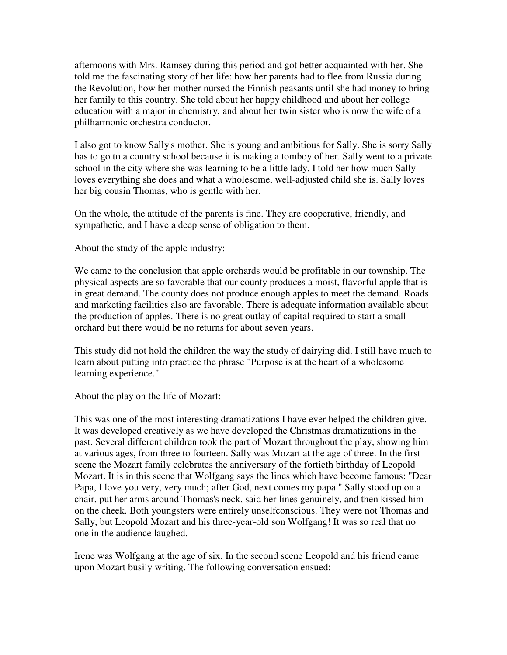afternoons with Mrs. Ramsey during this period and got better acquainted with her. She told me the fascinating story of her life: how her parents had to flee from Russia during the Revolution, how her mother nursed the Finnish peasants until she had money to bring her family to this country. She told about her happy childhood and about her college education with a major in chemistry, and about her twin sister who is now the wife of a philharmonic orchestra conductor.

I also got to know Sally's mother. She is young and ambitious for Sally. She is sorry Sally has to go to a country school because it is making a tomboy of her. Sally went to a private school in the city where she was learning to be a little lady. I told her how much Sally loves everything she does and what a wholesome, well-adjusted child she is. Sally loves her big cousin Thomas, who is gentle with her.

On the whole, the attitude of the parents is fine. They are cooperative, friendly, and sympathetic, and I have a deep sense of obligation to them.

About the study of the apple industry:

We came to the conclusion that apple orchards would be profitable in our township. The physical aspects are so favorable that our county produces a moist, flavorful apple that is in great demand. The county does not produce enough apples to meet the demand. Roads and marketing facilities also are favorable. There is adequate information available about the production of apples. There is no great outlay of capital required to start a small orchard but there would be no returns for about seven years.

This study did not hold the children the way the study of dairying did. I still have much to learn about putting into practice the phrase "Purpose is at the heart of a wholesome learning experience."

About the play on the life of Mozart:

This was one of the most interesting dramatizations I have ever helped the children give. It was developed creatively as we have developed the Christmas dramatizations in the past. Several different children took the part of Mozart throughout the play, showing him at various ages, from three to fourteen. Sally was Mozart at the age of three. In the first scene the Mozart family celebrates the anniversary of the fortieth birthday of Leopold Mozart. It is in this scene that Wolfgang says the lines which have become famous: "Dear Papa, I love you very, very much; after God, next comes my papa." Sally stood up on a chair, put her arms around Thomas's neck, said her lines genuinely, and then kissed him on the cheek. Both youngsters were entirely unselfconscious. They were not Thomas and Sally, but Leopold Mozart and his three-year-old son Wolfgang! It was so real that no one in the audience laughed.

Irene was Wolfgang at the age of six. In the second scene Leopold and his friend came upon Mozart busily writing. The following conversation ensued: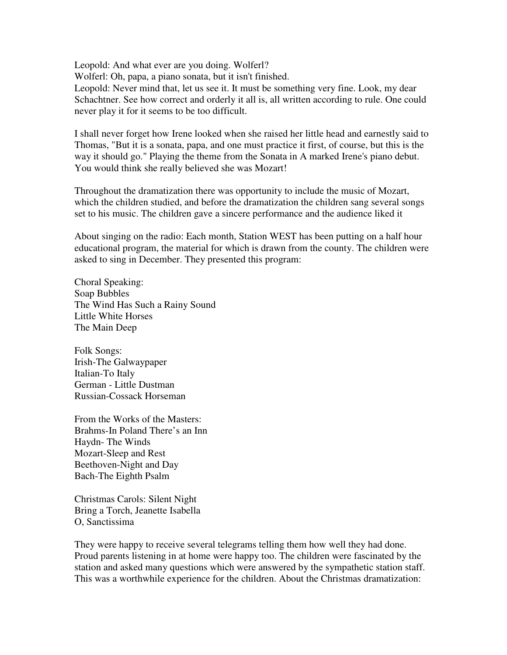Leopold: And what ever are you doing. Wolferl?

Wolferl: Oh, papa, a piano sonata, but it isn't finished.

Leopold: Never mind that, let us see it. It must be something very fine. Look, my dear Schachtner. See how correct and orderly it all is, all written according to rule. One could never play it for it seems to be too difficult.

I shall never forget how Irene looked when she raised her little head and earnestly said to Thomas, "But it is a sonata, papa, and one must practice it first, of course, but this is the way it should go." Playing the theme from the Sonata in A marked Irene's piano debut. You would think she really believed she was Mozart!

Throughout the dramatization there was opportunity to include the music of Mozart, which the children studied, and before the dramatization the children sang several songs set to his music. The children gave a sincere performance and the audience liked it

About singing on the radio: Each month, Station WEST has been putting on a half hour educational program, the material for which is drawn from the county. The children were asked to sing in December. They presented this program:

Choral Speaking: Soap Bubbles The Wind Has Such a Rainy Sound Little White Horses The Main Deep

Folk Songs: Irish-The Galwaypaper Italian-To Italy German - Little Dustman Russian-Cossack Horseman

From the Works of the Masters: Brahms-In Poland There's an Inn Haydn- The Winds Mozart-Sleep and Rest Beethoven-Night and Day Bach-The Eighth Psalm

Christmas Carols: Silent Night Bring a Torch, Jeanette Isabella O, Sanctissima

They were happy to receive several telegrams telling them how well they had done. Proud parents listening in at home were happy too. The children were fascinated by the station and asked many questions which were answered by the sympathetic station staff. This was a worthwhile experience for the children. About the Christmas dramatization: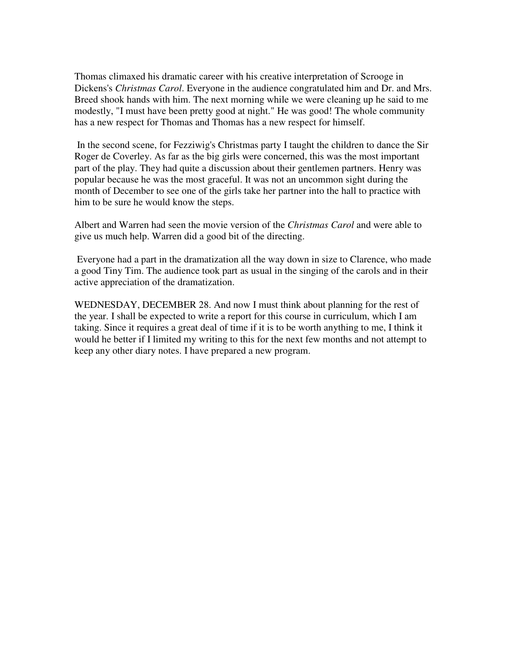Thomas climaxed his dramatic career with his creative interpretation of Scrooge in Dickens's *Christmas Carol*. Everyone in the audience congratulated him and Dr. and Mrs. Breed shook hands with him. The next morning while we were cleaning up he said to me modestly, "I must have been pretty good at night." He was good! The whole community has a new respect for Thomas and Thomas has a new respect for himself.

 In the second scene, for Fezziwig's Christmas party I taught the children to dance the Sir Roger de Coverley. As far as the big girls were concerned, this was the most important part of the play. They had quite a discussion about their gentlemen partners. Henry was popular because he was the most graceful. It was not an uncommon sight during the month of December to see one of the girls take her partner into the hall to practice with him to be sure he would know the steps.

Albert and Warren had seen the movie version of the *Christmas Carol* and were able to give us much help. Warren did a good bit of the directing.

 Everyone had a part in the dramatization all the way down in size to Clarence, who made a good Tiny Tim. The audience took part as usual in the singing of the carols and in their active appreciation of the dramatization.

WEDNESDAY, DECEMBER 28. And now I must think about planning for the rest of the year. I shall be expected to write a report for this course in curriculum, which I am taking. Since it requires a great deal of time if it is to be worth anything to me, I think it would he better if I limited my writing to this for the next few months and not attempt to keep any other diary notes. I have prepared a new program.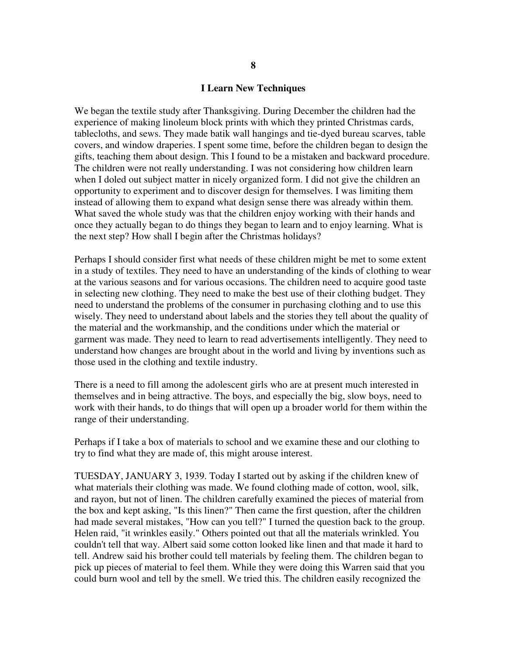#### **I Learn New Techniques**

We began the textile study after Thanksgiving. During December the children had the experience of making linoleum block prints with which they printed Christmas cards, tablecloths, and sews. They made batik wall hangings and tie-dyed bureau scarves, table covers, and window draperies. I spent some time, before the children began to design the gifts, teaching them about design. This I found to be a mistaken and backward procedure. The children were not really understanding. I was not considering how children learn when I doled out subject matter in nicely organized form. I did not give the children an opportunity to experiment and to discover design for themselves. I was limiting them instead of allowing them to expand what design sense there was already within them. What saved the whole study was that the children enjoy working with their hands and once they actually began to do things they began to learn and to enjoy learning. What is the next step? How shall I begin after the Christmas holidays?

Perhaps I should consider first what needs of these children might be met to some extent in a study of textiles. They need to have an understanding of the kinds of clothing to wear at the various seasons and for various occasions. The children need to acquire good taste in selecting new clothing. They need to make the best use of their clothing budget. They need to understand the problems of the consumer in purchasing clothing and to use this wisely. They need to understand about labels and the stories they tell about the quality of the material and the workmanship, and the conditions under which the material or garment was made. They need to learn to read advertisements intelligently. They need to understand how changes are brought about in the world and living by inventions such as those used in the clothing and textile industry.

There is a need to fill among the adolescent girls who are at present much interested in themselves and in being attractive. The boys, and especially the big, slow boys, need to work with their hands, to do things that will open up a broader world for them within the range of their understanding.

Perhaps if I take a box of materials to school and we examine these and our clothing to try to find what they are made of, this might arouse interest.

TUESDAY, JANUARY 3, 1939. Today I started out by asking if the children knew of what materials their clothing was made. We found clothing made of cotton, wool, silk, and rayon, but not of linen. The children carefully examined the pieces of material from the box and kept asking, "Is this linen?" Then came the first question, after the children had made several mistakes, "How can you tell?" I turned the question back to the group. Helen raid, "it wrinkles easily." Others pointed out that all the materials wrinkled. You couldn't tell that way. Albert said some cotton looked like linen and that made it hard to tell. Andrew said his brother could tell materials by feeling them. The children began to pick up pieces of material to feel them. While they were doing this Warren said that you could burn wool and tell by the smell. We tried this. The children easily recognized the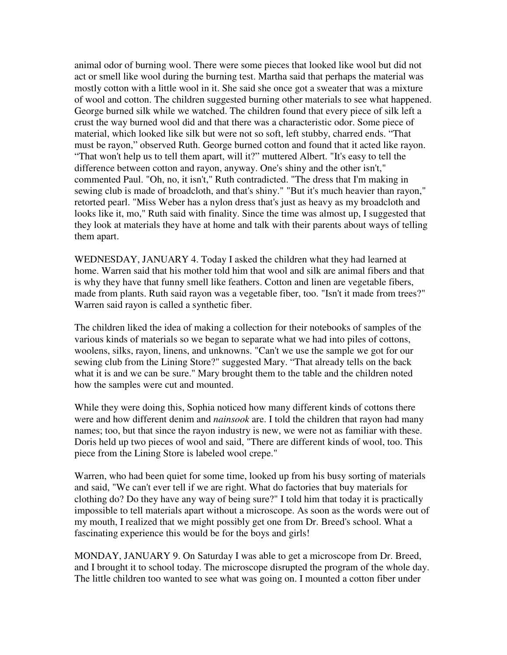animal odor of burning wool. There were some pieces that looked like wool but did not act or smell like wool during the burning test. Martha said that perhaps the material was mostly cotton with a little wool in it. She said she once got a sweater that was a mixture of wool and cotton. The children suggested burning other materials to see what happened. George burned silk while we watched. The children found that every piece of silk left a crust the way burned wool did and that there was a characteristic odor. Some piece of material, which looked like silk but were not so soft, left stubby, charred ends. "That must be rayon," observed Ruth. George burned cotton and found that it acted like rayon. "That won't help us to tell them apart, will it?" muttered Albert. "It's easy to tell the difference between cotton and rayon, anyway. One's shiny and the other isn't," commented Paul. "Oh, no, it isn't," Ruth contradicted. "The dress that I'm making in sewing club is made of broadcloth, and that's shiny." "But it's much heavier than rayon," retorted pearl. "Miss Weber has a nylon dress that's just as heavy as my broadcloth and looks like it, mo," Ruth said with finality. Since the time was almost up, I suggested that they look at materials they have at home and talk with their parents about ways of telling them apart.

WEDNESDAY, JANUARY 4. Today I asked the children what they had learned at home. Warren said that his mother told him that wool and silk are animal fibers and that is why they have that funny smell like feathers. Cotton and linen are vegetable fibers, made from plants. Ruth said rayon was a vegetable fiber, too. "Isn't it made from trees?" Warren said rayon is called a synthetic fiber.

The children liked the idea of making a collection for their notebooks of samples of the various kinds of materials so we began to separate what we had into piles of cottons, woolens, silks, rayon, linens, and unknowns. "Can't we use the sample we got for our sewing club from the Lining Store?" suggested Mary. "That already tells on the back what it is and we can be sure." Mary brought them to the table and the children noted how the samples were cut and mounted.

While they were doing this, Sophia noticed how many different kinds of cottons there were and how different denim and *nainsook* are. I told the children that rayon had many names; too, but that since the rayon industry is new, we were not as familiar with these. Doris held up two pieces of wool and said, "There are different kinds of wool, too. This piece from the Lining Store is labeled wool crepe."

Warren, who had been quiet for some time, looked up from his busy sorting of materials and said, "We can't ever tell if we are right. What do factories that buy materials for clothing do? Do they have any way of being sure?" I told him that today it is practically impossible to tell materials apart without a microscope. As soon as the words were out of my mouth, I realized that we might possibly get one from Dr. Breed's school. What a fascinating experience this would be for the boys and girls!

MONDAY, JANUARY 9. On Saturday I was able to get a microscope from Dr. Breed, and I brought it to school today. The microscope disrupted the program of the whole day. The little children too wanted to see what was going on. I mounted a cotton fiber under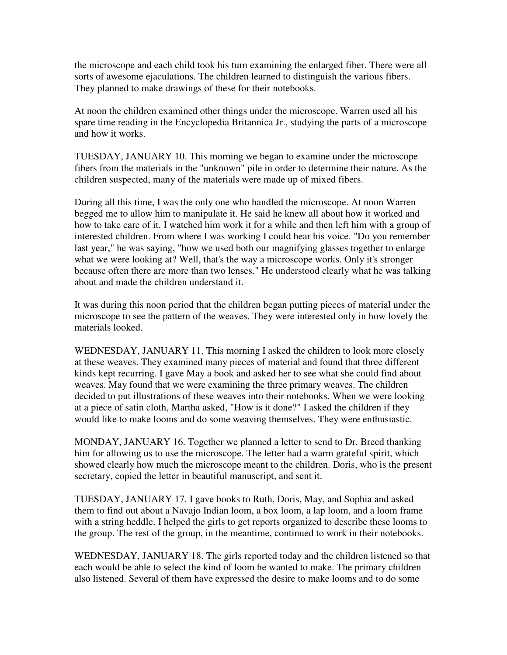the microscope and each child took his turn examining the enlarged fiber. There were all sorts of awesome ejaculations. The children learned to distinguish the various fibers. They planned to make drawings of these for their notebooks.

At noon the children examined other things under the microscope. Warren used all his spare time reading in the Encyclopedia Britannica Jr., studying the parts of a microscope and how it works.

TUESDAY, JANUARY 10. This morning we began to examine under the microscope fibers from the materials in the "unknown" pile in order to determine their nature. As the children suspected, many of the materials were made up of mixed fibers.

During all this time, I was the only one who handled the microscope. At noon Warren begged me to allow him to manipulate it. He said he knew all about how it worked and how to take care of it. I watched him work it for a while and then left him with a group of interested children. From where I was working I could hear his voice. "Do you remember last year," he was saying, "how we used both our magnifying glasses together to enlarge what we were looking at? Well, that's the way a microscope works. Only it's stronger because often there are more than two lenses." He understood clearly what he was talking about and made the children understand it.

It was during this noon period that the children began putting pieces of material under the microscope to see the pattern of the weaves. They were interested only in how lovely the materials looked.

WEDNESDAY, JANUARY 11. This morning I asked the children to look more closely at these weaves. They examined many pieces of material and found that three different kinds kept recurring. I gave May a book and asked her to see what she could find about weaves. May found that we were examining the three primary weaves. The children decided to put illustrations of these weaves into their notebooks. When we were looking at a piece of satin cloth, Martha asked, "How is it done?" I asked the children if they would like to make looms and do some weaving themselves. They were enthusiastic.

MONDAY, JANUARY 16. Together we planned a letter to send to Dr. Breed thanking him for allowing us to use the microscope. The letter had a warm grateful spirit, which showed clearly how much the microscope meant to the children. Doris, who is the present secretary, copied the letter in beautiful manuscript, and sent it.

TUESDAY, JANUARY 17. I gave books to Ruth, Doris, May, and Sophia and asked them to find out about a Navajo Indian loom, a box loom, a lap loom, and a loom frame with a string heddle. I helped the girls to get reports organized to describe these looms to the group. The rest of the group, in the meantime, continued to work in their notebooks.

WEDNESDAY, JANUARY 18. The girls reported today and the children listened so that each would be able to select the kind of loom he wanted to make. The primary children also listened. Several of them have expressed the desire to make looms and to do some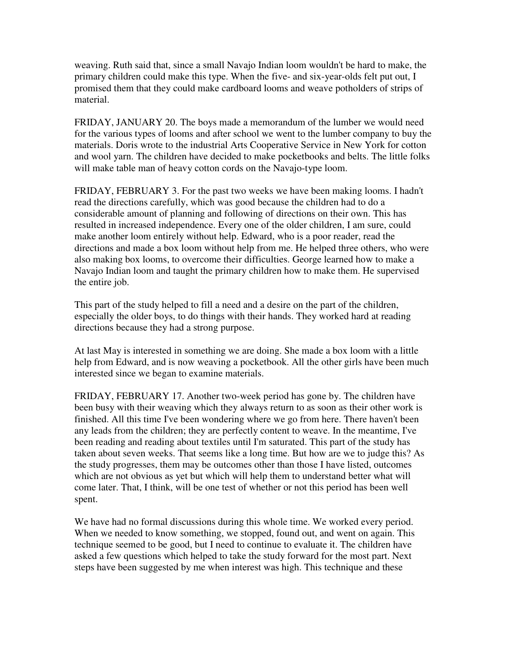weaving. Ruth said that, since a small Navajo Indian loom wouldn't be hard to make, the primary children could make this type. When the five- and six-year-olds felt put out, I promised them that they could make cardboard looms and weave potholders of strips of material.

FRIDAY, JANUARY 20. The boys made a memorandum of the lumber we would need for the various types of looms and after school we went to the lumber company to buy the materials. Doris wrote to the industrial Arts Cooperative Service in New York for cotton and wool yarn. The children have decided to make pocketbooks and belts. The little folks will make table man of heavy cotton cords on the Navajo-type loom.

FRIDAY, FEBRUARY 3. For the past two weeks we have been making looms. I hadn't read the directions carefully, which was good because the children had to do a considerable amount of planning and following of directions on their own. This has resulted in increased independence. Every one of the older children, I am sure, could make another loom entirely without help. Edward, who is a poor reader, read the directions and made a box loom without help from me. He helped three others, who were also making box looms, to overcome their difficulties. George learned how to make a Navajo Indian loom and taught the primary children how to make them. He supervised the entire job.

This part of the study helped to fill a need and a desire on the part of the children, especially the older boys, to do things with their hands. They worked hard at reading directions because they had a strong purpose.

At last May is interested in something we are doing. She made a box loom with a little help from Edward, and is now weaving a pocketbook. All the other girls have been much interested since we began to examine materials.

FRIDAY, FEBRUARY 17. Another two-week period has gone by. The children have been busy with their weaving which they always return to as soon as their other work is finished. All this time I've been wondering where we go from here. There haven't been any leads from the children; they are perfectly content to weave. In the meantime, I've been reading and reading about textiles until I'm saturated. This part of the study has taken about seven weeks. That seems like a long time. But how are we to judge this? As the study progresses, them may be outcomes other than those I have listed, outcomes which are not obvious as yet but which will help them to understand better what will come later. That, I think, will be one test of whether or not this period has been well spent.

We have had no formal discussions during this whole time. We worked every period. When we needed to know something, we stopped, found out, and went on again. This technique seemed to be good, but I need to continue to evaluate it. The children have asked a few questions which helped to take the study forward for the most part. Next steps have been suggested by me when interest was high. This technique and these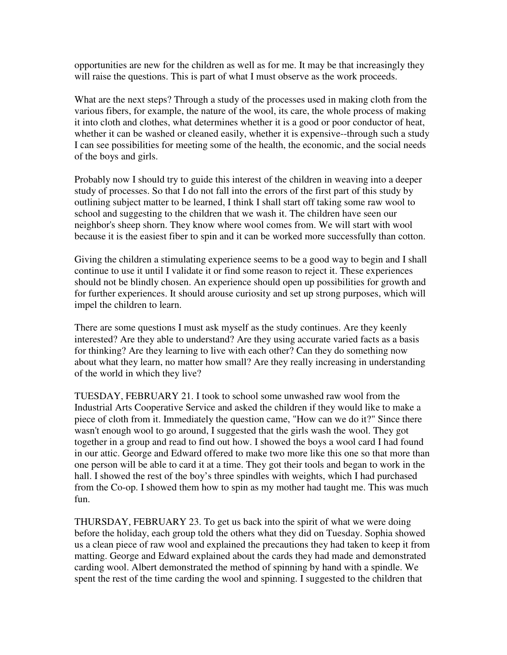opportunities are new for the children as well as for me. It may be that increasingly they will raise the questions. This is part of what I must observe as the work proceeds.

What are the next steps? Through a study of the processes used in making cloth from the various fibers, for example, the nature of the wool, its care, the whole process of making it into cloth and clothes, what determines whether it is a good or poor conductor of heat, whether it can be washed or cleaned easily, whether it is expensive--through such a study I can see possibilities for meeting some of the health, the economic, and the social needs of the boys and girls.

Probably now I should try to guide this interest of the children in weaving into a deeper study of processes. So that I do not fall into the errors of the first part of this study by outlining subject matter to be learned, I think I shall start off taking some raw wool to school and suggesting to the children that we wash it. The children have seen our neighbor's sheep shorn. They know where wool comes from. We will start with wool because it is the easiest fiber to spin and it can be worked more successfully than cotton.

Giving the children a stimulating experience seems to be a good way to begin and I shall continue to use it until I validate it or find some reason to reject it. These experiences should not be blindly chosen. An experience should open up possibilities for growth and for further experiences. It should arouse curiosity and set up strong purposes, which will impel the children to learn.

There are some questions I must ask myself as the study continues. Are they keenly interested? Are they able to understand? Are they using accurate varied facts as a basis for thinking? Are they learning to live with each other? Can they do something now about what they learn, no matter how small? Are they really increasing in understanding of the world in which they live?

TUESDAY, FEBRUARY 21. I took to school some unwashed raw wool from the Industrial Arts Cooperative Service and asked the children if they would like to make a piece of cloth from it. Immediately the question came, "How can we do it?" Since there wasn't enough wool to go around, I suggested that the girls wash the wool. They got together in a group and read to find out how. I showed the boys a wool card I had found in our attic. George and Edward offered to make two more like this one so that more than one person will be able to card it at a time. They got their tools and began to work in the hall. I showed the rest of the boy's three spindles with weights, which I had purchased from the Co-op. I showed them how to spin as my mother had taught me. This was much fun.

THURSDAY, FEBRUARY 23. To get us back into the spirit of what we were doing before the holiday, each group told the others what they did on Tuesday. Sophia showed us a clean piece of raw wool and explained the precautions they had taken to keep it from matting. George and Edward explained about the cards they had made and demonstrated carding wool. Albert demonstrated the method of spinning by hand with a spindle. We spent the rest of the time carding the wool and spinning. I suggested to the children that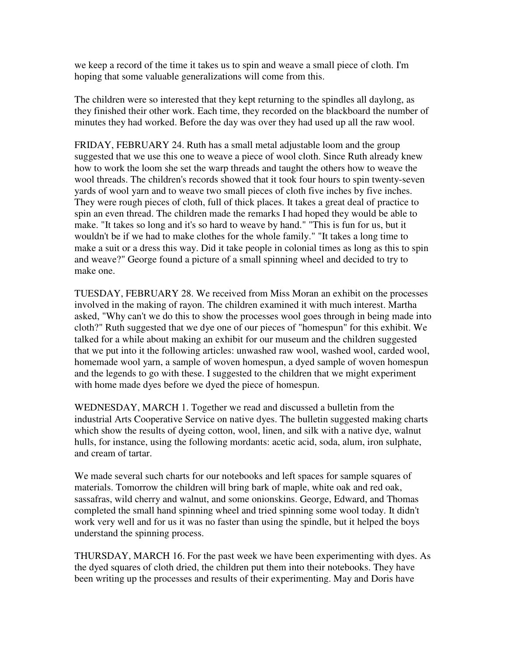we keep a record of the time it takes us to spin and weave a small piece of cloth. I'm hoping that some valuable generalizations will come from this.

The children were so interested that they kept returning to the spindles all daylong, as they finished their other work. Each time, they recorded on the blackboard the number of minutes they had worked. Before the day was over they had used up all the raw wool.

FRIDAY, FEBRUARY 24. Ruth has a small metal adjustable loom and the group suggested that we use this one to weave a piece of wool cloth. Since Ruth already knew how to work the loom she set the warp threads and taught the others how to weave the wool threads. The children's records showed that it took four hours to spin twenty-seven yards of wool yarn and to weave two small pieces of cloth five inches by five inches. They were rough pieces of cloth, full of thick places. It takes a great deal of practice to spin an even thread. The children made the remarks I had hoped they would be able to make. "It takes so long and it's so hard to weave by hand." "This is fun for us, but it wouldn't be if we had to make clothes for the whole family." "It takes a long time to make a suit or a dress this way. Did it take people in colonial times as long as this to spin and weave?" George found a picture of a small spinning wheel and decided to try to make one.

TUESDAY, FEBRUARY 28. We received from Miss Moran an exhibit on the processes involved in the making of rayon. The children examined it with much interest. Martha asked, "Why can't we do this to show the processes wool goes through in being made into cloth?" Ruth suggested that we dye one of our pieces of "homespun" for this exhibit. We talked for a while about making an exhibit for our museum and the children suggested that we put into it the following articles: unwashed raw wool, washed wool, carded wool, homemade wool yarn, a sample of woven homespun, a dyed sample of woven homespun and the legends to go with these. I suggested to the children that we might experiment with home made dyes before we dyed the piece of homespun.

WEDNESDAY, MARCH 1. Together we read and discussed a bulletin from the industrial Arts Cooperative Service on native dyes. The bulletin suggested making charts which show the results of dyeing cotton, wool, linen, and silk with a native dye, walnut hulls, for instance, using the following mordants: acetic acid, soda, alum, iron sulphate, and cream of tartar.

We made several such charts for our notebooks and left spaces for sample squares of materials. Tomorrow the children will bring bark of maple, white oak and red oak, sassafras, wild cherry and walnut, and some onionskins. George, Edward, and Thomas completed the small hand spinning wheel and tried spinning some wool today. It didn't work very well and for us it was no faster than using the spindle, but it helped the boys understand the spinning process.

THURSDAY, MARCH 16. For the past week we have been experimenting with dyes. As the dyed squares of cloth dried, the children put them into their notebooks. They have been writing up the processes and results of their experimenting. May and Doris have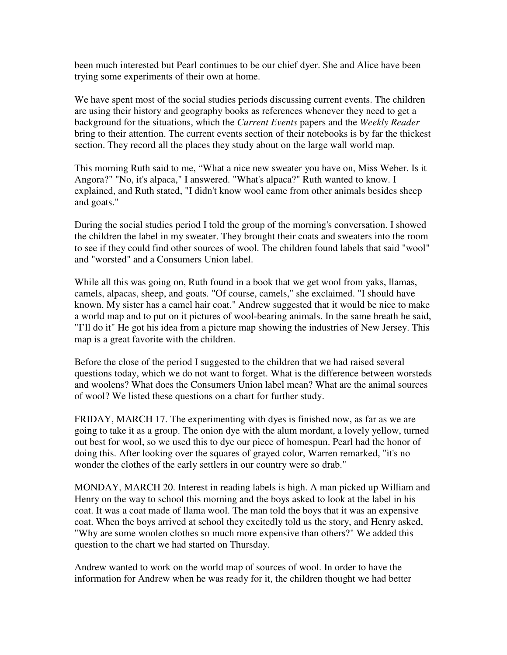been much interested but Pearl continues to be our chief dyer. She and Alice have been trying some experiments of their own at home.

We have spent most of the social studies periods discussing current events. The children are using their history and geography books as references whenever they need to get a background for the situations, which the *Current Events* papers and the *Weekly Reader* bring to their attention. The current events section of their notebooks is by far the thickest section. They record all the places they study about on the large wall world map.

This morning Ruth said to me, "What a nice new sweater you have on, Miss Weber. Is it Angora?" "No, it's alpaca," I answered. "What's alpaca?" Ruth wanted to know. I explained, and Ruth stated, "I didn't know wool came from other animals besides sheep and goats."

During the social studies period I told the group of the morning's conversation. I showed the children the label in my sweater. They brought their coats and sweaters into the room to see if they could find other sources of wool. The children found labels that said "wool" and "worsted" and a Consumers Union label.

While all this was going on, Ruth found in a book that we get wool from yaks, llamas, camels, alpacas, sheep, and goats. "Of course, camels," she exclaimed. "I should have known. My sister has a camel hair coat." Andrew suggested that it would be nice to make a world map and to put on it pictures of wool-bearing animals. In the same breath he said, "I'll do it" He got his idea from a picture map showing the industries of New Jersey. This map is a great favorite with the children.

Before the close of the period I suggested to the children that we had raised several questions today, which we do not want to forget. What is the difference between worsteds and woolens? What does the Consumers Union label mean? What are the animal sources of wool? We listed these questions on a chart for further study.

FRIDAY, MARCH 17. The experimenting with dyes is finished now, as far as we are going to take it as a group. The onion dye with the alum mordant, a lovely yellow, turned out best for wool, so we used this to dye our piece of homespun. Pearl had the honor of doing this. After looking over the squares of grayed color, Warren remarked, "it's no wonder the clothes of the early settlers in our country were so drab."

MONDAY, MARCH 20. Interest in reading labels is high. A man picked up William and Henry on the way to school this morning and the boys asked to look at the label in his coat. It was a coat made of llama wool. The man told the boys that it was an expensive coat. When the boys arrived at school they excitedly told us the story, and Henry asked, "Why are some woolen clothes so much more expensive than others?" We added this question to the chart we had started on Thursday.

Andrew wanted to work on the world map of sources of wool. In order to have the information for Andrew when he was ready for it, the children thought we had better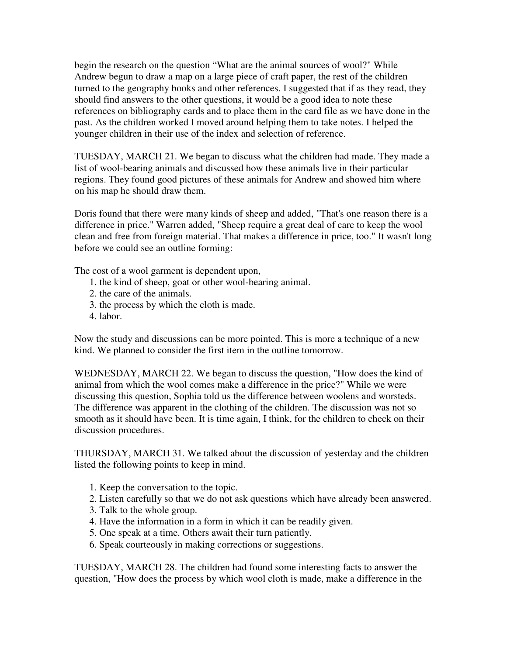begin the research on the question "What are the animal sources of wool?" While Andrew begun to draw a map on a large piece of craft paper, the rest of the children turned to the geography books and other references. I suggested that if as they read, they should find answers to the other questions, it would be a good idea to note these references on bibliography cards and to place them in the card file as we have done in the past. As the children worked I moved around helping them to take notes. I helped the younger children in their use of the index and selection of reference.

TUESDAY, MARCH 21. We began to discuss what the children had made. They made a list of wool-bearing animals and discussed how these animals live in their particular regions. They found good pictures of these animals for Andrew and showed him where on his map he should draw them.

Doris found that there were many kinds of sheep and added, "That's one reason there is a difference in price." Warren added, "Sheep require a great deal of care to keep the wool clean and free from foreign material. That makes a difference in price, too." It wasn't long before we could see an outline forming:

The cost of a wool garment is dependent upon,

- 1. the kind of sheep, goat or other wool-bearing animal.
- 2. the care of the animals.
- 3. the process by which the cloth is made.
- 4. labor.

Now the study and discussions can be more pointed. This is more a technique of a new kind. We planned to consider the first item in the outline tomorrow.

WEDNESDAY, MARCH 22. We began to discuss the question, "How does the kind of animal from which the wool comes make a difference in the price?" While we were discussing this question, Sophia told us the difference between woolens and worsteds. The difference was apparent in the clothing of the children. The discussion was not so smooth as it should have been. It is time again, I think, for the children to check on their discussion procedures.

THURSDAY, MARCH 31. We talked about the discussion of yesterday and the children listed the following points to keep in mind.

- 1. Keep the conversation to the topic.
- 2. Listen carefully so that we do not ask questions which have already been answered.
- 3. Talk to the whole group.
- 4. Have the information in a form in which it can be readily given.
- 5. One speak at a time. Others await their turn patiently.
- 6. Speak courteously in making corrections or suggestions.

TUESDAY, MARCH 28. The children had found some interesting facts to answer the question, "How does the process by which wool cloth is made, make a difference in the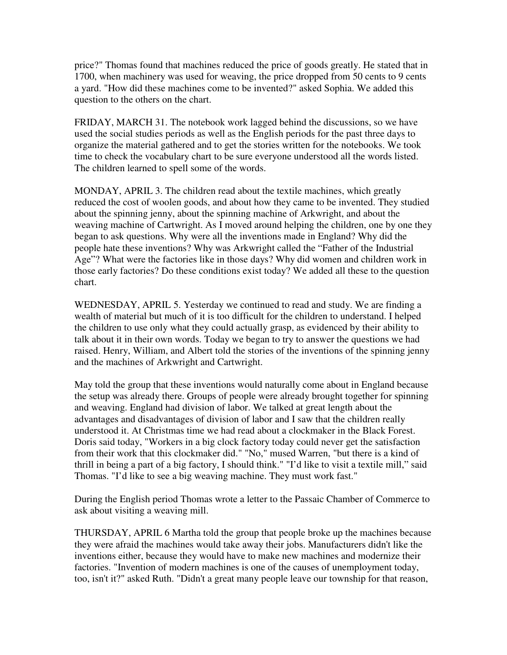price?" Thomas found that machines reduced the price of goods greatly. He stated that in 1700, when machinery was used for weaving, the price dropped from 50 cents to 9 cents a yard. "How did these machines come to be invented?" asked Sophia. We added this question to the others on the chart.

FRIDAY, MARCH 31. The notebook work lagged behind the discussions, so we have used the social studies periods as well as the English periods for the past three days to organize the material gathered and to get the stories written for the notebooks. We took time to check the vocabulary chart to be sure everyone understood all the words listed. The children learned to spell some of the words.

MONDAY, APRIL 3. The children read about the textile machines, which greatly reduced the cost of woolen goods, and about how they came to be invented. They studied about the spinning jenny, about the spinning machine of Arkwright, and about the weaving machine of Cartwright. As I moved around helping the children, one by one they began to ask questions. Why were all the inventions made in England? Why did the people hate these inventions? Why was Arkwright called the "Father of the Industrial Age"? What were the factories like in those days? Why did women and children work in those early factories? Do these conditions exist today? We added all these to the question chart.

WEDNESDAY, APRIL 5. Yesterday we continued to read and study. We are finding a wealth of material but much of it is too difficult for the children to understand. I helped the children to use only what they could actually grasp, as evidenced by their ability to talk about it in their own words. Today we began to try to answer the questions we had raised. Henry, William, and Albert told the stories of the inventions of the spinning jenny and the machines of Arkwright and Cartwright.

May told the group that these inventions would naturally come about in England because the setup was already there. Groups of people were already brought together for spinning and weaving. England had division of labor. We talked at great length about the advantages and disadvantages of division of labor and I saw that the children really understood it. At Christmas time we had read about a clockmaker in the Black Forest. Doris said today, "Workers in a big clock factory today could never get the satisfaction from their work that this clockmaker did." "No," mused Warren, "but there is a kind of thrill in being a part of a big factory, I should think." "I'd like to visit a textile mill," said Thomas. "I'd like to see a big weaving machine. They must work fast."

During the English period Thomas wrote a letter to the Passaic Chamber of Commerce to ask about visiting a weaving mill.

THURSDAY, APRIL 6 Martha told the group that people broke up the machines because they were afraid the machines would take away their jobs. Manufacturers didn't like the inventions either, because they would have to make new machines and modernize their factories. "Invention of modern machines is one of the causes of unemployment today, too, isn't it?" asked Ruth. "Didn't a great many people leave our township for that reason,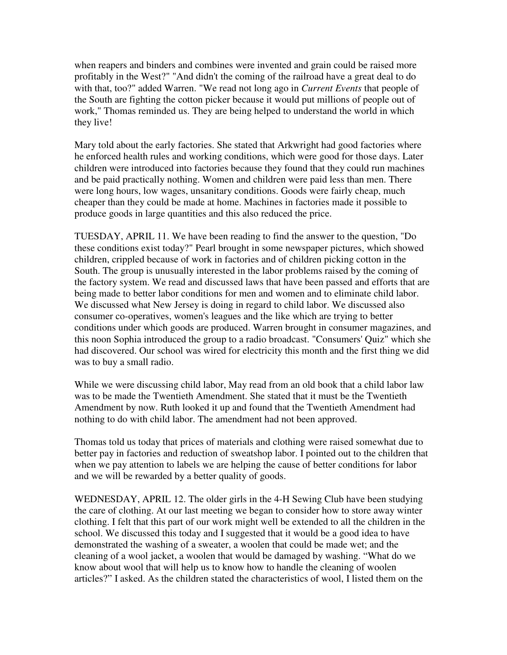when reapers and binders and combines were invented and grain could be raised more profitably in the West?" "And didn't the coming of the railroad have a great deal to do with that, too?" added Warren. "We read not long ago in *Current Events* that people of the South are fighting the cotton picker because it would put millions of people out of work," Thomas reminded us. They are being helped to understand the world in which they live!

Mary told about the early factories. She stated that Arkwright had good factories where he enforced health rules and working conditions, which were good for those days. Later children were introduced into factories because they found that they could run machines and be paid practically nothing. Women and children were paid less than men. There were long hours, low wages, unsanitary conditions. Goods were fairly cheap, much cheaper than they could be made at home. Machines in factories made it possible to produce goods in large quantities and this also reduced the price.

TUESDAY, APRIL 11. We have been reading to find the answer to the question, "Do these conditions exist today?" Pearl brought in some newspaper pictures, which showed children, crippled because of work in factories and of children picking cotton in the South. The group is unusually interested in the labor problems raised by the coming of the factory system. We read and discussed laws that have been passed and efforts that are being made to better labor conditions for men and women and to eliminate child labor. We discussed what New Jersey is doing in regard to child labor. We discussed also consumer co-operatives, women's leagues and the like which are trying to better conditions under which goods are produced. Warren brought in consumer magazines, and this noon Sophia introduced the group to a radio broadcast. "Consumers' Quiz" which she had discovered. Our school was wired for electricity this month and the first thing we did was to buy a small radio.

While we were discussing child labor, May read from an old book that a child labor law was to be made the Twentieth Amendment. She stated that it must be the Twentieth Amendment by now. Ruth looked it up and found that the Twentieth Amendment had nothing to do with child labor. The amendment had not been approved.

Thomas told us today that prices of materials and clothing were raised somewhat due to better pay in factories and reduction of sweatshop labor. I pointed out to the children that when we pay attention to labels we are helping the cause of better conditions for labor and we will be rewarded by a better quality of goods.

WEDNESDAY, APRIL 12. The older girls in the 4-H Sewing Club have been studying the care of clothing. At our last meeting we began to consider how to store away winter clothing. I felt that this part of our work might well be extended to all the children in the school. We discussed this today and I suggested that it would be a good idea to have demonstrated the washing of a sweater, a woolen that could be made wet; and the cleaning of a wool jacket, a woolen that would be damaged by washing. "What do we know about wool that will help us to know how to handle the cleaning of woolen articles?" I asked. As the children stated the characteristics of wool, I listed them on the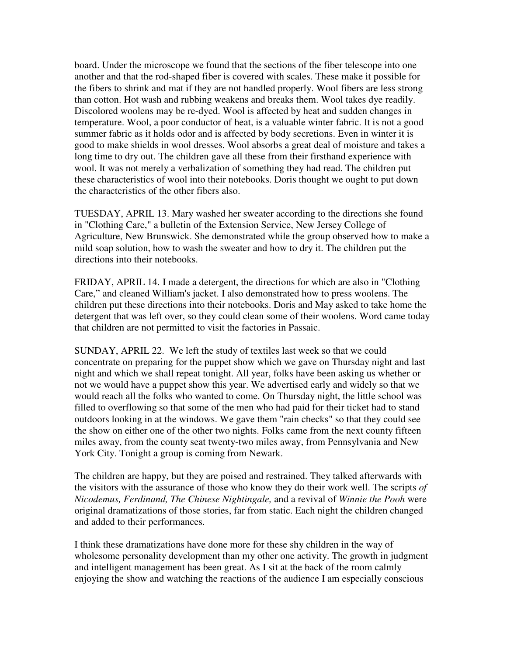board. Under the microscope we found that the sections of the fiber telescope into one another and that the rod-shaped fiber is covered with scales. These make it possible for the fibers to shrink and mat if they are not handled properly. Wool fibers are less strong than cotton. Hot wash and rubbing weakens and breaks them. Wool takes dye readily. Discolored woolens may be re-dyed. Wool is affected by heat and sudden changes in temperature. Wool, a poor conductor of heat, is a valuable winter fabric. It is not a good summer fabric as it holds odor and is affected by body secretions. Even in winter it is good to make shields in wool dresses. Wool absorbs a great deal of moisture and takes a long time to dry out. The children gave all these from their firsthand experience with wool. It was not merely a verbalization of something they had read. The children put these characteristics of wool into their notebooks. Doris thought we ought to put down the characteristics of the other fibers also.

TUESDAY, APRIL 13. Mary washed her sweater according to the directions she found in "Clothing Care," a bulletin of the Extension Service, New Jersey College of Agriculture, New Brunswick. She demonstrated while the group observed how to make a mild soap solution, how to wash the sweater and how to dry it. The children put the directions into their notebooks.

FRIDAY, APRIL 14. I made a detergent, the directions for which are also in "Clothing Care," and cleaned William's jacket. I also demonstrated how to press woolens. The children put these directions into their notebooks. Doris and May asked to take home the detergent that was left over, so they could clean some of their woolens. Word came today that children are not permitted to visit the factories in Passaic.

SUNDAY, APRIL 22. We left the study of textiles last week so that we could concentrate on preparing for the puppet show which we gave on Thursday night and last night and which we shall repeat tonight. All year, folks have been asking us whether or not we would have a puppet show this year. We advertised early and widely so that we would reach all the folks who wanted to come. On Thursday night, the little school was filled to overflowing so that some of the men who had paid for their ticket had to stand outdoors looking in at the windows. We gave them "rain checks" so that they could see the show on either one of the other two nights. Folks came from the next county fifteen miles away, from the county seat twenty-two miles away, from Pennsylvania and New York City. Tonight a group is coming from Newark.

The children are happy, but they are poised and restrained. They talked afterwards with the visitors with the assurance of those who know they do their work well. The scripts *of Nicodemus, Ferdinand, The Chinese Nightingale,* and a revival of *Winnie the Pooh* were original dramatizations of those stories, far from static. Each night the children changed and added to their performances.

I think these dramatizations have done more for these shy children in the way of wholesome personality development than my other one activity. The growth in judgment and intelligent management has been great. As I sit at the back of the room calmly enjoying the show and watching the reactions of the audience I am especially conscious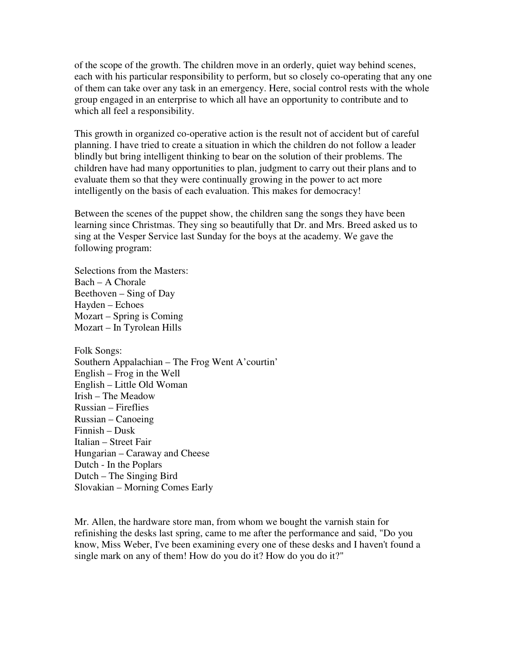of the scope of the growth. The children move in an orderly, quiet way behind scenes, each with his particular responsibility to perform, but so closely co-operating that any one of them can take over any task in an emergency. Here, social control rests with the whole group engaged in an enterprise to which all have an opportunity to contribute and to which all feel a responsibility.

This growth in organized co-operative action is the result not of accident but of careful planning. I have tried to create a situation in which the children do not follow a leader blindly but bring intelligent thinking to bear on the solution of their problems. The children have had many opportunities to plan, judgment to carry out their plans and to evaluate them so that they were continually growing in the power to act more intelligently on the basis of each evaluation. This makes for democracy!

Between the scenes of the puppet show, the children sang the songs they have been learning since Christmas. They sing so beautifully that Dr. and Mrs. Breed asked us to sing at the Vesper Service last Sunday for the boys at the academy. We gave the following program:

Selections from the Masters: Bach – A Chorale Beethoven – Sing of Day Hayden – Echoes Mozart – Spring is Coming Mozart – In Tyrolean Hills

Folk Songs: Southern Appalachian – The Frog Went A'courtin' English – Frog in the Well English – Little Old Woman Irish – The Meadow Russian – Fireflies Russian – Canoeing Finnish – Dusk Italian – Street Fair Hungarian – Caraway and Cheese Dutch - In the Poplars Dutch – The Singing Bird Slovakian – Morning Comes Early

Mr. Allen, the hardware store man, from whom we bought the varnish stain for refinishing the desks last spring, came to me after the performance and said, "Do you know, Miss Weber, I've been examining every one of these desks and I haven't found a single mark on any of them! How do you do it? How do you do it?"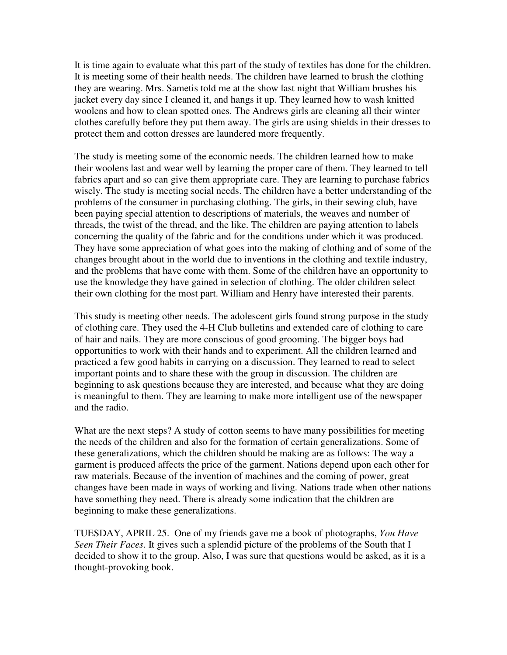It is time again to evaluate what this part of the study of textiles has done for the children. It is meeting some of their health needs. The children have learned to brush the clothing they are wearing. Mrs. Sametis told me at the show last night that William brushes his jacket every day since I cleaned it, and hangs it up. They learned how to wash knitted woolens and how to clean spotted ones. The Andrews girls are cleaning all their winter clothes carefully before they put them away. The girls are using shields in their dresses to protect them and cotton dresses are laundered more frequently.

The study is meeting some of the economic needs. The children learned how to make their woolens last and wear well by learning the proper care of them. They learned to tell fabrics apart and so can give them appropriate care. They are learning to purchase fabrics wisely. The study is meeting social needs. The children have a better understanding of the problems of the consumer in purchasing clothing. The girls, in their sewing club, have been paying special attention to descriptions of materials, the weaves and number of threads, the twist of the thread, and the like. The children are paying attention to labels concerning the quality of the fabric and for the conditions under which it was produced. They have some appreciation of what goes into the making of clothing and of some of the changes brought about in the world due to inventions in the clothing and textile industry, and the problems that have come with them. Some of the children have an opportunity to use the knowledge they have gained in selection of clothing. The older children select their own clothing for the most part. William and Henry have interested their parents.

This study is meeting other needs. The adolescent girls found strong purpose in the study of clothing care. They used the 4-H Club bulletins and extended care of clothing to care of hair and nails. They are more conscious of good grooming. The bigger boys had opportunities to work with their hands and to experiment. All the children learned and practiced a few good habits in carrying on a discussion. They learned to read to select important points and to share these with the group in discussion. The children are beginning to ask questions because they are interested, and because what they are doing is meaningful to them. They are learning to make more intelligent use of the newspaper and the radio.

What are the next steps? A study of cotton seems to have many possibilities for meeting the needs of the children and also for the formation of certain generalizations. Some of these generalizations, which the children should be making are as follows: The way a garment is produced affects the price of the garment. Nations depend upon each other for raw materials. Because of the invention of machines and the coming of power, great changes have been made in ways of working and living. Nations trade when other nations have something they need. There is already some indication that the children are beginning to make these generalizations.

TUESDAY, APRIL 25. One of my friends gave me a book of photographs, *You Have Seen Their Faces*. It gives such a splendid picture of the problems of the South that I decided to show it to the group. Also, I was sure that questions would be asked, as it is a thought-provoking book.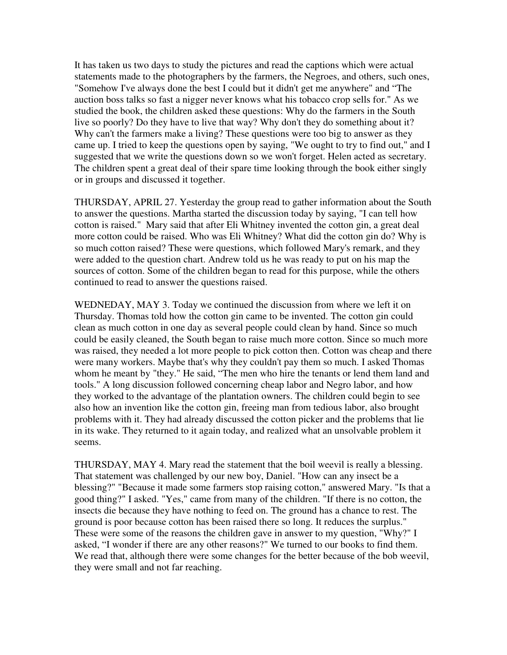It has taken us two days to study the pictures and read the captions which were actual statements made to the photographers by the farmers, the Negroes, and others, such ones, "Somehow I've always done the best I could but it didn't get me anywhere" and "The auction boss talks so fast a nigger never knows what his tobacco crop sells for." As we studied the book, the children asked these questions: Why do the farmers in the South live so poorly? Do they have to live that way? Why don't they do something about it? Why can't the farmers make a living? These questions were too big to answer as they came up. I tried to keep the questions open by saying, "We ought to try to find out," and I suggested that we write the questions down so we won't forget. Helen acted as secretary. The children spent a great deal of their spare time looking through the book either singly or in groups and discussed it together.

THURSDAY, APRIL 27. Yesterday the group read to gather information about the South to answer the questions. Martha started the discussion today by saying, "I can tell how cotton is raised." Mary said that after Eli Whitney invented the cotton gin, a great deal more cotton could be raised. Who was Eli Whitney? What did the cotton gin do? Why is so much cotton raised? These were questions, which followed Mary's remark, and they were added to the question chart. Andrew told us he was ready to put on his map the sources of cotton. Some of the children began to read for this purpose, while the others continued to read to answer the questions raised.

WEDNEDAY, MAY 3. Today we continued the discussion from where we left it on Thursday. Thomas told how the cotton gin came to be invented. The cotton gin could clean as much cotton in one day as several people could clean by hand. Since so much could be easily cleaned, the South began to raise much more cotton. Since so much more was raised, they needed a lot more people to pick cotton then. Cotton was cheap and there were many workers. Maybe that's why they couldn't pay them so much. I asked Thomas whom he meant by "they." He said, "The men who hire the tenants or lend them land and tools." A long discussion followed concerning cheap labor and Negro labor, and how they worked to the advantage of the plantation owners. The children could begin to see also how an invention like the cotton gin, freeing man from tedious labor, also brought problems with it. They had already discussed the cotton picker and the problems that lie in its wake. They returned to it again today, and realized what an unsolvable problem it seems.

THURSDAY, MAY 4. Mary read the statement that the boil weevil is really a blessing. That statement was challenged by our new boy, Daniel. "How can any insect be a blessing?" "Because it made some farmers stop raising cotton," answered Mary. "Is that a good thing?" I asked. "Yes," came from many of the children. "If there is no cotton, the insects die because they have nothing to feed on. The ground has a chance to rest. The ground is poor because cotton has been raised there so long. It reduces the surplus." These were some of the reasons the children gave in answer to my question, "Why?" I asked, "I wonder if there are any other reasons?" We turned to our books to find them. We read that, although there were some changes for the better because of the bob weevil, they were small and not far reaching.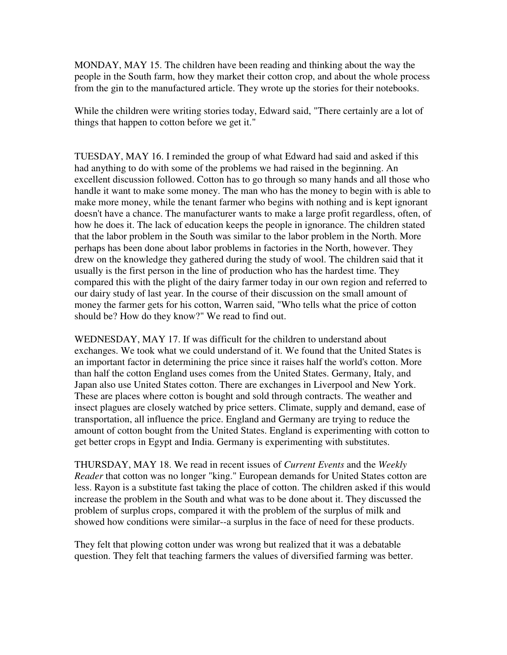MONDAY, MAY 15. The children have been reading and thinking about the way the people in the South farm, how they market their cotton crop, and about the whole process from the gin to the manufactured article. They wrote up the stories for their notebooks.

While the children were writing stories today, Edward said, "There certainly are a lot of things that happen to cotton before we get it."

TUESDAY, MAY 16. I reminded the group of what Edward had said and asked if this had anything to do with some of the problems we had raised in the beginning. An excellent discussion followed. Cotton has to go through so many hands and all those who handle it want to make some money. The man who has the money to begin with is able to make more money, while the tenant farmer who begins with nothing and is kept ignorant doesn't have a chance. The manufacturer wants to make a large profit regardless, often, of how he does it. The lack of education keeps the people in ignorance. The children stated that the labor problem in the South was similar to the labor problem in the North. More perhaps has been done about labor problems in factories in the North, however. They drew on the knowledge they gathered during the study of wool. The children said that it usually is the first person in the line of production who has the hardest time. They compared this with the plight of the dairy farmer today in our own region and referred to our dairy study of last year. In the course of their discussion on the small amount of money the farmer gets for his cotton, Warren said, "Who tells what the price of cotton should be? How do they know?" We read to find out.

WEDNESDAY, MAY 17. If was difficult for the children to understand about exchanges. We took what we could understand of it. We found that the United States is an important factor in determining the price since it raises half the world's cotton. More than half the cotton England uses comes from the United States. Germany, Italy, and Japan also use United States cotton. There are exchanges in Liverpool and New York. These are places where cotton is bought and sold through contracts. The weather and insect plagues are closely watched by price setters. Climate, supply and demand, ease of transportation, all influence the price. England and Germany are trying to reduce the amount of cotton bought from the United States. England is experimenting with cotton to get better crops in Egypt and India. Germany is experimenting with substitutes.

THURSDAY, MAY 18. We read in recent issues of *Current Events* and the *Weekly Reader* that cotton was no longer "king." European demands for United States cotton are less. Rayon is a substitute fast taking the place of cotton. The children asked if this would increase the problem in the South and what was to be done about it. They discussed the problem of surplus crops, compared it with the problem of the surplus of milk and showed how conditions were similar--a surplus in the face of need for these products.

They felt that plowing cotton under was wrong but realized that it was a debatable question. They felt that teaching farmers the values of diversified farming was better.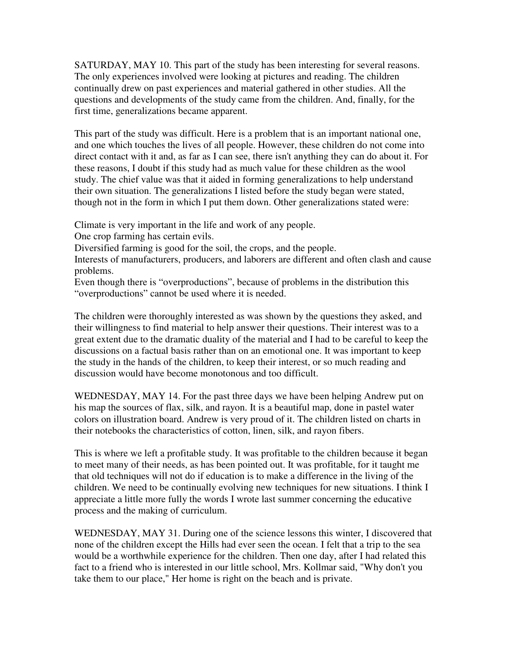SATURDAY, MAY 10. This part of the study has been interesting for several reasons. The only experiences involved were looking at pictures and reading. The children continually drew on past experiences and material gathered in other studies. All the questions and developments of the study came from the children. And, finally, for the first time, generalizations became apparent.

This part of the study was difficult. Here is a problem that is an important national one, and one which touches the lives of all people. However, these children do not come into direct contact with it and, as far as I can see, there isn't anything they can do about it. For these reasons, I doubt if this study had as much value for these children as the wool study. The chief value was that it aided in forming generalizations to help understand their own situation. The generalizations I listed before the study began were stated, though not in the form in which I put them down. Other generalizations stated were:

Climate is very important in the life and work of any people.

One crop farming has certain evils.

Diversified farming is good for the soil, the crops, and the people.

Interests of manufacturers, producers, and laborers are different and often clash and cause problems.

Even though there is "overproductions", because of problems in the distribution this "overproductions" cannot be used where it is needed.

The children were thoroughly interested as was shown by the questions they asked, and their willingness to find material to help answer their questions. Their interest was to a great extent due to the dramatic duality of the material and I had to be careful to keep the discussions on a factual basis rather than on an emotional one. It was important to keep the study in the hands of the children, to keep their interest, or so much reading and discussion would have become monotonous and too difficult.

WEDNESDAY, MAY 14. For the past three days we have been helping Andrew put on his map the sources of flax, silk, and rayon. It is a beautiful map, done in pastel water colors on illustration board. Andrew is very proud of it. The children listed on charts in their notebooks the characteristics of cotton, linen, silk, and rayon fibers.

This is where we left a profitable study. It was profitable to the children because it began to meet many of their needs, as has been pointed out. It was profitable, for it taught me that old techniques will not do if education is to make a difference in the living of the children. We need to be continually evolving new techniques for new situations. I think I appreciate a little more fully the words I wrote last summer concerning the educative process and the making of curriculum.

WEDNESDAY, MAY 31. During one of the science lessons this winter, I discovered that none of the children except the Hills had ever seen the ocean. I felt that a trip to the sea would be a worthwhile experience for the children. Then one day, after I had related this fact to a friend who is interested in our little school, Mrs. Kollmar said, "Why don't you take them to our place," Her home is right on the beach and is private.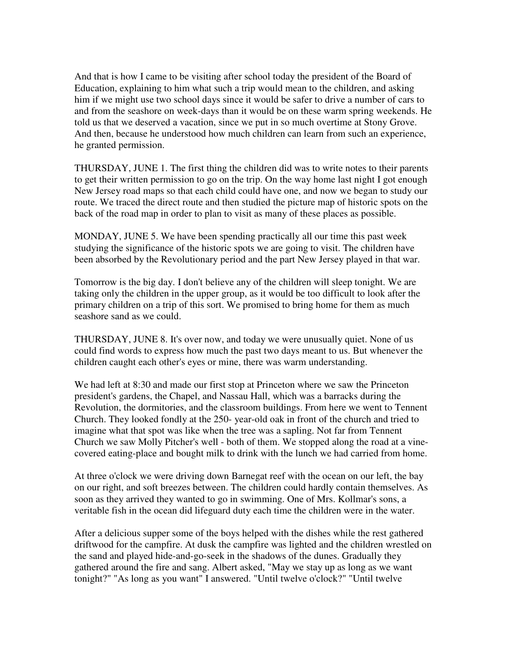And that is how I came to be visiting after school today the president of the Board of Education, explaining to him what such a trip would mean to the children, and asking him if we might use two school days since it would be safer to drive a number of cars to and from the seashore on week-days than it would be on these warm spring weekends. He told us that we deserved a vacation, since we put in so much overtime at Stony Grove. And then, because he understood how much children can learn from such an experience, he granted permission.

THURSDAY, JUNE 1. The first thing the children did was to write notes to their parents to get their written permission to go on the trip. On the way home last night I got enough New Jersey road maps so that each child could have one, and now we began to study our route. We traced the direct route and then studied the picture map of historic spots on the back of the road map in order to plan to visit as many of these places as possible.

MONDAY, JUNE 5. We have been spending practically all our time this past week studying the significance of the historic spots we are going to visit. The children have been absorbed by the Revolutionary period and the part New Jersey played in that war.

Tomorrow is the big day. I don't believe any of the children will sleep tonight. We are taking only the children in the upper group, as it would be too difficult to look after the primary children on a trip of this sort. We promised to bring home for them as much seashore sand as we could.

THURSDAY, JUNE 8. It's over now, and today we were unusually quiet. None of us could find words to express how much the past two days meant to us. But whenever the children caught each other's eyes or mine, there was warm understanding.

We had left at 8:30 and made our first stop at Princeton where we saw the Princeton president's gardens, the Chapel, and Nassau Hall, which was a barracks during the Revolution, the dormitories, and the classroom buildings. From here we went to Tennent Church. They looked fondly at the 250- year-old oak in front of the church and tried to imagine what that spot was like when the tree was a sapling. Not far from Tennent Church we saw Molly Pitcher's well - both of them. We stopped along the road at a vinecovered eating-place and bought milk to drink with the lunch we had carried from home.

At three o'clock we were driving down Barnegat reef with the ocean on our left, the bay on our right, and soft breezes between. The children could hardly contain themselves. As soon as they arrived they wanted to go in swimming. One of Mrs. Kollmar's sons, a veritable fish in the ocean did lifeguard duty each time the children were in the water.

After a delicious supper some of the boys helped with the dishes while the rest gathered driftwood for the campfire. At dusk the campfire was lighted and the children wrestled on the sand and played hide-and-go-seek in the shadows of the dunes. Gradually they gathered around the fire and sang. Albert asked, "May we stay up as long as we want tonight?" "As long as you want" I answered. "Until twelve o'clock?" "Until twelve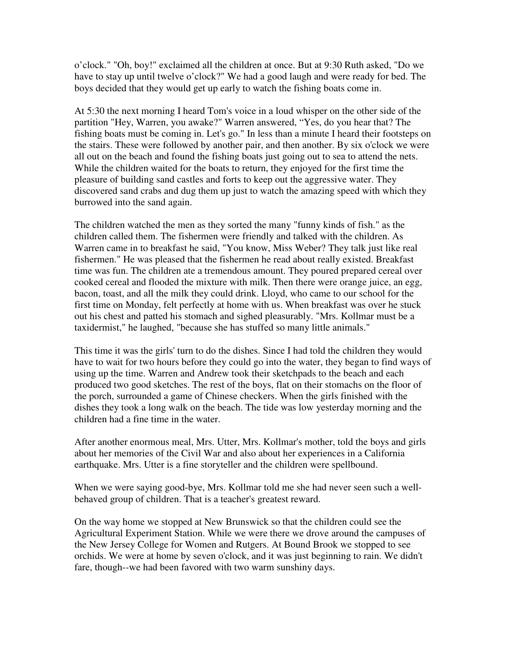o'clock." "Oh, boy!" exclaimed all the children at once. But at 9:30 Ruth asked, "Do we have to stay up until twelve o'clock?" We had a good laugh and were ready for bed. The boys decided that they would get up early to watch the fishing boats come in.

At 5:30 the next morning I heard Tom's voice in a loud whisper on the other side of the partition "Hey, Warren, you awake?" Warren answered, "Yes, do you hear that? The fishing boats must be coming in. Let's go." In less than a minute I heard their footsteps on the stairs. These were followed by another pair, and then another. By six o'clock we were all out on the beach and found the fishing boats just going out to sea to attend the nets. While the children waited for the boats to return, they enjoyed for the first time the pleasure of building sand castles and forts to keep out the aggressive water. They discovered sand crabs and dug them up just to watch the amazing speed with which they burrowed into the sand again.

The children watched the men as they sorted the many "funny kinds of fish." as the children called them. The fishermen were friendly and talked with the children. As Warren came in to breakfast he said, "You know, Miss Weber? They talk just like real fishermen." He was pleased that the fishermen he read about really existed. Breakfast time was fun. The children ate a tremendous amount. They poured prepared cereal over cooked cereal and flooded the mixture with milk. Then there were orange juice, an egg, bacon, toast, and all the milk they could drink. Lloyd, who came to our school for the first time on Monday, felt perfectly at home with us. When breakfast was over he stuck out his chest and patted his stomach and sighed pleasurably. "Mrs. Kollmar must be a taxidermist," he laughed, "because she has stuffed so many little animals."

This time it was the girls' turn to do the dishes. Since I had told the children they would have to wait for two hours before they could go into the water, they began to find ways of using up the time. Warren and Andrew took their sketchpads to the beach and each produced two good sketches. The rest of the boys, flat on their stomachs on the floor of the porch, surrounded a game of Chinese checkers. When the girls finished with the dishes they took a long walk on the beach. The tide was low yesterday morning and the children had a fine time in the water.

After another enormous meal, Mrs. Utter, Mrs. Kollmar's mother, told the boys and girls about her memories of the Civil War and also about her experiences in a California earthquake. Mrs. Utter is a fine storyteller and the children were spellbound.

When we were saying good-bye, Mrs. Kollmar told me she had never seen such a wellbehaved group of children. That is a teacher's greatest reward.

On the way home we stopped at New Brunswick so that the children could see the Agricultural Experiment Station. While we were there we drove around the campuses of the New Jersey College for Women and Rutgers. At Bound Brook we stopped to see orchids. We were at home by seven o'clock, and it was just beginning to rain. We didn't fare, though--we had been favored with two warm sunshiny days.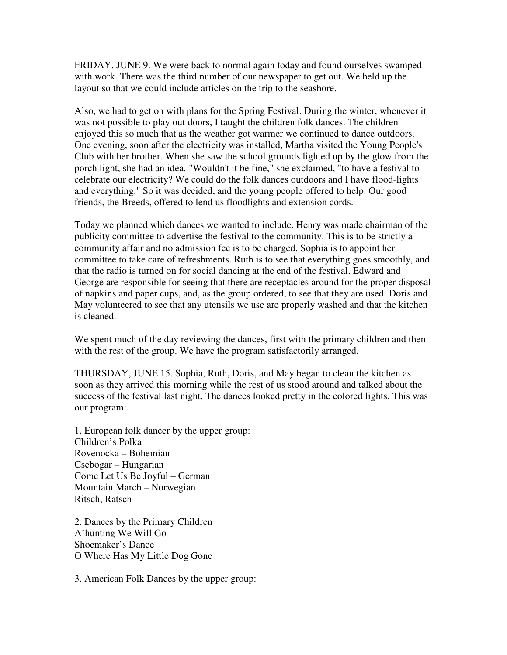FRIDAY, JUNE 9. We were back to normal again today and found ourselves swamped with work. There was the third number of our newspaper to get out. We held up the layout so that we could include articles on the trip to the seashore.

Also, we had to get on with plans for the Spring Festival. During the winter, whenever it was not possible to play out doors, I taught the children folk dances. The children enjoyed this so much that as the weather got warmer we continued to dance outdoors. One evening, soon after the electricity was installed, Martha visited the Young People's Club with her brother. When she saw the school grounds lighted up by the glow from the porch light, she had an idea. "Wouldn't it be fine," she exclaimed, "to have a festival to celebrate our electricity? We could do the folk dances outdoors and I have flood-lights and everything." So it was decided, and the young people offered to help. Our good friends, the Breeds, offered to lend us floodlights and extension cords.

Today we planned which dances we wanted to include. Henry was made chairman of the publicity committee to advertise the festival to the community. This is to be strictly a community affair and no admission fee is to be charged. Sophia is to appoint her committee to take care of refreshments. Ruth is to see that everything goes smoothly, and that the radio is turned on for social dancing at the end of the festival. Edward and George are responsible for seeing that there are receptacles around for the proper disposal of napkins and paper cups, and, as the group ordered, to see that they are used. Doris and May volunteered to see that any utensils we use are properly washed and that the kitchen is cleaned.

We spent much of the day reviewing the dances, first with the primary children and then with the rest of the group. We have the program satisfactorily arranged.

THURSDAY, JUNE 15. Sophia, Ruth, Doris, and May began to clean the kitchen as soon as they arrived this morning while the rest of us stood around and talked about the success of the festival last night. The dances looked pretty in the colored lights. This was our program:

1. European folk dancer by the upper group: Children's Polka Rovenocka – Bohemian Csebogar – Hungarian Come Let Us Be Joyful – German Mountain March – Norwegian Ritsch, Ratsch

2. Dances by the Primary Children A'hunting We Will Go Shoemaker's Dance O Where Has My Little Dog Gone

3. American Folk Dances by the upper group: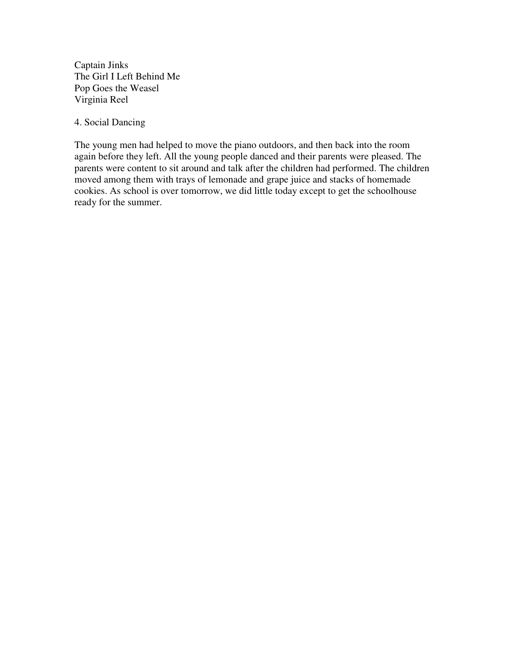Captain Jinks The Girl I Left Behind Me Pop Goes the Weasel Virginia Reel

4. Social Dancing

The young men had helped to move the piano outdoors, and then back into the room again before they left. All the young people danced and their parents were pleased. The parents were content to sit around and talk after the children had performed. The children moved among them with trays of lemonade and grape juice and stacks of homemade cookies. As school is over tomorrow, we did little today except to get the schoolhouse ready for the summer.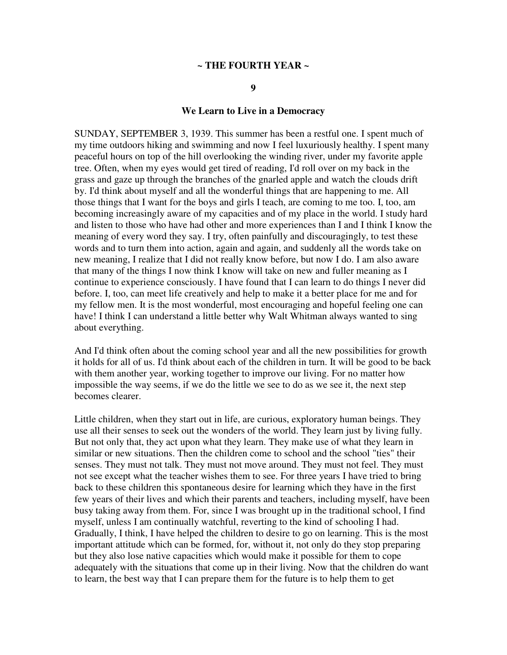## **~ THE FOURTH YEAR ~**

#### **9**

#### **We Learn to Live in a Democracy**

SUNDAY, SEPTEMBER 3, 1939. This summer has been a restful one. I spent much of my time outdoors hiking and swimming and now I feel luxuriously healthy. I spent many peaceful hours on top of the hill overlooking the winding river, under my favorite apple tree. Often, when my eyes would get tired of reading, I'd roll over on my back in the grass and gaze up through the branches of the gnarled apple and watch the clouds drift by. I'd think about myself and all the wonderful things that are happening to me. All those things that I want for the boys and girls I teach, are coming to me too. I, too, am becoming increasingly aware of my capacities and of my place in the world. I study hard and listen to those who have had other and more experiences than I and I think I know the meaning of every word they say. I try, often painfully and discouragingly, to test these words and to turn them into action, again and again, and suddenly all the words take on new meaning, I realize that I did not really know before, but now I do. I am also aware that many of the things I now think I know will take on new and fuller meaning as I continue to experience consciously. I have found that I can learn to do things I never did before. I, too, can meet life creatively and help to make it a better place for me and for my fellow men. It is the most wonderful, most encouraging and hopeful feeling one can have! I think I can understand a little better why Walt Whitman always wanted to sing about everything.

And I'd think often about the coming school year and all the new possibilities for growth it holds for all of us. I'd think about each of the children in turn. It will be good to be back with them another year, working together to improve our living. For no matter how impossible the way seems, if we do the little we see to do as we see it, the next step becomes clearer.

Little children, when they start out in life, are curious, exploratory human beings. They use all their senses to seek out the wonders of the world. They learn just by living fully. But not only that, they act upon what they learn. They make use of what they learn in similar or new situations. Then the children come to school and the school "ties" their senses. They must not talk. They must not move around. They must not feel. They must not see except what the teacher wishes them to see. For three years I have tried to bring back to these children this spontaneous desire for learning which they have in the first few years of their lives and which their parents and teachers, including myself, have been busy taking away from them. For, since I was brought up in the traditional school, I find myself, unless I am continually watchful, reverting to the kind of schooling I had. Gradually, I think, I have helped the children to desire to go on learning. This is the most important attitude which can be formed, for, without it, not only do they stop preparing but they also lose native capacities which would make it possible for them to cope adequately with the situations that come up in their living. Now that the children do want to learn, the best way that I can prepare them for the future is to help them to get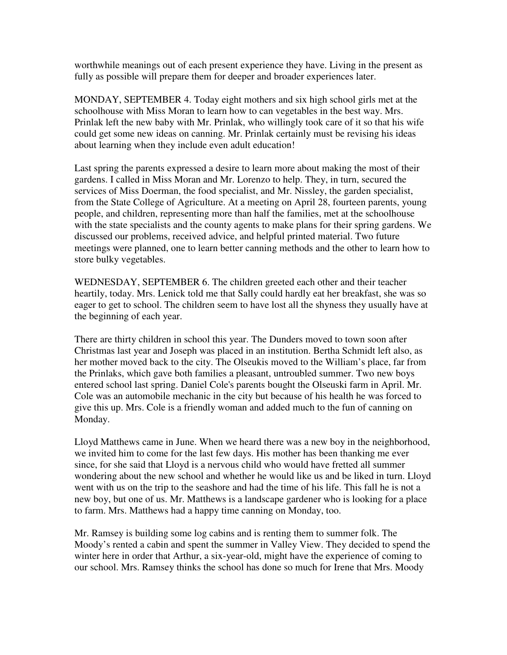worthwhile meanings out of each present experience they have. Living in the present as fully as possible will prepare them for deeper and broader experiences later.

MONDAY, SEPTEMBER 4. Today eight mothers and six high school girls met at the schoolhouse with Miss Moran to learn how to can vegetables in the best way. Mrs. Prinlak left the new baby with Mr. Prinlak, who willingly took care of it so that his wife could get some new ideas on canning. Mr. Prinlak certainly must be revising his ideas about learning when they include even adult education!

Last spring the parents expressed a desire to learn more about making the most of their gardens. I called in Miss Moran and Mr. Lorenzo to help. They, in turn, secured the services of Miss Doerman, the food specialist, and Mr. Nissley, the garden specialist, from the State College of Agriculture. At a meeting on April 28, fourteen parents, young people, and children, representing more than half the families, met at the schoolhouse with the state specialists and the county agents to make plans for their spring gardens. We discussed our problems, received advice, and helpful printed material. Two future meetings were planned, one to learn better canning methods and the other to learn how to store bulky vegetables.

WEDNESDAY, SEPTEMBER 6. The children greeted each other and their teacher heartily, today. Mrs. Lenick told me that Sally could hardly eat her breakfast, she was so eager to get to school. The children seem to have lost all the shyness they usually have at the beginning of each year.

There are thirty children in school this year. The Dunders moved to town soon after Christmas last year and Joseph was placed in an institution. Bertha Schmidt left also, as her mother moved back to the city. The Olseukis moved to the William's place, far from the Prinlaks, which gave both families a pleasant, untroubled summer. Two new boys entered school last spring. Daniel Cole's parents bought the Olseuski farm in April. Mr. Cole was an automobile mechanic in the city but because of his health he was forced to give this up. Mrs. Cole is a friendly woman and added much to the fun of canning on Monday.

Lloyd Matthews came in June. When we heard there was a new boy in the neighborhood, we invited him to come for the last few days. His mother has been thanking me ever since, for she said that Lloyd is a nervous child who would have fretted all summer wondering about the new school and whether he would like us and be liked in turn. Lloyd went with us on the trip to the seashore and had the time of his life. This fall he is not a new boy, but one of us. Mr. Matthews is a landscape gardener who is looking for a place to farm. Mrs. Matthews had a happy time canning on Monday, too.

Mr. Ramsey is building some log cabins and is renting them to summer folk. The Moody's rented a cabin and spent the summer in Valley View. They decided to spend the winter here in order that Arthur, a six-year-old, might have the experience of coming to our school. Mrs. Ramsey thinks the school has done so much for Irene that Mrs. Moody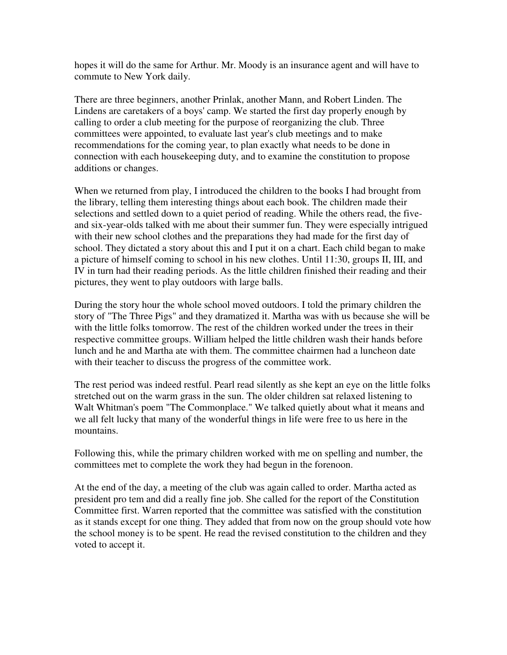hopes it will do the same for Arthur. Mr. Moody is an insurance agent and will have to commute to New York daily.

There are three beginners, another Prinlak, another Mann, and Robert Linden. The Lindens are caretakers of a boys' camp. We started the first day properly enough by calling to order a club meeting for the purpose of reorganizing the club. Three committees were appointed, to evaluate last year's club meetings and to make recommendations for the coming year, to plan exactly what needs to be done in connection with each housekeeping duty, and to examine the constitution to propose additions or changes.

When we returned from play, I introduced the children to the books I had brought from the library, telling them interesting things about each book. The children made their selections and settled down to a quiet period of reading. While the others read, the fiveand six-year-olds talked with me about their summer fun. They were especially intrigued with their new school clothes and the preparations they had made for the first day of school. They dictated a story about this and I put it on a chart. Each child began to make a picture of himself coming to school in his new clothes. Until 11:30, groups II, III, and IV in turn had their reading periods. As the little children finished their reading and their pictures, they went to play outdoors with large balls.

During the story hour the whole school moved outdoors. I told the primary children the story of "The Three Pigs" and they dramatized it. Martha was with us because she will be with the little folks tomorrow. The rest of the children worked under the trees in their respective committee groups. William helped the little children wash their hands before lunch and he and Martha ate with them. The committee chairmen had a luncheon date with their teacher to discuss the progress of the committee work.

The rest period was indeed restful. Pearl read silently as she kept an eye on the little folks stretched out on the warm grass in the sun. The older children sat relaxed listening to Walt Whitman's poem "The Commonplace." We talked quietly about what it means and we all felt lucky that many of the wonderful things in life were free to us here in the mountains.

Following this, while the primary children worked with me on spelling and number, the committees met to complete the work they had begun in the forenoon.

At the end of the day, a meeting of the club was again called to order. Martha acted as president pro tem and did a really fine job. She called for the report of the Constitution Committee first. Warren reported that the committee was satisfied with the constitution as it stands except for one thing. They added that from now on the group should vote how the school money is to be spent. He read the revised constitution to the children and they voted to accept it.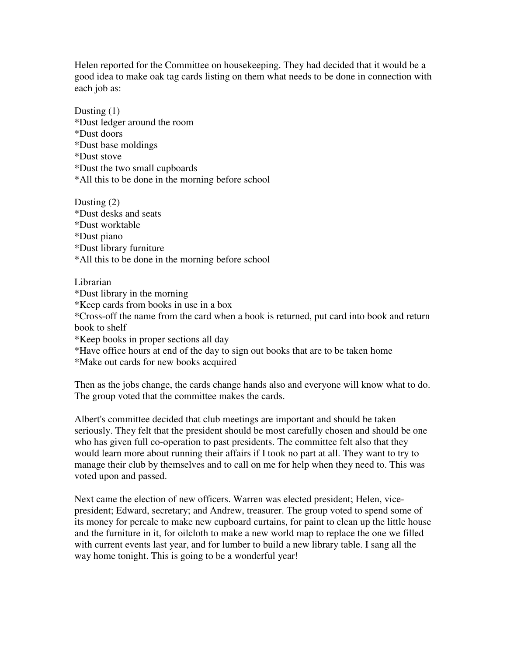Helen reported for the Committee on housekeeping. They had decided that it would be a good idea to make oak tag cards listing on them what needs to be done in connection with each job as:

Dusting  $(1)$ \*Dust ledger around the room \*Dust doors \*Dust base moldings \*Dust stove \*Dust the two small cupboards \*All this to be done in the morning before school

Dusting (2) \*Dust desks and seats \*Dust worktable \*Dust piano \*Dust library furniture \*All this to be done in the morning before school

Librarian

\*Dust library in the morning

\*Keep cards from books in use in a box

\*Cross-off the name from the card when a book is returned, put card into book and return book to shelf

\*Keep books in proper sections all day

\*Have office hours at end of the day to sign out books that are to be taken home

\*Make out cards for new books acquired

Then as the jobs change, the cards change hands also and everyone will know what to do. The group voted that the committee makes the cards.

Albert's committee decided that club meetings are important and should be taken seriously. They felt that the president should be most carefully chosen and should be one who has given full co-operation to past presidents. The committee felt also that they would learn more about running their affairs if I took no part at all. They want to try to manage their club by themselves and to call on me for help when they need to. This was voted upon and passed.

Next came the election of new officers. Warren was elected president; Helen, vicepresident; Edward, secretary; and Andrew, treasurer. The group voted to spend some of its money for percale to make new cupboard curtains, for paint to clean up the little house and the furniture in it, for oilcloth to make a new world map to replace the one we filled with current events last year, and for lumber to build a new library table. I sang all the way home tonight. This is going to be a wonderful year!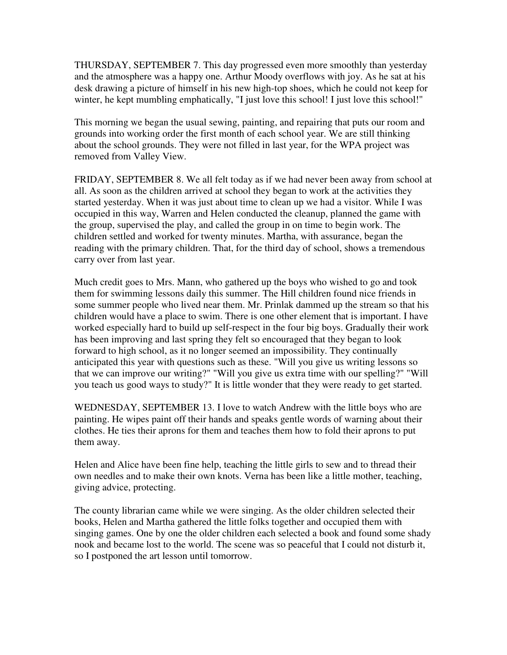THURSDAY, SEPTEMBER 7. This day progressed even more smoothly than yesterday and the atmosphere was a happy one. Arthur Moody overflows with joy. As he sat at his desk drawing a picture of himself in his new high-top shoes, which he could not keep for winter, he kept mumbling emphatically, "I just love this school! I just love this school!"

This morning we began the usual sewing, painting, and repairing that puts our room and grounds into working order the first month of each school year. We are still thinking about the school grounds. They were not filled in last year, for the WPA project was removed from Valley View.

FRIDAY, SEPTEMBER 8. We all felt today as if we had never been away from school at all. As soon as the children arrived at school they began to work at the activities they started yesterday. When it was just about time to clean up we had a visitor. While I was occupied in this way, Warren and Helen conducted the cleanup, planned the game with the group, supervised the play, and called the group in on time to begin work. The children settled and worked for twenty minutes. Martha, with assurance, began the reading with the primary children. That, for the third day of school, shows a tremendous carry over from last year.

Much credit goes to Mrs. Mann, who gathered up the boys who wished to go and took them for swimming lessons daily this summer. The Hill children found nice friends in some summer people who lived near them. Mr. Prinlak dammed up the stream so that his children would have a place to swim. There is one other element that is important. I have worked especially hard to build up self-respect in the four big boys. Gradually their work has been improving and last spring they felt so encouraged that they began to look forward to high school, as it no longer seemed an impossibility. They continually anticipated this year with questions such as these. "Will you give us writing lessons so that we can improve our writing?" "Will you give us extra time with our spelling?" "Will you teach us good ways to study?" It is little wonder that they were ready to get started.

WEDNESDAY, SEPTEMBER 13. I love to watch Andrew with the little boys who are painting. He wipes paint off their hands and speaks gentle words of warning about their clothes. He ties their aprons for them and teaches them how to fold their aprons to put them away.

Helen and Alice have been fine help, teaching the little girls to sew and to thread their own needles and to make their own knots. Verna has been like a little mother, teaching, giving advice, protecting.

The county librarian came while we were singing. As the older children selected their books, Helen and Martha gathered the little folks together and occupied them with singing games. One by one the older children each selected a book and found some shady nook and became lost to the world. The scene was so peaceful that I could not disturb it, so I postponed the art lesson until tomorrow.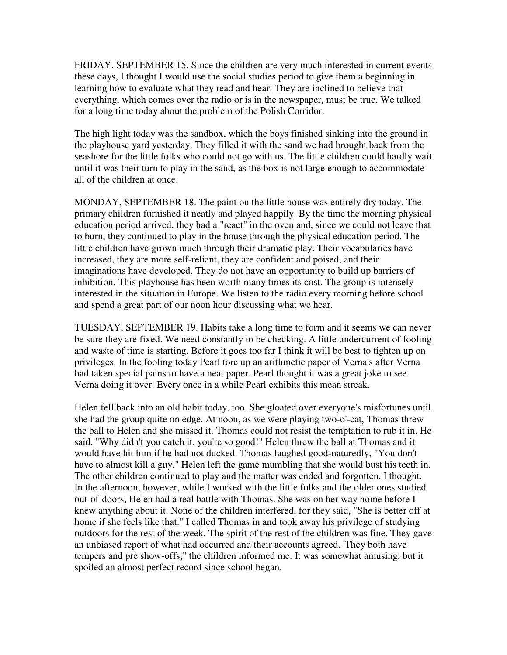FRIDAY, SEPTEMBER 15. Since the children are very much interested in current events these days, I thought I would use the social studies period to give them a beginning in learning how to evaluate what they read and hear. They are inclined to believe that everything, which comes over the radio or is in the newspaper, must be true. We talked for a long time today about the problem of the Polish Corridor.

The high light today was the sandbox, which the boys finished sinking into the ground in the playhouse yard yesterday. They filled it with the sand we had brought back from the seashore for the little folks who could not go with us. The little children could hardly wait until it was their turn to play in the sand, as the box is not large enough to accommodate all of the children at once.

MONDAY, SEPTEMBER 18. The paint on the little house was entirely dry today. The primary children furnished it neatly and played happily. By the time the morning physical education period arrived, they had a "react" in the oven and, since we could not leave that to burn, they continued to play in the house through the physical education period. The little children have grown much through their dramatic play. Their vocabularies have increased, they are more self-reliant, they are confident and poised, and their imaginations have developed. They do not have an opportunity to build up barriers of inhibition. This playhouse has been worth many times its cost. The group is intensely interested in the situation in Europe. We listen to the radio every morning before school and spend a great part of our noon hour discussing what we hear.

TUESDAY, SEPTEMBER 19. Habits take a long time to form and it seems we can never be sure they are fixed. We need constantly to be checking. A little undercurrent of fooling and waste of time is starting. Before it goes too far I think it will be best to tighten up on privileges. In the fooling today Pearl tore up an arithmetic paper of Verna's after Verna had taken special pains to have a neat paper. Pearl thought it was a great joke to see Verna doing it over. Every once in a while Pearl exhibits this mean streak.

Helen fell back into an old habit today, too. She gloated over everyone's misfortunes until she had the group quite on edge. At noon, as we were playing two-o'-cat, Thomas threw the ball to Helen and she missed it. Thomas could not resist the temptation to rub it in. He said, "Why didn't you catch it, you're so good!" Helen threw the ball at Thomas and it would have hit him if he had not ducked. Thomas laughed good-naturedly, "You don't have to almost kill a guy." Helen left the game mumbling that she would bust his teeth in. The other children continued to play and the matter was ended and forgotten, I thought. In the afternoon, however, while I worked with the little folks and the older ones studied out-of-doors, Helen had a real battle with Thomas. She was on her way home before I knew anything about it. None of the children interfered, for they said, "She is better off at home if she feels like that." I called Thomas in and took away his privilege of studying outdoors for the rest of the week. The spirit of the rest of the children was fine. They gave an unbiased report of what had occurred and their accounts agreed. 'They both have tempers and pre show-offs," the children informed me. It was somewhat amusing, but it spoiled an almost perfect record since school began.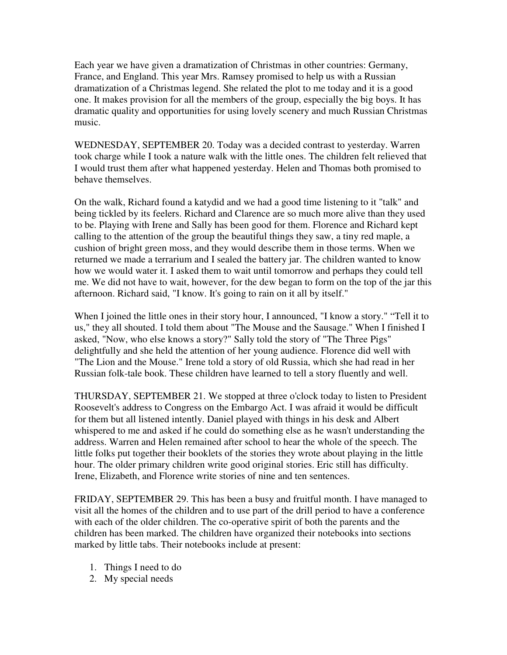Each year we have given a dramatization of Christmas in other countries: Germany, France, and England. This year Mrs. Ramsey promised to help us with a Russian dramatization of a Christmas legend. She related the plot to me today and it is a good one. It makes provision for all the members of the group, especially the big boys. It has dramatic quality and opportunities for using lovely scenery and much Russian Christmas music.

WEDNESDAY, SEPTEMBER 20. Today was a decided contrast to yesterday. Warren took charge while I took a nature walk with the little ones. The children felt relieved that I would trust them after what happened yesterday. Helen and Thomas both promised to behave themselves.

On the walk, Richard found a katydid and we had a good time listening to it "talk" and being tickled by its feelers. Richard and Clarence are so much more alive than they used to be. Playing with Irene and Sally has been good for them. Florence and Richard kept calling to the attention of the group the beautiful things they saw, a tiny red maple, a cushion of bright green moss, and they would describe them in those terms. When we returned we made a terrarium and I sealed the battery jar. The children wanted to know how we would water it. I asked them to wait until tomorrow and perhaps they could tell me. We did not have to wait, however, for the dew began to form on the top of the jar this afternoon. Richard said, "I know. It's going to rain on it all by itself."

When I joined the little ones in their story hour, I announced, "I know a story." "Tell it to us," they all shouted. I told them about "The Mouse and the Sausage." When I finished I asked, "Now, who else knows a story?" Sally told the story of "The Three Pigs" delightfully and she held the attention of her young audience. Florence did well with "The Lion and the Mouse." Irene told a story of old Russia, which she had read in her Russian folk-tale book. These children have learned to tell a story fluently and well.

THURSDAY, SEPTEMBER 21. We stopped at three o'clock today to listen to President Roosevelt's address to Congress on the Embargo Act. I was afraid it would be difficult for them but all listened intently. Daniel played with things in his desk and Albert whispered to me and asked if he could do something else as he wasn't understanding the address. Warren and Helen remained after school to hear the whole of the speech. The little folks put together their booklets of the stories they wrote about playing in the little hour. The older primary children write good original stories. Eric still has difficulty. Irene, Elizabeth, and Florence write stories of nine and ten sentences.

FRIDAY, SEPTEMBER 29. This has been a busy and fruitful month. I have managed to visit all the homes of the children and to use part of the drill period to have a conference with each of the older children. The co-operative spirit of both the parents and the children has been marked. The children have organized their notebooks into sections marked by little tabs. Their notebooks include at present:

- 1. Things I need to do
- 2. My special needs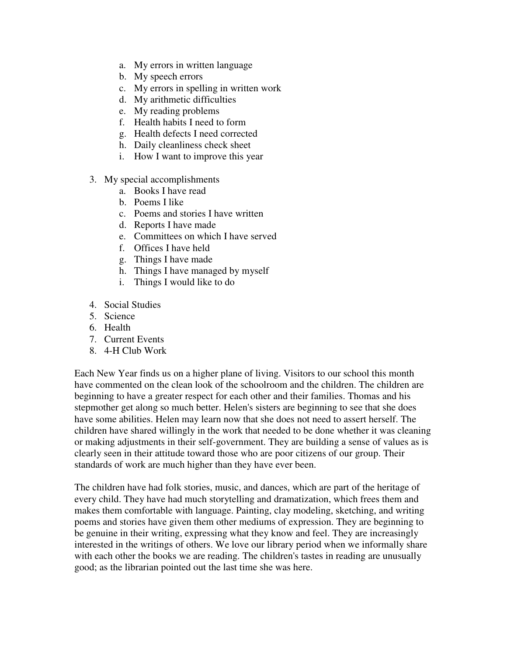- a. My errors in written language
- b. My speech errors
- c. My errors in spelling in written work
- d. My arithmetic difficulties
- e. My reading problems
- f. Health habits I need to form
- g. Health defects I need corrected
- h. Daily cleanliness check sheet
- i. How I want to improve this year
- 3. My special accomplishments
	- a. Books I have read
	- b. Poems I like
	- c. Poems and stories I have written
	- d. Reports I have made
	- e. Committees on which I have served
	- f. Offices I have held
	- g. Things I have made
	- h. Things I have managed by myself
	- i. Things I would like to do
- 4. Social Studies
- 5. Science
- 6. Health
- 7. Current Events
- 8. 4-H Club Work

Each New Year finds us on a higher plane of living. Visitors to our school this month have commented on the clean look of the schoolroom and the children. The children are beginning to have a greater respect for each other and their families. Thomas and his stepmother get along so much better. Helen's sisters are beginning to see that she does have some abilities. Helen may learn now that she does not need to assert herself. The children have shared willingly in the work that needed to be done whether it was cleaning or making adjustments in their self-government. They are building a sense of values as is clearly seen in their attitude toward those who are poor citizens of our group. Their standards of work are much higher than they have ever been.

The children have had folk stories, music, and dances, which are part of the heritage of every child. They have had much storytelling and dramatization, which frees them and makes them comfortable with language. Painting, clay modeling, sketching, and writing poems and stories have given them other mediums of expression. They are beginning to be genuine in their writing, expressing what they know and feel. They are increasingly interested in the writings of others. We love our library period when we informally share with each other the books we are reading. The children's tastes in reading are unusually good; as the librarian pointed out the last time she was here.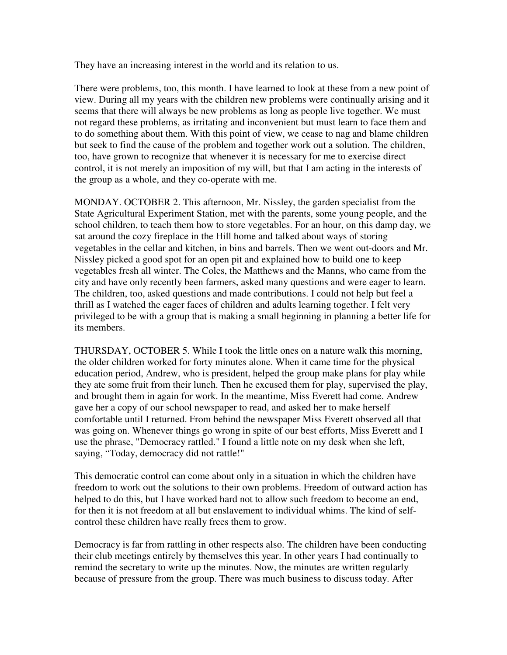They have an increasing interest in the world and its relation to us.

There were problems, too, this month. I have learned to look at these from a new point of view. During all my years with the children new problems were continually arising and it seems that there will always be new problems as long as people live together. We must not regard these problems, as irritating and inconvenient but must learn to face them and to do something about them. With this point of view, we cease to nag and blame children but seek to find the cause of the problem and together work out a solution. The children, too, have grown to recognize that whenever it is necessary for me to exercise direct control, it is not merely an imposition of my will, but that I am acting in the interests of the group as a whole, and they co-operate with me.

MONDAY. OCTOBER 2. This afternoon, Mr. Nissley, the garden specialist from the State Agricultural Experiment Station, met with the parents, some young people, and the school children, to teach them how to store vegetables. For an hour, on this damp day, we sat around the cozy fireplace in the Hill home and talked about ways of storing vegetables in the cellar and kitchen, in bins and barrels. Then we went out-doors and Mr. Nissley picked a good spot for an open pit and explained how to build one to keep vegetables fresh all winter. The Coles, the Matthews and the Manns, who came from the city and have only recently been farmers, asked many questions and were eager to learn. The children, too, asked questions and made contributions. I could not help but feel a thrill as I watched the eager faces of children and adults learning together. I felt very privileged to be with a group that is making a small beginning in planning a better life for its members.

THURSDAY, OCTOBER 5. While I took the little ones on a nature walk this morning, the older children worked for forty minutes alone. When it came time for the physical education period, Andrew, who is president, helped the group make plans for play while they ate some fruit from their lunch. Then he excused them for play, supervised the play, and brought them in again for work. In the meantime, Miss Everett had come. Andrew gave her a copy of our school newspaper to read, and asked her to make herself comfortable until I returned. From behind the newspaper Miss Everett observed all that was going on. Whenever things go wrong in spite of our best efforts, Miss Everett and I use the phrase, "Democracy rattled." I found a little note on my desk when she left, saying, "Today, democracy did not rattle!"

This democratic control can come about only in a situation in which the children have freedom to work out the solutions to their own problems. Freedom of outward action has helped to do this, but I have worked hard not to allow such freedom to become an end, for then it is not freedom at all but enslavement to individual whims. The kind of selfcontrol these children have really frees them to grow.

Democracy is far from rattling in other respects also. The children have been conducting their club meetings entirely by themselves this year. In other years I had continually to remind the secretary to write up the minutes. Now, the minutes are written regularly because of pressure from the group. There was much business to discuss today. After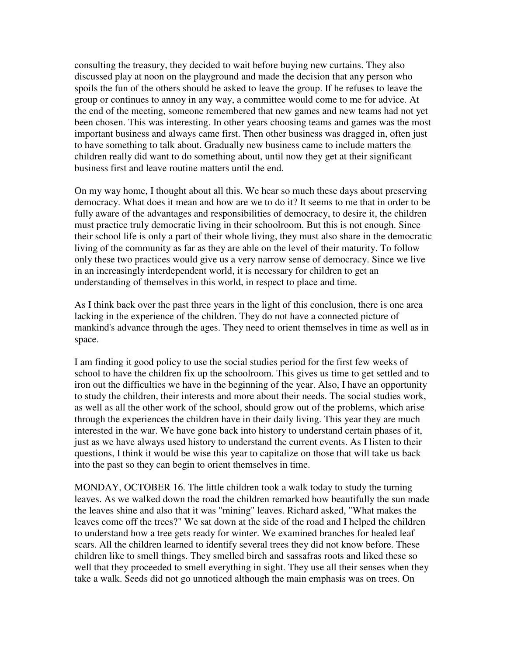consulting the treasury, they decided to wait before buying new curtains. They also discussed play at noon on the playground and made the decision that any person who spoils the fun of the others should be asked to leave the group. If he refuses to leave the group or continues to annoy in any way, a committee would come to me for advice. At the end of the meeting, someone remembered that new games and new teams had not yet been chosen. This was interesting. In other years choosing teams and games was the most important business and always came first. Then other business was dragged in, often just to have something to talk about. Gradually new business came to include matters the children really did want to do something about, until now they get at their significant business first and leave routine matters until the end.

On my way home, I thought about all this. We hear so much these days about preserving democracy. What does it mean and how are we to do it? It seems to me that in order to be fully aware of the advantages and responsibilities of democracy, to desire it, the children must practice truly democratic living in their schoolroom. But this is not enough. Since their school life is only a part of their whole living, they must also share in the democratic living of the community as far as they are able on the level of their maturity. To follow only these two practices would give us a very narrow sense of democracy. Since we live in an increasingly interdependent world, it is necessary for children to get an understanding of themselves in this world, in respect to place and time.

As I think back over the past three years in the light of this conclusion, there is one area lacking in the experience of the children. They do not have a connected picture of mankind's advance through the ages. They need to orient themselves in time as well as in space.

I am finding it good policy to use the social studies period for the first few weeks of school to have the children fix up the schoolroom. This gives us time to get settled and to iron out the difficulties we have in the beginning of the year. Also, I have an opportunity to study the children, their interests and more about their needs. The social studies work, as well as all the other work of the school, should grow out of the problems, which arise through the experiences the children have in their daily living. This year they are much interested in the war. We have gone back into history to understand certain phases of it, just as we have always used history to understand the current events. As I listen to their questions, I think it would be wise this year to capitalize on those that will take us back into the past so they can begin to orient themselves in time.

MONDAY, OCTOBER 16. The little children took a walk today to study the turning leaves. As we walked down the road the children remarked how beautifully the sun made the leaves shine and also that it was "mining" leaves. Richard asked, "What makes the leaves come off the trees?" We sat down at the side of the road and I helped the children to understand how a tree gets ready for winter. We examined branches for healed leaf scars. All the children learned to identify several trees they did not know before. These children like to smell things. They smelled birch and sassafras roots and liked these so well that they proceeded to smell everything in sight. They use all their senses when they take a walk. Seeds did not go unnoticed although the main emphasis was on trees. On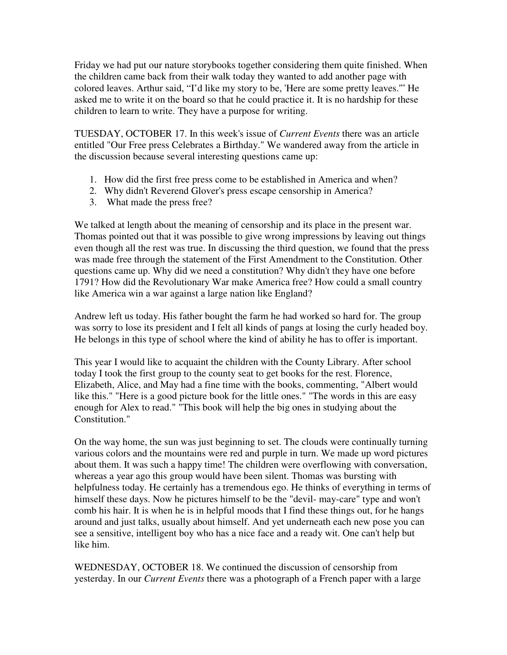Friday we had put our nature storybooks together considering them quite finished. When the children came back from their walk today they wanted to add another page with colored leaves. Arthur said, "I'd like my story to be, 'Here are some pretty leaves.'" He asked me to write it on the board so that he could practice it. It is no hardship for these children to learn to write. They have a purpose for writing.

TUESDAY, OCTOBER 17. In this week's issue of *Current Events* there was an article entitled "Our Free press Celebrates a Birthday." We wandered away from the article in the discussion because several interesting questions came up:

- 1. How did the first free press come to be established in America and when?
- 2. Why didn't Reverend Glover's press escape censorship in America?
- 3. What made the press free?

We talked at length about the meaning of censorship and its place in the present war. Thomas pointed out that it was possible to give wrong impressions by leaving out things even though all the rest was true. In discussing the third question, we found that the press was made free through the statement of the First Amendment to the Constitution. Other questions came up. Why did we need a constitution? Why didn't they have one before 1791? How did the Revolutionary War make America free? How could a small country like America win a war against a large nation like England?

Andrew left us today. His father bought the farm he had worked so hard for. The group was sorry to lose its president and I felt all kinds of pangs at losing the curly headed boy. He belongs in this type of school where the kind of ability he has to offer is important.

This year I would like to acquaint the children with the County Library. After school today I took the first group to the county seat to get books for the rest. Florence, Elizabeth, Alice, and May had a fine time with the books, commenting, "Albert would like this." "Here is a good picture book for the little ones." "The words in this are easy enough for Alex to read." "This book will help the big ones in studying about the Constitution."

On the way home, the sun was just beginning to set. The clouds were continually turning various colors and the mountains were red and purple in turn. We made up word pictures about them. It was such a happy time! The children were overflowing with conversation, whereas a year ago this group would have been silent. Thomas was bursting with helpfulness today. He certainly has a tremendous ego. He thinks of everything in terms of himself these days. Now he pictures himself to be the "devil- may-care" type and won't comb his hair. It is when he is in helpful moods that I find these things out, for he hangs around and just talks, usually about himself. And yet underneath each new pose you can see a sensitive, intelligent boy who has a nice face and a ready wit. One can't help but like him.

WEDNESDAY, OCTOBER 18. We continued the discussion of censorship from yesterday. In our *Current Events* there was a photograph of a French paper with a large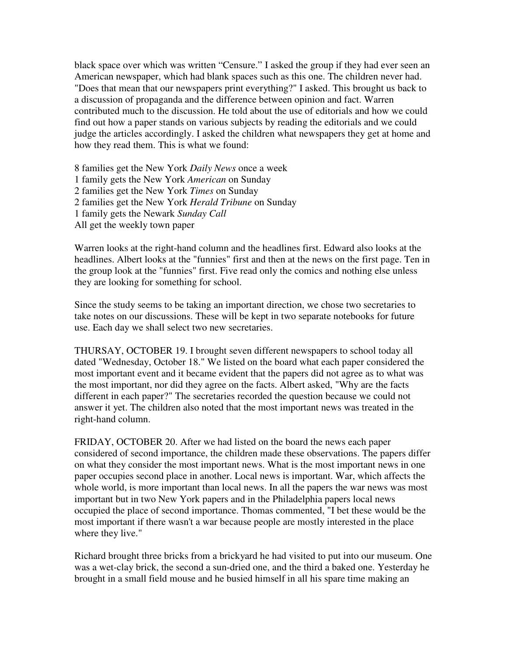black space over which was written "Censure." I asked the group if they had ever seen an American newspaper, which had blank spaces such as this one. The children never had. "Does that mean that our newspapers print everything?" I asked. This brought us back to a discussion of propaganda and the difference between opinion and fact. Warren contributed much to the discussion. He told about the use of editorials and how we could find out how a paper stands on various subjects by reading the editorials and we could judge the articles accordingly. I asked the children what newspapers they get at home and how they read them. This is what we found:

8 families get the New York *Daily News* once a week 1 family gets the New York *American* on Sunday 2 families get the New York *Times* on Sunday 2 families get the New York *Herald Tribune* on Sunday 1 family gets the Newark *Sunday Call*  All get the weekly town paper

Warren looks at the right-hand column and the headlines first. Edward also looks at the headlines. Albert looks at the "funnies" first and then at the news on the first page. Ten in the group look at the "funnies" first. Five read only the comics and nothing else unless they are looking for something for school.

Since the study seems to be taking an important direction, we chose two secretaries to take notes on our discussions. These will be kept in two separate notebooks for future use. Each day we shall select two new secretaries.

THURSAY, OCTOBER 19. I brought seven different newspapers to school today all dated "Wednesday, October 18." We listed on the board what each paper considered the most important event and it became evident that the papers did not agree as to what was the most important, nor did they agree on the facts. Albert asked, "Why are the facts different in each paper?" The secretaries recorded the question because we could not answer it yet. The children also noted that the most important news was treated in the right-hand column.

FRIDAY, OCTOBER 20. After we had listed on the board the news each paper considered of second importance, the children made these observations. The papers differ on what they consider the most important news. What is the most important news in one paper occupies second place in another. Local news is important. War, which affects the whole world, is more important than local news. In all the papers the war news was most important but in two New York papers and in the Philadelphia papers local news occupied the place of second importance. Thomas commented, "I bet these would be the most important if there wasn't a war because people are mostly interested in the place where they live."

Richard brought three bricks from a brickyard he had visited to put into our museum. One was a wet-clay brick, the second a sun-dried one, and the third a baked one. Yesterday he brought in a small field mouse and he busied himself in all his spare time making an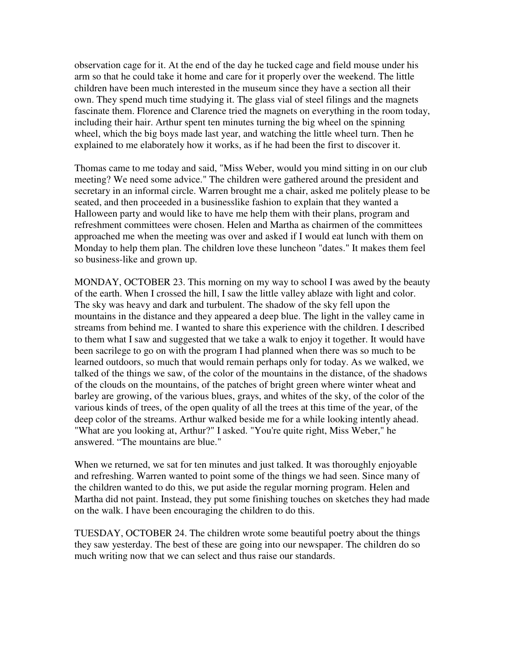observation cage for it. At the end of the day he tucked cage and field mouse under his arm so that he could take it home and care for it properly over the weekend. The little children have been much interested in the museum since they have a section all their own. They spend much time studying it. The glass vial of steel filings and the magnets fascinate them. Florence and Clarence tried the magnets on everything in the room today, including their hair. Arthur spent ten minutes turning the big wheel on the spinning wheel, which the big boys made last year, and watching the little wheel turn. Then he explained to me elaborately how it works, as if he had been the first to discover it.

Thomas came to me today and said, "Miss Weber, would you mind sitting in on our club meeting? We need some advice." The children were gathered around the president and secretary in an informal circle. Warren brought me a chair, asked me politely please to be seated, and then proceeded in a businesslike fashion to explain that they wanted a Halloween party and would like to have me help them with their plans, program and refreshment committees were chosen. Helen and Martha as chairmen of the committees approached me when the meeting was over and asked if I would eat lunch with them on Monday to help them plan. The children love these luncheon "dates." It makes them feel so business-like and grown up.

MONDAY, OCTOBER 23. This morning on my way to school I was awed by the beauty of the earth. When I crossed the hill, I saw the little valley ablaze with light and color. The sky was heavy and dark and turbulent. The shadow of the sky fell upon the mountains in the distance and they appeared a deep blue. The light in the valley came in streams from behind me. I wanted to share this experience with the children. I described to them what I saw and suggested that we take a walk to enjoy it together. It would have been sacrilege to go on with the program I had planned when there was so much to be learned outdoors, so much that would remain perhaps only for today. As we walked, we talked of the things we saw, of the color of the mountains in the distance, of the shadows of the clouds on the mountains, of the patches of bright green where winter wheat and barley are growing, of the various blues, grays, and whites of the sky, of the color of the various kinds of trees, of the open quality of all the trees at this time of the year, of the deep color of the streams. Arthur walked beside me for a while looking intently ahead. "What are you looking at, Arthur?" I asked. "You're quite right, Miss Weber," he answered. "The mountains are blue."

When we returned, we sat for ten minutes and just talked. It was thoroughly enjoyable and refreshing. Warren wanted to point some of the things we had seen. Since many of the children wanted to do this, we put aside the regular morning program. Helen and Martha did not paint. Instead, they put some finishing touches on sketches they had made on the walk. I have been encouraging the children to do this.

TUESDAY, OCTOBER 24. The children wrote some beautiful poetry about the things they saw yesterday. The best of these are going into our newspaper. The children do so much writing now that we can select and thus raise our standards.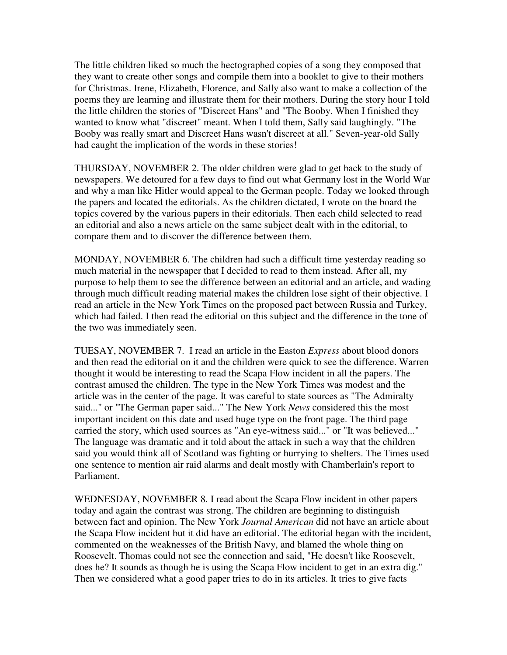The little children liked so much the hectographed copies of a song they composed that they want to create other songs and compile them into a booklet to give to their mothers for Christmas. Irene, Elizabeth, Florence, and Sally also want to make a collection of the poems they are learning and illustrate them for their mothers. During the story hour I told the little children the stories of "Discreet Hans" and "The Booby. When I finished they wanted to know what "discreet" meant. When I told them, Sally said laughingly. "The Booby was really smart and Discreet Hans wasn't discreet at all." Seven-year-old Sally had caught the implication of the words in these stories!

THURSDAY, NOVEMBER 2. The older children were glad to get back to the study of newspapers. We detoured for a few days to find out what Germany lost in the World War and why a man like Hitler would appeal to the German people. Today we looked through the papers and located the editorials. As the children dictated, I wrote on the board the topics covered by the various papers in their editorials. Then each child selected to read an editorial and also a news article on the same subject dealt with in the editorial, to compare them and to discover the difference between them.

MONDAY, NOVEMBER 6. The children had such a difficult time yesterday reading so much material in the newspaper that I decided to read to them instead. After all, my purpose to help them to see the difference between an editorial and an article, and wading through much difficult reading material makes the children lose sight of their objective. I read an article in the New York Times on the proposed pact between Russia and Turkey, which had failed. I then read the editorial on this subject and the difference in the tone of the two was immediately seen.

TUESAY, NOVEMBER 7. I read an article in the Easton *Express* about blood donors and then read the editorial on it and the children were quick to see the difference. Warren thought it would be interesting to read the Scapa Flow incident in all the papers. The contrast amused the children. The type in the New York Times was modest and the article was in the center of the page. It was careful to state sources as "The Admiralty said..." or "The German paper said..." The New York *News* considered this the most important incident on this date and used huge type on the front page. The third page carried the story, which used sources as "An eye-witness said..." or "It was believed..." The language was dramatic and it told about the attack in such a way that the children said you would think all of Scotland was fighting or hurrying to shelters. The Times used one sentence to mention air raid alarms and dealt mostly with Chamberlain's report to Parliament.

WEDNESDAY, NOVEMBER 8. I read about the Scapa Flow incident in other papers today and again the contrast was strong. The children are beginning to distinguish between fact and opinion. The New York *Journal American* did not have an article about the Scapa Flow incident but it did have an editorial. The editorial began with the incident, commented on the weaknesses of the British Navy, and blamed the whole thing on Roosevelt. Thomas could not see the connection and said, "He doesn't like Roosevelt, does he? It sounds as though he is using the Scapa Flow incident to get in an extra dig." Then we considered what a good paper tries to do in its articles. It tries to give facts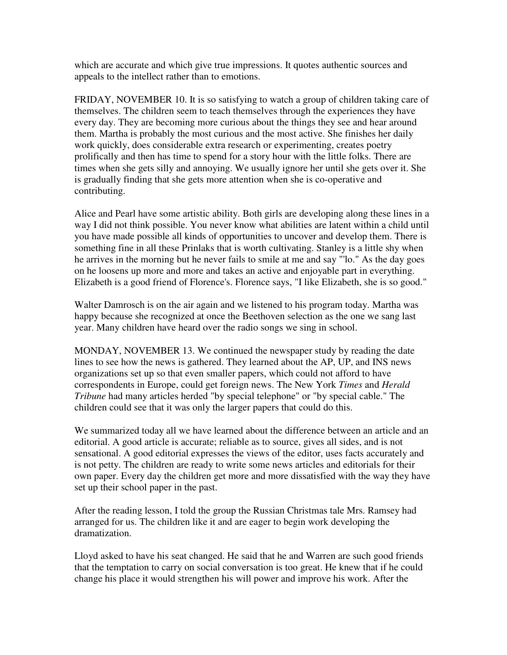which are accurate and which give true impressions. It quotes authentic sources and appeals to the intellect rather than to emotions.

FRIDAY, NOVEMBER 10. It is so satisfying to watch a group of children taking care of themselves. The children seem to teach themselves through the experiences they have every day. They are becoming more curious about the things they see and hear around them. Martha is probably the most curious and the most active. She finishes her daily work quickly, does considerable extra research or experimenting, creates poetry prolifically and then has time to spend for a story hour with the little folks. There are times when she gets silly and annoying. We usually ignore her until she gets over it. She is gradually finding that she gets more attention when she is co-operative and contributing.

Alice and Pearl have some artistic ability. Both girls are developing along these lines in a way I did not think possible. You never know what abilities are latent within a child until you have made possible all kinds of opportunities to uncover and develop them. There is something fine in all these Prinlaks that is worth cultivating. Stanley is a little shy when he arrives in the morning but he never fails to smile at me and say "'lo." As the day goes on he loosens up more and more and takes an active and enjoyable part in everything. Elizabeth is a good friend of Florence's. Florence says, "I like Elizabeth, she is so good."

Walter Damrosch is on the air again and we listened to his program today. Martha was happy because she recognized at once the Beethoven selection as the one we sang last year. Many children have heard over the radio songs we sing in school.

MONDAY, NOVEMBER 13. We continued the newspaper study by reading the date lines to see how the news is gathered. They learned about the AP, UP, and INS news organizations set up so that even smaller papers, which could not afford to have correspondents in Europe, could get foreign news. The New York *Times* and *Herald Tribune* had many articles herded "by special telephone" or "by special cable." The children could see that it was only the larger papers that could do this.

We summarized today all we have learned about the difference between an article and an editorial. A good article is accurate; reliable as to source, gives all sides, and is not sensational. A good editorial expresses the views of the editor, uses facts accurately and is not petty. The children are ready to write some news articles and editorials for their own paper. Every day the children get more and more dissatisfied with the way they have set up their school paper in the past.

After the reading lesson, I told the group the Russian Christmas tale Mrs. Ramsey had arranged for us. The children like it and are eager to begin work developing the dramatization.

Lloyd asked to have his seat changed. He said that he and Warren are such good friends that the temptation to carry on social conversation is too great. He knew that if he could change his place it would strengthen his will power and improve his work. After the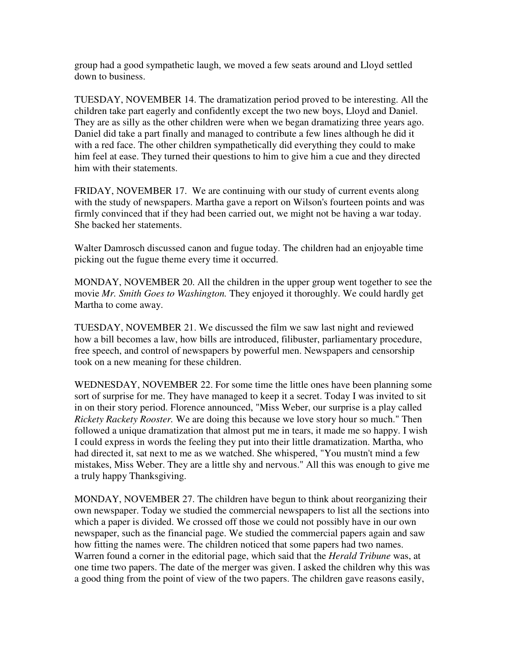group had a good sympathetic laugh, we moved a few seats around and Lloyd settled down to business.

TUESDAY, NOVEMBER 14. The dramatization period proved to be interesting. All the children take part eagerly and confidently except the two new boys, Lloyd and Daniel. They are as silly as the other children were when we began dramatizing three years ago. Daniel did take a part finally and managed to contribute a few lines although he did it with a red face. The other children sympathetically did everything they could to make him feel at ease. They turned their questions to him to give him a cue and they directed him with their statements.

FRIDAY, NOVEMBER 17. We are continuing with our study of current events along with the study of newspapers. Martha gave a report on Wilson's fourteen points and was firmly convinced that if they had been carried out, we might not be having a war today. She backed her statements.

Walter Damrosch discussed canon and fugue today. The children had an enjoyable time picking out the fugue theme every time it occurred.

MONDAY, NOVEMBER 20. All the children in the upper group went together to see the movie *Mr. Smith Goes to Washington.* They enjoyed it thoroughly. We could hardly get Martha to come away.

TUESDAY, NOVEMBER 21. We discussed the film we saw last night and reviewed how a bill becomes a law, how bills are introduced, filibuster, parliamentary procedure, free speech, and control of newspapers by powerful men. Newspapers and censorship took on a new meaning for these children.

WEDNESDAY, NOVEMBER 22. For some time the little ones have been planning some sort of surprise for me. They have managed to keep it a secret. Today I was invited to sit in on their story period. Florence announced, "Miss Weber, our surprise is a play called *Rickety Rackety Rooster.* We are doing this because we love story hour so much." Then followed a unique dramatization that almost put me in tears, it made me so happy. I wish I could express in words the feeling they put into their little dramatization. Martha, who had directed it, sat next to me as we watched. She whispered, "You mustn't mind a few mistakes, Miss Weber. They are a little shy and nervous." All this was enough to give me a truly happy Thanksgiving.

MONDAY, NOVEMBER 27. The children have begun to think about reorganizing their own newspaper. Today we studied the commercial newspapers to list all the sections into which a paper is divided. We crossed off those we could not possibly have in our own newspaper, such as the financial page. We studied the commercial papers again and saw how fitting the names were. The children noticed that some papers had two names. Warren found a corner in the editorial page, which said that the *Herald Tribune* was, at one time two papers. The date of the merger was given. I asked the children why this was a good thing from the point of view of the two papers. The children gave reasons easily,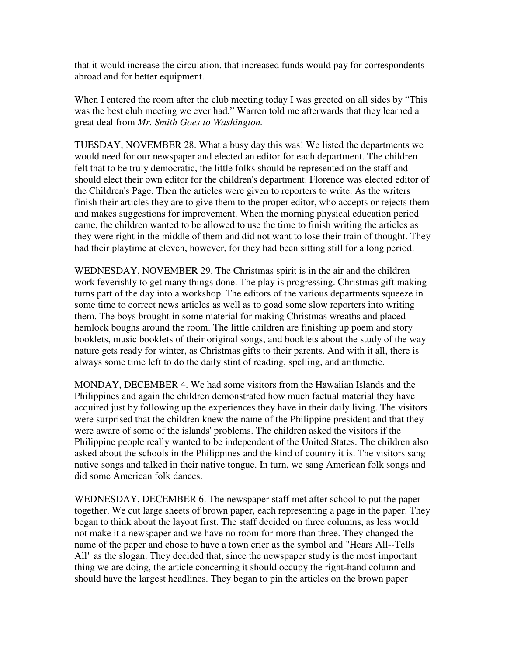that it would increase the circulation, that increased funds would pay for correspondents abroad and for better equipment.

When I entered the room after the club meeting today I was greeted on all sides by "This was the best club meeting we ever had." Warren told me afterwards that they learned a great deal from *Mr. Smith Goes to Washington.* 

TUESDAY, NOVEMBER 28. What a busy day this was! We listed the departments we would need for our newspaper and elected an editor for each department. The children felt that to be truly democratic, the little folks should be represented on the staff and should elect their own editor for the children's department. Florence was elected editor of the Children's Page. Then the articles were given to reporters to write. As the writers finish their articles they are to give them to the proper editor, who accepts or rejects them and makes suggestions for improvement. When the morning physical education period came, the children wanted to be allowed to use the time to finish writing the articles as they were right in the middle of them and did not want to lose their train of thought. They had their playtime at eleven, however, for they had been sitting still for a long period.

WEDNESDAY, NOVEMBER 29. The Christmas spirit is in the air and the children work feverishly to get many things done. The play is progressing. Christmas gift making turns part of the day into a workshop. The editors of the various departments squeeze in some time to correct news articles as well as to goad some slow reporters into writing them. The boys brought in some material for making Christmas wreaths and placed hemlock boughs around the room. The little children are finishing up poem and story booklets, music booklets of their original songs, and booklets about the study of the way nature gets ready for winter, as Christmas gifts to their parents. And with it all, there is always some time left to do the daily stint of reading, spelling, and arithmetic.

MONDAY, DECEMBER 4. We had some visitors from the Hawaiian Islands and the Philippines and again the children demonstrated how much factual material they have acquired just by following up the experiences they have in their daily living. The visitors were surprised that the children knew the name of the Philippine president and that they were aware of some of the islands' problems. The children asked the visitors if the Philippine people really wanted to be independent of the United States. The children also asked about the schools in the Philippines and the kind of country it is. The visitors sang native songs and talked in their native tongue. In turn, we sang American folk songs and did some American folk dances.

WEDNESDAY, DECEMBER 6. The newspaper staff met after school to put the paper together. We cut large sheets of brown paper, each representing a page in the paper. They began to think about the layout first. The staff decided on three columns, as less would not make it a newspaper and we have no room for more than three. They changed the name of the paper and chose to have a town crier as the symbol and "Hears All--Tells All" as the slogan. They decided that, since the newspaper study is the most important thing we are doing, the article concerning it should occupy the right-hand column and should have the largest headlines. They began to pin the articles on the brown paper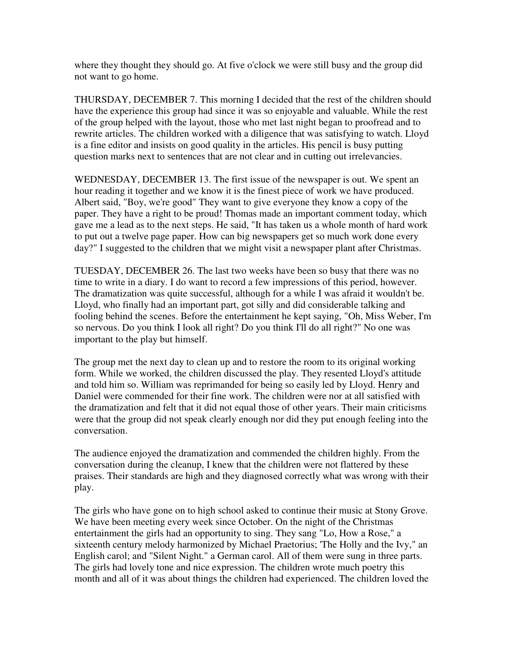where they thought they should go. At five o'clock we were still busy and the group did not want to go home.

THURSDAY, DECEMBER 7. This morning I decided that the rest of the children should have the experience this group had since it was so enjoyable and valuable. While the rest of the group helped with the layout, those who met last night began to proofread and to rewrite articles. The children worked with a diligence that was satisfying to watch. Lloyd is a fine editor and insists on good quality in the articles. His pencil is busy putting question marks next to sentences that are not clear and in cutting out irrelevancies.

WEDNESDAY, DECEMBER 13. The first issue of the newspaper is out. We spent an hour reading it together and we know it is the finest piece of work we have produced. Albert said, "Boy, we're good" They want to give everyone they know a copy of the paper. They have a right to be proud! Thomas made an important comment today, which gave me a lead as to the next steps. He said, "It has taken us a whole month of hard work to put out a twelve page paper. How can big newspapers get so much work done every day?" I suggested to the children that we might visit a newspaper plant after Christmas.

TUESDAY, DECEMBER 26. The last two weeks have been so busy that there was no time to write in a diary. I do want to record a few impressions of this period, however. The dramatization was quite successful, although for a while I was afraid it wouldn't be. Lloyd, who finally had an important part, got silly and did considerable talking and fooling behind the scenes. Before the entertainment he kept saying, "Oh, Miss Weber, I'm so nervous. Do you think I look all right? Do you think I'll do all right?" No one was important to the play but himself.

The group met the next day to clean up and to restore the room to its original working form. While we worked, the children discussed the play. They resented Lloyd's attitude and told him so. William was reprimanded for being so easily led by Lloyd. Henry and Daniel were commended for their fine work. The children were nor at all satisfied with the dramatization and felt that it did not equal those of other years. Their main criticisms were that the group did not speak clearly enough nor did they put enough feeling into the conversation.

The audience enjoyed the dramatization and commended the children highly. From the conversation during the cleanup, I knew that the children were not flattered by these praises. Their standards are high and they diagnosed correctly what was wrong with their play.

The girls who have gone on to high school asked to continue their music at Stony Grove. We have been meeting every week since October. On the night of the Christmas entertainment the girls had an opportunity to sing. They sang "Lo, How a Rose," a sixteenth century melody harmonized by Michael Praetorius; 'The Holly and the Ivy," an English carol; and "Silent Night." a German carol. All of them were sung in three parts. The girls had lovely tone and nice expression. The children wrote much poetry this month and all of it was about things the children had experienced. The children loved the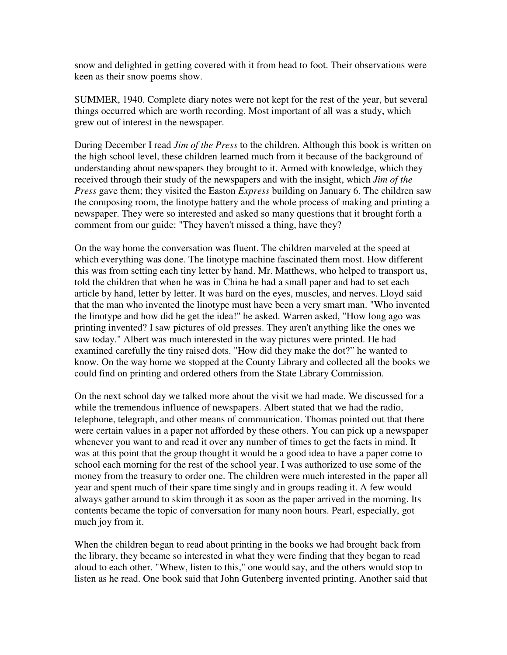snow and delighted in getting covered with it from head to foot. Their observations were keen as their snow poems show.

SUMMER, 1940. Complete diary notes were not kept for the rest of the year, but several things occurred which are worth recording. Most important of all was a study, which grew out of interest in the newspaper.

During December I read *Jim of the Press* to the children. Although this book is written on the high school level, these children learned much from it because of the background of understanding about newspapers they brought to it. Armed with knowledge, which they received through their study of the newspapers and with the insight, which *Jim of the Press* gave them; they visited the Easton *Express* building on January 6. The children saw the composing room, the linotype battery and the whole process of making and printing a newspaper. They were so interested and asked so many questions that it brought forth a comment from our guide: "They haven't missed a thing, have they?

On the way home the conversation was fluent. The children marveled at the speed at which everything was done. The linotype machine fascinated them most. How different this was from setting each tiny letter by hand. Mr. Matthews, who helped to transport us, told the children that when he was in China he had a small paper and had to set each article by hand, letter by letter. It was hard on the eyes, muscles, and nerves. Lloyd said that the man who invented the linotype must have been a very smart man. "Who invented the linotype and how did he get the idea!" he asked. Warren asked, "How long ago was printing invented? I saw pictures of old presses. They aren't anything like the ones we saw today." Albert was much interested in the way pictures were printed. He had examined carefully the tiny raised dots. "How did they make the dot?" he wanted to know. On the way home we stopped at the County Library and collected all the books we could find on printing and ordered others from the State Library Commission.

On the next school day we talked more about the visit we had made. We discussed for a while the tremendous influence of newspapers. Albert stated that we had the radio, telephone, telegraph, and other means of communication. Thomas pointed out that there were certain values in a paper not afforded by these others. You can pick up a newspaper whenever you want to and read it over any number of times to get the facts in mind. It was at this point that the group thought it would be a good idea to have a paper come to school each morning for the rest of the school year. I was authorized to use some of the money from the treasury to order one. The children were much interested in the paper all year and spent much of their spare time singly and in groups reading it. A few would always gather around to skim through it as soon as the paper arrived in the morning. Its contents became the topic of conversation for many noon hours. Pearl, especially, got much joy from it.

When the children began to read about printing in the books we had brought back from the library, they became so interested in what they were finding that they began to read aloud to each other. "Whew, listen to this," one would say, and the others would stop to listen as he read. One book said that John Gutenberg invented printing. Another said that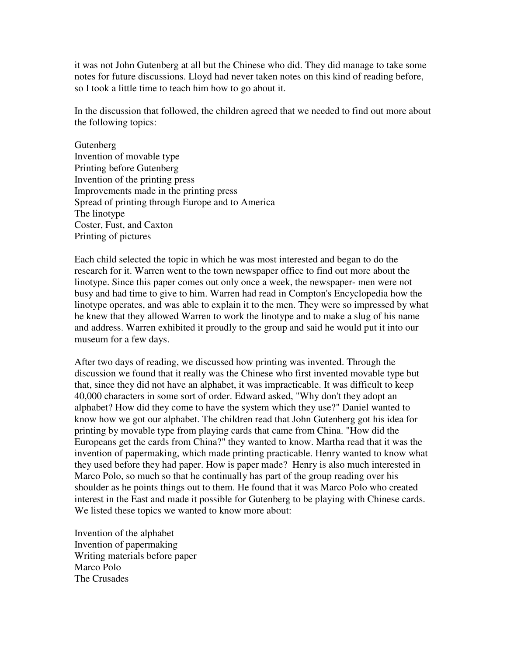it was not John Gutenberg at all but the Chinese who did. They did manage to take some notes for future discussions. Lloyd had never taken notes on this kind of reading before, so I took a little time to teach him how to go about it.

In the discussion that followed, the children agreed that we needed to find out more about the following topics:

**Gutenberg** Invention of movable type Printing before Gutenberg Invention of the printing press Improvements made in the printing press Spread of printing through Europe and to America The linotype Coster, Fust, and Caxton Printing of pictures

Each child selected the topic in which he was most interested and began to do the research for it. Warren went to the town newspaper office to find out more about the linotype. Since this paper comes out only once a week, the newspaper- men were not busy and had time to give to him. Warren had read in Compton's Encyclopedia how the linotype operates, and was able to explain it to the men. They were so impressed by what he knew that they allowed Warren to work the linotype and to make a slug of his name and address. Warren exhibited it proudly to the group and said he would put it into our museum for a few days.

After two days of reading, we discussed how printing was invented. Through the discussion we found that it really was the Chinese who first invented movable type but that, since they did not have an alphabet, it was impracticable. It was difficult to keep 40,000 characters in some sort of order. Edward asked, "Why don't they adopt an alphabet? How did they come to have the system which they use?" Daniel wanted to know how we got our alphabet. The children read that John Gutenberg got his idea for printing by movable type from playing cards that came from China. "How did the Europeans get the cards from China?" they wanted to know. Martha read that it was the invention of papermaking, which made printing practicable. Henry wanted to know what they used before they had paper. How is paper made? Henry is also much interested in Marco Polo, so much so that he continually has part of the group reading over his shoulder as he points things out to them. He found that it was Marco Polo who created interest in the East and made it possible for Gutenberg to be playing with Chinese cards. We listed these topics we wanted to know more about:

Invention of the alphabet Invention of papermaking Writing materials before paper Marco Polo The Crusades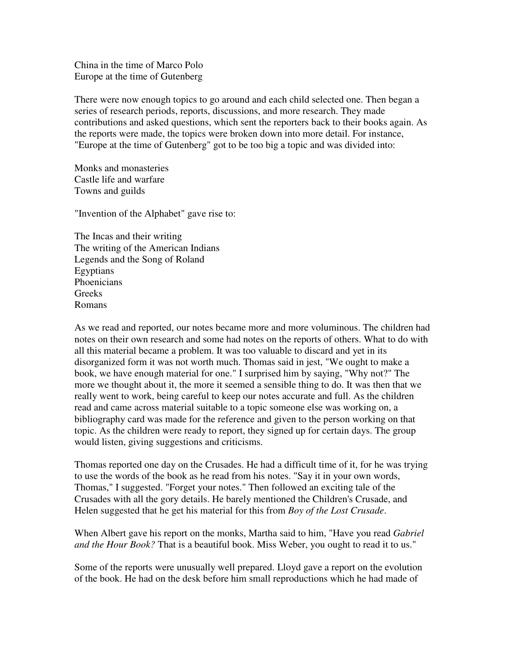China in the time of Marco Polo Europe at the time of Gutenberg

There were now enough topics to go around and each child selected one. Then began a series of research periods, reports, discussions, and more research. They made contributions and asked questions, which sent the reporters back to their books again. As the reports were made, the topics were broken down into more detail. For instance, "Europe at the time of Gutenberg" got to be too big a topic and was divided into:

Monks and monasteries Castle life and warfare Towns and guilds

"Invention of the Alphabet" gave rise to:

The Incas and their writing The writing of the American Indians Legends and the Song of Roland Egyptians **Phoenicians Greeks** Romans

As we read and reported, our notes became more and more voluminous. The children had notes on their own research and some had notes on the reports of others. What to do with all this material became a problem. It was too valuable to discard and yet in its disorganized form it was not worth much. Thomas said in jest, "We ought to make a book, we have enough material for one." I surprised him by saying, "Why not?" The more we thought about it, the more it seemed a sensible thing to do. It was then that we really went to work, being careful to keep our notes accurate and full. As the children read and came across material suitable to a topic someone else was working on, a bibliography card was made for the reference and given to the person working on that topic. As the children were ready to report, they signed up for certain days. The group would listen, giving suggestions and criticisms.

Thomas reported one day on the Crusades. He had a difficult time of it, for he was trying to use the words of the book as he read from his notes. "Say it in your own words, Thomas," I suggested. "Forget your notes." Then followed an exciting tale of the Crusades with all the gory details. He barely mentioned the Children's Crusade, and Helen suggested that he get his material for this from *Boy of the Lost Crusade*.

When Albert gave his report on the monks, Martha said to him, "Have you read *Gabriel and the Hour Book?* That is a beautiful book. Miss Weber, you ought to read it to us."

Some of the reports were unusually well prepared. Lloyd gave a report on the evolution of the book. He had on the desk before him small reproductions which he had made of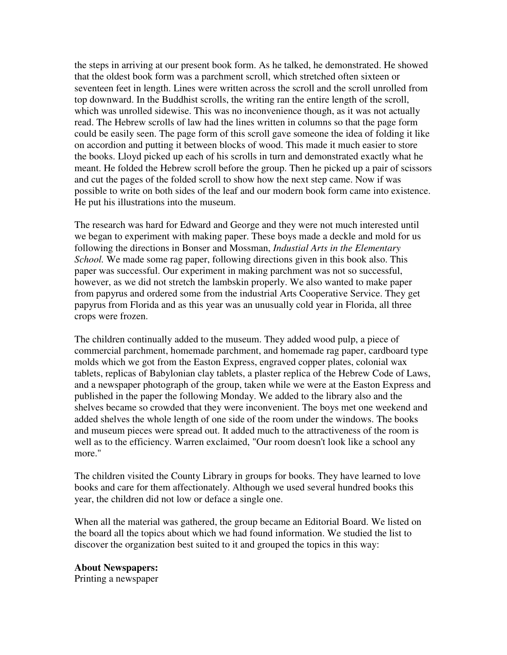the steps in arriving at our present book form. As he talked, he demonstrated. He showed that the oldest book form was a parchment scroll, which stretched often sixteen or seventeen feet in length. Lines were written across the scroll and the scroll unrolled from top downward. In the Buddhist scrolls, the writing ran the entire length of the scroll, which was unrolled sidewise. This was no inconvenience though, as it was not actually read. The Hebrew scrolls of law had the lines written in columns so that the page form could be easily seen. The page form of this scroll gave someone the idea of folding it like on accordion and putting it between blocks of wood. This made it much easier to store the books. Lloyd picked up each of his scrolls in turn and demonstrated exactly what he meant. He folded the Hebrew scroll before the group. Then he picked up a pair of scissors and cut the pages of the folded scroll to show how the next step came. Now if was possible to write on both sides of the leaf and our modern book form came into existence. He put his illustrations into the museum.

The research was hard for Edward and George and they were not much interested until we began to experiment with making paper. These boys made a deckle and mold for us following the directions in Bonser and Mossman, *Industial Arts in the Elementary School.* We made some rag paper, following directions given in this book also. This paper was successful. Our experiment in making parchment was not so successful, however, as we did not stretch the lambskin properly. We also wanted to make paper from papyrus and ordered some from the industrial Arts Cooperative Service. They get papyrus from Florida and as this year was an unusually cold year in Florida, all three crops were frozen.

The children continually added to the museum. They added wood pulp, a piece of commercial parchment, homemade parchment, and homemade rag paper, cardboard type molds which we got from the Easton Express, engraved copper plates, colonial wax tablets, replicas of Babylonian clay tablets, a plaster replica of the Hebrew Code of Laws, and a newspaper photograph of the group, taken while we were at the Easton Express and published in the paper the following Monday. We added to the library also and the shelves became so crowded that they were inconvenient. The boys met one weekend and added shelves the whole length of one side of the room under the windows. The books and museum pieces were spread out. It added much to the attractiveness of the room is well as to the efficiency. Warren exclaimed, "Our room doesn't look like a school any more."

The children visited the County Library in groups for books. They have learned to love books and care for them affectionately. Although we used several hundred books this year, the children did not low or deface a single one.

When all the material was gathered, the group became an Editorial Board. We listed on the board all the topics about which we had found information. We studied the list to discover the organization best suited to it and grouped the topics in this way:

**About Newspapers:**  Printing a newspaper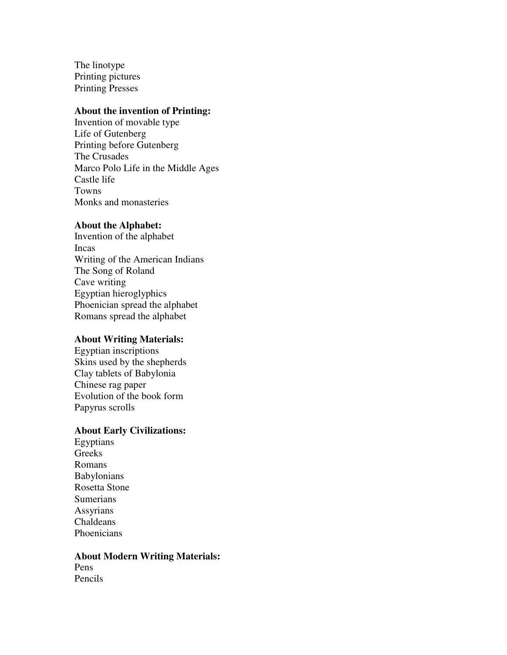The linotype Printing pictures Printing Presses

## **About the invention of Printing:**

Invention of movable type Life of Gutenberg Printing before Gutenberg The Crusades Marco Polo Life in the Middle Ages Castle life Towns Monks and monasteries

## **About the Alphabet:**

Invention of the alphabet Incas Writing of the American Indians The Song of Roland Cave writing Egyptian hieroglyphics Phoenician spread the alphabet Romans spread the alphabet

## **About Writing Materials:**

Egyptian inscriptions Skins used by the shepherds Clay tablets of Babylonia Chinese rag paper Evolution of the book form Papyrus scrolls

## **About Early Civilizations:**

Egyptians Greeks Romans Babylonians Rosetta Stone Sumerians Assyrians Chaldeans **Phoenicians** 

#### **About Modern Writing Materials:**  Pens Pencils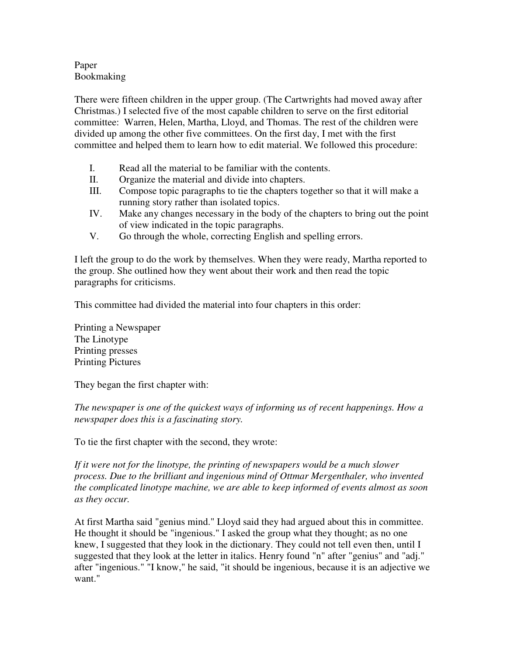# Paper Bookmaking

There were fifteen children in the upper group. (The Cartwrights had moved away after Christmas.) I selected five of the most capable children to serve on the first editorial committee: Warren, Helen, Martha, Lloyd, and Thomas. The rest of the children were divided up among the other five committees. On the first day, I met with the first committee and helped them to learn how to edit material. We followed this procedure:

- I. Read all the material to be familiar with the contents.
- II. Organize the material and divide into chapters.
- III. Compose topic paragraphs to tie the chapters together so that it will make a running story rather than isolated topics.
- IV. Make any changes necessary in the body of the chapters to bring out the point of view indicated in the topic paragraphs.
- V. Go through the whole, correcting English and spelling errors.

I left the group to do the work by themselves. When they were ready, Martha reported to the group. She outlined how they went about their work and then read the topic paragraphs for criticisms.

This committee had divided the material into four chapters in this order:

Printing a Newspaper The Linotype Printing presses Printing Pictures

They began the first chapter with:

*The newspaper is one of the quickest ways of informing us of recent happenings. How a newspaper does this is a fascinating story.* 

To tie the first chapter with the second, they wrote:

*If it were not for the linotype, the printing of newspapers would be a much slower process. Due to the brilliant and ingenious mind of Ottmar Mergenthaler, who invented the complicated linotype machine, we are able to keep informed of events almost as soon as they occur.*

At first Martha said "genius mind." Lloyd said they had argued about this in committee. He thought it should be "ingenious." I asked the group what they thought; as no one knew, I suggested that they look in the dictionary. They could not tell even then, until I suggested that they look at the letter in italics. Henry found "n" after "genius" and "adj." after "ingenious." "I know," he said, "it should be ingenious, because it is an adjective we want."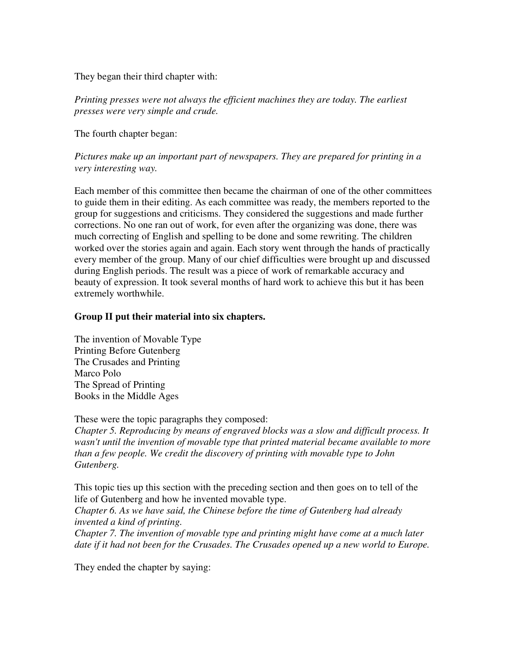They began their third chapter with:

*Printing presses were not always the efficient machines they are today. The earliest presses were very simple and crude.* 

The fourth chapter began:

*Pictures make up an important part of newspapers. They are prepared for printing in a very interesting way.* 

Each member of this committee then became the chairman of one of the other committees to guide them in their editing. As each committee was ready, the members reported to the group for suggestions and criticisms. They considered the suggestions and made further corrections. No one ran out of work, for even after the organizing was done, there was much correcting of English and spelling to be done and some rewriting. The children worked over the stories again and again. Each story went through the hands of practically every member of the group. Many of our chief difficulties were brought up and discussed during English periods. The result was a piece of work of remarkable accuracy and beauty of expression. It took several months of hard work to achieve this but it has been extremely worthwhile.

# **Group II put their material into six chapters.**

The invention of Movable Type Printing Before Gutenberg The Crusades and Printing Marco Polo The Spread of Printing Books in the Middle Ages

These were the topic paragraphs they composed:

*Chapter 5. Reproducing by means of engraved blocks was a slow and difficult process. It wasn't until the invention of movable type that printed material became available to more than a few people. We credit the discovery of printing with movable type to John Gutenberg.* 

This topic ties up this section with the preceding section and then goes on to tell of the life of Gutenberg and how he invented movable type.

*Chapter 6. As we have said, the Chinese before the time of Gutenberg had already invented a kind of printing.* 

*Chapter 7. The invention of movable type and printing might have come at a much later date if it had not been for the Crusades. The Crusades opened up a new world to Europe.*

They ended the chapter by saying: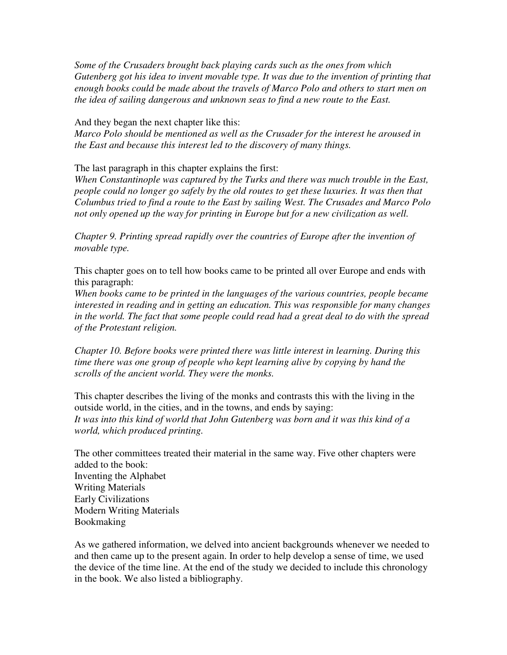*Some of the Crusaders brought back playing cards such as the ones from which Gutenberg got his idea to invent movable type. It was due to the invention of printing that enough books could be made about the travels of Marco Polo and others to start men on the idea of sailing dangerous and unknown seas to find a new route to the East.* 

And they began the next chapter like this:

*Marco Polo should be mentioned as well as the Crusader for the interest he aroused in the East and because this interest led to the discovery of many things.* 

The last paragraph in this chapter explains the first:

*When Constantinople was captured by the Turks and there was much trouble in the East, people could no longer go safely by the old routes to get these luxuries. It was then that Columbus tried to find a route to the East by sailing West. The Crusades and Marco Polo not only opened up the way for printing in Europe but for a new civilization as well.* 

*Chapter 9. Printing spread rapidly over the countries of Europe after the invention of movable type.* 

This chapter goes on to tell how books came to be printed all over Europe and ends with this paragraph:

*When books came to be printed in the languages of the various countries, people became interested in reading and in getting an education. This was responsible for many changes in the world. The fact that some people could read had a great deal to do with the spread of the Protestant religion.* 

*Chapter 10. Before books were printed there was little interest in learning. During this time there was one group of people who kept learning alive by copying by hand the scrolls of the ancient world. They were the monks.* 

This chapter describes the living of the monks and contrasts this with the living in the outside world, in the cities, and in the towns, and ends by saying: *It was into this kind of world that John Gutenberg was born and it was this kind of a world, which produced printing.* 

The other committees treated their material in the same way. Five other chapters were added to the book: Inventing the Alphabet Writing Materials Early Civilizations Modern Writing Materials Bookmaking

As we gathered information, we delved into ancient backgrounds whenever we needed to and then came up to the present again. In order to help develop a sense of time, we used the device of the time line. At the end of the study we decided to include this chronology in the book. We also listed a bibliography.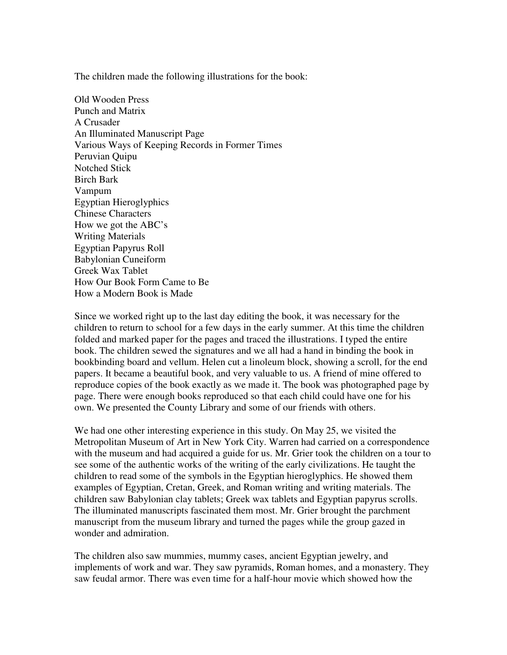The children made the following illustrations for the book:

Old Wooden Press Punch and Matrix A Crusader An Illuminated Manuscript Page Various Ways of Keeping Records in Former Times Peruvian Quipu Notched Stick Birch Bark Vampum Egyptian Hieroglyphics Chinese Characters How we got the ABC's Writing Materials Egyptian Papyrus Roll Babylonian Cuneiform Greek Wax Tablet How Our Book Form Came to Be How a Modern Book is Made

Since we worked right up to the last day editing the book, it was necessary for the children to return to school for a few days in the early summer. At this time the children folded and marked paper for the pages and traced the illustrations. I typed the entire book. The children sewed the signatures and we all had a hand in binding the book in bookbinding board and vellum. Helen cut a linoleum block, showing a scroll, for the end papers. It became a beautiful book, and very valuable to us. A friend of mine offered to reproduce copies of the book exactly as we made it. The book was photographed page by page. There were enough books reproduced so that each child could have one for his own. We presented the County Library and some of our friends with others.

We had one other interesting experience in this study. On May 25, we visited the Metropolitan Museum of Art in New York City. Warren had carried on a correspondence with the museum and had acquired a guide for us. Mr. Grier took the children on a tour to see some of the authentic works of the writing of the early civilizations. He taught the children to read some of the symbols in the Egyptian hieroglyphics. He showed them examples of Egyptian, Cretan, Greek, and Roman writing and writing materials. The children saw Babylonian clay tablets; Greek wax tablets and Egyptian papyrus scrolls. The illuminated manuscripts fascinated them most. Mr. Grier brought the parchment manuscript from the museum library and turned the pages while the group gazed in wonder and admiration.

The children also saw mummies, mummy cases, ancient Egyptian jewelry, and implements of work and war. They saw pyramids, Roman homes, and a monastery. They saw feudal armor. There was even time for a half-hour movie which showed how the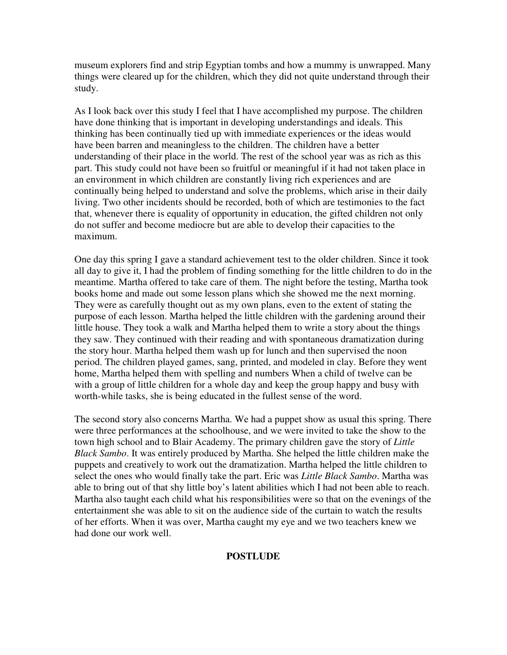museum explorers find and strip Egyptian tombs and how a mummy is unwrapped. Many things were cleared up for the children, which they did not quite understand through their study.

As I look back over this study I feel that I have accomplished my purpose. The children have done thinking that is important in developing understandings and ideals. This thinking has been continually tied up with immediate experiences or the ideas would have been barren and meaningless to the children. The children have a better understanding of their place in the world. The rest of the school year was as rich as this part. This study could not have been so fruitful or meaningful if it had not taken place in an environment in which children are constantly living rich experiences and are continually being helped to understand and solve the problems, which arise in their daily living. Two other incidents should be recorded, both of which are testimonies to the fact that, whenever there is equality of opportunity in education, the gifted children not only do not suffer and become mediocre but are able to develop their capacities to the maximum.

One day this spring I gave a standard achievement test to the older children. Since it took all day to give it, I had the problem of finding something for the little children to do in the meantime. Martha offered to take care of them. The night before the testing, Martha took books home and made out some lesson plans which she showed me the next morning. They were as carefully thought out as my own plans, even to the extent of stating the purpose of each lesson. Martha helped the little children with the gardening around their little house. They took a walk and Martha helped them to write a story about the things they saw. They continued with their reading and with spontaneous dramatization during the story hour. Martha helped them wash up for lunch and then supervised the noon period. The children played games, sang, printed, and modeled in clay. Before they went home, Martha helped them with spelling and numbers When a child of twelve can be with a group of little children for a whole day and keep the group happy and busy with worth-while tasks, she is being educated in the fullest sense of the word.

The second story also concerns Martha. We had a puppet show as usual this spring. There were three performances at the schoolhouse, and we were invited to take the show to the town high school and to Blair Academy. The primary children gave the story of *Little Black Sambo*. It was entirely produced by Martha. She helped the little children make the puppets and creatively to work out the dramatization. Martha helped the little children to select the ones who would finally take the part. Eric was *Little Black Sambo*. Martha was able to bring out of that shy little boy's latent abilities which I had not been able to reach. Martha also taught each child what his responsibilities were so that on the evenings of the entertainment she was able to sit on the audience side of the curtain to watch the results of her efforts. When it was over, Martha caught my eye and we two teachers knew we had done our work well.

## **POSTLUDE**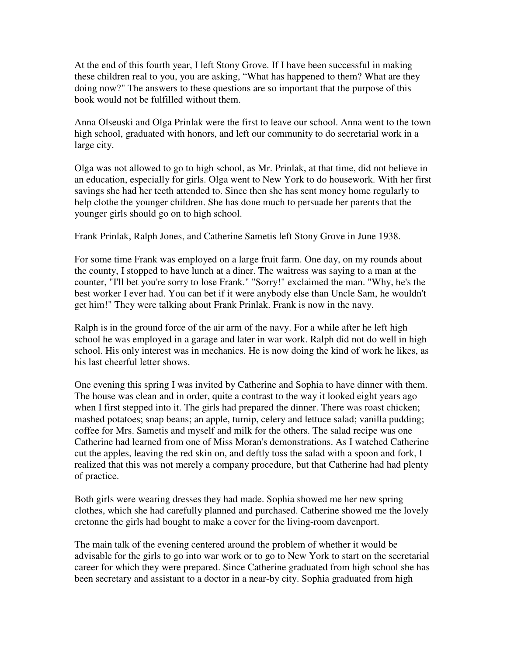At the end of this fourth year, I left Stony Grove. If I have been successful in making these children real to you, you are asking, "What has happened to them? What are they doing now?" The answers to these questions are so important that the purpose of this book would not be fulfilled without them.

Anna Olseuski and Olga Prinlak were the first to leave our school. Anna went to the town high school, graduated with honors, and left our community to do secretarial work in a large city.

Olga was not allowed to go to high school, as Mr. Prinlak, at that time, did not believe in an education, especially for girls. Olga went to New York to do housework. With her first savings she had her teeth attended to. Since then she has sent money home regularly to help clothe the younger children. She has done much to persuade her parents that the younger girls should go on to high school.

Frank Prinlak, Ralph Jones, and Catherine Sametis left Stony Grove in June 1938.

For some time Frank was employed on a large fruit farm. One day, on my rounds about the county, I stopped to have lunch at a diner. The waitress was saying to a man at the counter, "I'll bet you're sorry to lose Frank." "Sorry!" exclaimed the man. "Why, he's the best worker I ever had. You can bet if it were anybody else than Uncle Sam, he wouldn't get him!" They were talking about Frank Prinlak. Frank is now in the navy.

Ralph is in the ground force of the air arm of the navy. For a while after he left high school he was employed in a garage and later in war work. Ralph did not do well in high school. His only interest was in mechanics. He is now doing the kind of work he likes, as his last cheerful letter shows.

One evening this spring I was invited by Catherine and Sophia to have dinner with them. The house was clean and in order, quite a contrast to the way it looked eight years ago when I first stepped into it. The girls had prepared the dinner. There was roast chicken; mashed potatoes; snap beans; an apple, turnip, celery and lettuce salad; vanilla pudding; coffee for Mrs. Sametis and myself and milk for the others. The salad recipe was one Catherine had learned from one of Miss Moran's demonstrations. As I watched Catherine cut the apples, leaving the red skin on, and deftly toss the salad with a spoon and fork, I realized that this was not merely a company procedure, but that Catherine had had plenty of practice.

Both girls were wearing dresses they had made. Sophia showed me her new spring clothes, which she had carefully planned and purchased. Catherine showed me the lovely cretonne the girls had bought to make a cover for the living-room davenport.

The main talk of the evening centered around the problem of whether it would be advisable for the girls to go into war work or to go to New York to start on the secretarial career for which they were prepared. Since Catherine graduated from high school she has been secretary and assistant to a doctor in a near-by city. Sophia graduated from high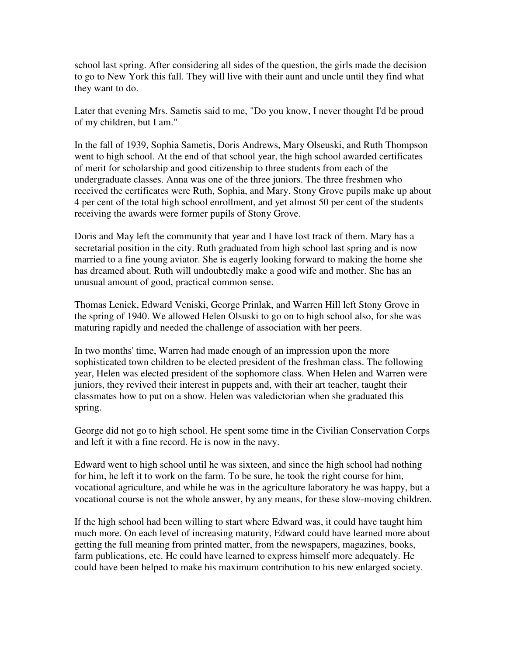school last spring. After considering all sides of the question, the girls made the decision to go to New York this fall. They will live with their aunt and uncle until they find what they want to do.

Later that evening Mrs. Sametis said to me, "Do you know, I never thought I'd be proud of my children, but I am."

In the fall of 1939, Sophia Sametis, Doris Andrews, Mary Olseuski, and Ruth Thompson went to high school. At the end of that school year, the high school awarded certificates of merit for scholarship and good citizenship to three students from each of the undergraduate classes. Anna was one of the three juniors. The three freshmen who received the certificates were Ruth, Sophia, and Mary. Stony Grove pupils make up about 4 per cent of the total high school enrollment, and yet almost 50 per cent of the students receiving the awards were former pupils of Stony Grove.

Doris and May left the community that year and I have lost track of them. Mary has a secretarial position in the city. Ruth graduated from high school last spring and is now married to a fine young aviator. She is eagerly looking forward to making the home she has dreamed about. Ruth will undoubtedly make a good wife and mother. She has an unusual amount of good, practical common sense.

Thomas Lenick, Edward Veniski, George Prinlak, and Warren Hill left Stony Grove in the spring of 1940. We allowed Helen Olsuski to go on to high school also, for she was maturing rapidly and needed the challenge of association with her peers.

In two months' time, Warren had made enough of an impression upon the more sophisticated town children to be elected president of the freshman class. The following year, Helen was elected president of the sophomore class. When Helen and Warren were juniors, they revived their interest in puppets and, with their art teacher, taught their classmates how to put on a show. Helen was valedictorian when she graduated this spring.

George did not go to high school. He spent some time in the Civilian Conservation Corps and left it with a fine record. He is now in the navy.

Edward went to high school until he was sixteen, and since the high school had nothing for him, he left it to work on the farm. To be sure, he took the right course for him, vocational agriculture, and while he was in the agriculture laboratory he was happy, but a vocational course is not the whole answer, by any means, for these slow-moving children.

If the high school had been willing to start where Edward was, it could have taught him much more. On each level of increasing maturity, Edward could have learned more about getting the full meaning from printed matter, from the newspapers, magazines, books, farm publications, etc. He could have learned to express himself more adequately. He could have been helped to make his maximum contribution to his new enlarged society.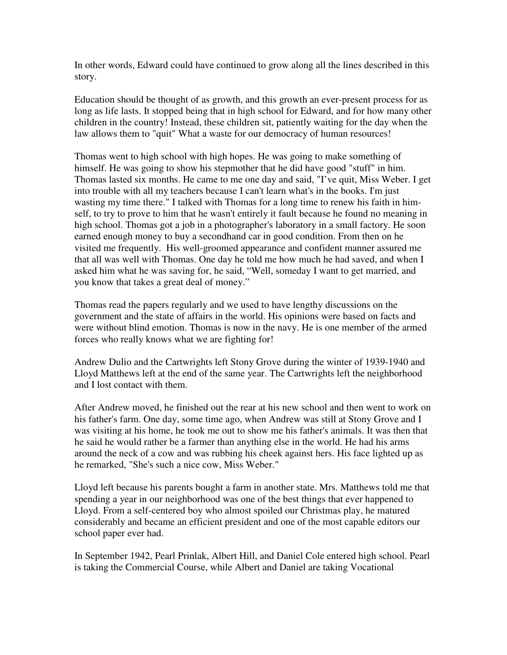In other words, Edward could have continued to grow along all the lines described in this story.

Education should be thought of as growth, and this growth an ever-present process for as long as life lasts. It stopped being that in high school for Edward, and for how many other children in the country! Instead, these children sit, patiently waiting for the day when the law allows them to "quit" What a waste for our democracy of human resources!

Thomas went to high school with high hopes. He was going to make something of himself. He was going to show his stepmother that he did have good "stuff" in him. Thomas lasted six months. He came to me one day and said, "I've quit, Miss Weber. I get into trouble with all my teachers because I can't learn what's in the books. I'm just wasting my time there." I talked with Thomas for a long time to renew his faith in himself, to try to prove to him that he wasn't entirely it fault because he found no meaning in high school. Thomas got a job in a photographer's laboratory in a small factory. He soon earned enough money to buy a secondhand car in good condition. From then on he visited me frequently. His well-groomed appearance and confident manner assured me that all was well with Thomas. One day he told me how much he had saved, and when I asked him what he was saving for, he said, "Well, someday I want to get married, and you know that takes a great deal of money."

Thomas read the papers regularly and we used to have lengthy discussions on the government and the state of affairs in the world. His opinions were based on facts and were without blind emotion. Thomas is now in the navy. He is one member of the armed forces who really knows what we are fighting for!

Andrew Dulio and the Cartwrights left Stony Grove during the winter of 1939-1940 and Lloyd Matthews left at the end of the same year. The Cartwrights left the neighborhood and I lost contact with them.

After Andrew moved, he finished out the rear at his new school and then went to work on his father's farm. One day, some time ago, when Andrew was still at Stony Grove and I was visiting at his home, he took me out to show me his father's animals. It was then that he said he would rather be a farmer than anything else in the world. He had his arms around the neck of a cow and was rubbing his cheek against hers. His face lighted up as he remarked, "She's such a nice cow, Miss Weber."

Lloyd left because his parents bought a farm in another state. Mrs. Matthews told me that spending a year in our neighborhood was one of the best things that ever happened to Lloyd. From a self-centered boy who almost spoiled our Christmas play, he matured considerably and became an efficient president and one of the most capable editors our school paper ever had.

In September 1942, Pearl Prinlak, Albert Hill, and Daniel Cole entered high school. Pearl is taking the Commercial Course, while Albert and Daniel are taking Vocational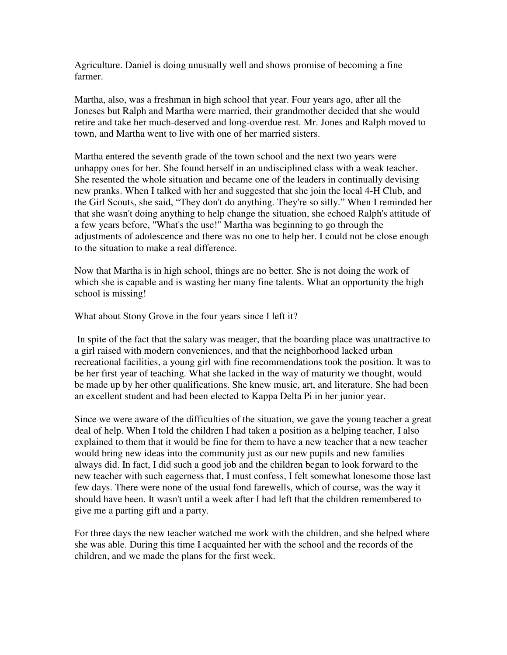Agriculture. Daniel is doing unusually well and shows promise of becoming a fine farmer.

Martha, also, was a freshman in high school that year. Four years ago, after all the Joneses but Ralph and Martha were married, their grandmother decided that she would retire and take her much-deserved and long-overdue rest. Mr. Jones and Ralph moved to town, and Martha went to live with one of her married sisters.

Martha entered the seventh grade of the town school and the next two years were unhappy ones for her. She found herself in an undisciplined class with a weak teacher. She resented the whole situation and became one of the leaders in continually devising new pranks. When I talked with her and suggested that she join the local 4-H Club, and the Girl Scouts, she said, "They don't do anything. They're so silly." When I reminded her that she wasn't doing anything to help change the situation, she echoed Ralph's attitude of a few years before, "What's the use!" Martha was beginning to go through the adjustments of adolescence and there was no one to help her. I could not be close enough to the situation to make a real difference.

Now that Martha is in high school, things are no better. She is not doing the work of which she is capable and is wasting her many fine talents. What an opportunity the high school is missing!

What about Stony Grove in the four years since I left it?

 In spite of the fact that the salary was meager, that the boarding place was unattractive to a girl raised with modern conveniences, and that the neighborhood lacked urban recreational facilities, a young girl with fine recommendations took the position. It was to be her first year of teaching. What she lacked in the way of maturity we thought, would be made up by her other qualifications. She knew music, art, and literature. She had been an excellent student and had been elected to Kappa Delta Pi in her junior year.

Since we were aware of the difficulties of the situation, we gave the young teacher a great deal of help. When I told the children I had taken a position as a helping teacher, I also explained to them that it would be fine for them to have a new teacher that a new teacher would bring new ideas into the community just as our new pupils and new families always did. In fact, I did such a good job and the children began to look forward to the new teacher with such eagerness that, I must confess, I felt somewhat lonesome those last few days. There were none of the usual fond farewells, which of course, was the way it should have been. It wasn't until a week after I had left that the children remembered to give me a parting gift and a party.

For three days the new teacher watched me work with the children, and she helped where she was able. During this time I acquainted her with the school and the records of the children, and we made the plans for the first week.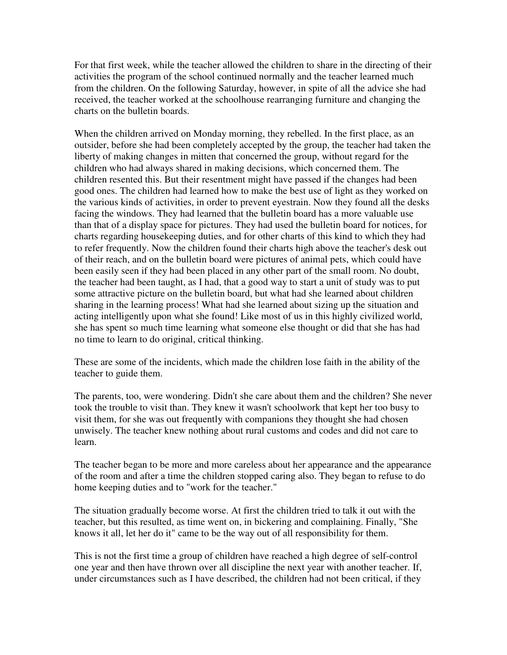For that first week, while the teacher allowed the children to share in the directing of their activities the program of the school continued normally and the teacher learned much from the children. On the following Saturday, however, in spite of all the advice she had received, the teacher worked at the schoolhouse rearranging furniture and changing the charts on the bulletin boards.

When the children arrived on Monday morning, they rebelled. In the first place, as an outsider, before she had been completely accepted by the group, the teacher had taken the liberty of making changes in mitten that concerned the group, without regard for the children who had always shared in making decisions, which concerned them. The children resented this. But their resentment might have passed if the changes had been good ones. The children had learned how to make the best use of light as they worked on the various kinds of activities, in order to prevent eyestrain. Now they found all the desks facing the windows. They had learned that the bulletin board has a more valuable use than that of a display space for pictures. They had used the bulletin board for notices, for charts regarding housekeeping duties, and for other charts of this kind to which they had to refer frequently. Now the children found their charts high above the teacher's desk out of their reach, and on the bulletin board were pictures of animal pets, which could have been easily seen if they had been placed in any other part of the small room. No doubt, the teacher had been taught, as I had, that a good way to start a unit of study was to put some attractive picture on the bulletin board, but what had she learned about children sharing in the learning process! What had she learned about sizing up the situation and acting intelligently upon what she found! Like most of us in this highly civilized world, she has spent so much time learning what someone else thought or did that she has had no time to learn to do original, critical thinking.

These are some of the incidents, which made the children lose faith in the ability of the teacher to guide them.

The parents, too, were wondering. Didn't she care about them and the children? She never took the trouble to visit than. They knew it wasn't schoolwork that kept her too busy to visit them, for she was out frequently with companions they thought she had chosen unwisely. The teacher knew nothing about rural customs and codes and did not care to learn.

The teacher began to be more and more careless about her appearance and the appearance of the room and after a time the children stopped caring also. They began to refuse to do home keeping duties and to "work for the teacher."

The situation gradually become worse. At first the children tried to talk it out with the teacher, but this resulted, as time went on, in bickering and complaining. Finally, "She knows it all, let her do it" came to be the way out of all responsibility for them.

This is not the first time a group of children have reached a high degree of self-control one year and then have thrown over all discipline the next year with another teacher. If, under circumstances such as I have described, the children had not been critical, if they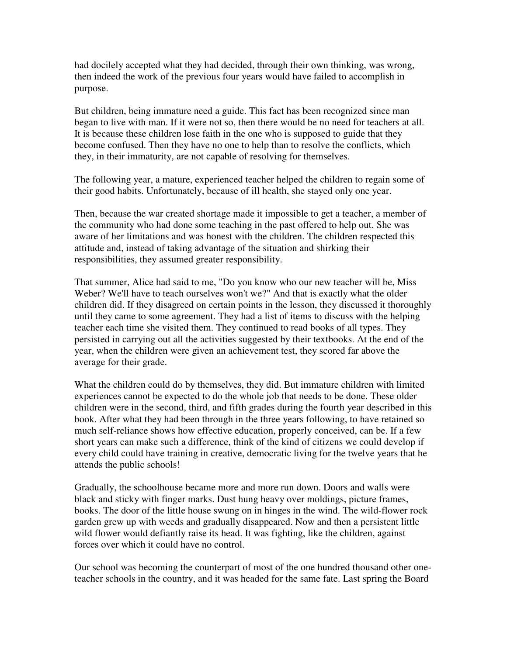had docilely accepted what they had decided, through their own thinking, was wrong, then indeed the work of the previous four years would have failed to accomplish in purpose.

But children, being immature need a guide. This fact has been recognized since man began to live with man. If it were not so, then there would be no need for teachers at all. It is because these children lose faith in the one who is supposed to guide that they become confused. Then they have no one to help than to resolve the conflicts, which they, in their immaturity, are not capable of resolving for themselves.

The following year, a mature, experienced teacher helped the children to regain some of their good habits. Unfortunately, because of ill health, she stayed only one year.

Then, because the war created shortage made it impossible to get a teacher, a member of the community who had done some teaching in the past offered to help out. She was aware of her limitations and was honest with the children. The children respected this attitude and, instead of taking advantage of the situation and shirking their responsibilities, they assumed greater responsibility.

That summer, Alice had said to me, "Do you know who our new teacher will be, Miss Weber? We'll have to teach ourselves won't we?" And that is exactly what the older children did. If they disagreed on certain points in the lesson, they discussed it thoroughly until they came to some agreement. They had a list of items to discuss with the helping teacher each time she visited them. They continued to read books of all types. They persisted in carrying out all the activities suggested by their textbooks. At the end of the year, when the children were given an achievement test, they scored far above the average for their grade.

What the children could do by themselves, they did. But immature children with limited experiences cannot be expected to do the whole job that needs to be done. These older children were in the second, third, and fifth grades during the fourth year described in this book. After what they had been through in the three years following, to have retained so much self-reliance shows how effective education, properly conceived, can be. If a few short years can make such a difference, think of the kind of citizens we could develop if every child could have training in creative, democratic living for the twelve years that he attends the public schools!

Gradually, the schoolhouse became more and more run down. Doors and walls were black and sticky with finger marks. Dust hung heavy over moldings, picture frames, books. The door of the little house swung on in hinges in the wind. The wild-flower rock garden grew up with weeds and gradually disappeared. Now and then a persistent little wild flower would defiantly raise its head. It was fighting, like the children, against forces over which it could have no control.

Our school was becoming the counterpart of most of the one hundred thousand other oneteacher schools in the country, and it was headed for the same fate. Last spring the Board